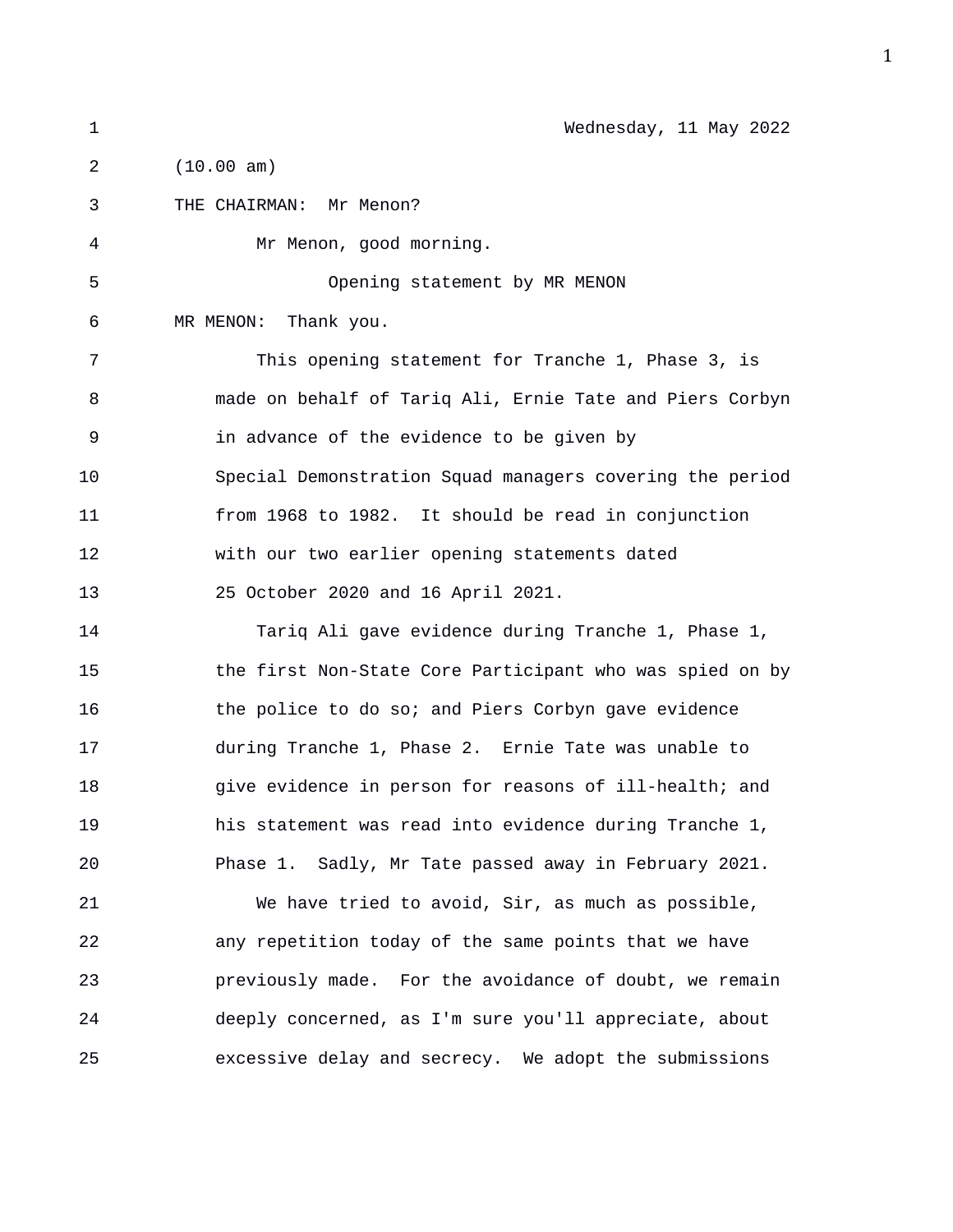1 Wednesday, 11 May 2022 2 (10.00 am) 3 THE CHAIRMAN: Mr Menon? 4 Mr Menon, good morning. 5 Opening statement by MR MENON

6 MR MENON: Thank you.

7 This opening statement for Tranche 1, Phase 3, is 8 made on behalf of Tariq Ali, Ernie Tate and Piers Corbyn 9 in advance of the evidence to be given by 10 Special Demonstration Squad managers covering the period 11 from 1968 to 1982. It should be read in conjunction 12 with our two earlier opening statements dated 13 25 October 2020 and 16 April 2021.

14 Tariq Ali gave evidence during Tranche 1, Phase 1, 15 the first Non-State Core Participant who was spied on by 16 the police to do so; and Piers Corbyn gave evidence 17 during Tranche 1, Phase 2. Ernie Tate was unable to 18 give evidence in person for reasons of ill-health; and 19 his statement was read into evidence during Tranche 1, 20 Phase 1. Sadly, Mr Tate passed away in February 2021.

21 We have tried to avoid, Sir, as much as possible, 22 any repetition today of the same points that we have 23 previously made. For the avoidance of doubt, we remain 24 deeply concerned, as I'm sure you'll appreciate, about 25 excessive delay and secrecy. We adopt the submissions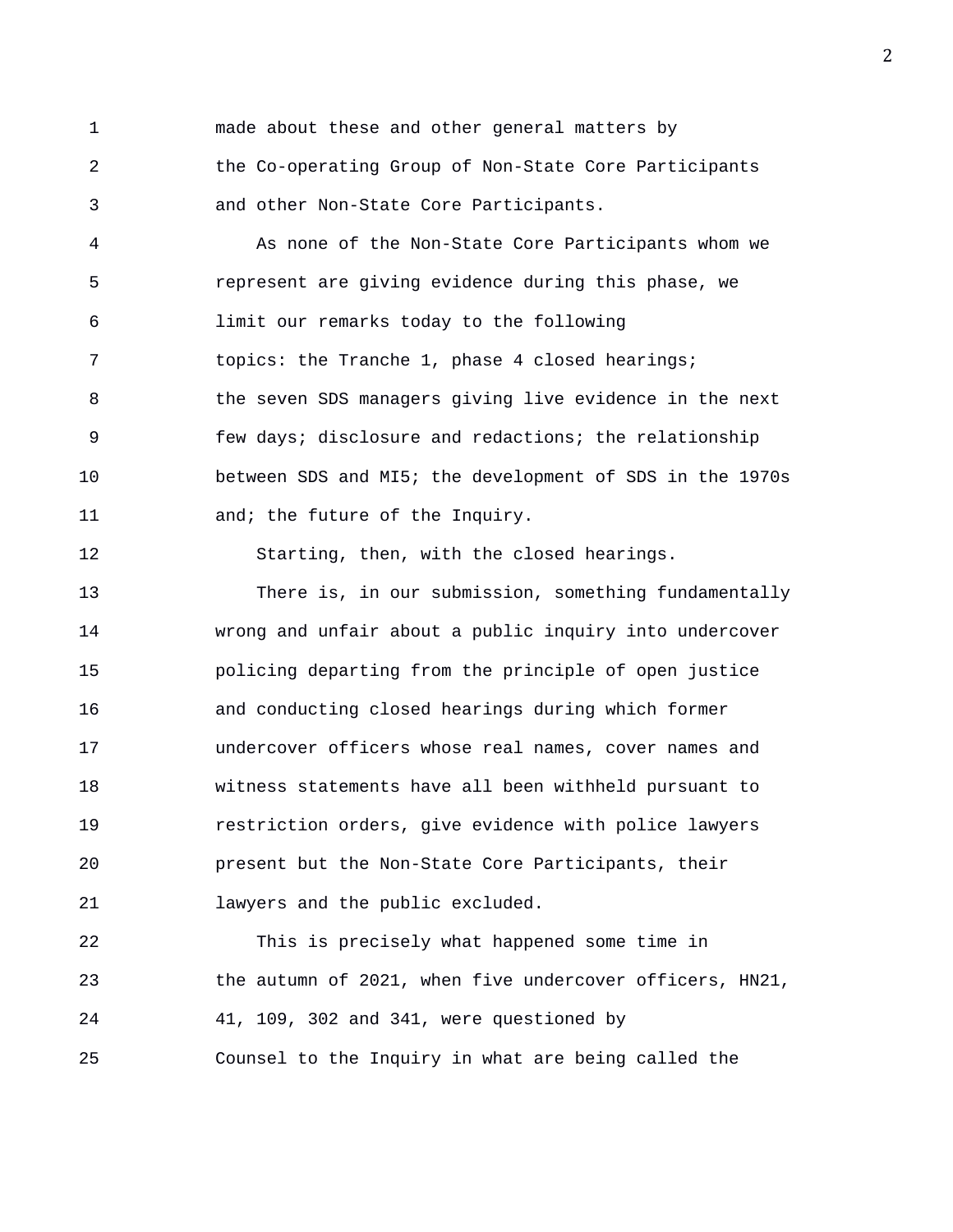1 made about these and other general matters by 2 the Co-operating Group of Non-State Core Participants 3 and other Non-State Core Participants.

4 As none of the Non-State Core Participants whom we 5 represent are giving evidence during this phase, we 6 limit our remarks today to the following 7 topics: the Tranche 1, phase 4 closed hearings; 8 the seven SDS managers giving live evidence in the next 9 few days; disclosure and redactions; the relationship 10 between SDS and MI5; the development of SDS in the 1970s 11 and; the future of the Inquiry.

12 Starting, then, with the closed hearings.

13 There is, in our submission, something fundamentally 14 wrong and unfair about a public inquiry into undercover 15 policing departing from the principle of open justice 16 and conducting closed hearings during which former 17 undercover officers whose real names, cover names and 18 witness statements have all been withheld pursuant to 19 restriction orders, give evidence with police lawyers 20 present but the Non-State Core Participants, their 21 lawyers and the public excluded.

22 This is precisely what happened some time in 23 the autumn of 2021, when five undercover officers, HN21, 24 41, 109, 302 and 341, were questioned by 25 Counsel to the Inquiry in what are being called the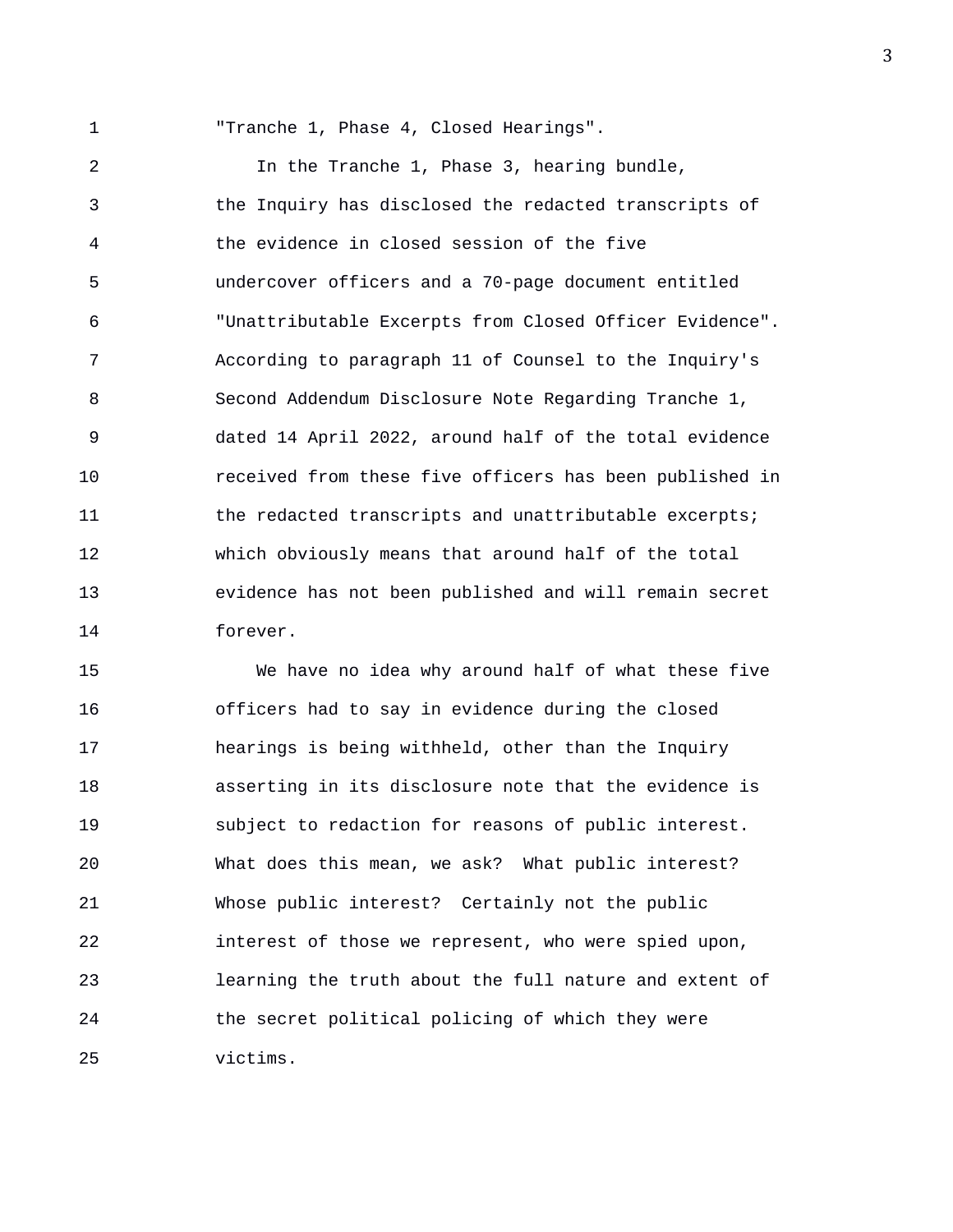1 "Tranche 1, Phase 4, Closed Hearings".

2 In the Tranche 1, Phase 3, hearing bundle, 3 the Inquiry has disclosed the redacted transcripts of 4 the evidence in closed session of the five 5 undercover officers and a 70-page document entitled 6 "Unattributable Excerpts from Closed Officer Evidence". 7 According to paragraph 11 of Counsel to the Inquiry's 8 Second Addendum Disclosure Note Regarding Tranche 1, 9 dated 14 April 2022, around half of the total evidence 10 received from these five officers has been published in 11 the redacted transcripts and unattributable excerpts; 12 which obviously means that around half of the total 13 evidence has not been published and will remain secret 14 forever.

15 We have no idea why around half of what these five 16 officers had to say in evidence during the closed 17 hearings is being withheld, other than the Inquiry 18 asserting in its disclosure note that the evidence is 19 subject to redaction for reasons of public interest. 20 What does this mean, we ask? What public interest? 21 Whose public interest? Certainly not the public 22 interest of those we represent, who were spied upon, 23 learning the truth about the full nature and extent of 24 the secret political policing of which they were 25 victims.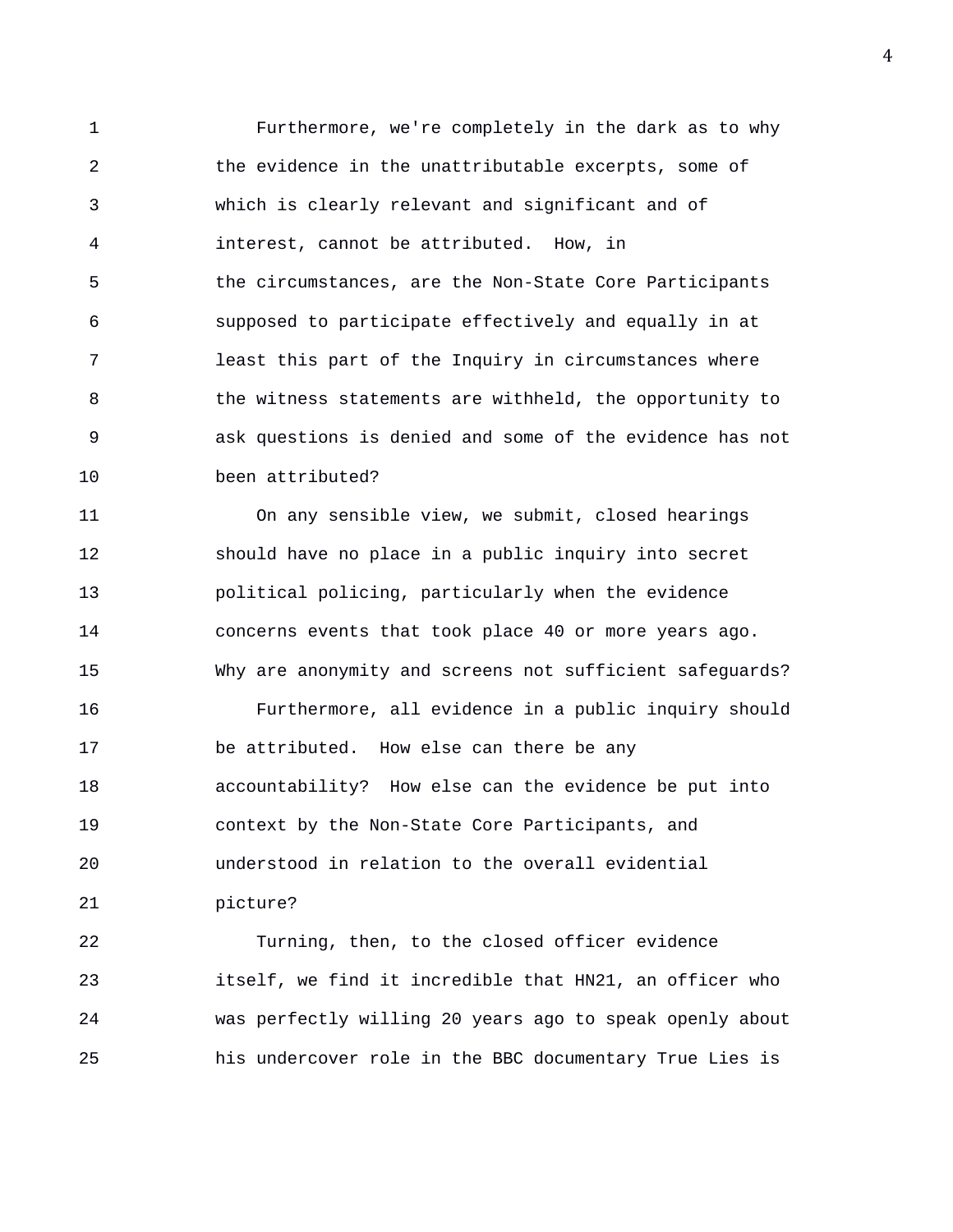1 Furthermore, we're completely in the dark as to why 2 the evidence in the unattributable excerpts, some of 3 which is clearly relevant and significant and of 4 interest, cannot be attributed. How, in 5 the circumstances, are the Non-State Core Participants 6 supposed to participate effectively and equally in at 7 least this part of the Inquiry in circumstances where 8 the witness statements are withheld, the opportunity to 9 ask questions is denied and some of the evidence has not 10 been attributed?

11 On any sensible view, we submit, closed hearings 12 should have no place in a public inquiry into secret 13 political policing, particularly when the evidence 14 concerns events that took place 40 or more years ago. 15 Why are anonymity and screens not sufficient safeguards? 16 Furthermore, all evidence in a public inquiry should 17 be attributed. How else can there be any 18 accountability? How else can the evidence be put into 19 context by the Non-State Core Participants, and 20 understood in relation to the overall evidential 21 picture?

22 Turning, then, to the closed officer evidence 23 itself, we find it incredible that HN21, an officer who 24 was perfectly willing 20 years ago to speak openly about 25 his undercover role in the BBC documentary True Lies is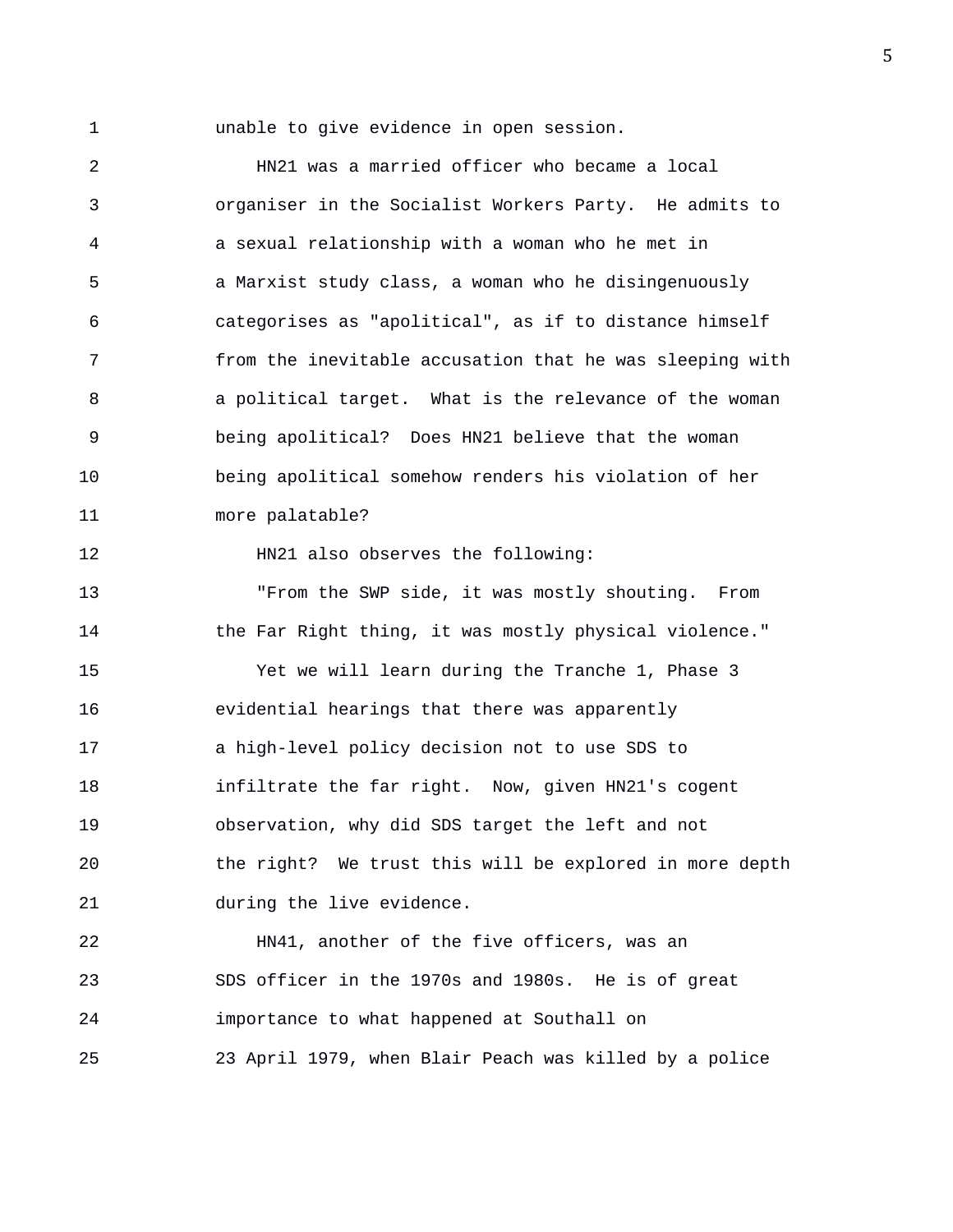1 unable to give evidence in open session.

2 HN21 was a married officer who became a local 3 organiser in the Socialist Workers Party. He admits to 4 a sexual relationship with a woman who he met in 5 a Marxist study class, a woman who he disingenuously 6 categorises as "apolitical", as if to distance himself 7 from the inevitable accusation that he was sleeping with 8 a political target. What is the relevance of the woman 9 being apolitical? Does HN21 believe that the woman 10 being apolitical somehow renders his violation of her 11 more palatable? 12 HN21 also observes the following: 13 "From the SWP side, it was mostly shouting. From 14 the Far Right thing, it was mostly physical violence." 15 Yet we will learn during the Tranche 1, Phase 3 16 evidential hearings that there was apparently 17 a high-level policy decision not to use SDS to 18 infiltrate the far right. Now, given HN21's cogent 19 observation, why did SDS target the left and not 20 the right? We trust this will be explored in more depth 21 during the live evidence. 22 HN41, another of the five officers, was an 23 SDS officer in the 1970s and 1980s. He is of great 24 importance to what happened at Southall on

25 23 April 1979, when Blair Peach was killed by a police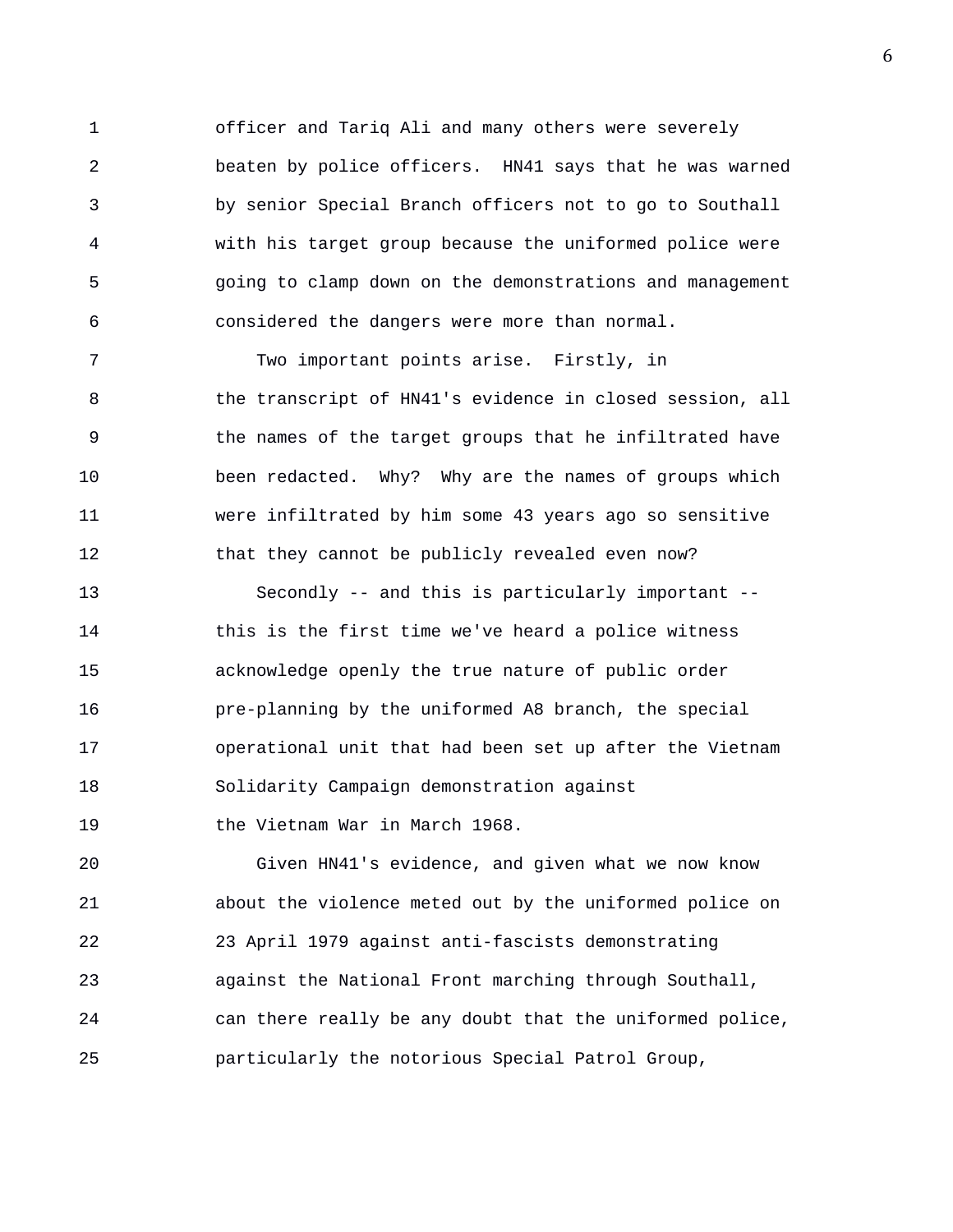1 officer and Tariq Ali and many others were severely 2 beaten by police officers. HN41 says that he was warned 3 by senior Special Branch officers not to go to Southall 4 with his target group because the uniformed police were 5 going to clamp down on the demonstrations and management 6 considered the dangers were more than normal.

7 Two important points arise. Firstly, in 8 the transcript of HN41's evidence in closed session, all 9 the names of the target groups that he infiltrated have 10 been redacted. Why? Why are the names of groups which 11 were infiltrated by him some 43 years ago so sensitive 12 that they cannot be publicly revealed even now?

13 Secondly -- and this is particularly important -- 14 this is the first time we've heard a police witness 15 acknowledge openly the true nature of public order 16 pre-planning by the uniformed A8 branch, the special 17 operational unit that had been set up after the Vietnam 18 Solidarity Campaign demonstration against 19 the Vietnam War in March 1968.

20 Given HN41's evidence, and given what we now know 21 about the violence meted out by the uniformed police on 22 23 April 1979 against anti-fascists demonstrating 23 against the National Front marching through Southall, 24 can there really be any doubt that the uniformed police, 25 particularly the notorious Special Patrol Group,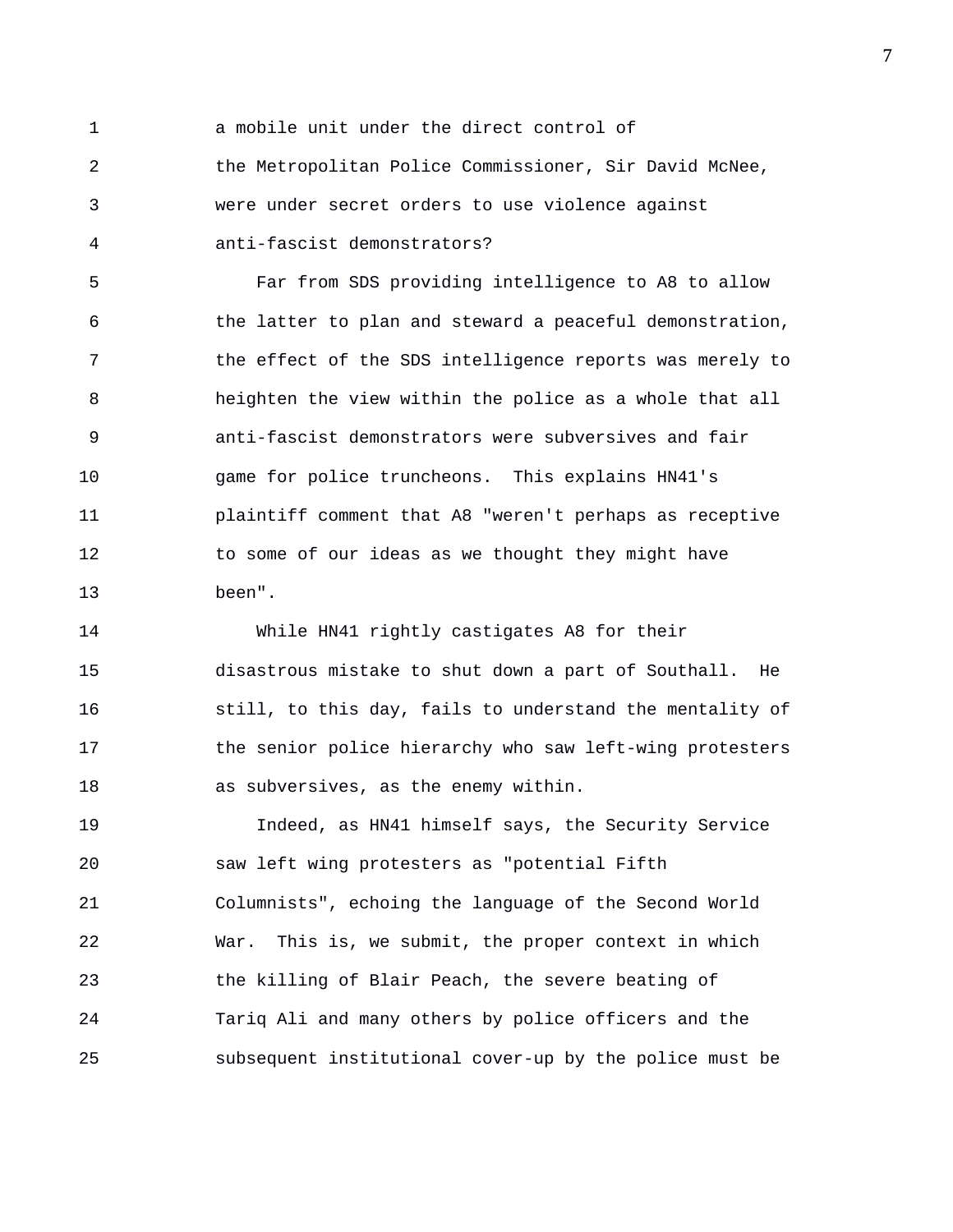1 a mobile unit under the direct control of 2 the Metropolitan Police Commissioner, Sir David McNee, 3 were under secret orders to use violence against 4 anti-fascist demonstrators?

5 Far from SDS providing intelligence to A8 to allow 6 the latter to plan and steward a peaceful demonstration, 7 the effect of the SDS intelligence reports was merely to 8 heighten the view within the police as a whole that all 9 anti-fascist demonstrators were subversives and fair 10 game for police truncheons. This explains HN41's 11 plaintiff comment that A8 "weren't perhaps as receptive 12 to some of our ideas as we thought they might have 13 been".

14 While HN41 rightly castigates A8 for their 15 disastrous mistake to shut down a part of Southall. He 16 still, to this day, fails to understand the mentality of 17 the senior police hierarchy who saw left-wing protesters 18 as subversives, as the enemy within.

19 Indeed, as HN41 himself says, the Security Service 20 saw left wing protesters as "potential Fifth 21 Columnists", echoing the language of the Second World 22 War. This is, we submit, the proper context in which 23 the killing of Blair Peach, the severe beating of 24 Tariq Ali and many others by police officers and the 25 subsequent institutional cover-up by the police must be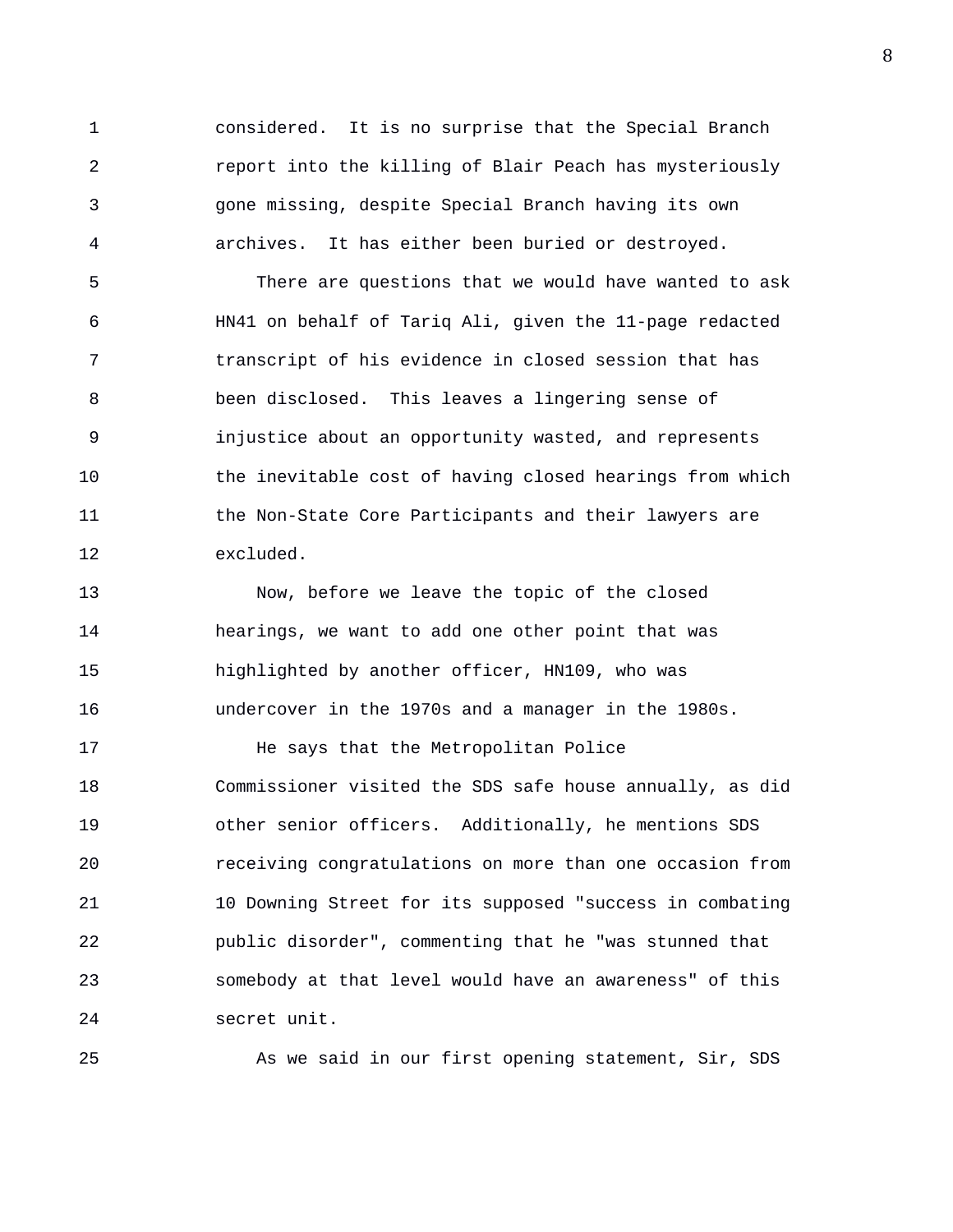1 considered. It is no surprise that the Special Branch 2 report into the killing of Blair Peach has mysteriously 3 gone missing, despite Special Branch having its own 4 archives. It has either been buried or destroyed.

5 There are questions that we would have wanted to ask 6 HN41 on behalf of Tariq Ali, given the 11-page redacted 7 transcript of his evidence in closed session that has 8 been disclosed. This leaves a lingering sense of 9 injustice about an opportunity wasted, and represents 10 the inevitable cost of having closed hearings from which 11 the Non-State Core Participants and their lawyers are 12 excluded.

13 Now, before we leave the topic of the closed 14 hearings, we want to add one other point that was 15 highlighted by another officer, HN109, who was 16 undercover in the 1970s and a manager in the 1980s.

17 He says that the Metropolitan Police 18 Commissioner visited the SDS safe house annually, as did 19 other senior officers. Additionally, he mentions SDS 20 receiving congratulations on more than one occasion from 21 10 Downing Street for its supposed "success in combating 22 public disorder", commenting that he "was stunned that 23 somebody at that level would have an awareness" of this 24 secret unit.

25 As we said in our first opening statement, Sir, SDS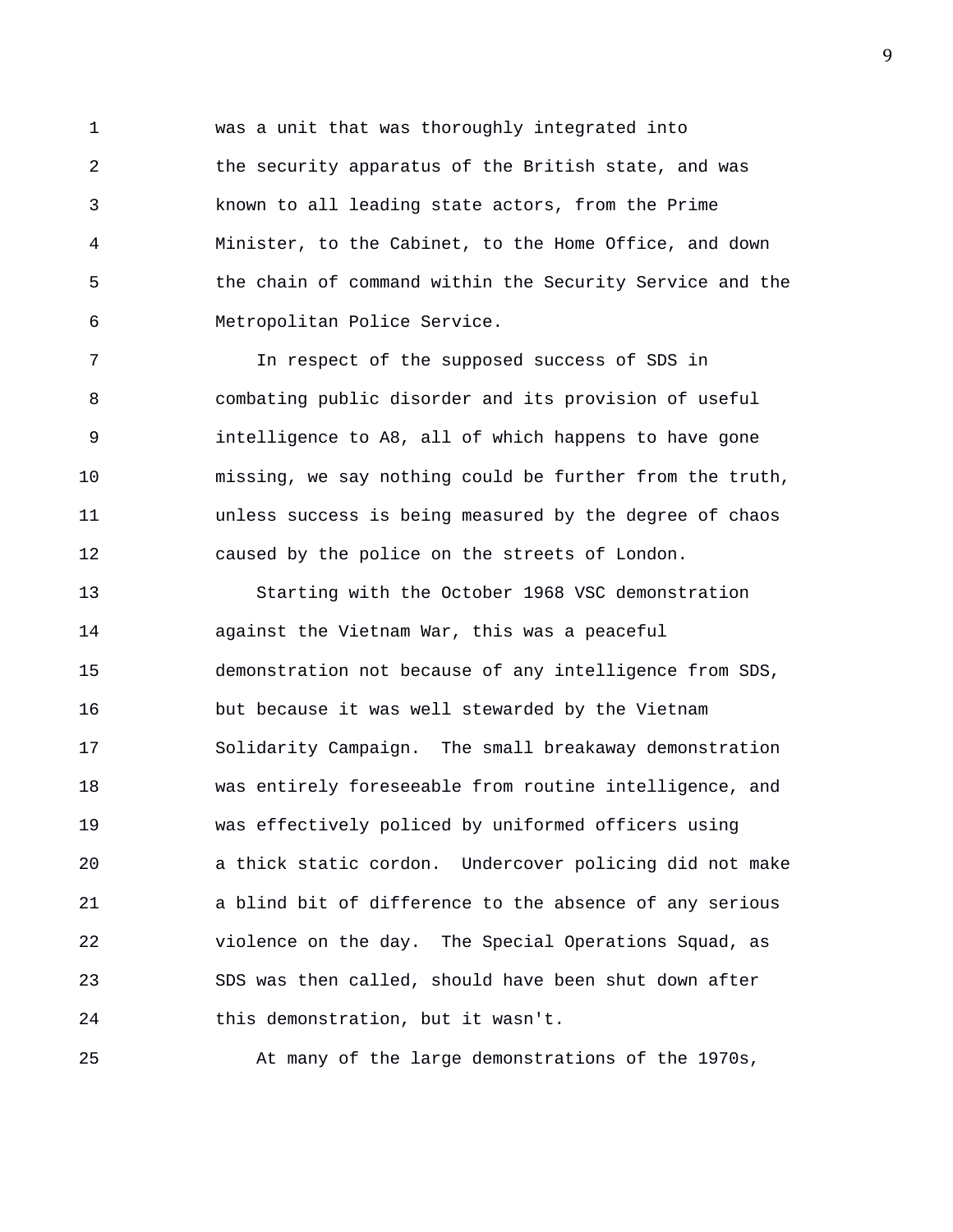1 was a unit that was thoroughly integrated into 2 the security apparatus of the British state, and was 3 known to all leading state actors, from the Prime 4 Minister, to the Cabinet, to the Home Office, and down 5 the chain of command within the Security Service and the 6 Metropolitan Police Service.

7 In respect of the supposed success of SDS in 8 combating public disorder and its provision of useful 9 intelligence to A8, all of which happens to have gone 10 missing, we say nothing could be further from the truth, 11 unless success is being measured by the degree of chaos 12 caused by the police on the streets of London.

13 Starting with the October 1968 VSC demonstration 14 against the Vietnam War, this was a peaceful 15 demonstration not because of any intelligence from SDS, 16 but because it was well stewarded by the Vietnam 17 Solidarity Campaign. The small breakaway demonstration 18 was entirely foreseeable from routine intelligence, and 19 was effectively policed by uniformed officers using 20 a thick static cordon. Undercover policing did not make 21 a blind bit of difference to the absence of any serious 22 violence on the day. The Special Operations Squad, as 23 SDS was then called, should have been shut down after 24 this demonstration, but it wasn't.

25 At many of the large demonstrations of the 1970s,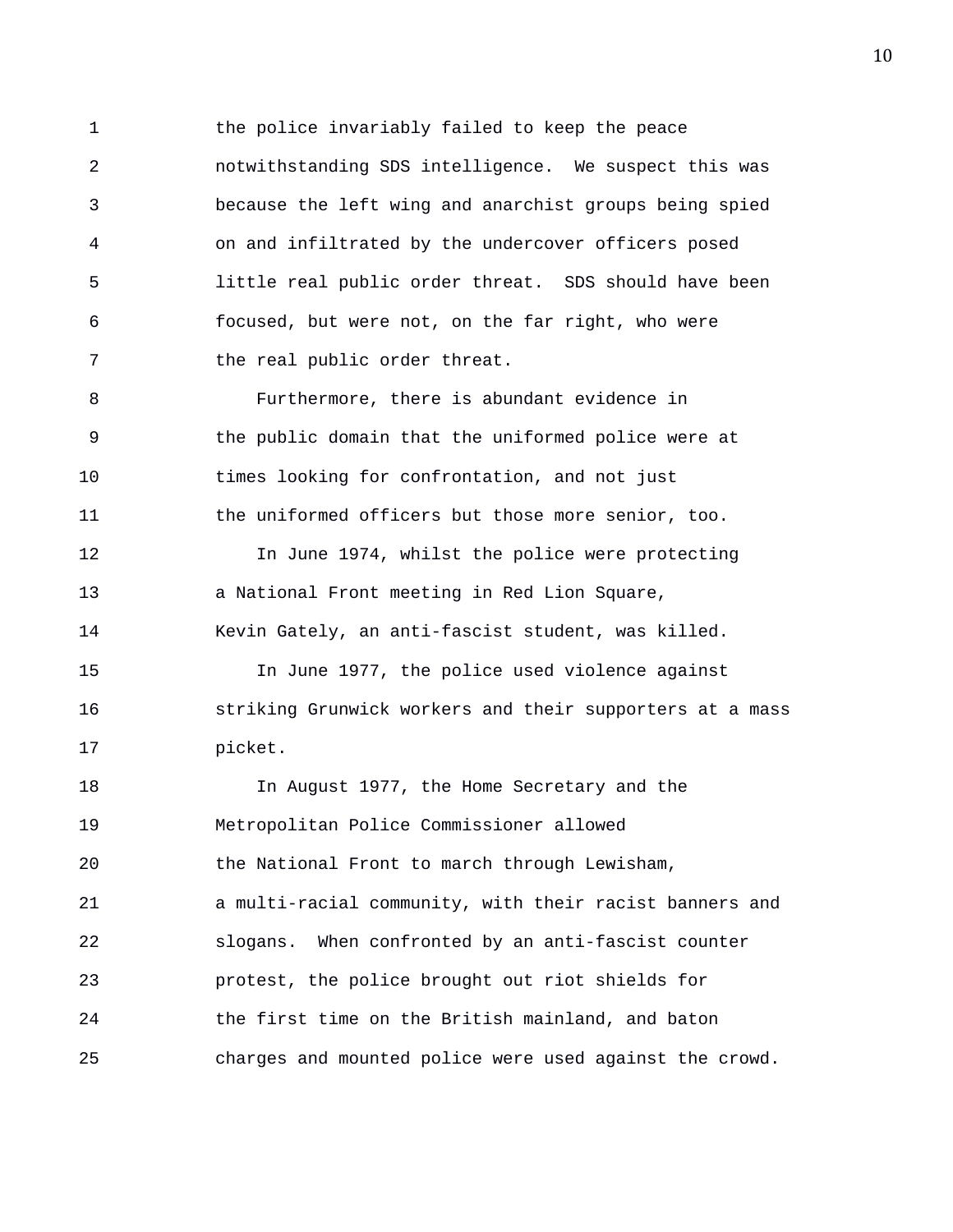1 the police invariably failed to keep the peace 2 notwithstanding SDS intelligence. We suspect this was 3 because the left wing and anarchist groups being spied 4 on and infiltrated by the undercover officers posed 5 little real public order threat. SDS should have been 6 focused, but were not, on the far right, who were 7 the real public order threat.

8 Furthermore, there is abundant evidence in 9 the public domain that the uniformed police were at 10 times looking for confrontation, and not just 11 the uniformed officers but those more senior, too.

12 In June 1974, whilst the police were protecting 13 a National Front meeting in Red Lion Square, 14 Kevin Gately, an anti-fascist student, was killed.

15 In June 1977, the police used violence against 16 striking Grunwick workers and their supporters at a mass 17 picket.

18 In August 1977, the Home Secretary and the 19 Metropolitan Police Commissioner allowed 20 the National Front to march through Lewisham, 21 a multi-racial community, with their racist banners and 22 slogans. When confronted by an anti-fascist counter 23 protest, the police brought out riot shields for 24 the first time on the British mainland, and baton 25 charges and mounted police were used against the crowd.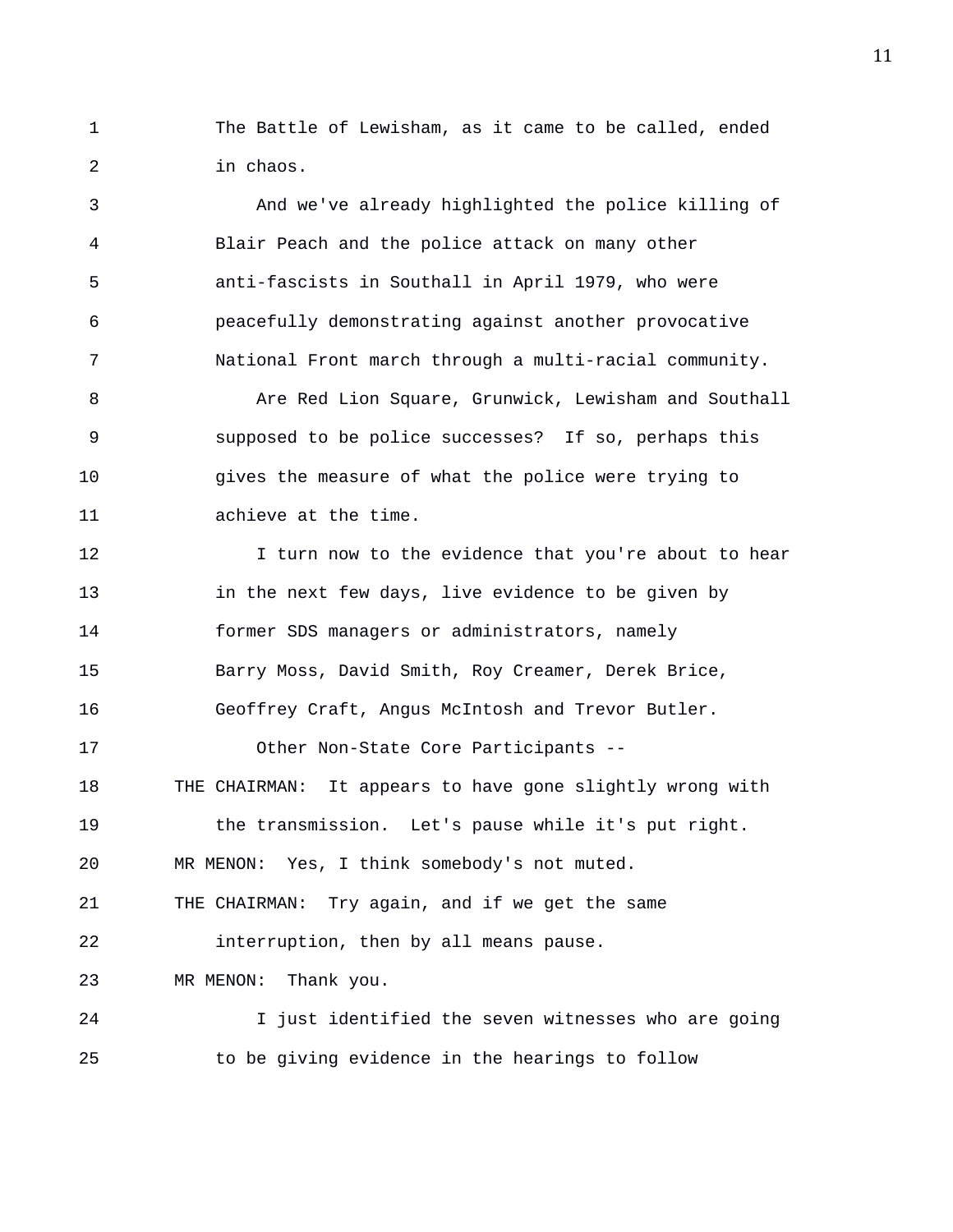1 The Battle of Lewisham, as it came to be called, ended 2 in chaos.

3 And we've already highlighted the police killing of 4 Blair Peach and the police attack on many other 5 anti-fascists in Southall in April 1979, who were 6 peacefully demonstrating against another provocative 7 National Front march through a multi-racial community.

8 Are Red Lion Square, Grunwick, Lewisham and Southall 9 supposed to be police successes? If so, perhaps this 10 gives the measure of what the police were trying to 11 achieve at the time.

12 12 I turn now to the evidence that you're about to hear 13 in the next few days, live evidence to be given by 14 former SDS managers or administrators, namely 15 Barry Moss, David Smith, Roy Creamer, Derek Brice, 16 Geoffrey Craft, Angus McIntosh and Trevor Butler. 17 Other Non-State Core Participants -- 18 THE CHAIRMAN: It appears to have gone slightly wrong with 19 the transmission. Let's pause while it's put right. 20 MR MENON: Yes, I think somebody's not muted. 21 THE CHAIRMAN: Try again, and if we get the same 22 interruption, then by all means pause. 23 MR MENON: Thank you. 24 I just identified the seven witnesses who are going

25 to be giving evidence in the hearings to follow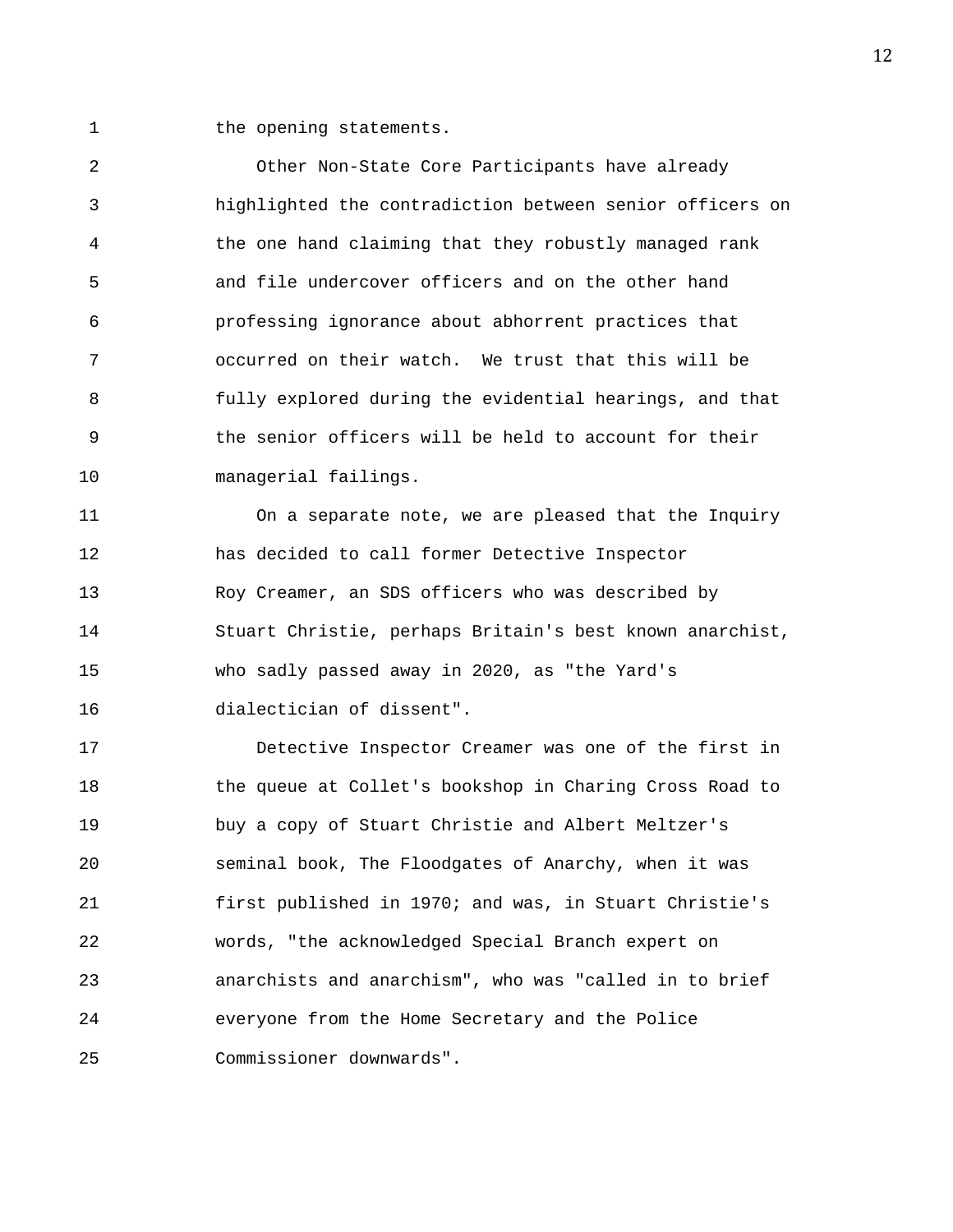1 the opening statements.

2 Other Non-State Core Participants have already 3 highlighted the contradiction between senior officers on 4 the one hand claiming that they robustly managed rank 5 and file undercover officers and on the other hand 6 professing ignorance about abhorrent practices that 7 occurred on their watch. We trust that this will be 8 fully explored during the evidential hearings, and that 9 the senior officers will be held to account for their 10 managerial failings.

11 On a separate note, we are pleased that the Inquiry 12 has decided to call former Detective Inspector 13 Roy Creamer, an SDS officers who was described by 14 Stuart Christie, perhaps Britain's best known anarchist, 15 who sadly passed away in 2020, as "the Yard's 16 dialectician of dissent".

17 Detective Inspector Creamer was one of the first in 18 the queue at Collet's bookshop in Charing Cross Road to 19 buy a copy of Stuart Christie and Albert Meltzer's 20 seminal book, The Floodgates of Anarchy, when it was 21 first published in 1970; and was, in Stuart Christie's 22 words, "the acknowledged Special Branch expert on 23 anarchists and anarchism", who was "called in to brief 24 everyone from the Home Secretary and the Police 25 Commissioner downwards".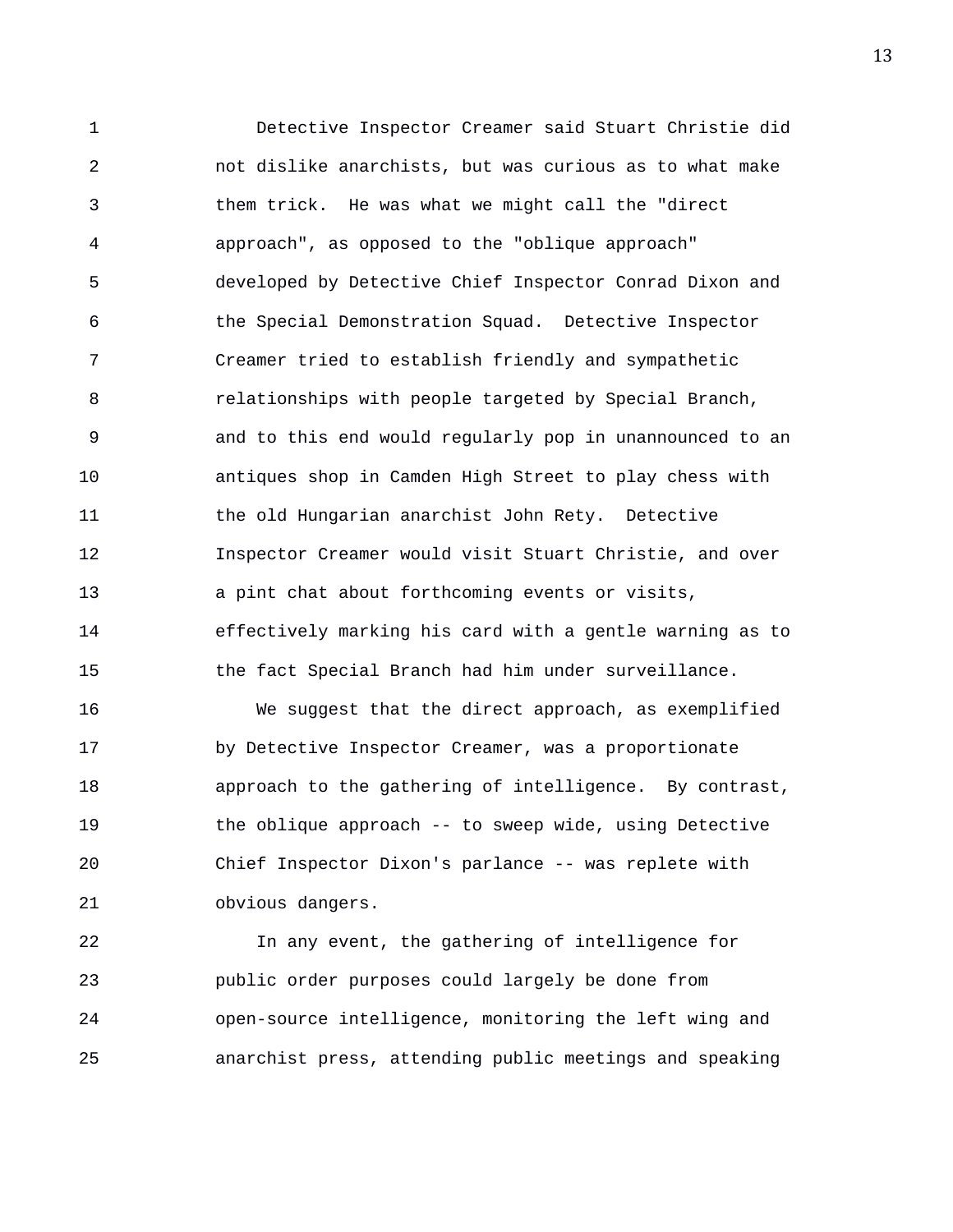1 Detective Inspector Creamer said Stuart Christie did 2 not dislike anarchists, but was curious as to what make 3 them trick. He was what we might call the "direct 4 approach", as opposed to the "oblique approach" 5 developed by Detective Chief Inspector Conrad Dixon and 6 the Special Demonstration Squad. Detective Inspector 7 Creamer tried to establish friendly and sympathetic 8 relationships with people targeted by Special Branch, 9 and to this end would regularly pop in unannounced to an 10 antiques shop in Camden High Street to play chess with 11 the old Hungarian anarchist John Rety. Detective 12 Inspector Creamer would visit Stuart Christie, and over 13 a pint chat about forthcoming events or visits, 14 effectively marking his card with a gentle warning as to 15 the fact Special Branch had him under surveillance. 16 We suggest that the direct approach, as exemplified

17 by Detective Inspector Creamer, was a proportionate 18 approach to the gathering of intelligence. By contrast, 19 the oblique approach -- to sweep wide, using Detective 20 Chief Inspector Dixon's parlance -- was replete with 21 obvious dangers.

22 In any event, the gathering of intelligence for 23 public order purposes could largely be done from 24 open-source intelligence, monitoring the left wing and 25 anarchist press, attending public meetings and speaking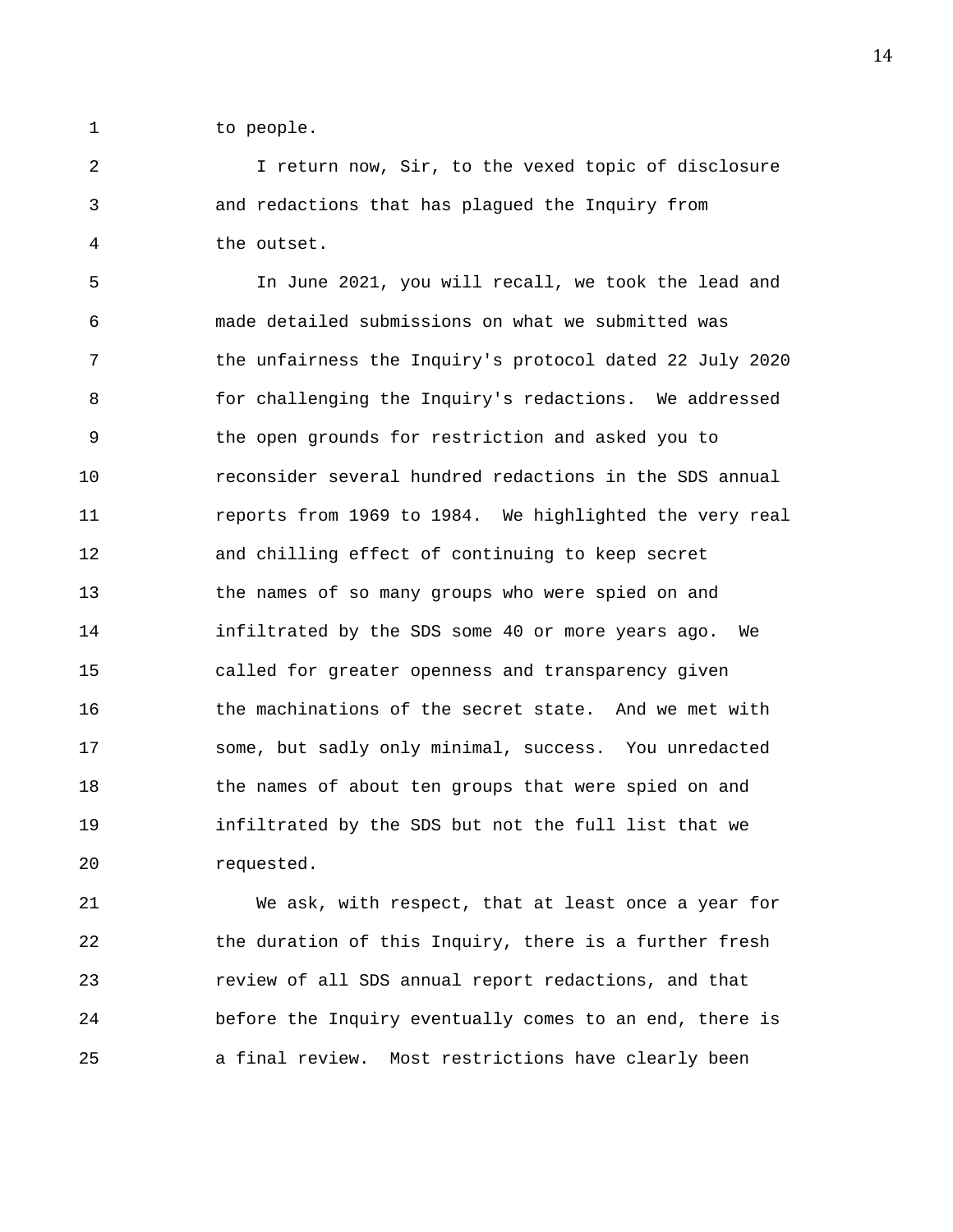1 to people.

2 I return now, Sir, to the vexed topic of disclosure 3 and redactions that has plagued the Inquiry from 4 the outset.

5 In June 2021, you will recall, we took the lead and 6 made detailed submissions on what we submitted was 7 the unfairness the Inquiry's protocol dated 22 July 2020 8 for challenging the Inquiry's redactions. We addressed 9 the open grounds for restriction and asked you to 10 reconsider several hundred redactions in the SDS annual 11 reports from 1969 to 1984. We highlighted the very real 12 and chilling effect of continuing to keep secret 13 the names of so many groups who were spied on and 14 infiltrated by the SDS some 40 or more years ago. We 15 called for greater openness and transparency given 16 the machinations of the secret state. And we met with 17 some, but sadly only minimal, success. You unredacted 18 the names of about ten groups that were spied on and 19 infiltrated by the SDS but not the full list that we 20 requested.

21 We ask, with respect, that at least once a year for 22 the duration of this Inquiry, there is a further fresh 23 review of all SDS annual report redactions, and that 24 before the Inquiry eventually comes to an end, there is 25 a final review. Most restrictions have clearly been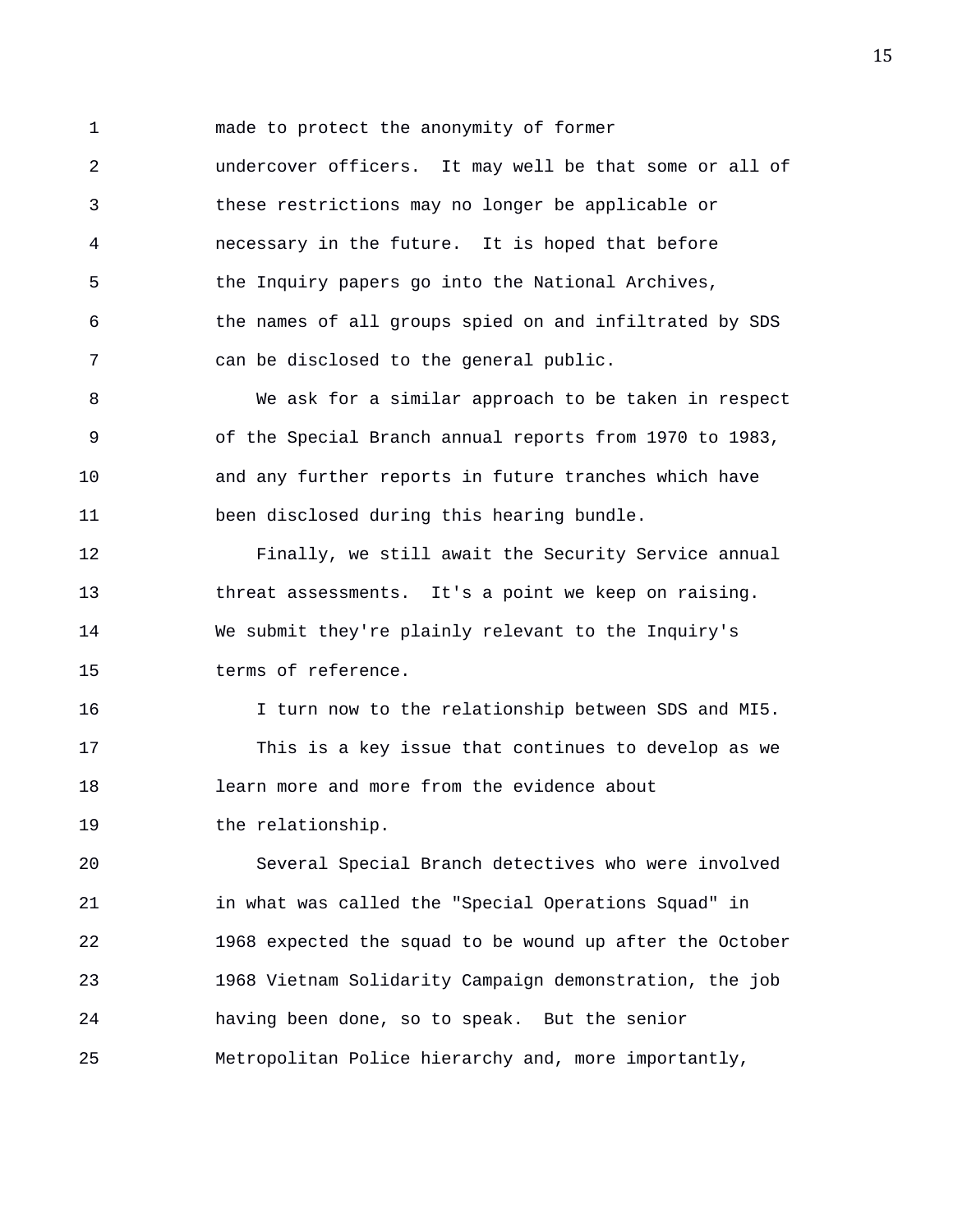1 made to protect the anonymity of former

2 undercover officers. It may well be that some or all of 3 these restrictions may no longer be applicable or 4 necessary in the future. It is hoped that before 5 the Inquiry papers go into the National Archives, 6 the names of all groups spied on and infiltrated by SDS 7 can be disclosed to the general public.

8 We ask for a similar approach to be taken in respect 9 of the Special Branch annual reports from 1970 to 1983, 10 and any further reports in future tranches which have 11 been disclosed during this hearing bundle.

12 Finally, we still await the Security Service annual 13 threat assessments. It's a point we keep on raising. 14 We submit they're plainly relevant to the Inquiry's 15 terms of reference.

16 I turn now to the relationship between SDS and MI5. 17 This is a key issue that continues to develop as we 18 learn more and more from the evidence about 19 the relationship.

20 Several Special Branch detectives who were involved 21 in what was called the "Special Operations Squad" in 22 1968 expected the squad to be wound up after the October 23 1968 Vietnam Solidarity Campaign demonstration, the job 24 having been done, so to speak. But the senior 25 Metropolitan Police hierarchy and, more importantly,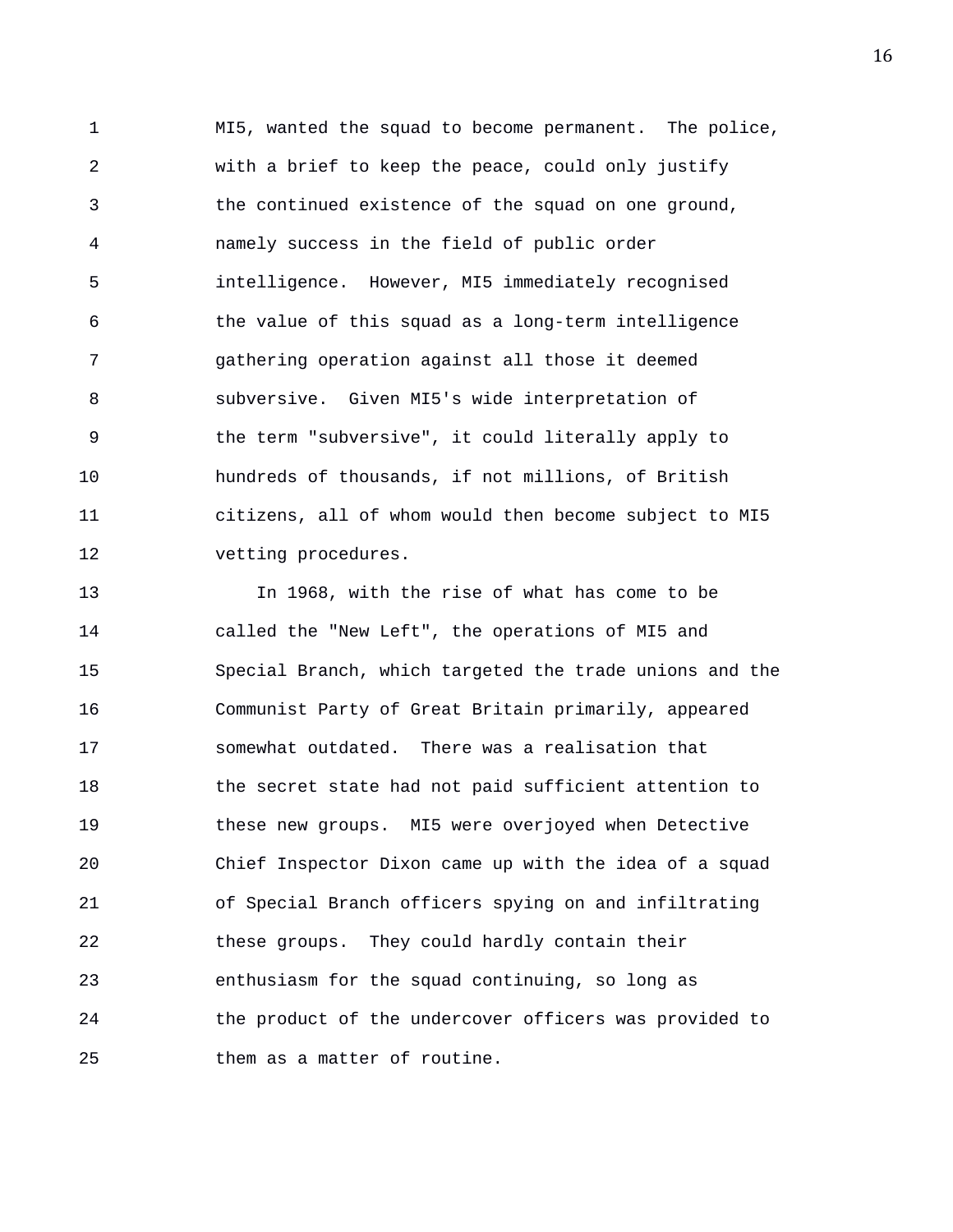1 MI5, wanted the squad to become permanent. The police, 2 with a brief to keep the peace, could only justify 3 the continued existence of the squad on one ground, 4 namely success in the field of public order 5 intelligence. However, MI5 immediately recognised 6 the value of this squad as a long-term intelligence 7 gathering operation against all those it deemed 8 subversive. Given MI5's wide interpretation of 9 the term "subversive", it could literally apply to 10 hundreds of thousands, if not millions, of British 11 citizens, all of whom would then become subject to MI5 12 vetting procedures.

13 In 1968, with the rise of what has come to be 14 called the "New Left", the operations of MI5 and 15 Special Branch, which targeted the trade unions and the 16 Communist Party of Great Britain primarily, appeared 17 somewhat outdated. There was a realisation that 18 the secret state had not paid sufficient attention to 19 these new groups. MI5 were overjoyed when Detective 20 Chief Inspector Dixon came up with the idea of a squad 21 of Special Branch officers spying on and infiltrating 22 these groups. They could hardly contain their 23 enthusiasm for the squad continuing, so long as 24 the product of the undercover officers was provided to 25 them as a matter of routine.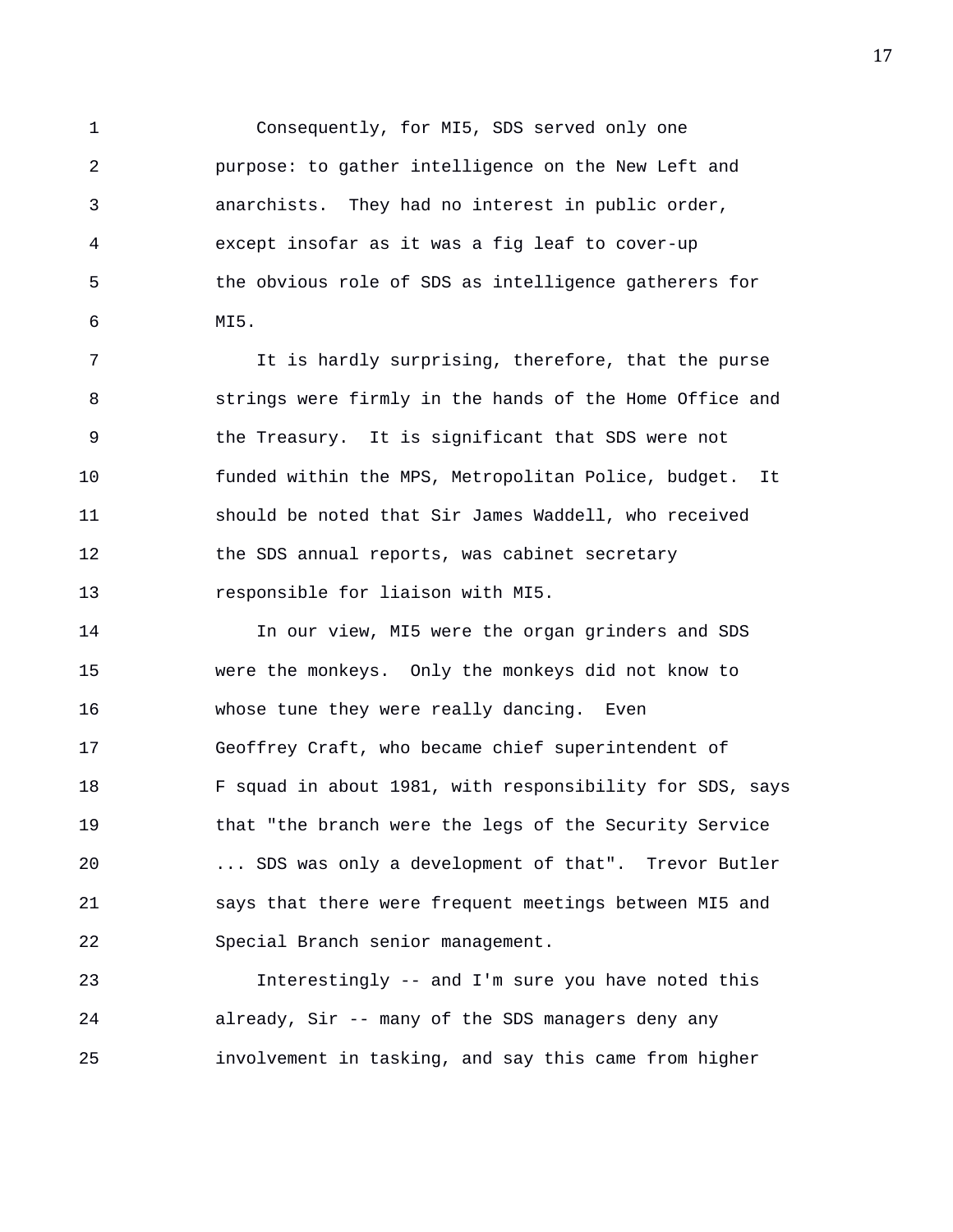1 Consequently, for MI5, SDS served only one 2 purpose: to gather intelligence on the New Left and 3 anarchists. They had no interest in public order, 4 except insofar as it was a fig leaf to cover-up 5 the obvious role of SDS as intelligence gatherers for 6 MI5.

7 It is hardly surprising, therefore, that the purse 8 strings were firmly in the hands of the Home Office and 9 the Treasury. It is significant that SDS were not 10 funded within the MPS, Metropolitan Police, budget. It 11 should be noted that Sir James Waddell, who received 12 the SDS annual reports, was cabinet secretary 13 responsible for liaison with MI5.

14 In our view, MI5 were the organ grinders and SDS 15 were the monkeys. Only the monkeys did not know to 16 whose tune they were really dancing. Even 17 Geoffrey Craft, who became chief superintendent of 18 F squad in about 1981, with responsibility for SDS, says 19 that "the branch were the legs of the Security Service 20 ... SDS was only a development of that". Trevor Butler 21 says that there were frequent meetings between MI5 and 22 Special Branch senior management.

23 Interestingly -- and I'm sure you have noted this 24 already, Sir -- many of the SDS managers deny any 25 involvement in tasking, and say this came from higher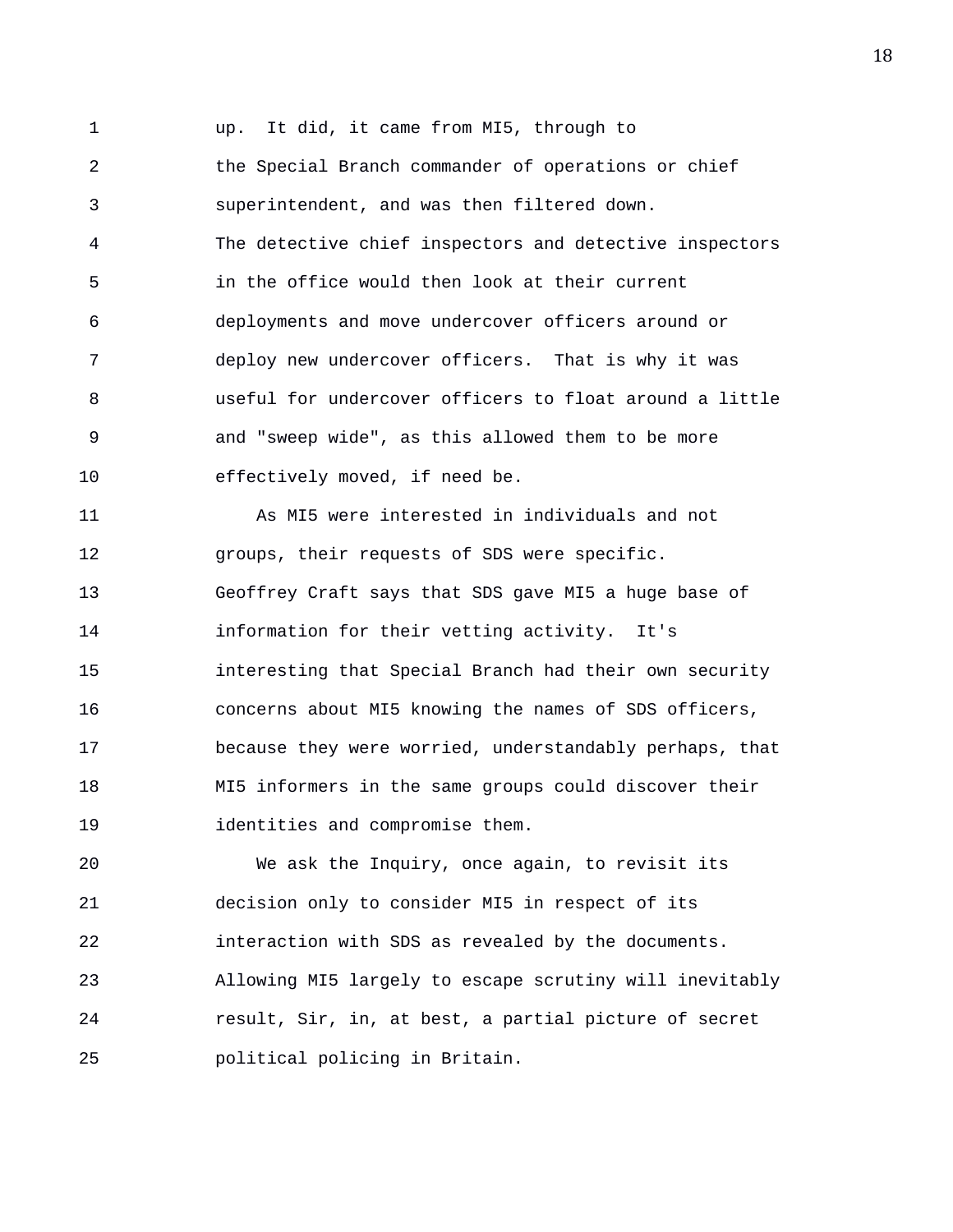1 up. It did, it came from MI5, through to 2 the Special Branch commander of operations or chief 3 superintendent, and was then filtered down. 4 The detective chief inspectors and detective inspectors 5 in the office would then look at their current 6 deployments and move undercover officers around or 7 deploy new undercover officers. That is why it was 8 useful for undercover officers to float around a little 9 and "sweep wide", as this allowed them to be more 10 effectively moved, if need be. 11 As MI5 were interested in individuals and not 12 groups, their requests of SDS were specific. 13 Geoffrey Craft says that SDS gave MI5 a huge base of 14 information for their vetting activity. It's 15 interesting that Special Branch had their own security 16 concerns about MI5 knowing the names of SDS officers, 17 because they were worried, understandably perhaps, that 18 MI5 informers in the same groups could discover their 19 identities and compromise them.

20 We ask the Inquiry, once again, to revisit its 21 decision only to consider MI5 in respect of its 22 interaction with SDS as revealed by the documents. 23 Allowing MI5 largely to escape scrutiny will inevitably 24 result, Sir, in, at best, a partial picture of secret 25 political policing in Britain.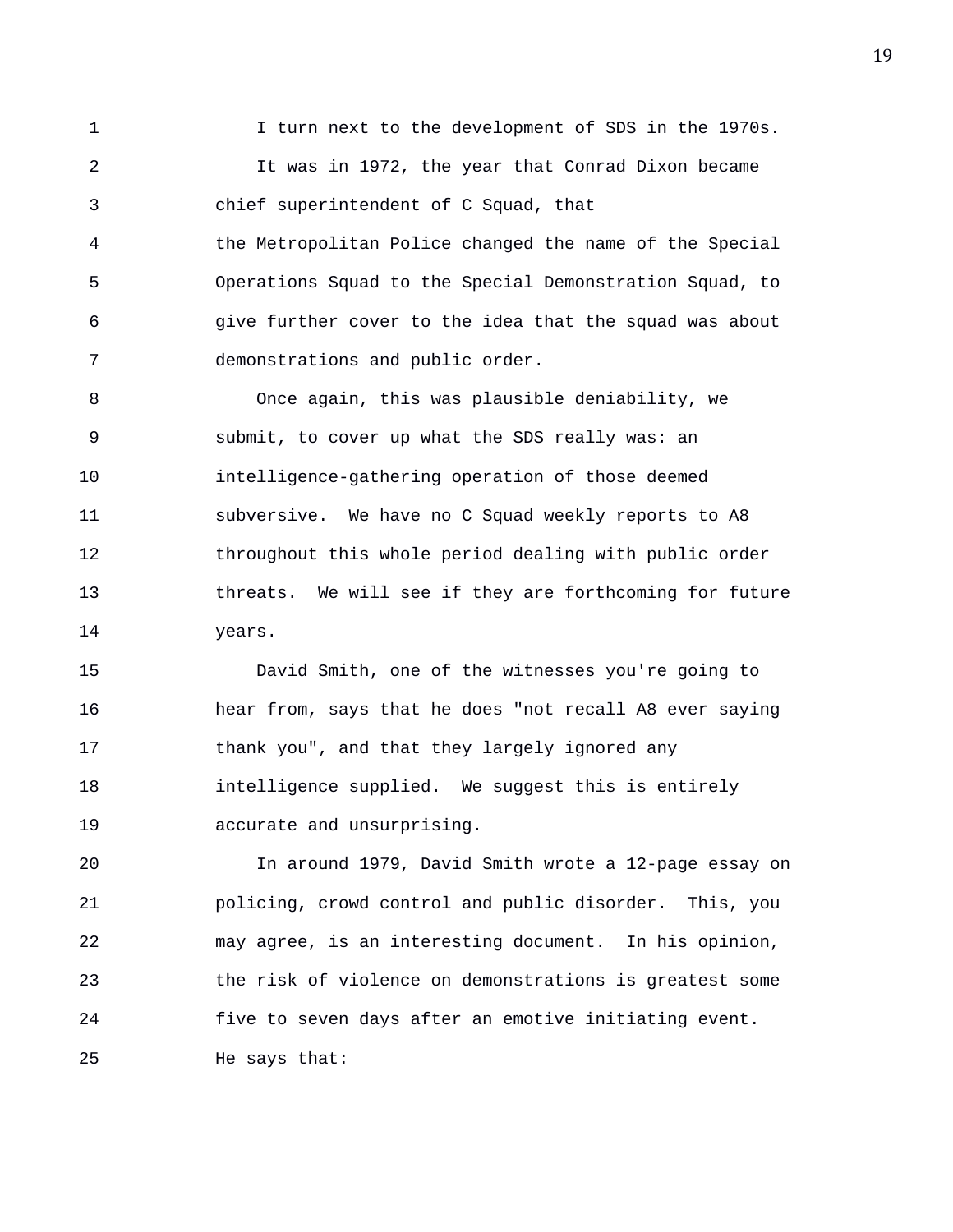1 I turn next to the development of SDS in the 1970s. 2 It was in 1972, the year that Conrad Dixon became 3 chief superintendent of C Squad, that 4 the Metropolitan Police changed the name of the Special 5 Operations Squad to the Special Demonstration Squad, to 6 give further cover to the idea that the squad was about 7 demonstrations and public order.

8 Once again, this was plausible deniability, we 9 submit, to cover up what the SDS really was: an 10 intelligence-gathering operation of those deemed 11 subversive. We have no C Squad weekly reports to A8 12 throughout this whole period dealing with public order 13 threats. We will see if they are forthcoming for future 14 years.

15 David Smith, one of the witnesses you're going to 16 hear from, says that he does "not recall A8 ever saying 17 thank you", and that they largely ignored any 18 intelligence supplied. We suggest this is entirely 19 accurate and unsurprising.

20 In around 1979, David Smith wrote a 12-page essay on 21 policing, crowd control and public disorder. This, you 22 may agree, is an interesting document. In his opinion, 23 the risk of violence on demonstrations is greatest some 24 five to seven days after an emotive initiating event. 25 He says that: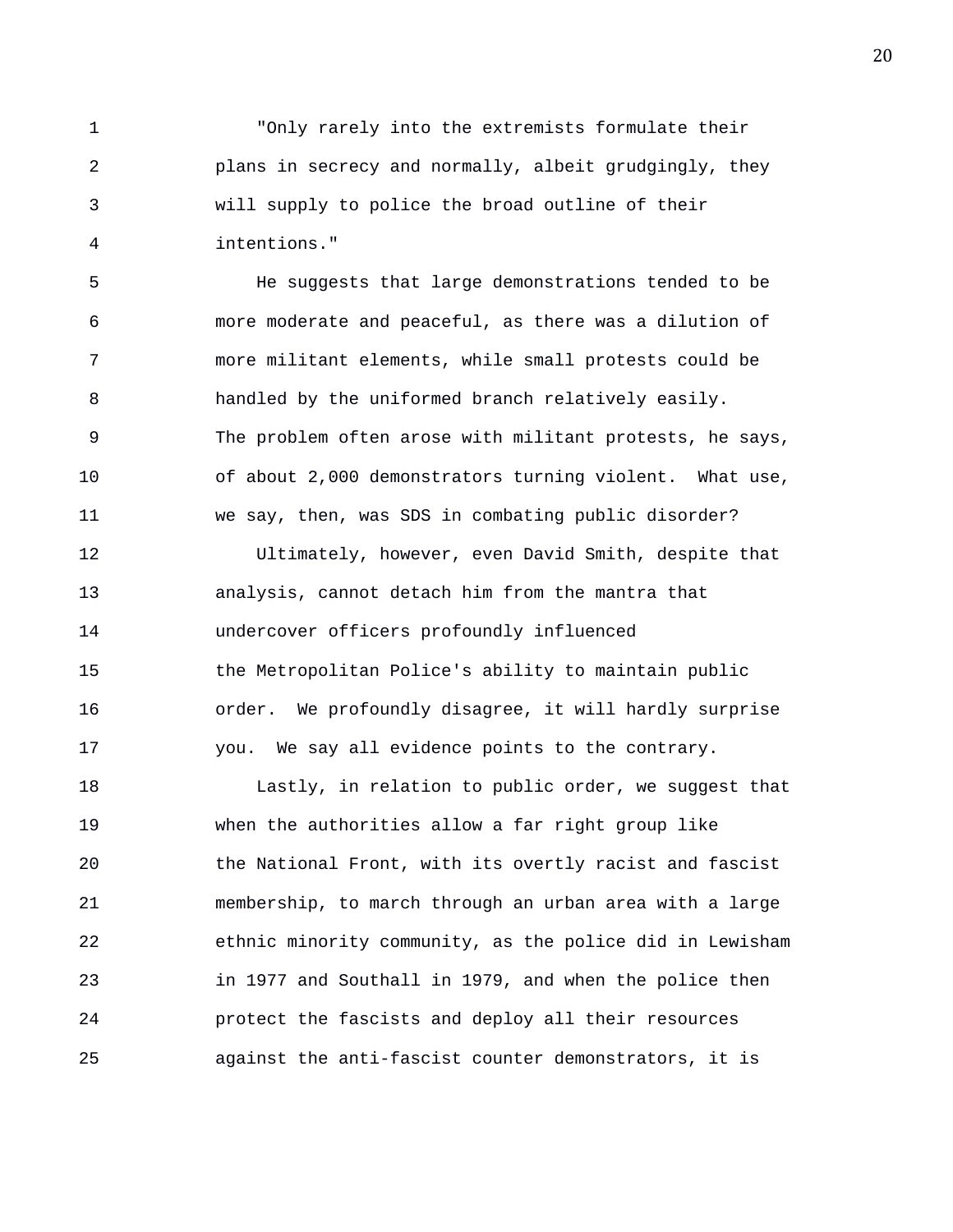1 "Only rarely into the extremists formulate their 2 plans in secrecy and normally, albeit grudgingly, they 3 will supply to police the broad outline of their 4 intentions."

5 He suggests that large demonstrations tended to be 6 more moderate and peaceful, as there was a dilution of 7 more militant elements, while small protests could be 8 handled by the uniformed branch relatively easily. 9 The problem often arose with militant protests, he says, 10 of about 2,000 demonstrators turning violent. What use, 11 we say, then, was SDS in combating public disorder?

12 Ultimately, however, even David Smith, despite that 13 analysis, cannot detach him from the mantra that 14 undercover officers profoundly influenced 15 the Metropolitan Police's ability to maintain public 16 order. We profoundly disagree, it will hardly surprise 17 you. We say all evidence points to the contrary.

18 Lastly, in relation to public order, we suggest that 19 when the authorities allow a far right group like 20 the National Front, with its overtly racist and fascist 21 membership, to march through an urban area with a large 22 ethnic minority community, as the police did in Lewisham 23 in 1977 and Southall in 1979, and when the police then 24 protect the fascists and deploy all their resources 25 against the anti-fascist counter demonstrators, it is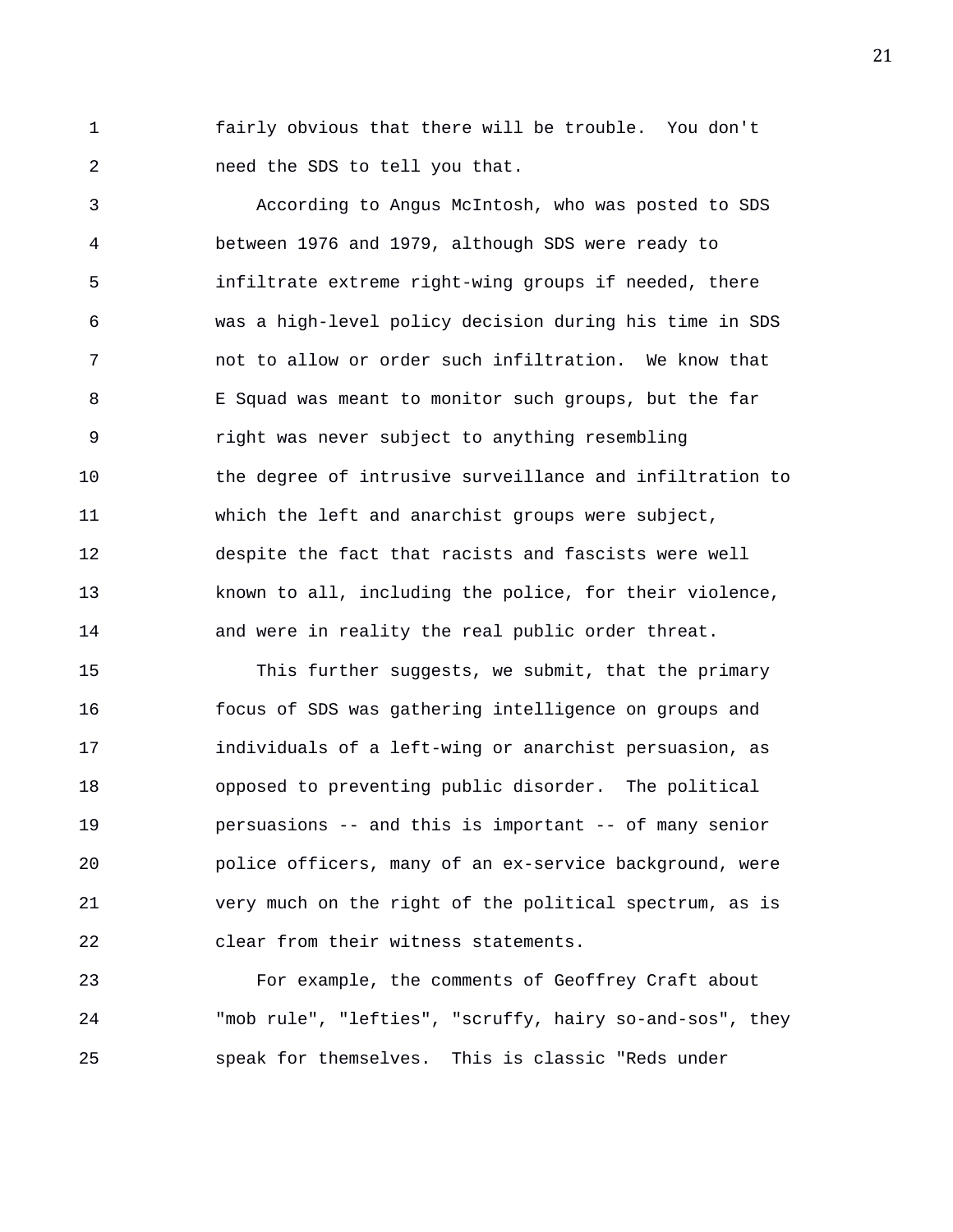1 fairly obvious that there will be trouble. You don't 2 need the SDS to tell you that.

3 According to Angus McIntosh, who was posted to SDS 4 between 1976 and 1979, although SDS were ready to 5 infiltrate extreme right-wing groups if needed, there 6 was a high-level policy decision during his time in SDS 7 not to allow or order such infiltration. We know that 8 E Squad was meant to monitor such groups, but the far 9 right was never subject to anything resembling 10 the degree of intrusive surveillance and infiltration to 11 which the left and anarchist groups were subject, 12 despite the fact that racists and fascists were well 13 known to all, including the police, for their violence, 14 and were in reality the real public order threat.

15 This further suggests, we submit, that the primary 16 focus of SDS was gathering intelligence on groups and 17 individuals of a left-wing or anarchist persuasion, as 18 opposed to preventing public disorder. The political 19 persuasions -- and this is important -- of many senior 20 police officers, many of an ex-service background, were 21 very much on the right of the political spectrum, as is 22 clear from their witness statements.

23 For example, the comments of Geoffrey Craft about 24 "mob rule", "lefties", "scruffy, hairy so-and-sos", they 25 speak for themselves. This is classic "Reds under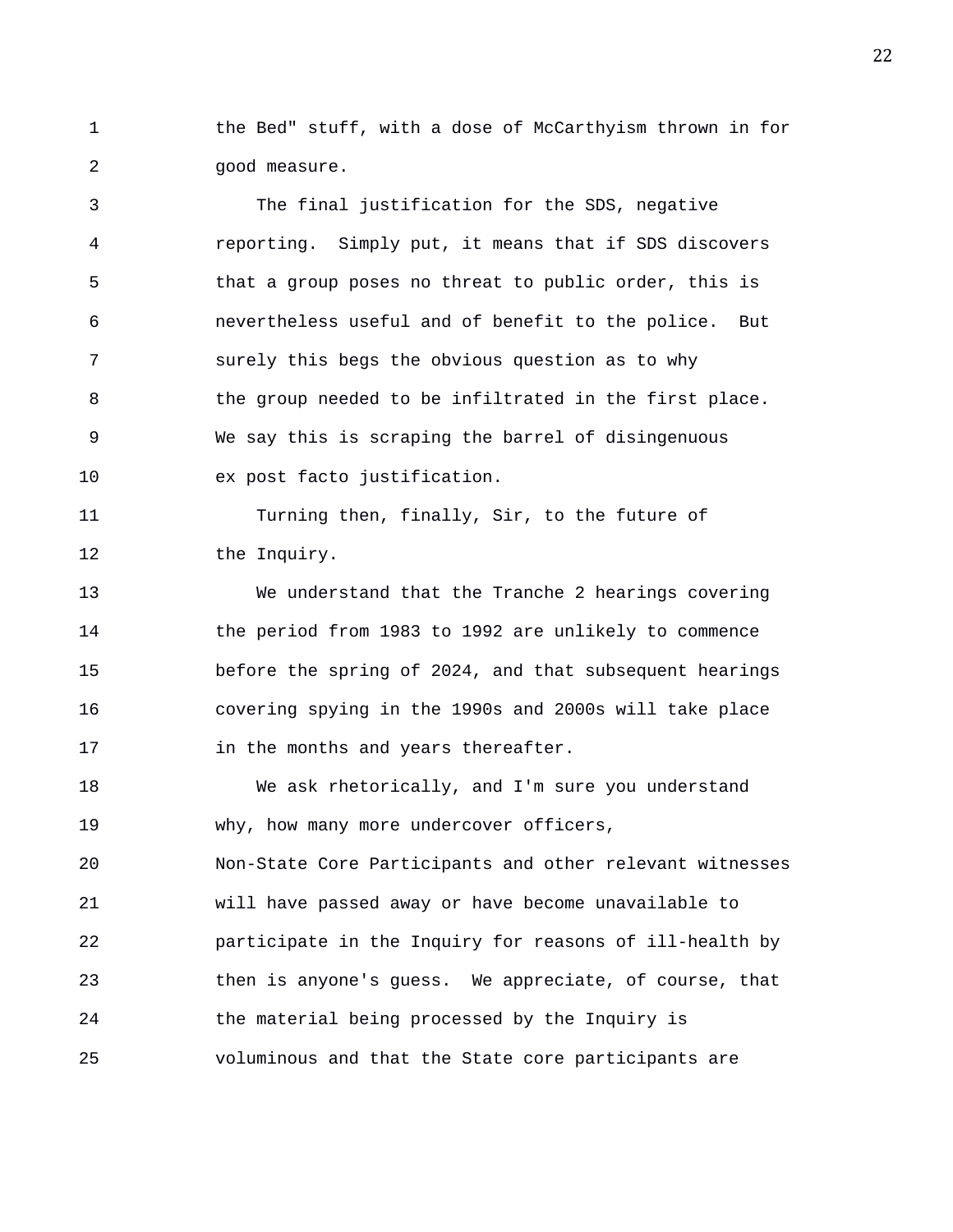1 the Bed" stuff, with a dose of McCarthyism thrown in for 2 good measure.

3 The final justification for the SDS, negative 4 reporting. Simply put, it means that if SDS discovers 5 that a group poses no threat to public order, this is 6 nevertheless useful and of benefit to the police. But 7 surely this begs the obvious question as to why 8 the group needed to be infiltrated in the first place. 9 We say this is scraping the barrel of disingenuous 10 ex post facto justification.

11 Turning then, finally, Sir, to the future of 12 the Inquiry.

13 We understand that the Tranche 2 hearings covering 14 the period from 1983 to 1992 are unlikely to commence 15 before the spring of 2024, and that subsequent hearings 16 covering spying in the 1990s and 2000s will take place 17 **in the months and years thereafter.** 

18 We ask rhetorically, and I'm sure you understand 19 why, how many more undercover officers,

20 Non-State Core Participants and other relevant witnesses 21 will have passed away or have become unavailable to 22 participate in the Inquiry for reasons of ill-health by 23 then is anyone's guess. We appreciate, of course, that 24 the material being processed by the Inquiry is 25 voluminous and that the State core participants are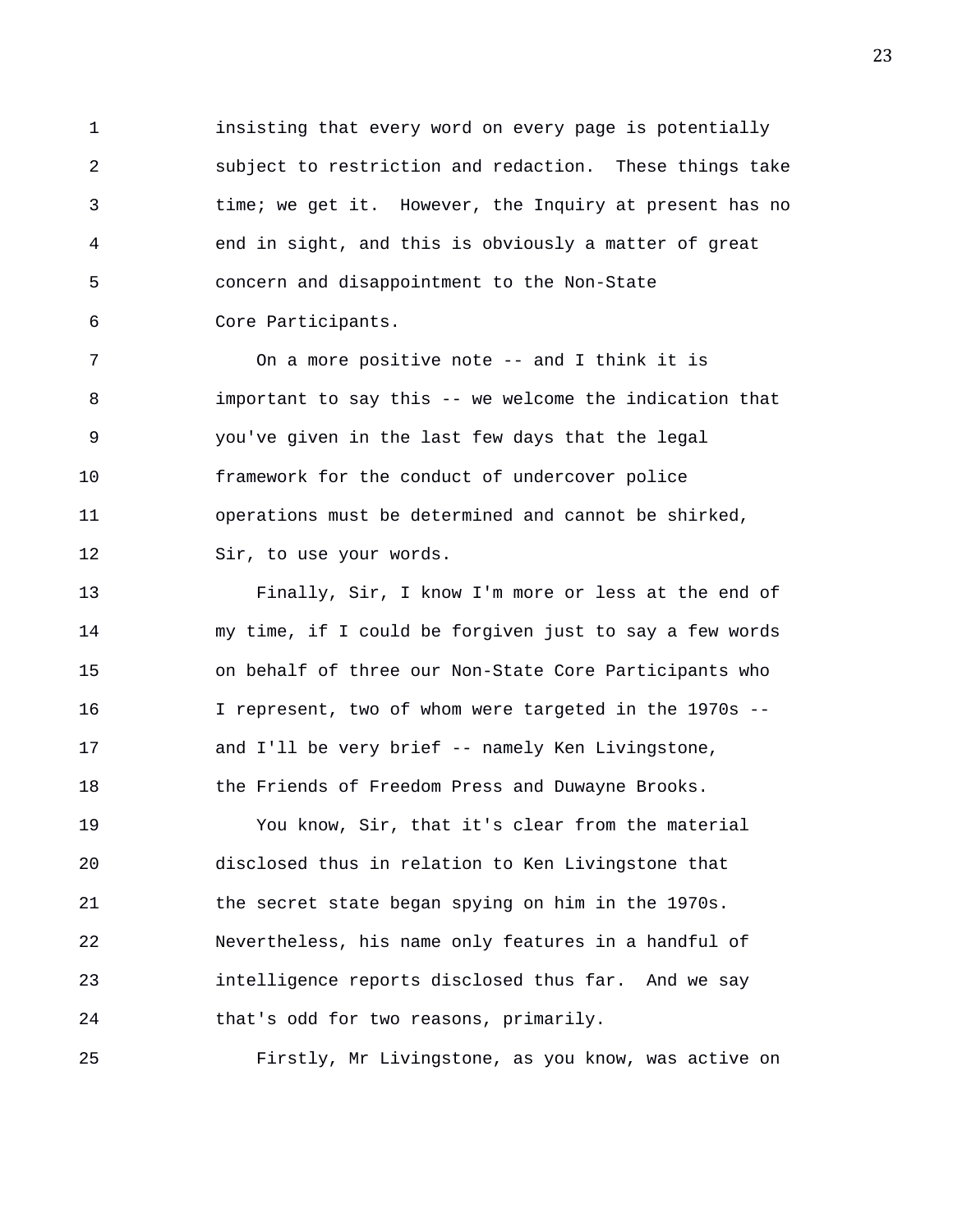1 insisting that every word on every page is potentially 2 subject to restriction and redaction. These things take 3 time; we get it. However, the Inquiry at present has no 4 end in sight, and this is obviously a matter of great 5 concern and disappointment to the Non-State 6 Core Participants.

7 On a more positive note -- and I think it is 8 important to say this -- we welcome the indication that 9 you've given in the last few days that the legal 10 framework for the conduct of undercover police 11 operations must be determined and cannot be shirked, 12 Sir, to use your words.

13 Finally, Sir, I know I'm more or less at the end of 14 my time, if I could be forgiven just to say a few words 15 on behalf of three our Non-State Core Participants who 16 I represent, two of whom were targeted in the 1970s -- 17 and I'll be very brief -- namely Ken Livingstone, 18 the Friends of Freedom Press and Duwayne Brooks.

19 You know, Sir, that it's clear from the material 20 disclosed thus in relation to Ken Livingstone that 21 the secret state began spying on him in the 1970s. 22 Nevertheless, his name only features in a handful of 23 intelligence reports disclosed thus far. And we say 24 that's odd for two reasons, primarily.

25 Firstly, Mr Livingstone, as you know, was active on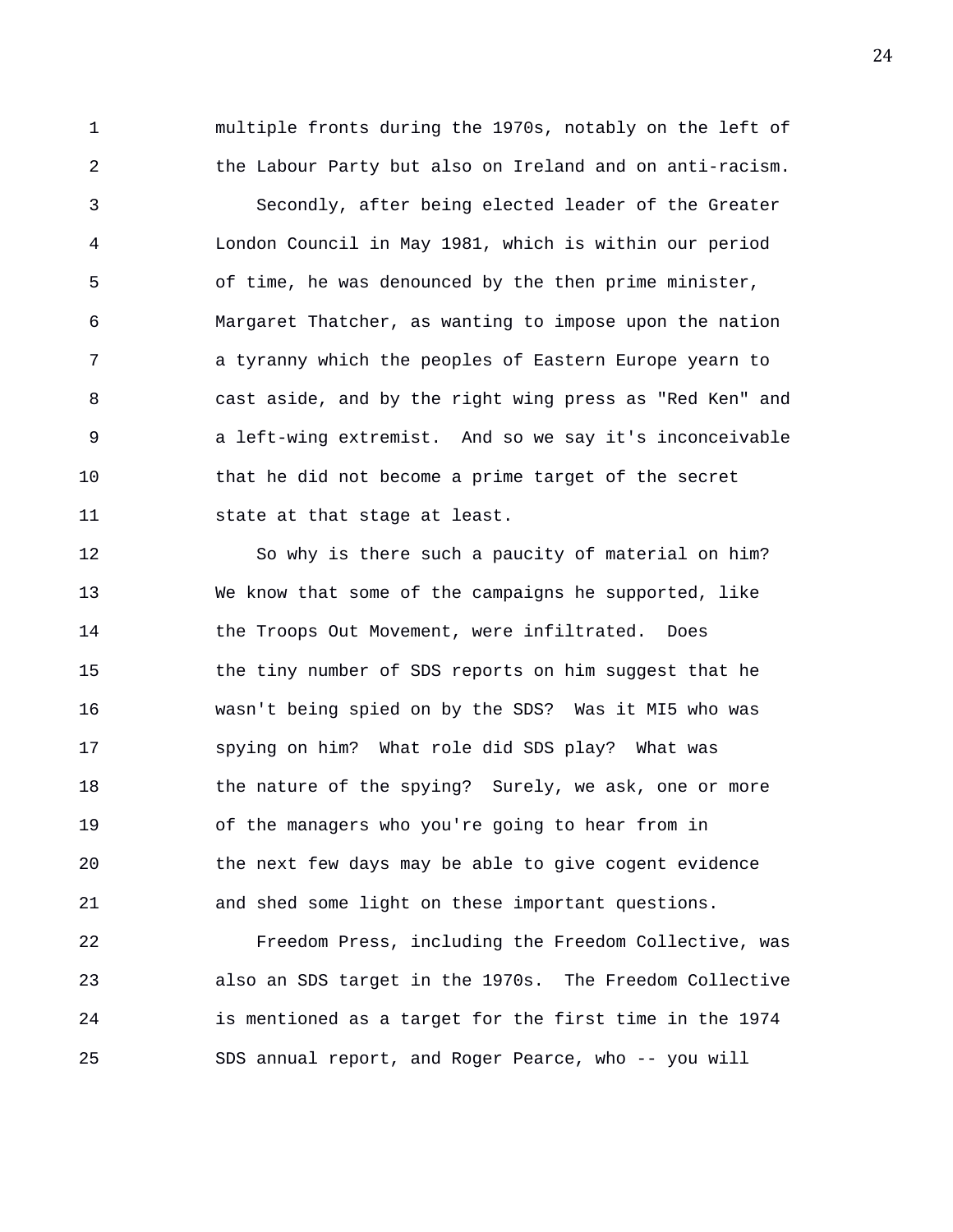1 multiple fronts during the 1970s, notably on the left of 2 the Labour Party but also on Ireland and on anti-racism.

3 Secondly, after being elected leader of the Greater 4 London Council in May 1981, which is within our period 5 of time, he was denounced by the then prime minister, 6 Margaret Thatcher, as wanting to impose upon the nation 7 a tyranny which the peoples of Eastern Europe yearn to 8 cast aside, and by the right wing press as "Red Ken" and 9 a left-wing extremist. And so we say it's inconceivable 10 that he did not become a prime target of the secret 11 state at that stage at least.

12 So why is there such a paucity of material on him? 13 We know that some of the campaigns he supported, like 14 the Troops Out Movement, were infiltrated. Does 15 the tiny number of SDS reports on him suggest that he 16 wasn't being spied on by the SDS? Was it MI5 who was 17 spying on him? What role did SDS play? What was 18 the nature of the spying? Surely, we ask, one or more 19 of the managers who you're going to hear from in 20 the next few days may be able to give cogent evidence 21 and shed some light on these important questions.

22 Freedom Press, including the Freedom Collective, was 23 also an SDS target in the 1970s. The Freedom Collective 24 is mentioned as a target for the first time in the 1974 25 SDS annual report, and Roger Pearce, who -- you will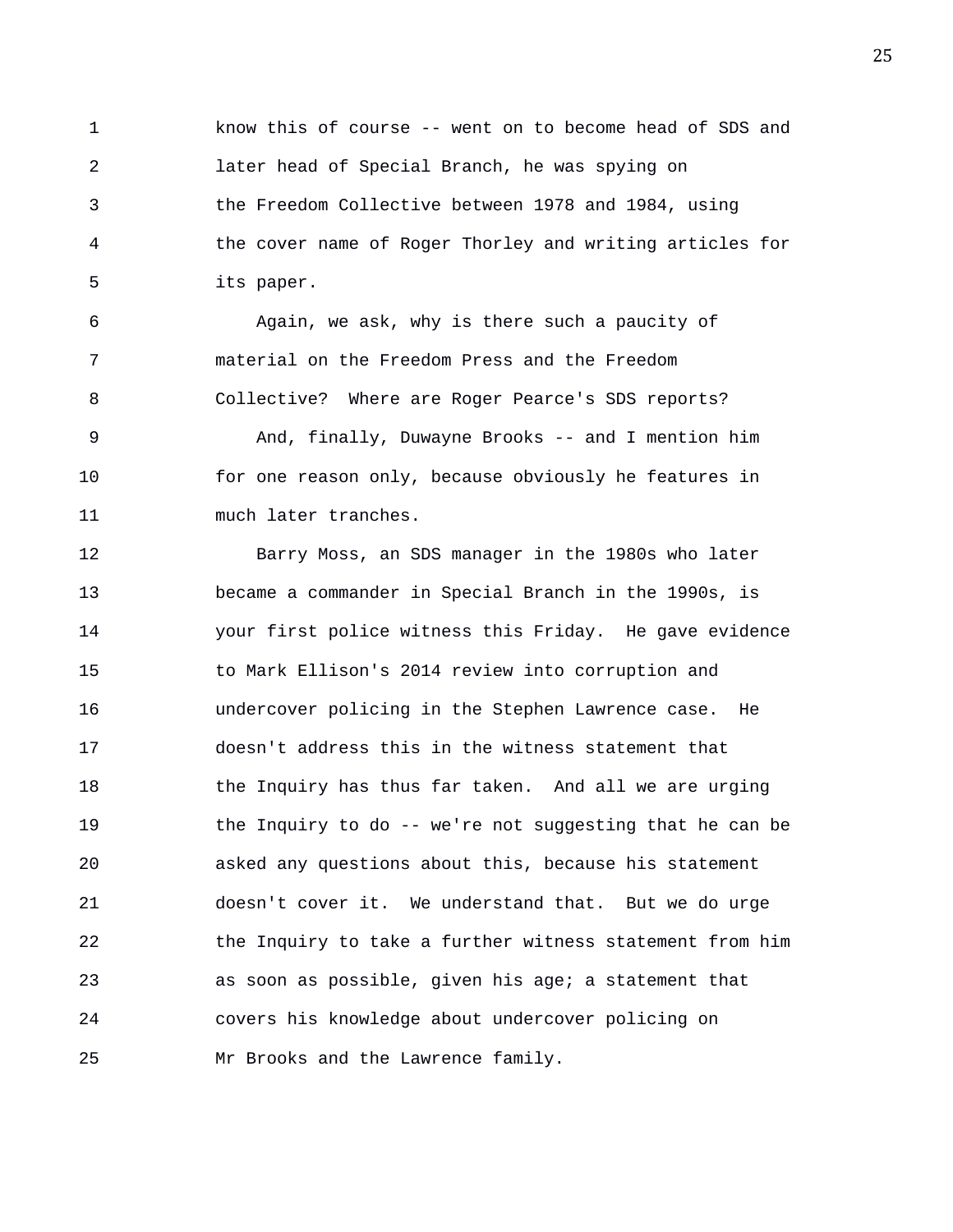1 know this of course -- went on to become head of SDS and 2 later head of Special Branch, he was spying on 3 the Freedom Collective between 1978 and 1984, using 4 the cover name of Roger Thorley and writing articles for 5 its paper.

6 Again, we ask, why is there such a paucity of 7 material on the Freedom Press and the Freedom 8 Collective? Where are Roger Pearce's SDS reports? 9 And, finally, Duwayne Brooks -- and I mention him 10 for one reason only, because obviously he features in 11 much later tranches.

12 Barry Moss, an SDS manager in the 1980s who later 13 became a commander in Special Branch in the 1990s, is 14 your first police witness this Friday. He gave evidence 15 to Mark Ellison's 2014 review into corruption and 16 undercover policing in the Stephen Lawrence case. He 17 doesn't address this in the witness statement that 18 the Inquiry has thus far taken. And all we are urging 19 the Inquiry to do -- we're not suggesting that he can be 20 asked any questions about this, because his statement 21 doesn't cover it. We understand that. But we do urge 22 the Inquiry to take a further witness statement from him 23 as soon as possible, given his age; a statement that 24 covers his knowledge about undercover policing on 25 Mr Brooks and the Lawrence family.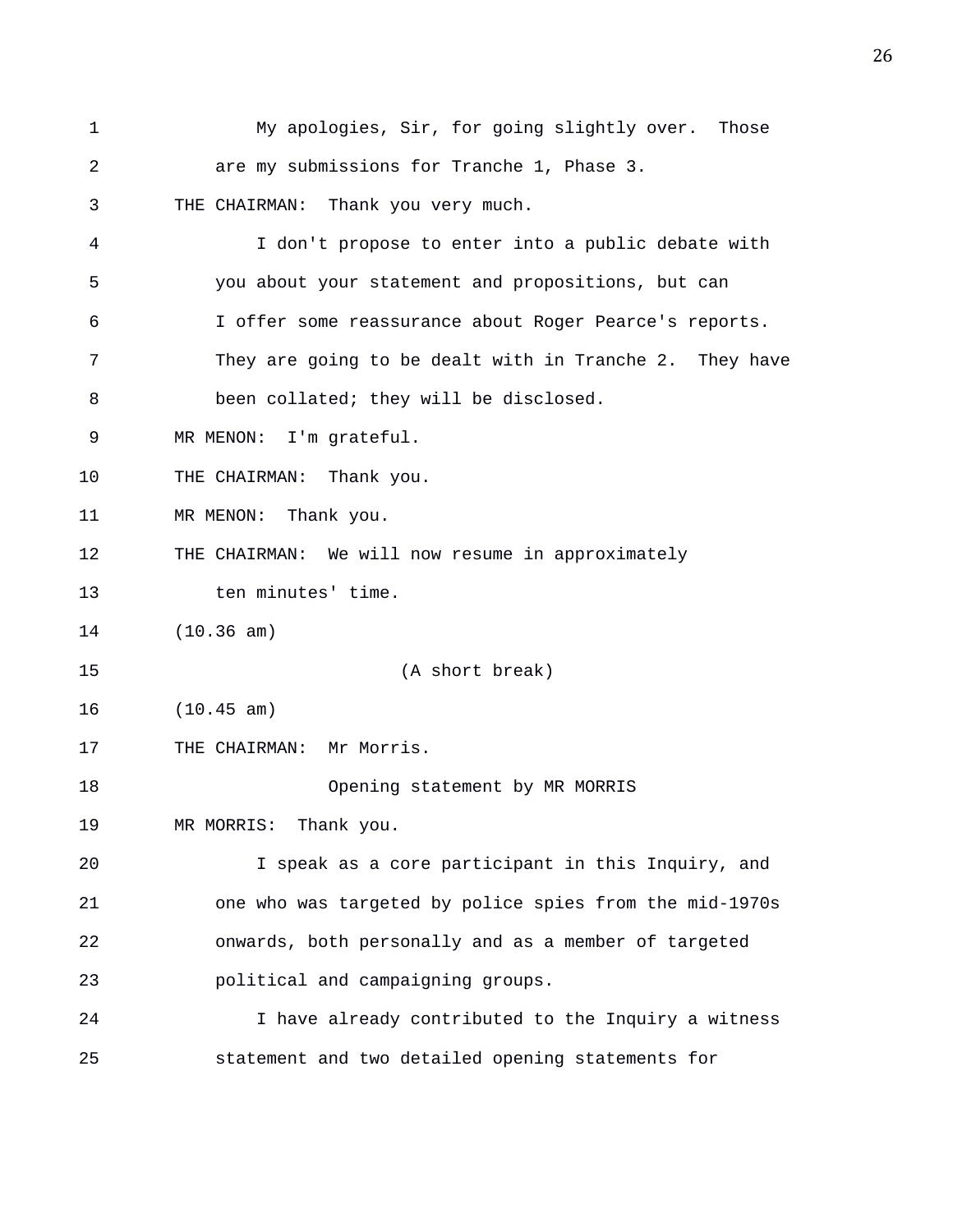1 My apologies, Sir, for going slightly over. Those 2 are my submissions for Tranche 1, Phase 3. 3 THE CHAIRMAN: Thank you very much. 4 I don't propose to enter into a public debate with 5 you about your statement and propositions, but can 6 I offer some reassurance about Roger Pearce's reports. 7 They are going to be dealt with in Tranche 2. They have 8 been collated; they will be disclosed. 9 MR MENON: I'm grateful. 10 THE CHAIRMAN: Thank you. 11 MR MENON: Thank you. 12 THE CHAIRMAN: We will now resume in approximately 13 ten minutes' time. 14 (10.36 am) 15 (A short break) 16 (10.45 am) 17 THE CHAIRMAN: Mr Morris. 18 Opening statement by MR MORRIS 19 MR MORRIS: Thank you. 20 I speak as a core participant in this Inquiry, and 21 one who was targeted by police spies from the mid-1970s 22 onwards, both personally and as a member of targeted 23 political and campaigning groups. 24 I have already contributed to the Inquiry a witness 25 statement and two detailed opening statements for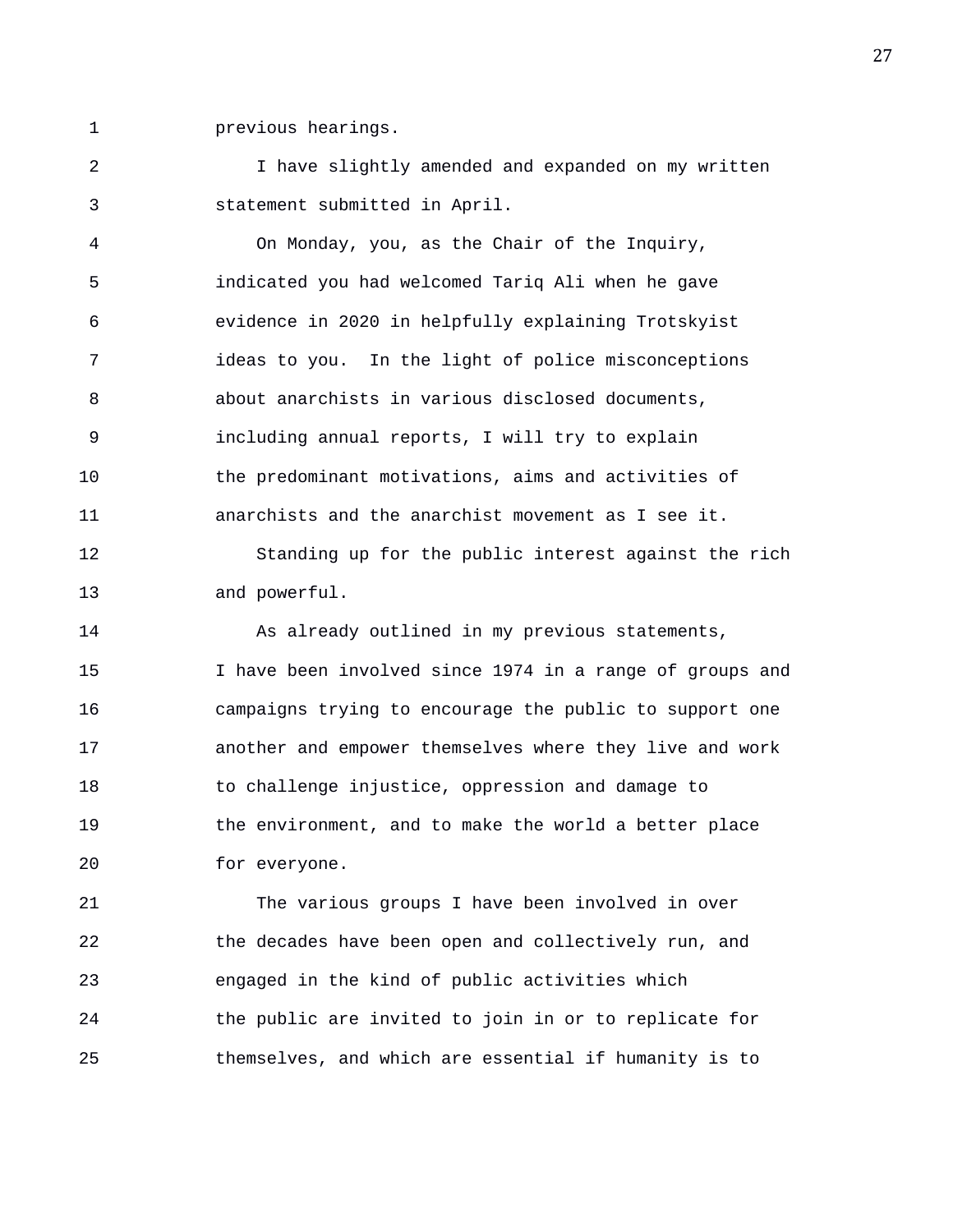1 previous hearings.

2 I have slightly amended and expanded on my written 3 statement submitted in April.

4 On Monday, you, as the Chair of the Inquiry, 5 indicated you had welcomed Tariq Ali when he gave 6 evidence in 2020 in helpfully explaining Trotskyist 7 ideas to you. In the light of police misconceptions 8 about anarchists in various disclosed documents, 9 including annual reports, I will try to explain 10 the predominant motivations, aims and activities of 11 anarchists and the anarchist movement as I see it.

12 Standing up for the public interest against the rich 13 and powerful.

14 As already outlined in my previous statements, 15 I have been involved since 1974 in a range of groups and 16 campaigns trying to encourage the public to support one 17 another and empower themselves where they live and work 18 to challenge injustice, oppression and damage to 19 the environment, and to make the world a better place 20 for everyone.

21 The various groups I have been involved in over 22 the decades have been open and collectively run, and 23 engaged in the kind of public activities which 24 the public are invited to join in or to replicate for 25 themselves, and which are essential if humanity is to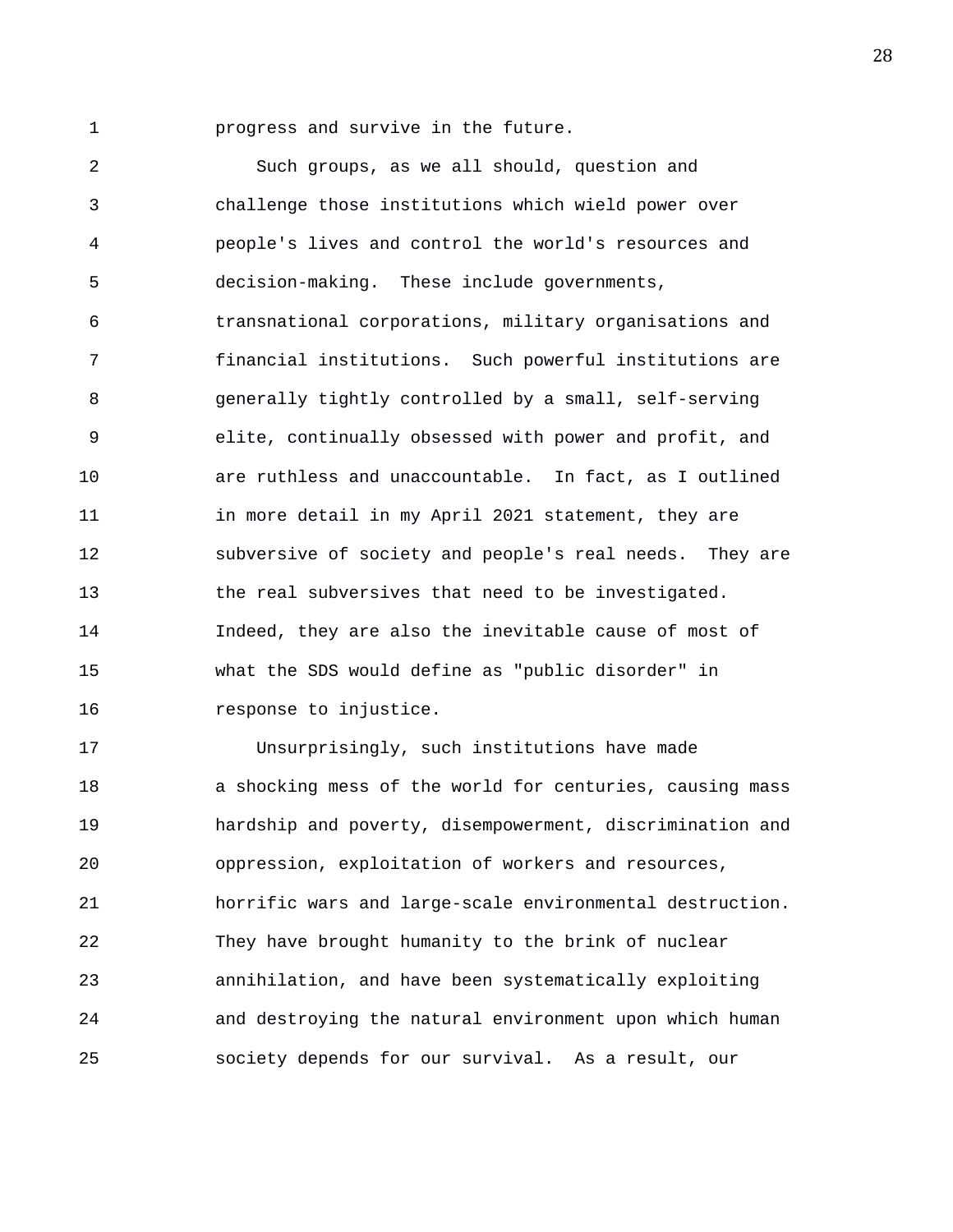1 progress and survive in the future.

2 Such groups, as we all should, question and 3 challenge those institutions which wield power over 4 people's lives and control the world's resources and 5 decision-making. These include governments, 6 transnational corporations, military organisations and 7 financial institutions. Such powerful institutions are 8 generally tightly controlled by a small, self-serving 9 elite, continually obsessed with power and profit, and 10 are ruthless and unaccountable. In fact, as I outlined 11 in more detail in my April 2021 statement, they are 12 subversive of society and people's real needs. They are 13 the real subversives that need to be investigated. 14 Indeed, they are also the inevitable cause of most of 15 what the SDS would define as "public disorder" in 16 response to injustice.

17 Unsurprisingly, such institutions have made 18 a shocking mess of the world for centuries, causing mass 19 hardship and poverty, disempowerment, discrimination and 20 oppression, exploitation of workers and resources, 21 horrific wars and large-scale environmental destruction. 22 They have brought humanity to the brink of nuclear 23 annihilation, and have been systematically exploiting 24 and destroying the natural environment upon which human 25 society depends for our survival. As a result, our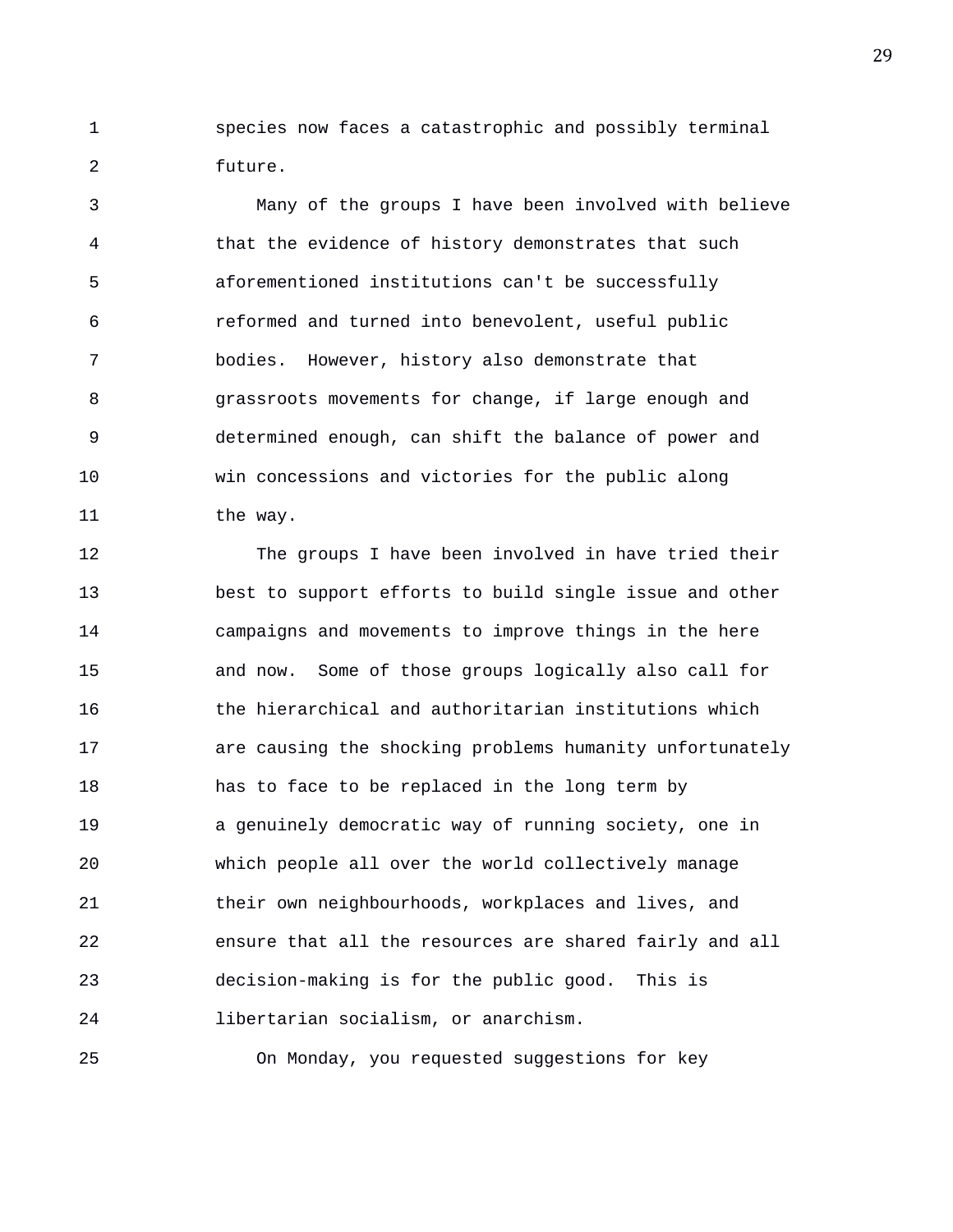1 species now faces a catastrophic and possibly terminal 2 future.

3 Many of the groups I have been involved with believe 4 that the evidence of history demonstrates that such 5 aforementioned institutions can't be successfully 6 reformed and turned into benevolent, useful public 7 bodies. However, history also demonstrate that 8 grassroots movements for change, if large enough and 9 determined enough, can shift the balance of power and 10 win concessions and victories for the public along 11 the way.

12 The groups I have been involved in have tried their 13 best to support efforts to build single issue and other 14 campaigns and movements to improve things in the here 15 and now. Some of those groups logically also call for 16 the hierarchical and authoritarian institutions which 17 are causing the shocking problems humanity unfortunately 18 has to face to be replaced in the long term by 19 a genuinely democratic way of running society, one in 20 which people all over the world collectively manage 21 their own neighbourhoods, workplaces and lives, and 22 ensure that all the resources are shared fairly and all 23 decision-making is for the public good. This is 24 libertarian socialism, or anarchism.

25 On Monday, you requested suggestions for key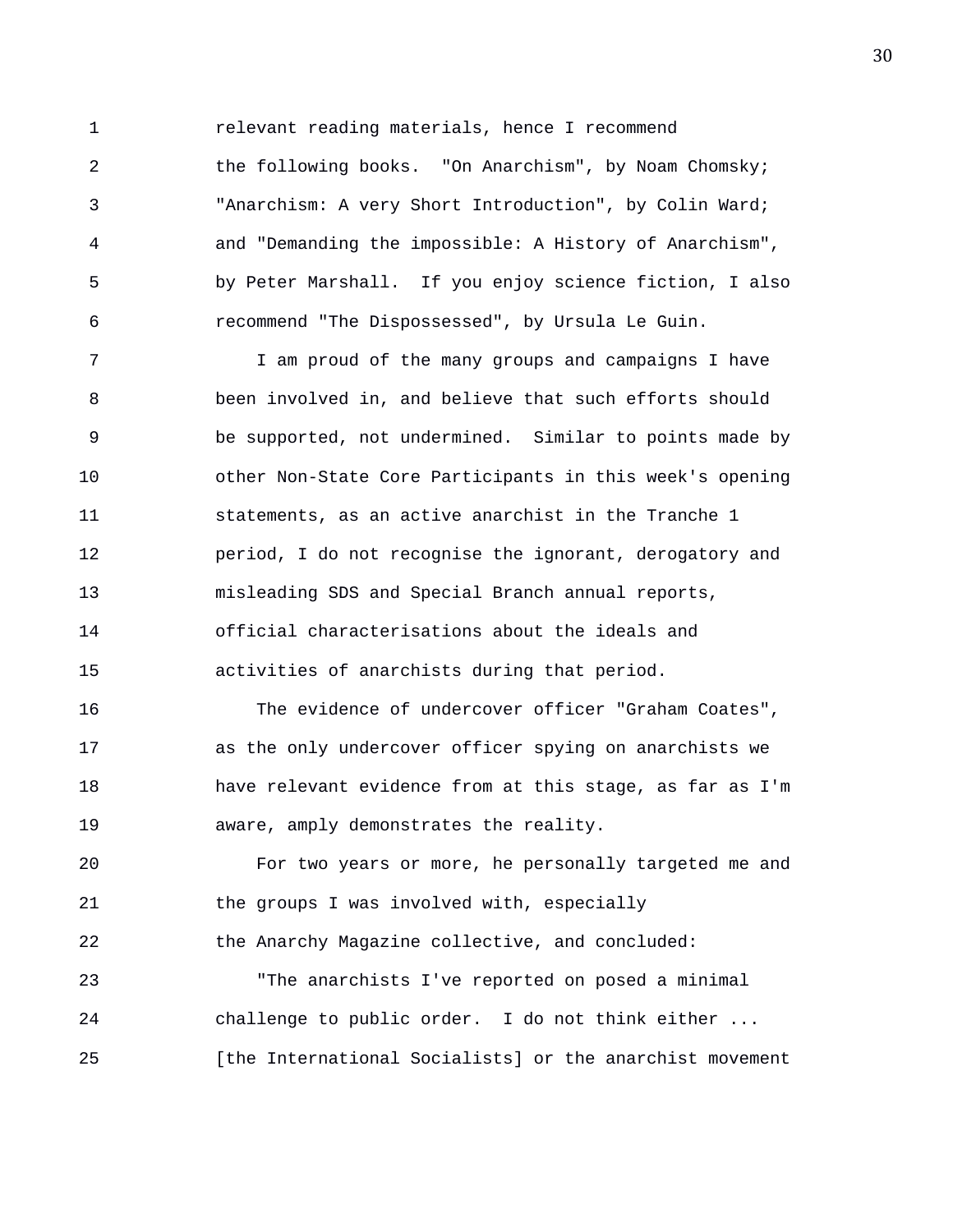1 relevant reading materials, hence I recommend

2 the following books. "On Anarchism", by Noam Chomsky; 3 "Anarchism: A very Short Introduction", by Colin Ward; 4 and "Demanding the impossible: A History of Anarchism", 5 by Peter Marshall. If you enjoy science fiction, I also 6 recommend "The Dispossessed", by Ursula Le Guin.

7 I am proud of the many groups and campaigns I have 8 been involved in, and believe that such efforts should 9 be supported, not undermined. Similar to points made by 10 other Non-State Core Participants in this week's opening 11 statements, as an active anarchist in the Tranche 1 12 **period, I do not recognise the ignorant, derogatory and** 13 misleading SDS and Special Branch annual reports, 14 official characterisations about the ideals and 15 activities of anarchists during that period.

16 The evidence of undercover officer "Graham Coates", 17 as the only undercover officer spying on anarchists we 18 have relevant evidence from at this stage, as far as I'm 19 aware, amply demonstrates the reality.

20 For two years or more, he personally targeted me and 21 the groups I was involved with, especially 22 the Anarchy Magazine collective, and concluded:

23 "The anarchists I've reported on posed a minimal 24 challenge to public order. I do not think either ... 25 [the International Socialists] or the anarchist movement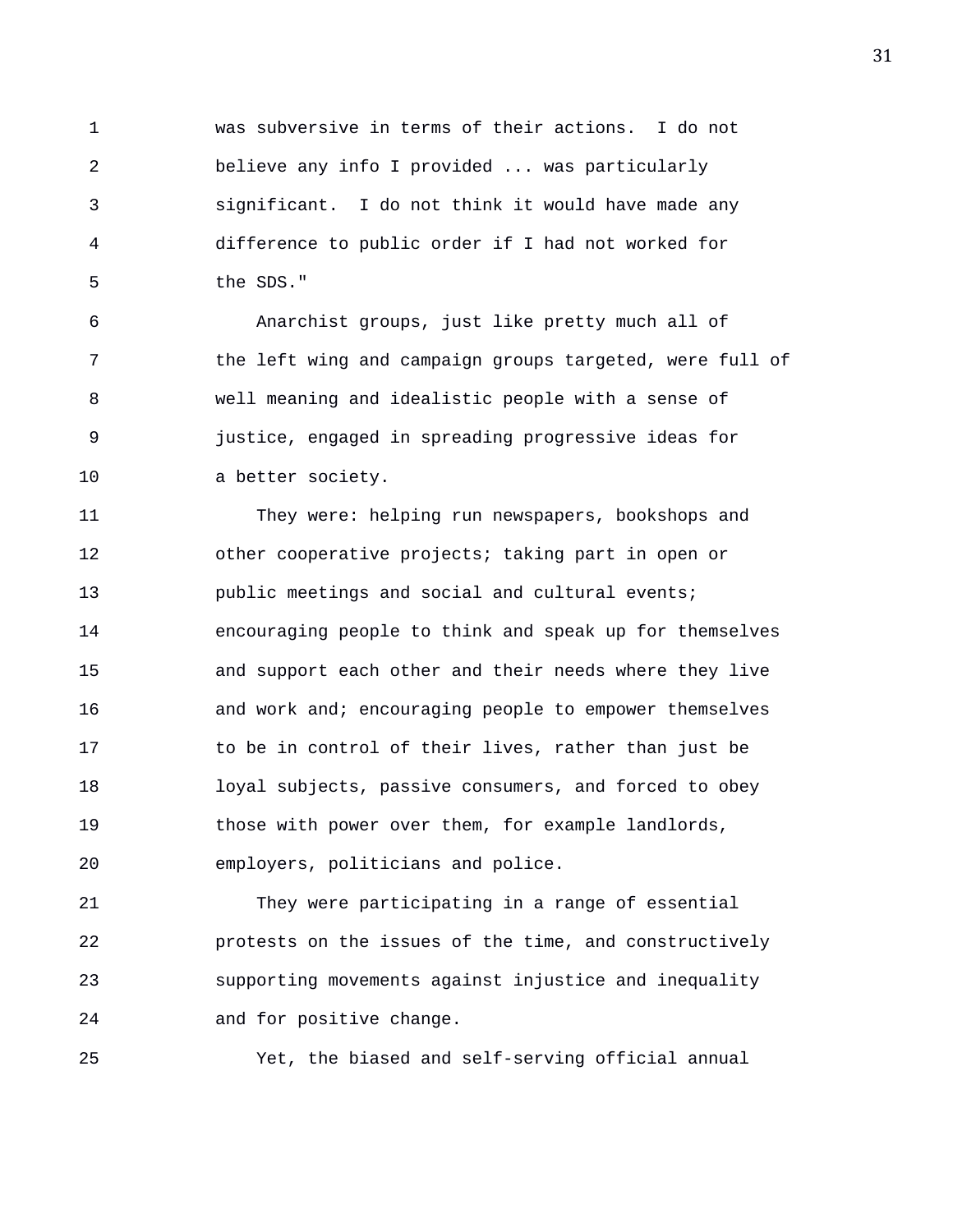1 was subversive in terms of their actions. I do not 2 believe any info I provided ... was particularly 3 significant. I do not think it would have made any 4 difference to public order if I had not worked for 5 the SDS."

6 Anarchist groups, just like pretty much all of 7 the left wing and campaign groups targeted, were full of 8 well meaning and idealistic people with a sense of 9 justice, engaged in spreading progressive ideas for 10 a better society.

11 They were: helping run newspapers, bookshops and 12 other cooperative projects; taking part in open or 13 public meetings and social and cultural events; 14 encouraging people to think and speak up for themselves 15 and support each other and their needs where they live 16 and work and; encouraging people to empower themselves 17 to be in control of their lives, rather than just be 18 loyal subjects, passive consumers, and forced to obey 19 those with power over them, for example landlords, 20 employers, politicians and police.

21 They were participating in a range of essential 22 protests on the issues of the time, and constructively 23 supporting movements against injustice and inequality 24 and for positive change.

25 Yet, the biased and self-serving official annual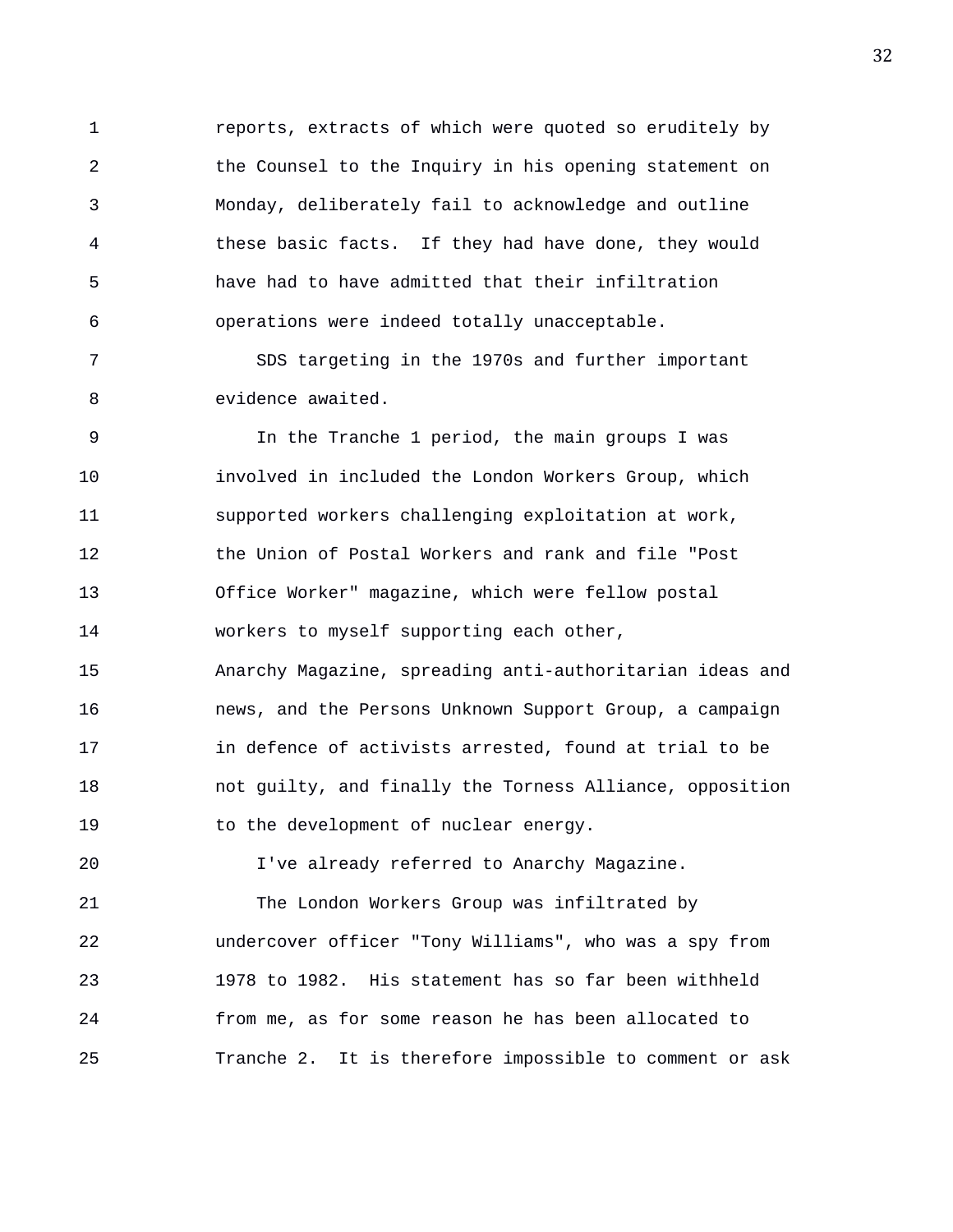1 reports, extracts of which were quoted so eruditely by 2 the Counsel to the Inquiry in his opening statement on 3 Monday, deliberately fail to acknowledge and outline 4 these basic facts. If they had have done, they would 5 have had to have admitted that their infiltration 6 operations were indeed totally unacceptable.

7 SDS targeting in the 1970s and further important 8 evidence awaited.

9 In the Tranche 1 period, the main groups I was 10 involved in included the London Workers Group, which 11 supported workers challenging exploitation at work, 12 the Union of Postal Workers and rank and file "Post 13 Office Worker" magazine, which were fellow postal 14 workers to myself supporting each other, 15 Anarchy Magazine, spreading anti-authoritarian ideas and 16 news, and the Persons Unknown Support Group, a campaign 17 in defence of activists arrested, found at trial to be 18 not guilty, and finally the Torness Alliance, opposition 19 to the development of nuclear energy. 20 I've already referred to Anarchy Magazine. 21 The London Workers Group was infiltrated by

22 undercover officer "Tony Williams", who was a spy from 23 1978 to 1982. His statement has so far been withheld 24 from me, as for some reason he has been allocated to 25 Tranche 2. It is therefore impossible to comment or ask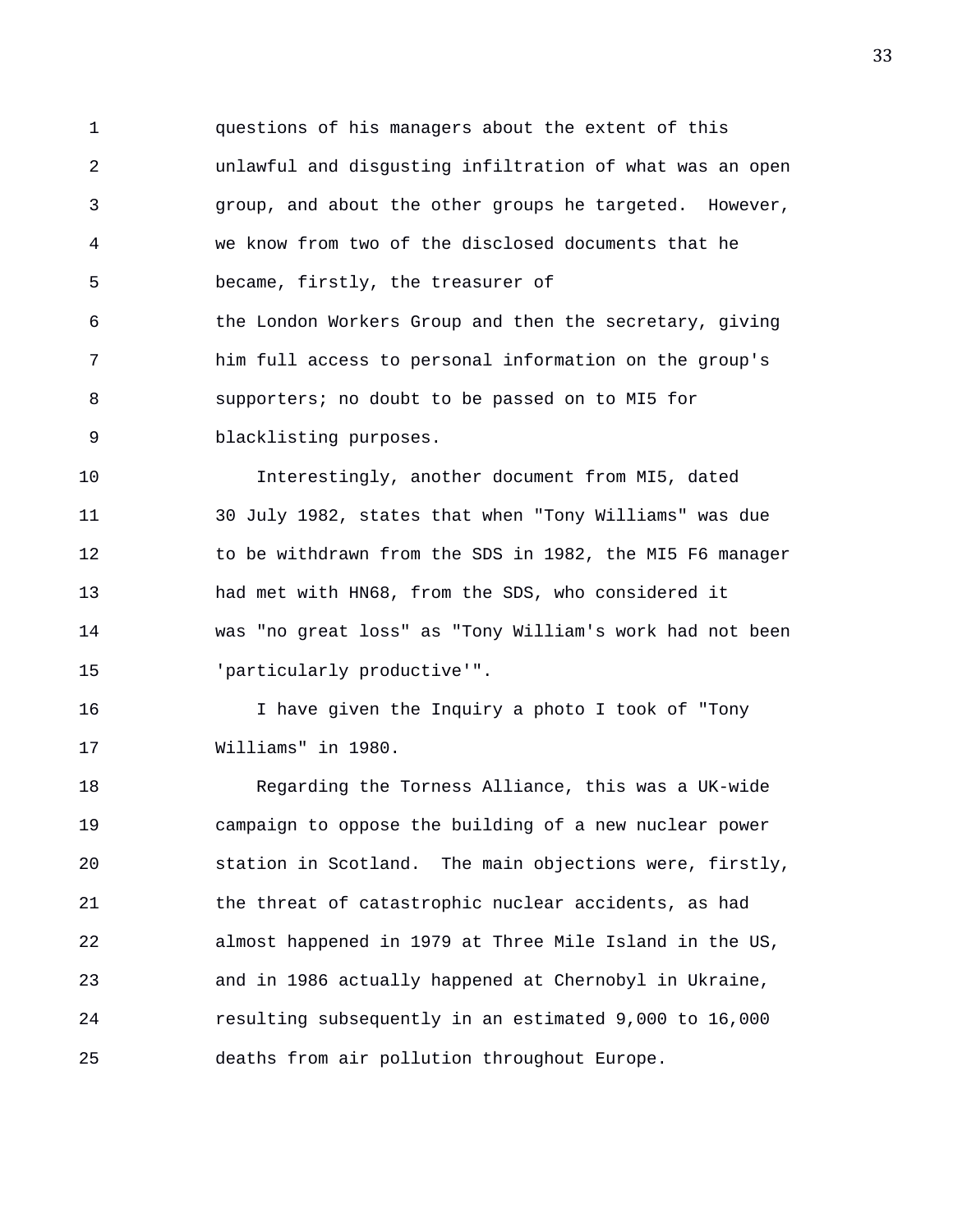1 questions of his managers about the extent of this 2 unlawful and disgusting infiltration of what was an open 3 group, and about the other groups he targeted. However, 4 we know from two of the disclosed documents that he 5 became, firstly, the treasurer of 6 the London Workers Group and then the secretary, giving 7 him full access to personal information on the group's 8 supporters; no doubt to be passed on to MI5 for 9 blacklisting purposes.

10 Interestingly, another document from MI5, dated 11 30 July 1982, states that when "Tony Williams" was due 12 to be withdrawn from the SDS in 1982, the MI5 F6 manager 13 had met with HN68, from the SDS, who considered it 14 was "no great loss" as "Tony William's work had not been 15 'particularly productive'".

16 I have given the Inquiry a photo I took of "Tony 17 Williams" in 1980.

18 Regarding the Torness Alliance, this was a UK-wide 19 campaign to oppose the building of a new nuclear power 20 station in Scotland. The main objections were, firstly, 21 the threat of catastrophic nuclear accidents, as had 22 almost happened in 1979 at Three Mile Island in the US, 23 and in 1986 actually happened at Chernobyl in Ukraine, 24 resulting subsequently in an estimated 9,000 to 16,000 25 deaths from air pollution throughout Europe.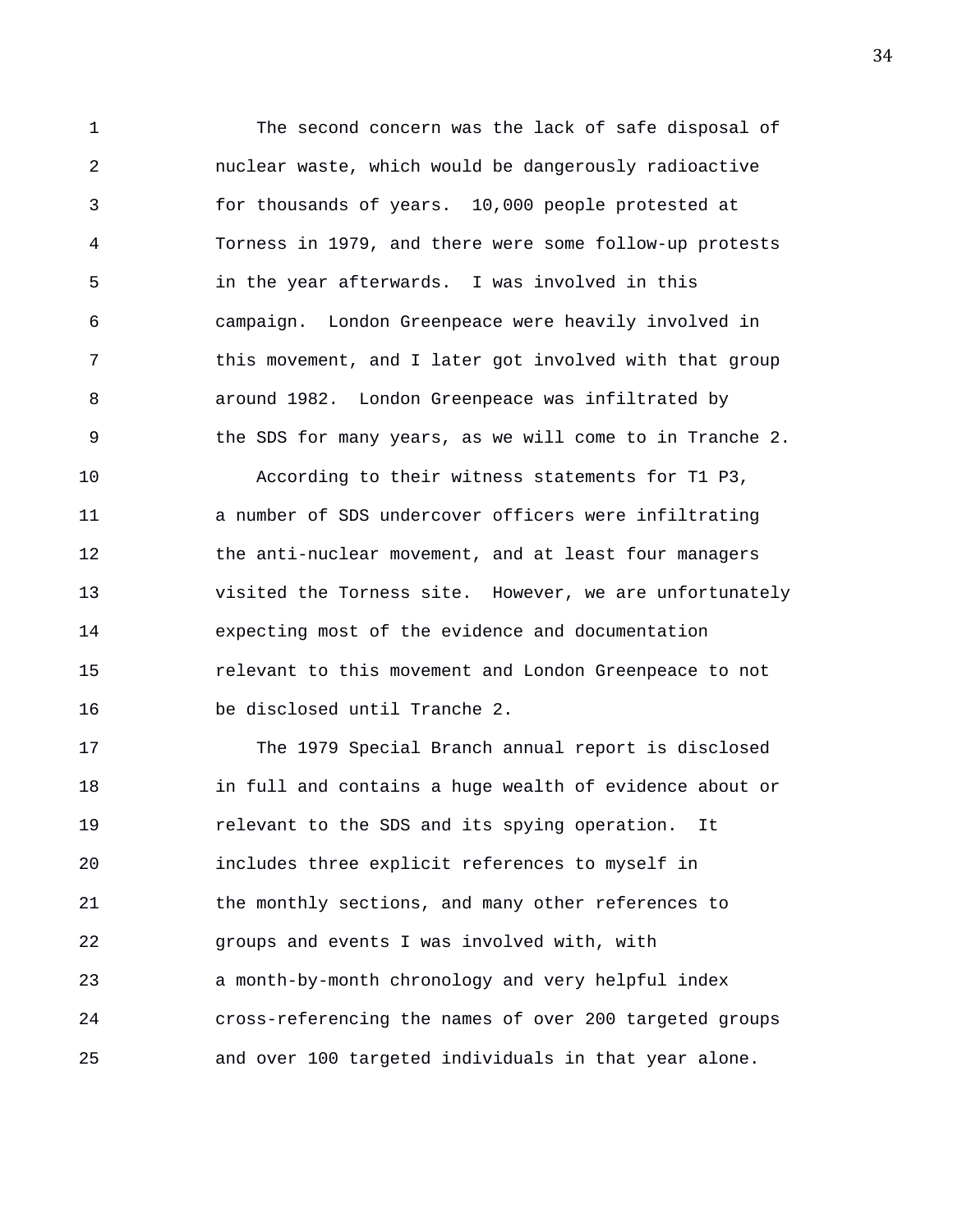1 The second concern was the lack of safe disposal of 2 nuclear waste, which would be dangerously radioactive 3 for thousands of years. 10,000 people protested at 4 Torness in 1979, and there were some follow-up protests 5 in the year afterwards. I was involved in this 6 campaign. London Greenpeace were heavily involved in 7 this movement, and I later got involved with that group 8 around 1982. London Greenpeace was infiltrated by 9 the SDS for many years, as we will come to in Tranche 2. 10 According to their witness statements for T1 P3, 11 a number of SDS undercover officers were infiltrating 12 the anti-nuclear movement, and at least four managers 13 visited the Torness site. However, we are unfortunately 14 expecting most of the evidence and documentation 15 relevant to this movement and London Greenpeace to not

16 be disclosed until Tranche 2.

17 The 1979 Special Branch annual report is disclosed 18 in full and contains a huge wealth of evidence about or 19 relevant to the SDS and its spying operation. It 20 includes three explicit references to myself in 21 the monthly sections, and many other references to 22 groups and events I was involved with, with 23 a month-by-month chronology and very helpful index 24 cross-referencing the names of over 200 targeted groups 25 and over 100 targeted individuals in that year alone.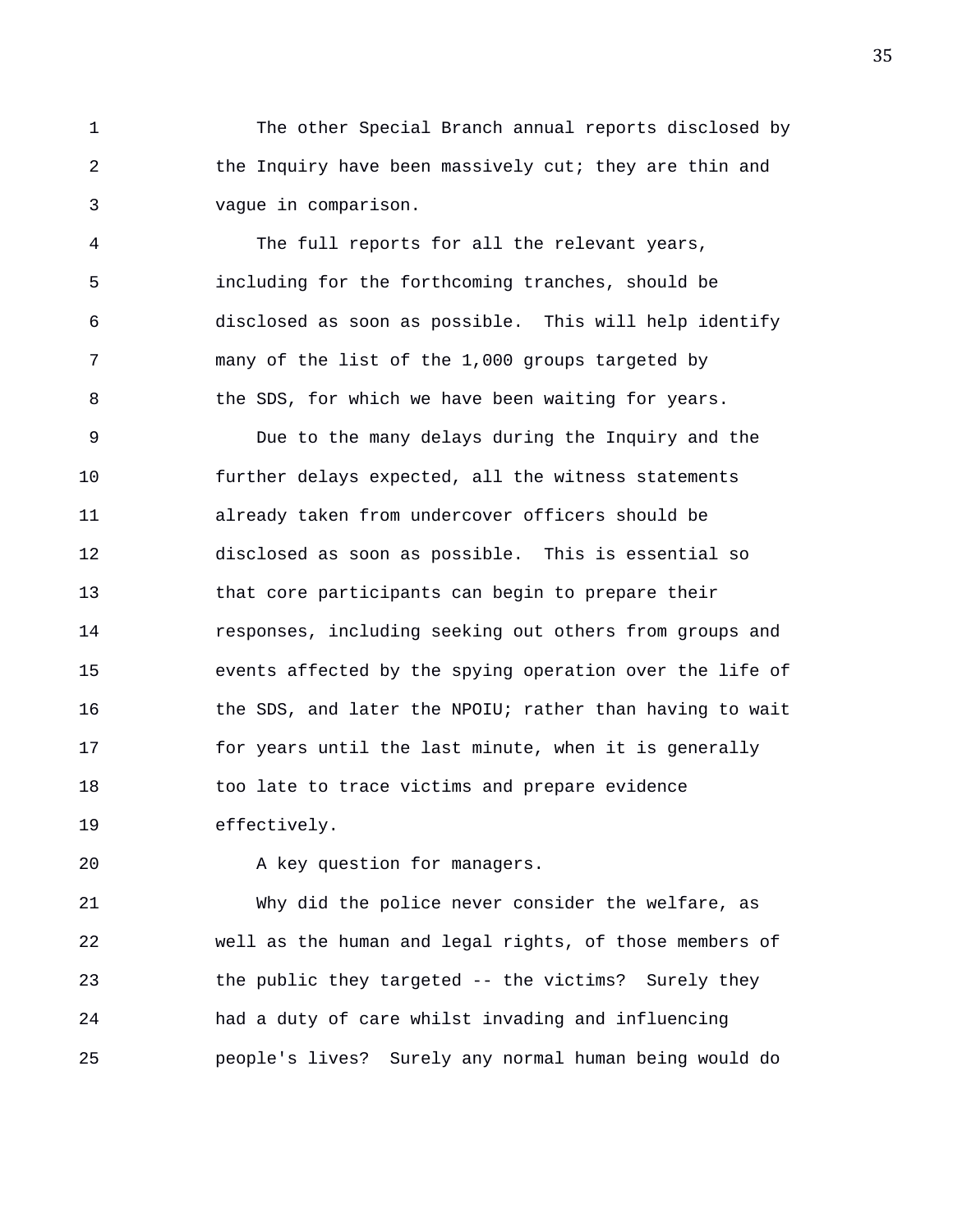1 The other Special Branch annual reports disclosed by 2 the Inquiry have been massively cut; they are thin and 3 vague in comparison.

4 The full reports for all the relevant years, 5 including for the forthcoming tranches, should be 6 disclosed as soon as possible. This will help identify 7 many of the list of the 1,000 groups targeted by 8 the SDS, for which we have been waiting for years.

9 Due to the many delays during the Inquiry and the 10 further delays expected, all the witness statements 11 already taken from undercover officers should be 12 disclosed as soon as possible. This is essential so 13 that core participants can begin to prepare their 14 responses, including seeking out others from groups and 15 events affected by the spying operation over the life of 16 the SDS, and later the NPOIU; rather than having to wait 17 for years until the last minute, when it is generally 18 too late to trace victims and prepare evidence 19 effectively.

20 A key question for managers.

21 Why did the police never consider the welfare, as 22 well as the human and legal rights, of those members of 23 the public they targeted -- the victims? Surely they 24 had a duty of care whilst invading and influencing 25 people's lives? Surely any normal human being would do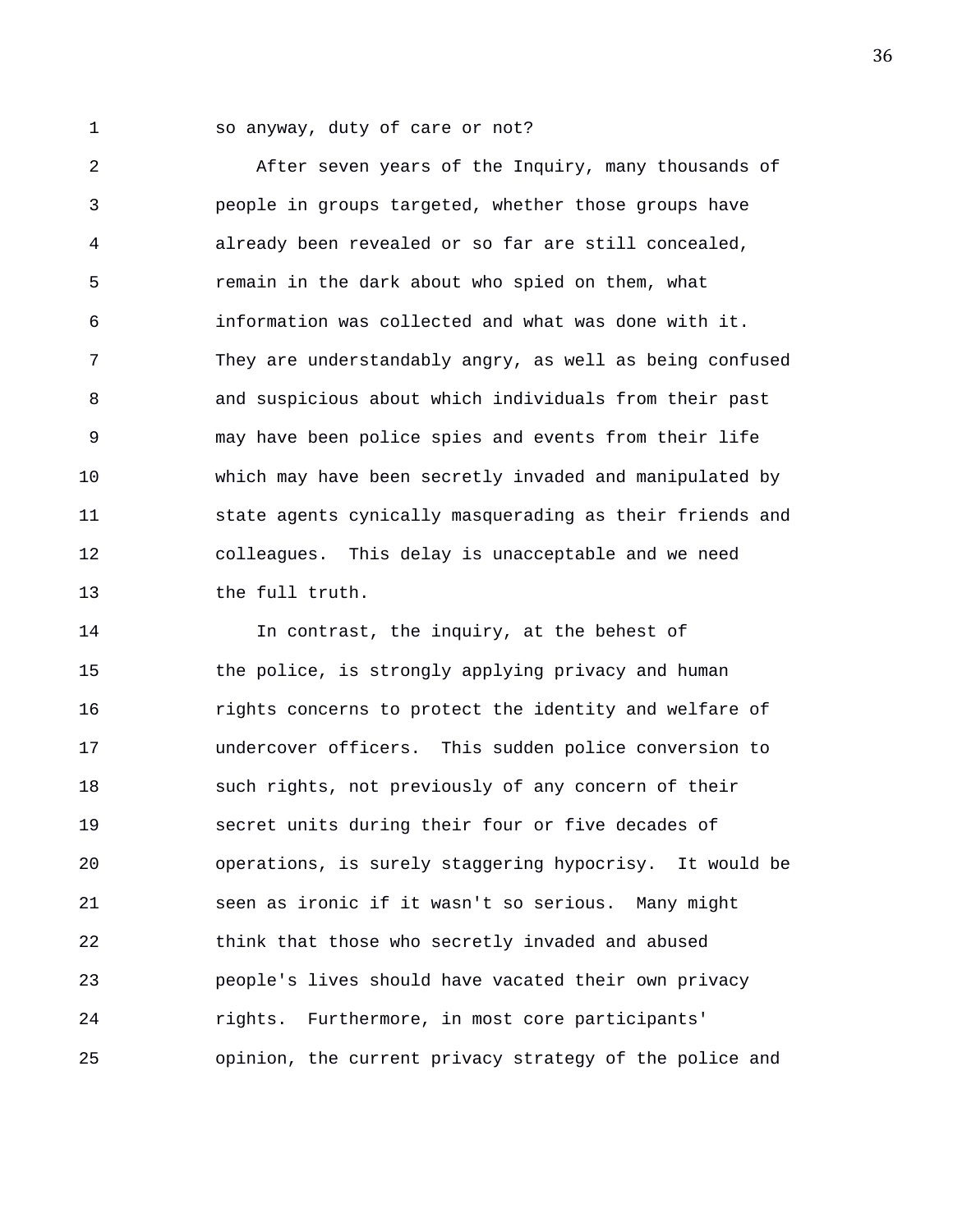1 so anyway, duty of care or not?

2 After seven years of the Inquiry, many thousands of 3 people in groups targeted, whether those groups have 4 already been revealed or so far are still concealed, 5 remain in the dark about who spied on them, what 6 information was collected and what was done with it. 7 They are understandably angry, as well as being confused 8 and suspicious about which individuals from their past 9 may have been police spies and events from their life 10 which may have been secretly invaded and manipulated by 11 state agents cynically masquerading as their friends and 12 colleagues. This delay is unacceptable and we need 13 the full truth.

14 In contrast, the inquiry, at the behest of 15 the police, is strongly applying privacy and human 16 rights concerns to protect the identity and welfare of 17 undercover officers. This sudden police conversion to 18 such rights, not previously of any concern of their 19 secret units during their four or five decades of 20 operations, is surely staggering hypocrisy. It would be 21 seen as ironic if it wasn't so serious. Many might 22 think that those who secretly invaded and abused 23 people's lives should have vacated their own privacy 24 rights. Furthermore, in most core participants' 25 opinion, the current privacy strategy of the police and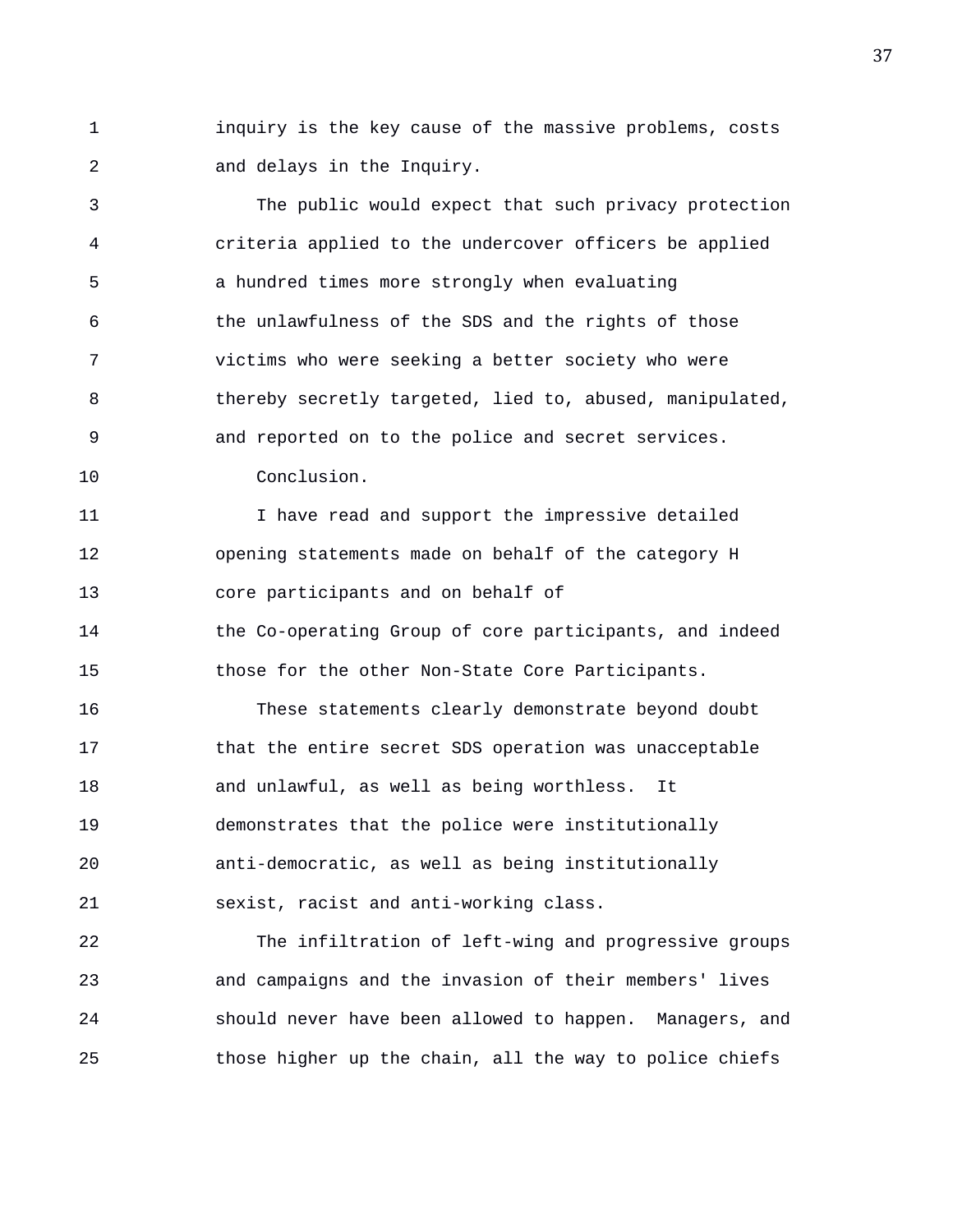1 inquiry is the key cause of the massive problems, costs 2 and delays in the Inquiry.

3 The public would expect that such privacy protection 4 criteria applied to the undercover officers be applied 5 a hundred times more strongly when evaluating 6 the unlawfulness of the SDS and the rights of those 7 victims who were seeking a better society who were 8 thereby secretly targeted, lied to, abused, manipulated, 9 and reported on to the police and secret services. 10 Conclusion.

11 I have read and support the impressive detailed 12 opening statements made on behalf of the category H 13 core participants and on behalf of 14 the Co-operating Group of core participants, and indeed

15 those for the other Non-State Core Participants.

16 These statements clearly demonstrate beyond doubt 17 that the entire secret SDS operation was unacceptable 18 and unlawful, as well as being worthless. It 19 demonstrates that the police were institutionally 20 anti-democratic, as well as being institutionally 21 sexist, racist and anti-working class.

22 The infiltration of left-wing and progressive groups 23 and campaigns and the invasion of their members' lives 24 should never have been allowed to happen. Managers, and 25 those higher up the chain, all the way to police chiefs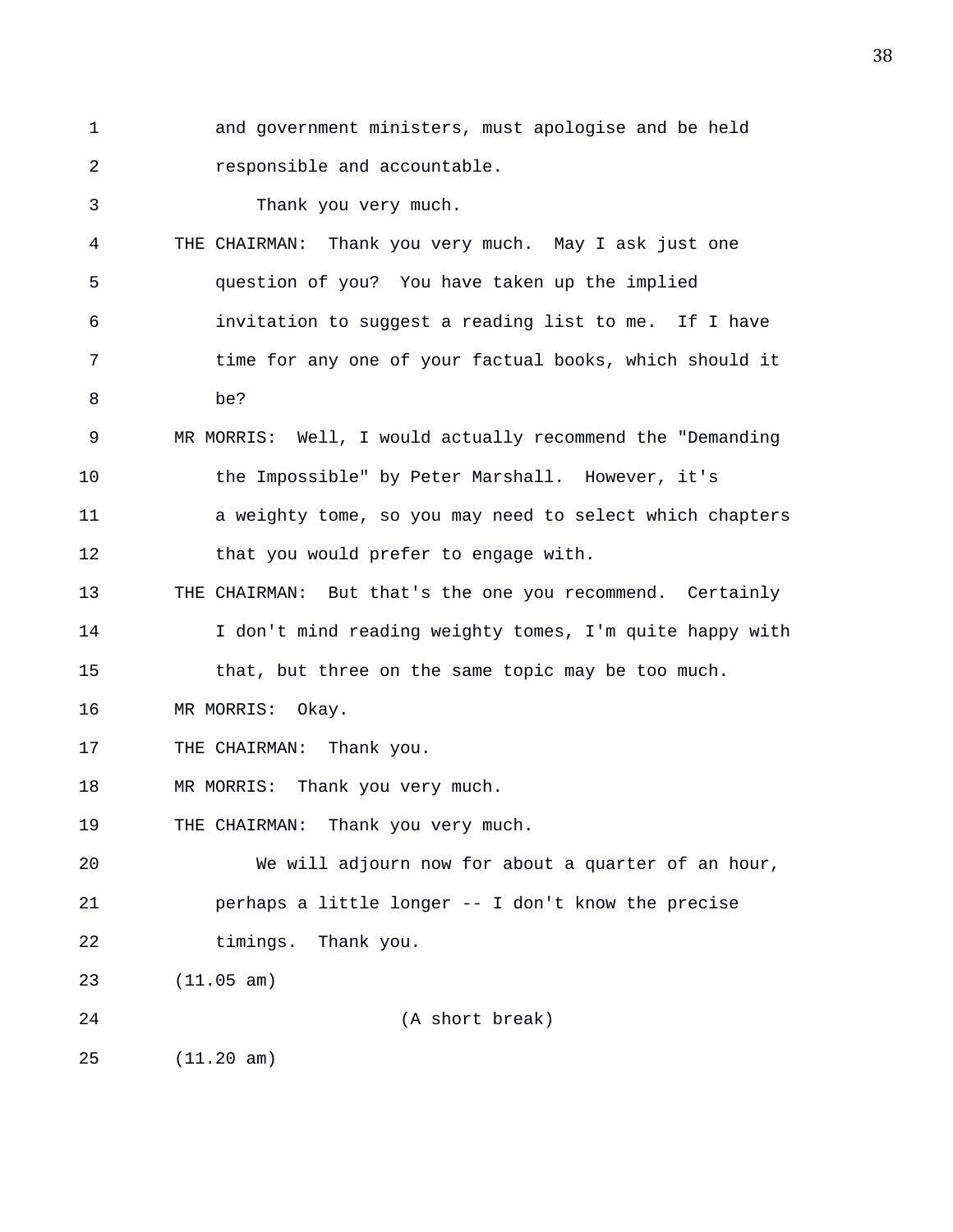1 and government ministers, must apologise and be held 2 responsible and accountable.

3 Thank you very much.

4 THE CHAIRMAN: Thank you very much. May I ask just one 5 question of you? You have taken up the implied 6 invitation to suggest a reading list to me. If I have 7 time for any one of your factual books, which should it 8 be? 9 MR MORRIS: Well, I would actually recommend the "Demanding 10 the Impossible" by Peter Marshall. However, it's 11 a weighty tome, so you may need to select which chapters 12 that you would prefer to engage with. 13 THE CHAIRMAN: But that's the one you recommend. Certainly 14 I don't mind reading weighty tomes, I'm quite happy with 15 that, but three on the same topic may be too much. 16 MR MORRIS: Okay. 17 THE CHAIRMAN: Thank you. 18 MR MORRIS: Thank you very much. 19 THE CHAIRMAN: Thank you very much. 20 We will adjourn now for about a quarter of an hour, 21 perhaps a little longer -- I don't know the precise 22 timings. Thank you. 23 (11.05 am) 24 (A short break) 25 (11.20 am)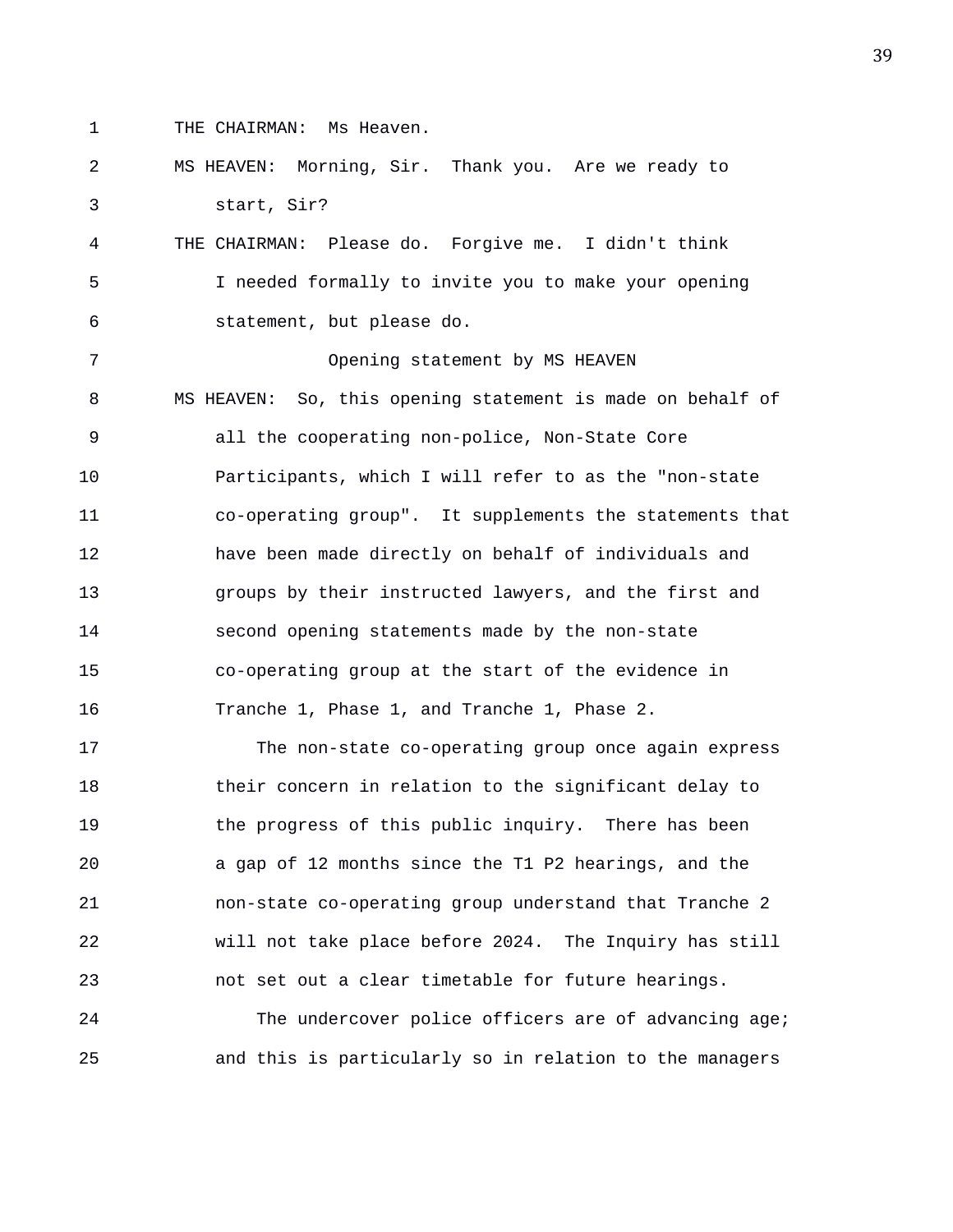- 
- 1 THE CHAIRMAN: Ms Heaven.

## 2 MS HEAVEN: Morning, Sir. Thank you. Are we ready to 3 start, Sir?

4 THE CHAIRMAN: Please do. Forgive me. I didn't think 5 I needed formally to invite you to make your opening 6 statement, but please do.

7 Opening statement by MS HEAVEN 8 MS HEAVEN: So, this opening statement is made on behalf of 9 all the cooperating non-police, Non-State Core 10 Participants, which I will refer to as the "non-state 11 co-operating group". It supplements the statements that 12 have been made directly on behalf of individuals and 13 groups by their instructed lawyers, and the first and 14 second opening statements made by the non-state 15 co-operating group at the start of the evidence in 16 Tranche 1, Phase 1, and Tranche 1, Phase 2.

17 The non-state co-operating group once again express 18 their concern in relation to the significant delay to 19 the progress of this public inquiry. There has been 20 a gap of 12 months since the T1 P2 hearings, and the 21 non-state co-operating group understand that Tranche 2 22 will not take place before 2024. The Inquiry has still 23 not set out a clear timetable for future hearings.

24 The undercover police officers are of advancing age; 25 and this is particularly so in relation to the managers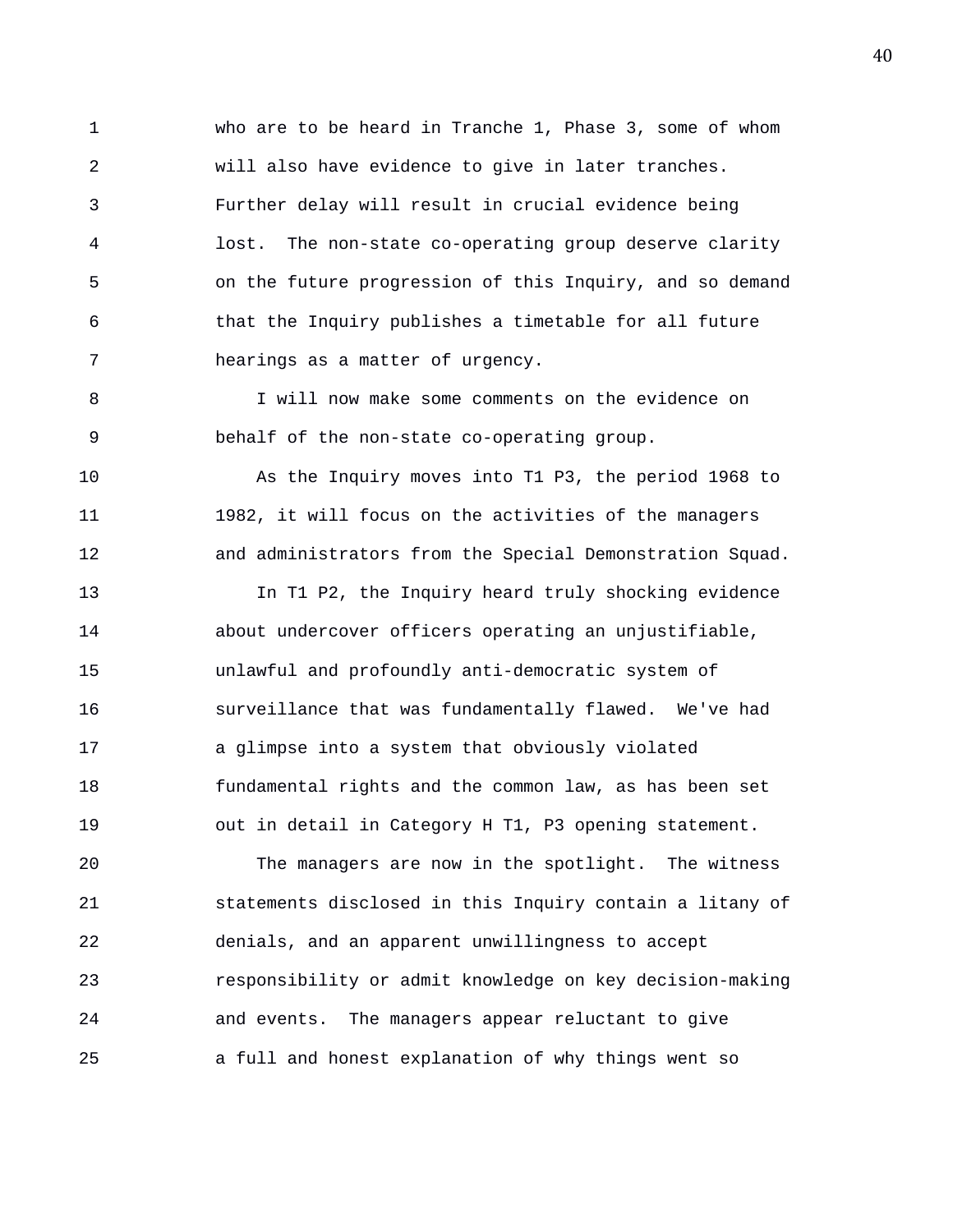1 who are to be heard in Tranche 1, Phase 3, some of whom 2 will also have evidence to give in later tranches. 3 Further delay will result in crucial evidence being 4 lost. The non-state co-operating group deserve clarity 5 on the future progression of this Inquiry, and so demand 6 that the Inquiry publishes a timetable for all future 7 hearings as a matter of urgency.

8 I will now make some comments on the evidence on 9 behalf of the non-state co-operating group.

10 As the Inquiry moves into T1 P3, the period 1968 to 11 1982, it will focus on the activities of the managers 12 and administrators from the Special Demonstration Squad.

13 In T1 P2, the Inquiry heard truly shocking evidence 14 about undercover officers operating an unjustifiable, 15 unlawful and profoundly anti-democratic system of 16 surveillance that was fundamentally flawed. We've had 17 a glimpse into a system that obviously violated 18 fundamental rights and the common law, as has been set 19 out in detail in Category H T1, P3 opening statement.

20 The managers are now in the spotlight. The witness 21 statements disclosed in this Inquiry contain a litany of 22 denials, and an apparent unwillingness to accept 23 responsibility or admit knowledge on key decision-making 24 and events. The managers appear reluctant to give 25 a full and honest explanation of why things went so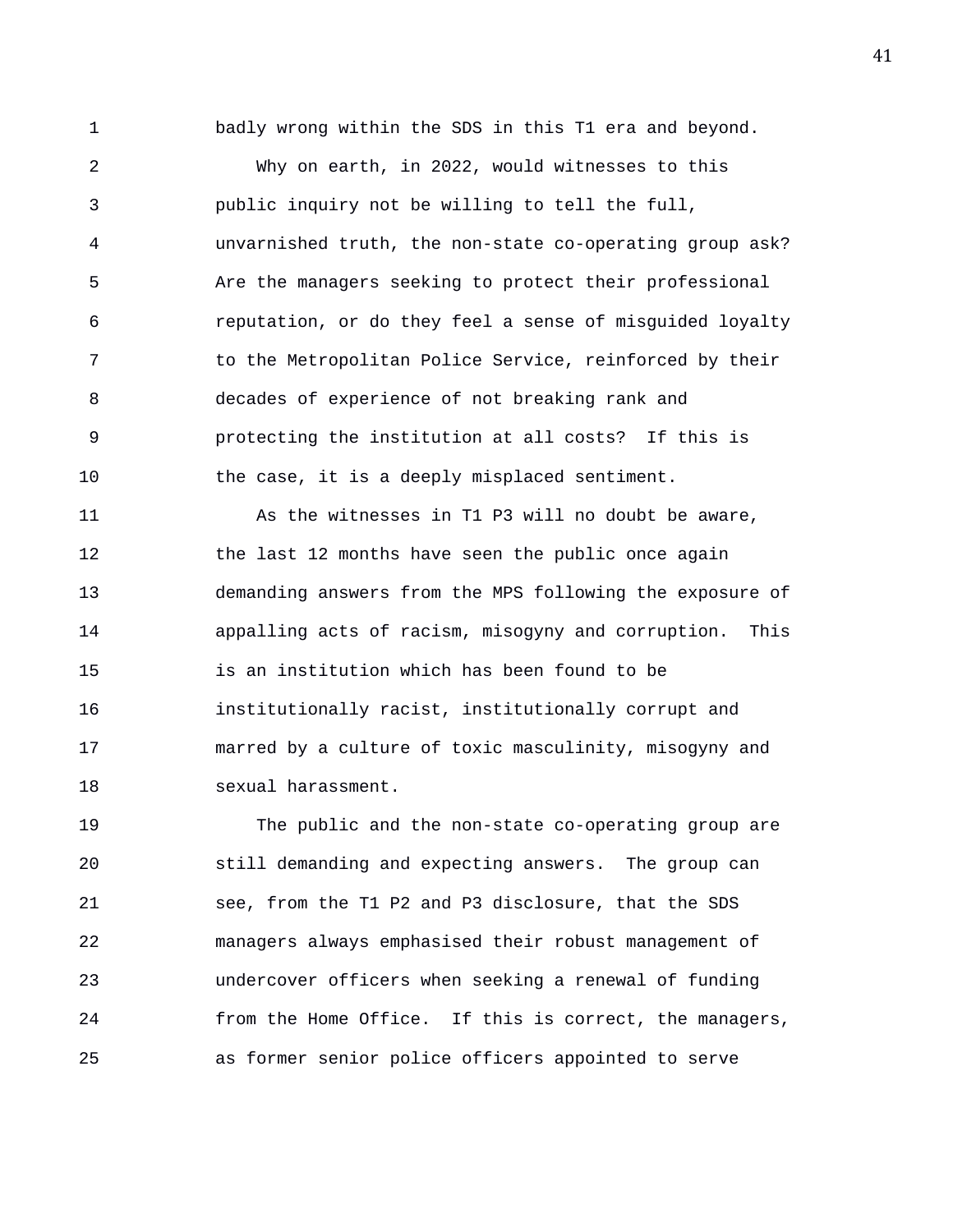1 badly wrong within the SDS in this T1 era and beyond. 2 Why on earth, in 2022, would witnesses to this 3 public inquiry not be willing to tell the full, 4 unvarnished truth, the non-state co-operating group ask? 5 Are the managers seeking to protect their professional 6 reputation, or do they feel a sense of misguided loyalty 7 to the Metropolitan Police Service, reinforced by their 8 decades of experience of not breaking rank and 9 protecting the institution at all costs? If this is 10 the case, it is a deeply misplaced sentiment. 11 As the witnesses in T1 P3 will no doubt be aware, 12 the last 12 months have seen the public once again 13 demanding answers from the MPS following the exposure of 14 appalling acts of racism, misogyny and corruption. This 15 is an institution which has been found to be 16 institutionally racist, institutionally corrupt and

17 marred by a culture of toxic masculinity, misogyny and 18 sexual harassment.

19 The public and the non-state co-operating group are 20 still demanding and expecting answers. The group can 21 see, from the T1 P2 and P3 disclosure, that the SDS 22 managers always emphasised their robust management of 23 undercover officers when seeking a renewal of funding 24 from the Home Office. If this is correct, the managers, 25 as former senior police officers appointed to serve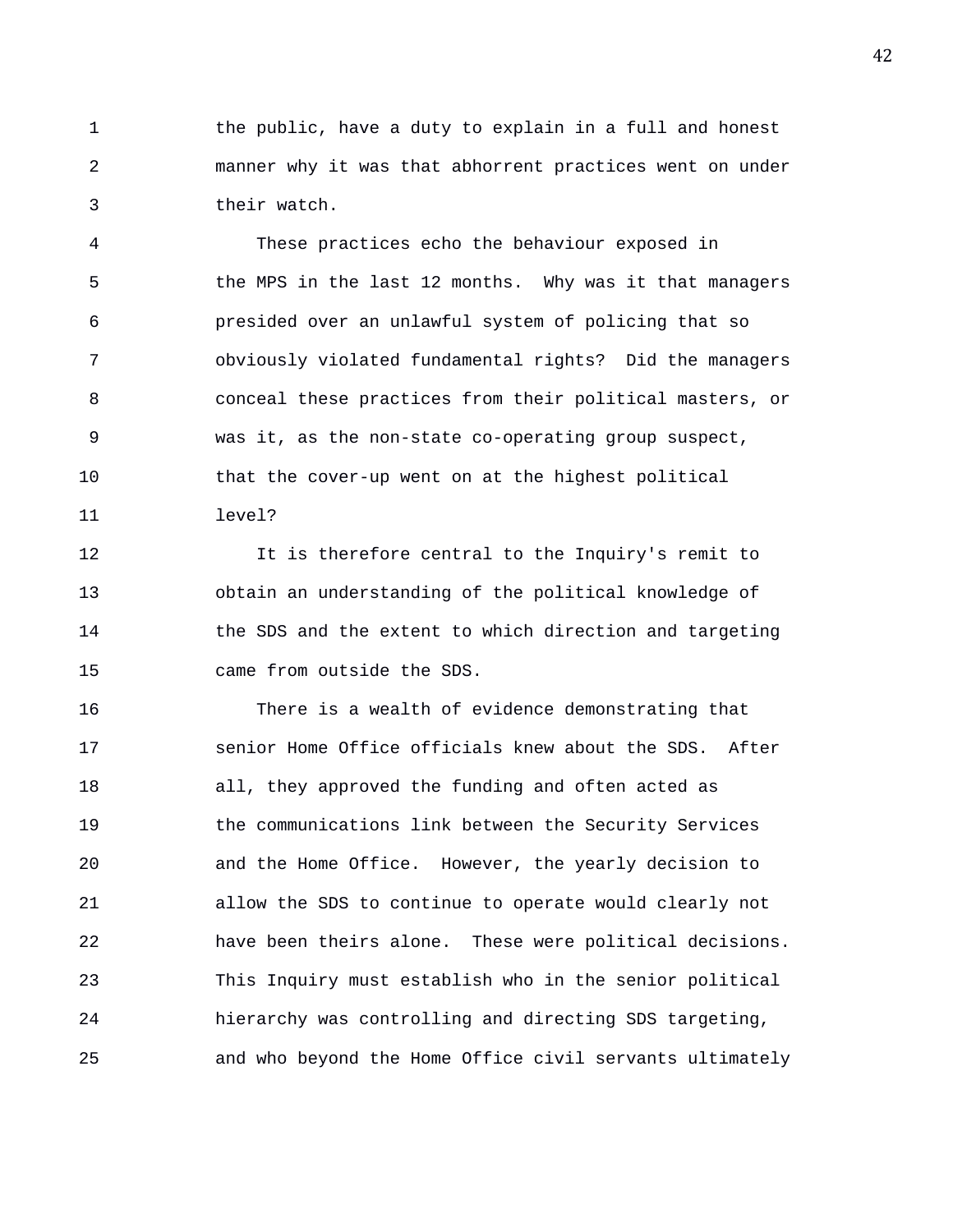1 the public, have a duty to explain in a full and honest 2 manner why it was that abhorrent practices went on under 3 their watch.

4 These practices echo the behaviour exposed in 5 the MPS in the last 12 months. Why was it that managers 6 presided over an unlawful system of policing that so 7 obviously violated fundamental rights? Did the managers 8 conceal these practices from their political masters, or 9 was it, as the non-state co-operating group suspect, 10 that the cover-up went on at the highest political 11 level?

12 It is therefore central to the Inquiry's remit to 13 obtain an understanding of the political knowledge of 14 the SDS and the extent to which direction and targeting 15 came from outside the SDS.

16 There is a wealth of evidence demonstrating that 17 senior Home Office officials knew about the SDS. After 18 all, they approved the funding and often acted as 19 the communications link between the Security Services 20 and the Home Office. However, the yearly decision to 21 allow the SDS to continue to operate would clearly not 22 have been theirs alone. These were political decisions. 23 This Inquiry must establish who in the senior political 24 hierarchy was controlling and directing SDS targeting, 25 and who beyond the Home Office civil servants ultimately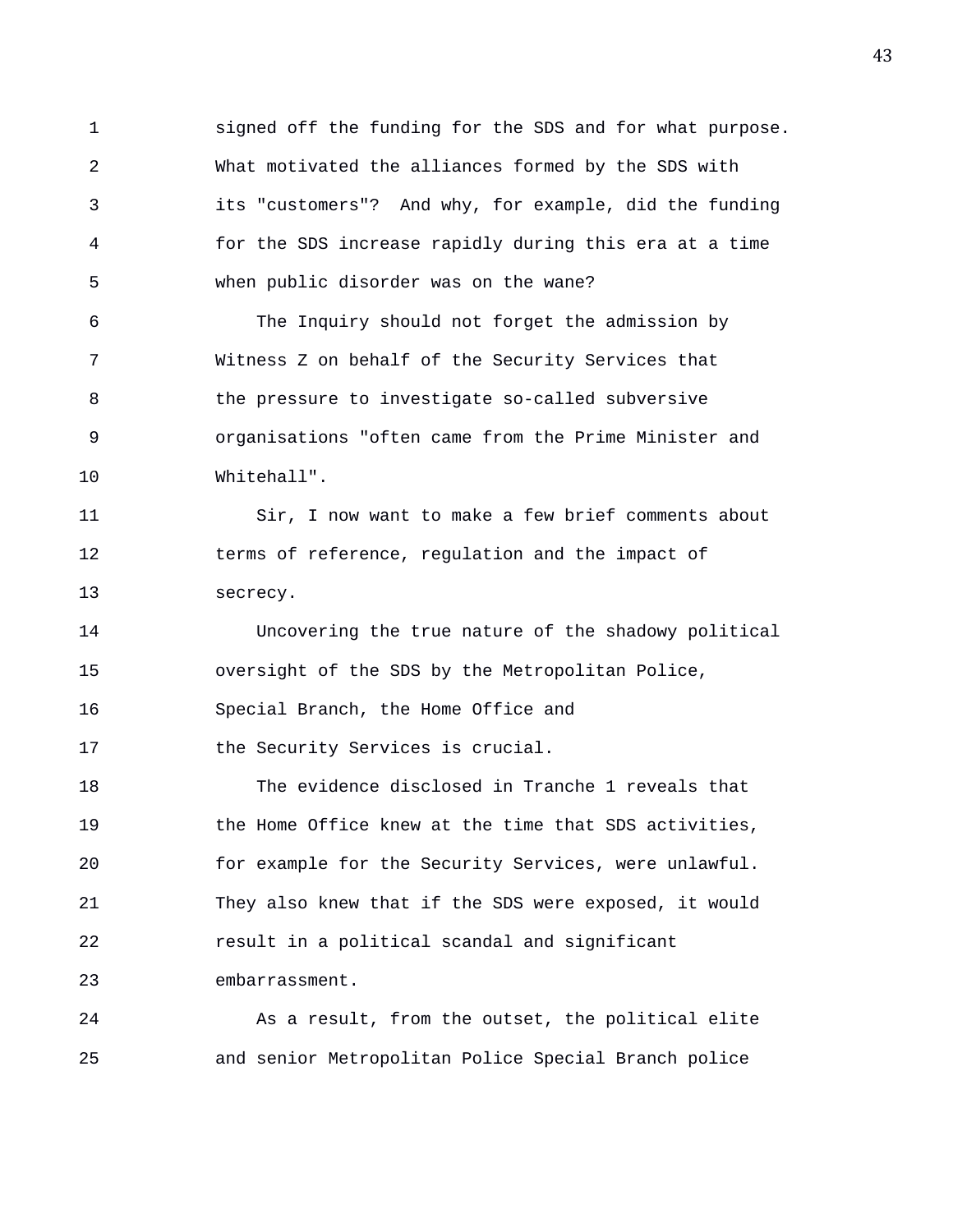1 signed off the funding for the SDS and for what purpose. 2 What motivated the alliances formed by the SDS with 3 its "customers"? And why, for example, did the funding 4 for the SDS increase rapidly during this era at a time 5 when public disorder was on the wane? 6 The Inquiry should not forget the admission by 7 Witness Z on behalf of the Security Services that 8 the pressure to investigate so-called subversive 9 organisations "often came from the Prime Minister and 10 Whitehall". 11 Sir, I now want to make a few brief comments about 12 terms of reference, regulation and the impact of 13 secrecy. 14 Uncovering the true nature of the shadowy political 15 oversight of the SDS by the Metropolitan Police, 16 Special Branch, the Home Office and 17 the Security Services is crucial. 18 The evidence disclosed in Tranche 1 reveals that

19 the Home Office knew at the time that SDS activities, 20 for example for the Security Services, were unlawful. 21 They also knew that if the SDS were exposed, it would 22 result in a political scandal and significant 23 embarrassment.

24 As a result, from the outset, the political elite 25 and senior Metropolitan Police Special Branch police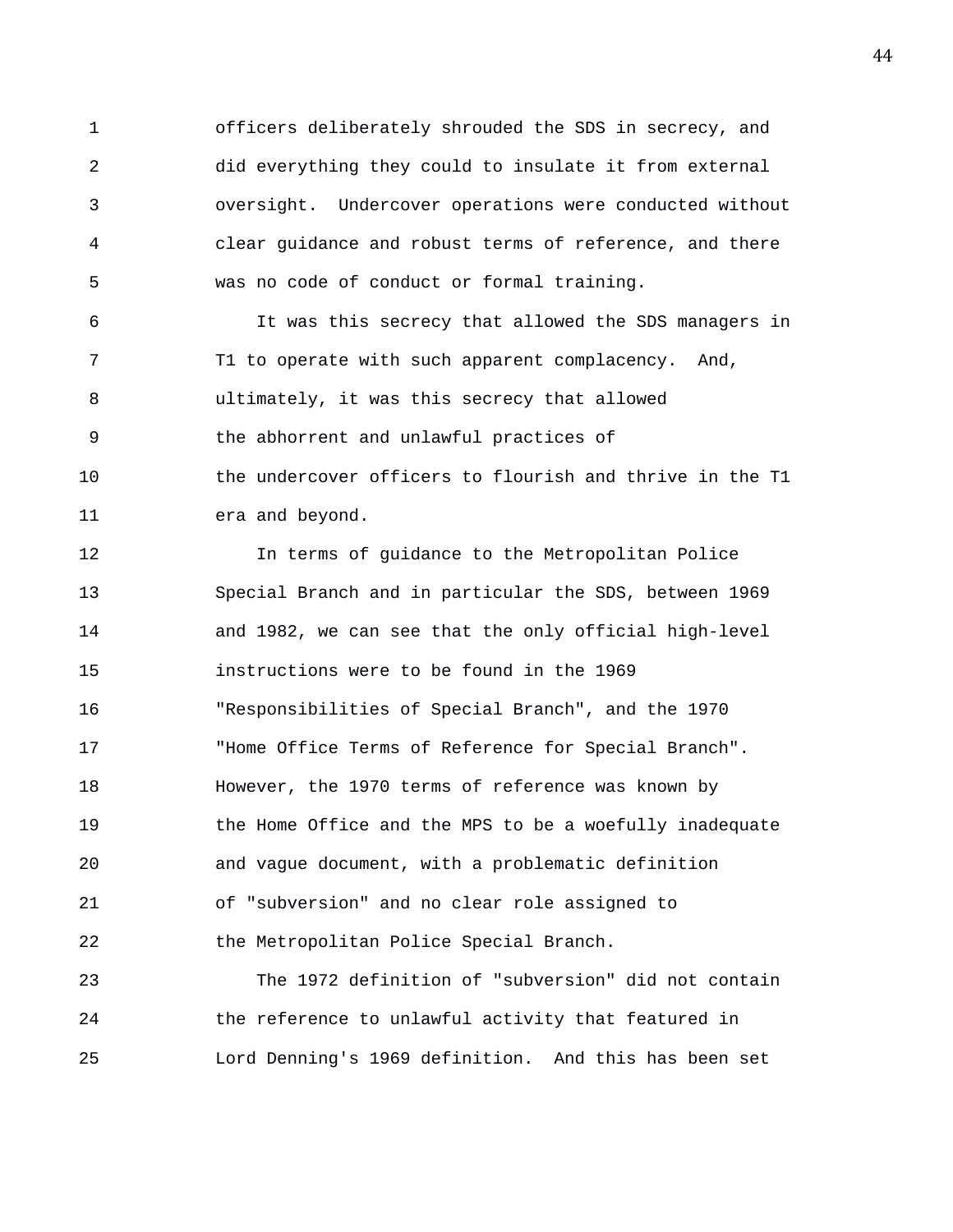1 officers deliberately shrouded the SDS in secrecy, and 2 did everything they could to insulate it from external 3 oversight. Undercover operations were conducted without 4 clear guidance and robust terms of reference, and there 5 was no code of conduct or formal training.

6 It was this secrecy that allowed the SDS managers in 7 T1 to operate with such apparent complacency. And, 8 ultimately, it was this secrecy that allowed 9 the abhorrent and unlawful practices of 10 the undercover officers to flourish and thrive in the T1 11 era and beyond.

12 In terms of guidance to the Metropolitan Police 13 Special Branch and in particular the SDS, between 1969 14 and 1982, we can see that the only official high-level 15 instructions were to be found in the 1969 16 "Responsibilities of Special Branch", and the 1970 17 "Home Office Terms of Reference for Special Branch". 18 However, the 1970 terms of reference was known by 19 the Home Office and the MPS to be a woefully inadequate 20 and vague document, with a problematic definition 21 of "subversion" and no clear role assigned to 22 the Metropolitan Police Special Branch.

23 The 1972 definition of "subversion" did not contain 24 the reference to unlawful activity that featured in 25 Lord Denning's 1969 definition. And this has been set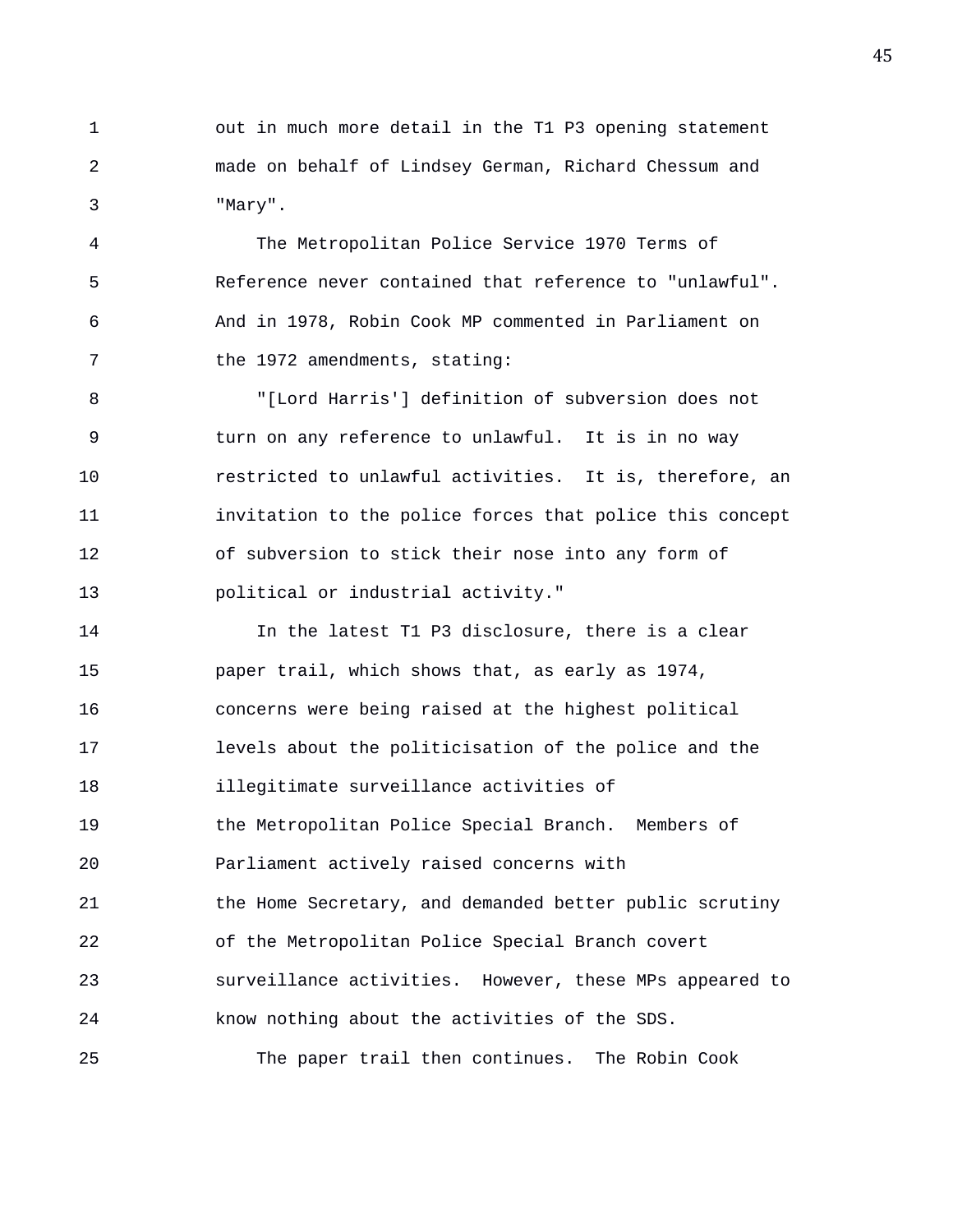1 out in much more detail in the T1 P3 opening statement 2 made on behalf of Lindsey German, Richard Chessum and 3 "Mary".

4 The Metropolitan Police Service 1970 Terms of 5 Reference never contained that reference to "unlawful". 6 And in 1978, Robin Cook MP commented in Parliament on 7 the 1972 amendments, stating:

8 "[Lord Harris'] definition of subversion does not 9 turn on any reference to unlawful. It is in no way 10 restricted to unlawful activities. It is, therefore, an 11 invitation to the police forces that police this concept 12 of subversion to stick their nose into any form of 13 political or industrial activity."

14 In the latest T1 P3 disclosure, there is a clear 15 paper trail, which shows that, as early as 1974, 16 concerns were being raised at the highest political 17 levels about the politicisation of the police and the 18 illegitimate surveillance activities of 19 the Metropolitan Police Special Branch. Members of 20 Parliament actively raised concerns with 21 the Home Secretary, and demanded better public scrutiny 22 of the Metropolitan Police Special Branch covert 23 surveillance activities. However, these MPs appeared to 24 know nothing about the activities of the SDS. 25 The paper trail then continues. The Robin Cook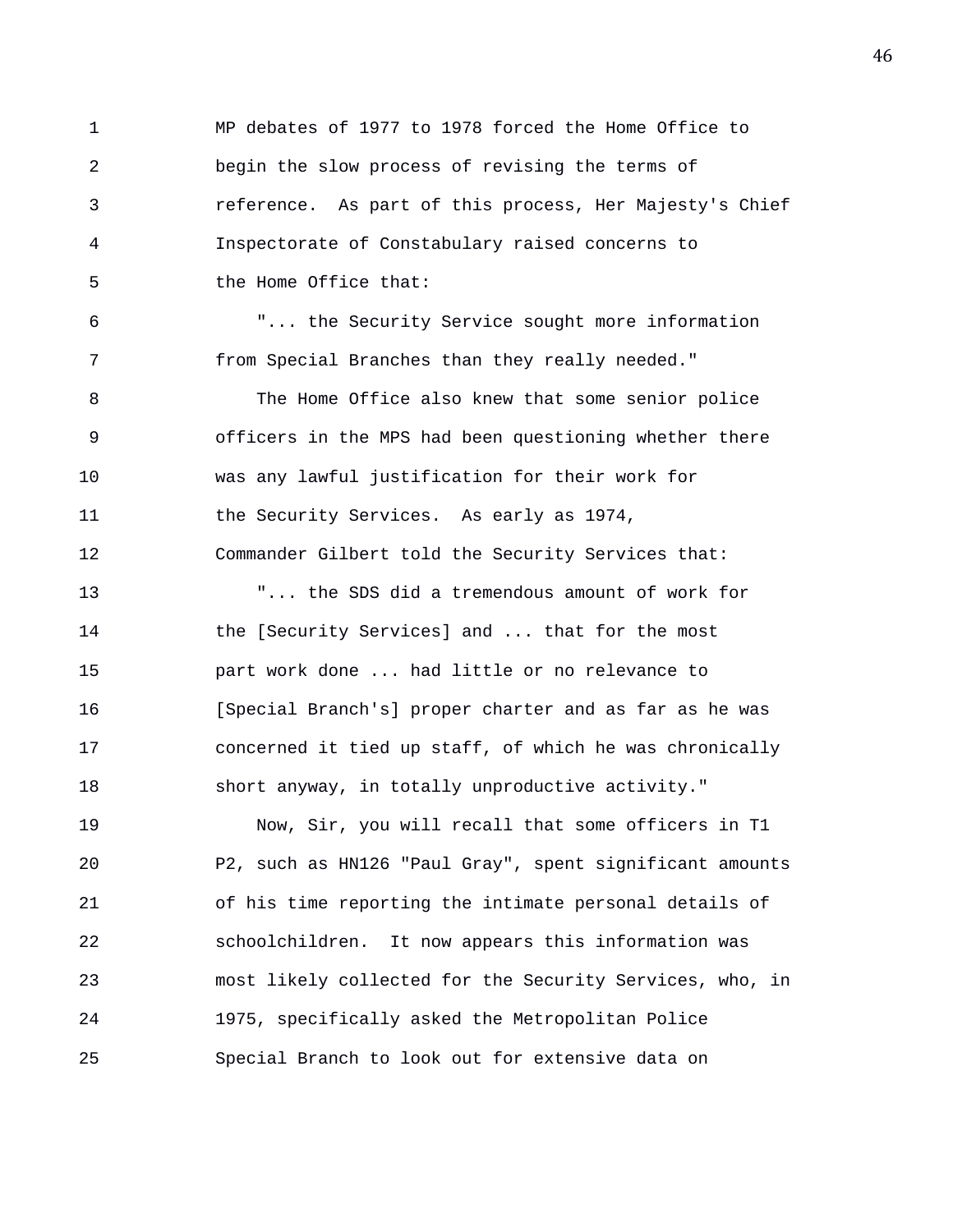1 MP debates of 1977 to 1978 forced the Home Office to 2 begin the slow process of revising the terms of 3 reference. As part of this process, Her Majesty's Chief 4 Inspectorate of Constabulary raised concerns to 5 the Home Office that: 6 "... the Security Service sought more information 7 from Special Branches than they really needed." 8 The Home Office also knew that some senior police 9 officers in the MPS had been questioning whether there 10 was any lawful justification for their work for 11 the Security Services. As early as 1974, 12 Commander Gilbert told the Security Services that: 13 "... the SDS did a tremendous amount of work for 14 the [Security Services] and ... that for the most 15 part work done ... had little or no relevance to 16 [Special Branch's] proper charter and as far as he was 17 concerned it tied up staff, of which he was chronically 18 short anyway, in totally unproductive activity." 19 Now, Sir, you will recall that some officers in T1 20 P2, such as HN126 "Paul Gray", spent significant amounts 21 of his time reporting the intimate personal details of 22 schoolchildren. It now appears this information was 23 most likely collected for the Security Services, who, in 24 1975, specifically asked the Metropolitan Police

25 Special Branch to look out for extensive data on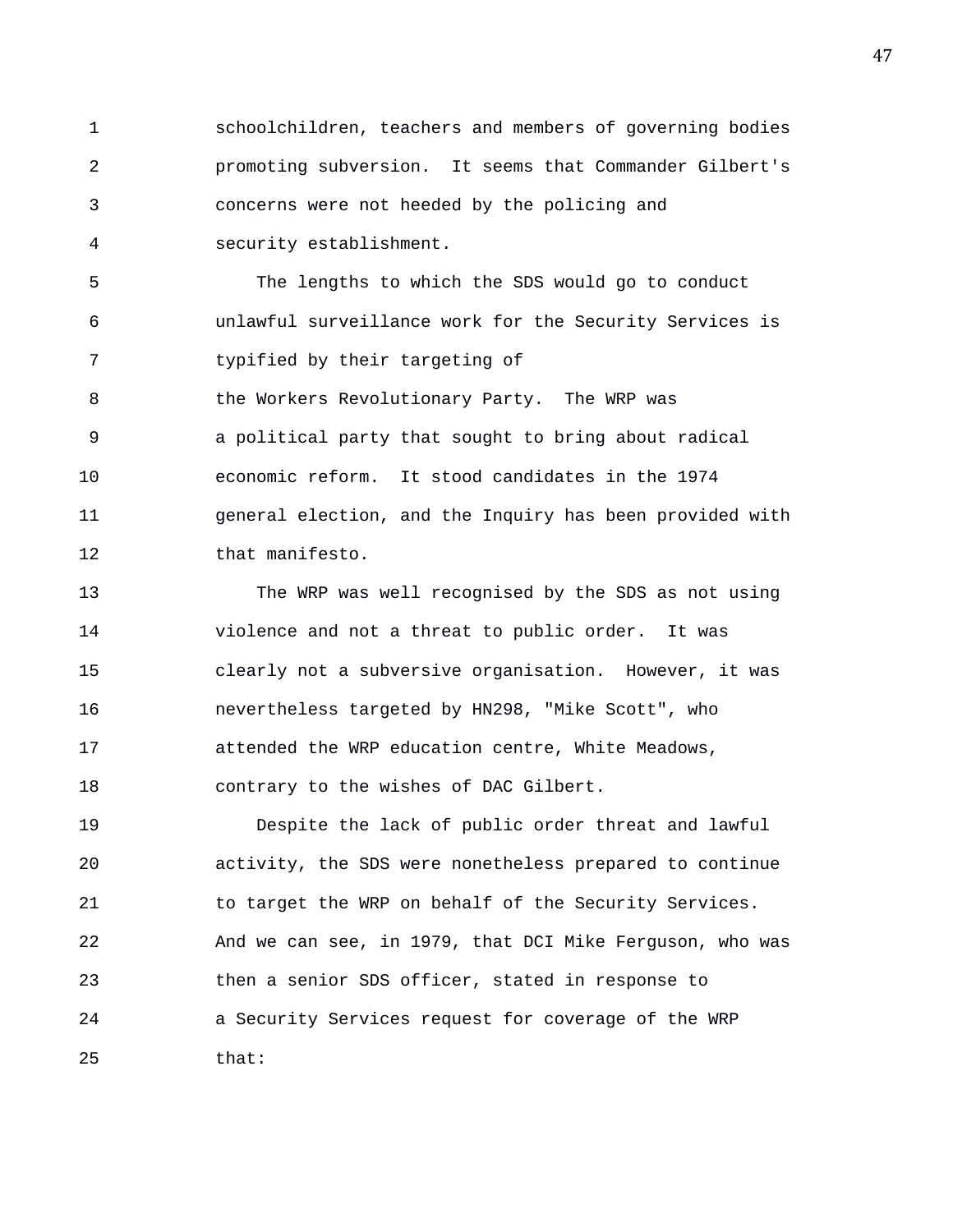1 schoolchildren, teachers and members of governing bodies 2 promoting subversion. It seems that Commander Gilbert's 3 concerns were not heeded by the policing and 4 security establishment.

5 The lengths to which the SDS would go to conduct 6 unlawful surveillance work for the Security Services is 7 typified by their targeting of 8 **b** the Workers Revolutionary Party. The WRP was 9 a political party that sought to bring about radical 10 economic reform. It stood candidates in the 1974 11 general election, and the Inquiry has been provided with 12 that manifesto.

13 The WRP was well recognised by the SDS as not using 14 violence and not a threat to public order. It was 15 clearly not a subversive organisation. However, it was 16 nevertheless targeted by HN298, "Mike Scott", who 17 attended the WRP education centre, White Meadows, 18 contrary to the wishes of DAC Gilbert.

19 Despite the lack of public order threat and lawful 20 activity, the SDS were nonetheless prepared to continue 21 to target the WRP on behalf of the Security Services. 22 And we can see, in 1979, that DCI Mike Ferguson, who was 23 then a senior SDS officer, stated in response to 24 a Security Services request for coverage of the WRP 25 that: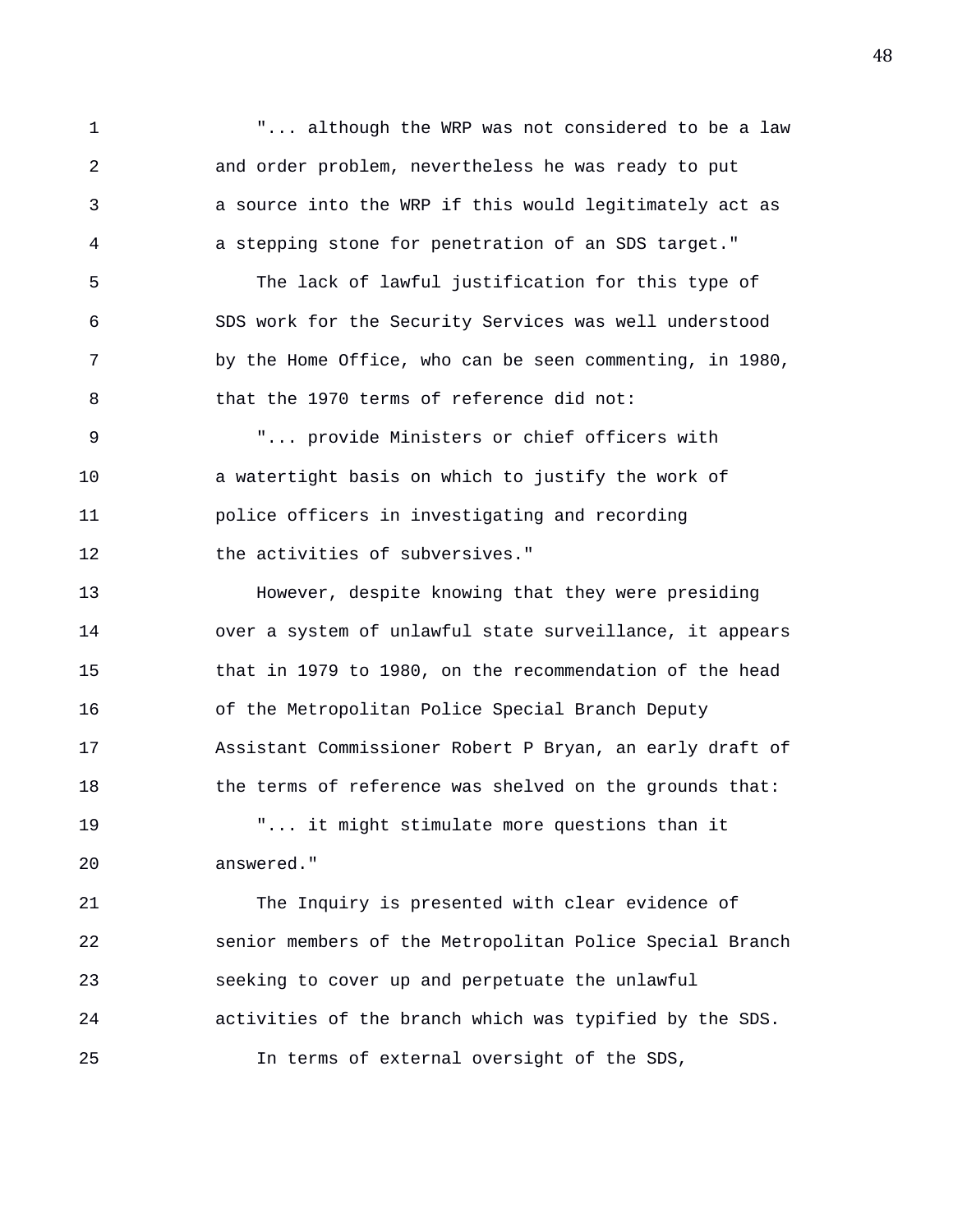1 "... although the WRP was not considered to be a law 2 and order problem, nevertheless he was ready to put 3 a source into the WRP if this would legitimately act as 4 a stepping stone for penetration of an SDS target." 5 The lack of lawful justification for this type of 6 SDS work for the Security Services was well understood 7 by the Home Office, who can be seen commenting, in 1980, 8 that the 1970 terms of reference did not: 9 "... provide Ministers or chief officers with 10 a watertight basis on which to justify the work of 11 police officers in investigating and recording 12 the activities of subversives." 13 However, despite knowing that they were presiding 14 over a system of unlawful state surveillance, it appears 15 that in 1979 to 1980, on the recommendation of the head 16 of the Metropolitan Police Special Branch Deputy 17 Assistant Commissioner Robert P Bryan, an early draft of 18 the terms of reference was shelved on the grounds that: 19 "... it might stimulate more questions than it

20 answered."

21 The Inquiry is presented with clear evidence of 22 senior members of the Metropolitan Police Special Branch 23 seeking to cover up and perpetuate the unlawful 24 activities of the branch which was typified by the SDS. 25 In terms of external oversight of the SDS,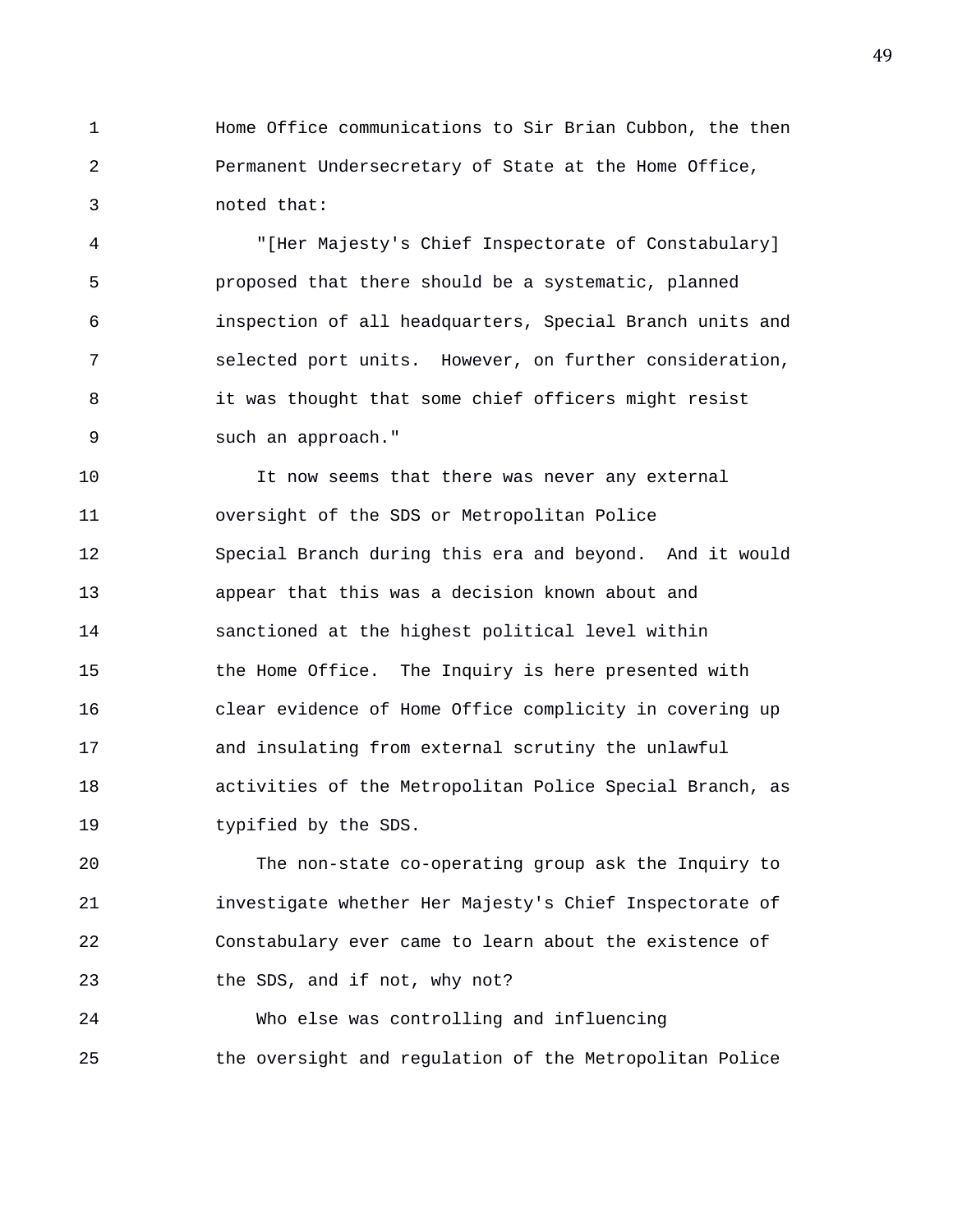1 Home Office communications to Sir Brian Cubbon, the then 2 Permanent Undersecretary of State at the Home Office, 3 noted that:

4 "[Her Majesty's Chief Inspectorate of Constabulary] 5 proposed that there should be a systematic, planned 6 inspection of all headquarters, Special Branch units and 7 selected port units. However, on further consideration, 8 it was thought that some chief officers might resist 9 such an approach."

10 It now seems that there was never any external 11 oversight of the SDS or Metropolitan Police 12 Special Branch during this era and beyond. And it would 13 appear that this was a decision known about and 14 sanctioned at the highest political level within 15 the Home Office. The Inquiry is here presented with 16 clear evidence of Home Office complicity in covering up 17 and insulating from external scrutiny the unlawful 18 activities of the Metropolitan Police Special Branch, as 19 typified by the SDS.

20 The non-state co-operating group ask the Inquiry to 21 investigate whether Her Majesty's Chief Inspectorate of 22 Constabulary ever came to learn about the existence of 23 the SDS, and if not, why not?

24 Who else was controlling and influencing 25 the oversight and regulation of the Metropolitan Police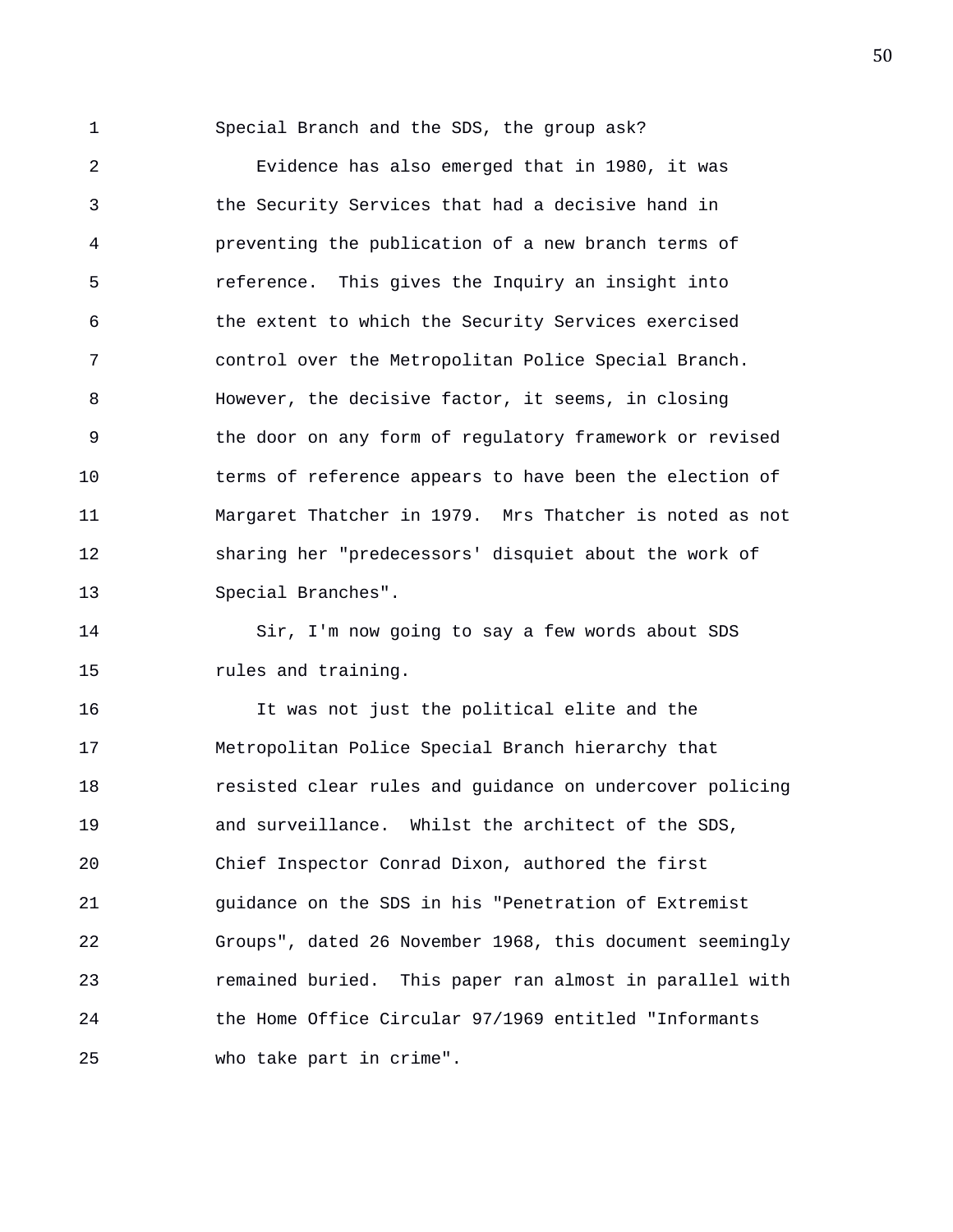1 Special Branch and the SDS, the group ask?

2 Evidence has also emerged that in 1980, it was 3 the Security Services that had a decisive hand in 4 preventing the publication of a new branch terms of 5 reference. This gives the Inquiry an insight into 6 the extent to which the Security Services exercised 7 control over the Metropolitan Police Special Branch. 8 However, the decisive factor, it seems, in closing 9 the door on any form of regulatory framework or revised 10 terms of reference appears to have been the election of 11 Margaret Thatcher in 1979. Mrs Thatcher is noted as not 12 sharing her "predecessors' disquiet about the work of 13 Special Branches".

14 Sir, I'm now going to say a few words about SDS 15 **rules** and training.

16 It was not just the political elite and the 17 Metropolitan Police Special Branch hierarchy that 18 resisted clear rules and guidance on undercover policing 19 and surveillance. Whilst the architect of the SDS, 20 Chief Inspector Conrad Dixon, authored the first 21 guidance on the SDS in his "Penetration of Extremist 22 Groups", dated 26 November 1968, this document seemingly 23 remained buried. This paper ran almost in parallel with 24 the Home Office Circular 97/1969 entitled "Informants 25 who take part in crime".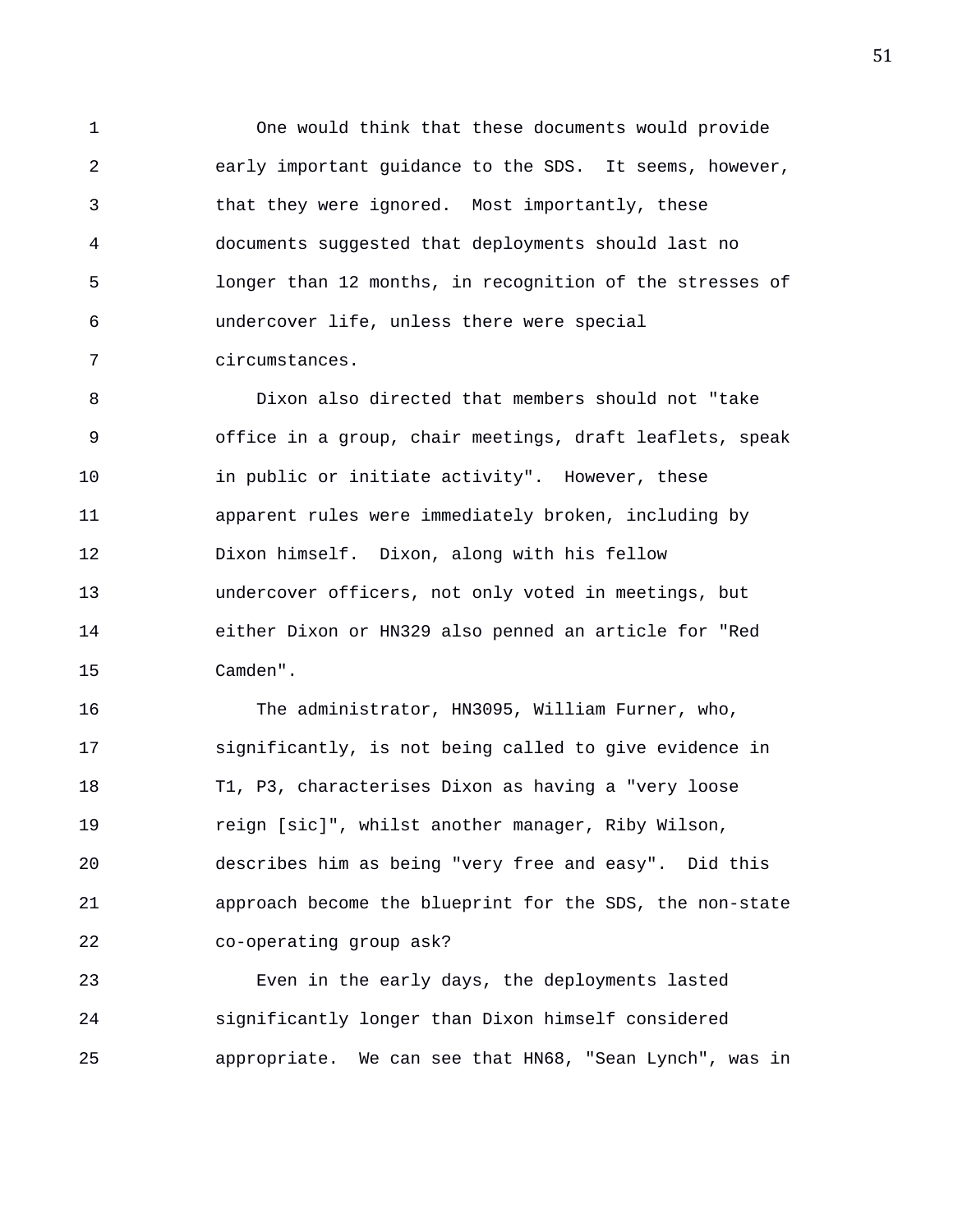1 One would think that these documents would provide 2 early important guidance to the SDS. It seems, however, 3 that they were ignored. Most importantly, these 4 documents suggested that deployments should last no 5 longer than 12 months, in recognition of the stresses of 6 undercover life, unless there were special 7 circumstances.

8 Dixon also directed that members should not "take 9 office in a group, chair meetings, draft leaflets, speak 10 in public or initiate activity". However, these 11 apparent rules were immediately broken, including by 12 Dixon himself. Dixon, along with his fellow 13 undercover officers, not only voted in meetings, but 14 either Dixon or HN329 also penned an article for "Red 15 Camden".

16 The administrator, HN3095, William Furner, who, 17 significantly, is not being called to give evidence in 18 T1, P3, characterises Dixon as having a "very loose 19 reign [sic]", whilst another manager, Riby Wilson, 20 describes him as being "very free and easy". Did this 21 approach become the blueprint for the SDS, the non-state 22 co-operating group ask?

23 Even in the early days, the deployments lasted 24 significantly longer than Dixon himself considered 25 appropriate. We can see that HN68, "Sean Lynch", was in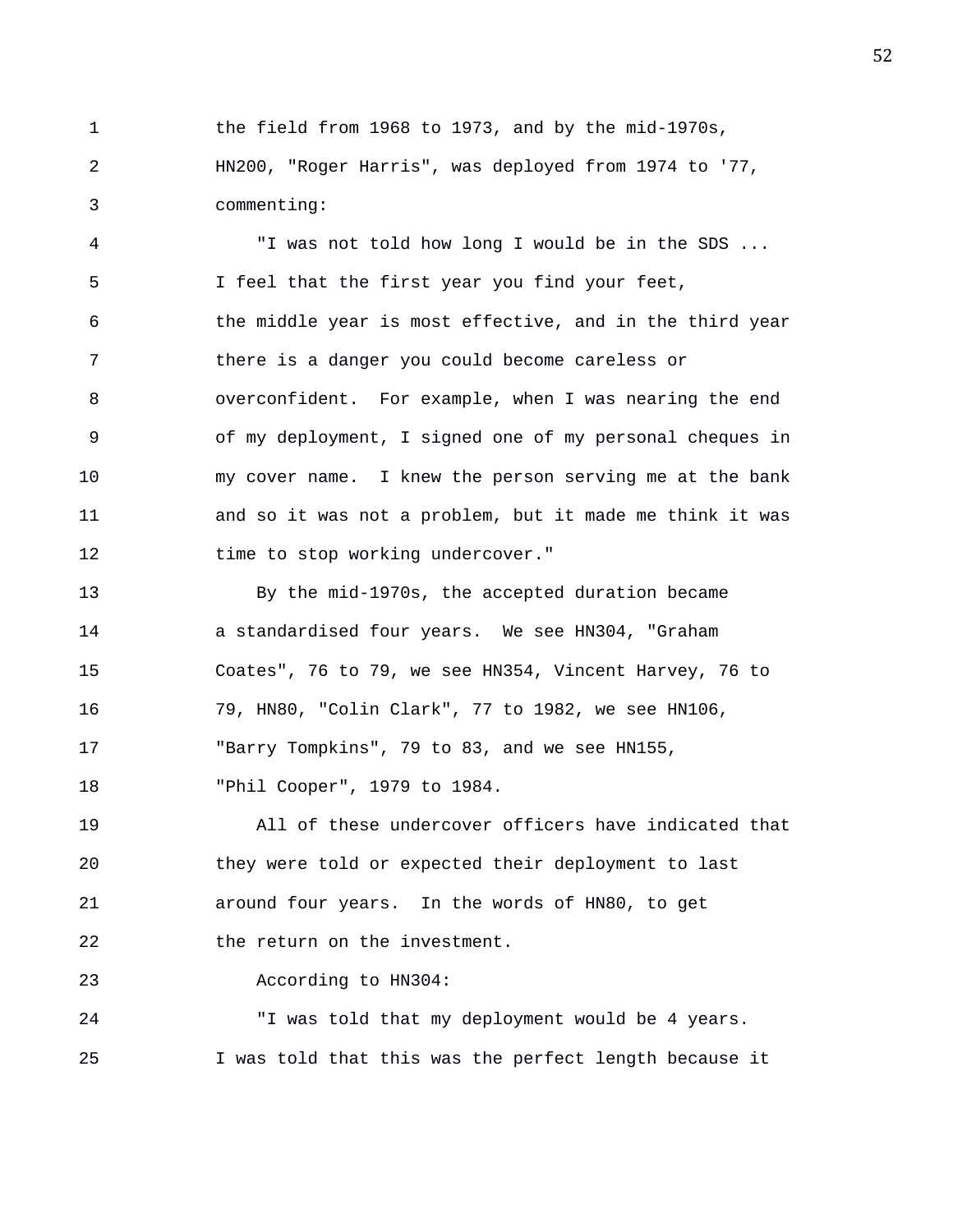1 the field from 1968 to 1973, and by the mid-1970s, 2 HN200, "Roger Harris", was deployed from 1974 to '77, 3 commenting:

4 "I was not told how long I would be in the SDS ... 5 I feel that the first year you find your feet, 6 the middle year is most effective, and in the third year 7 there is a danger you could become careless or 8 overconfident. For example, when I was nearing the end 9 of my deployment, I signed one of my personal cheques in 10 my cover name. I knew the person serving me at the bank 11 and so it was not a problem, but it made me think it was 12 time to stop working undercover."

13 By the mid-1970s, the accepted duration became 14 a standardised four years. We see HN304, "Graham 15 Coates", 76 to 79, we see HN354, Vincent Harvey, 76 to 16 79, HN80, "Colin Clark", 77 to 1982, we see HN106, 17 "Barry Tompkins", 79 to 83, and we see HN155, 18 "Phil Cooper", 1979 to 1984.

19 All of these undercover officers have indicated that 20 they were told or expected their deployment to last 21 around four years. In the words of HN80, to get 22 the return on the investment.

23 According to HN304:

24 "I was told that my deployment would be 4 years. 25 I was told that this was the perfect length because it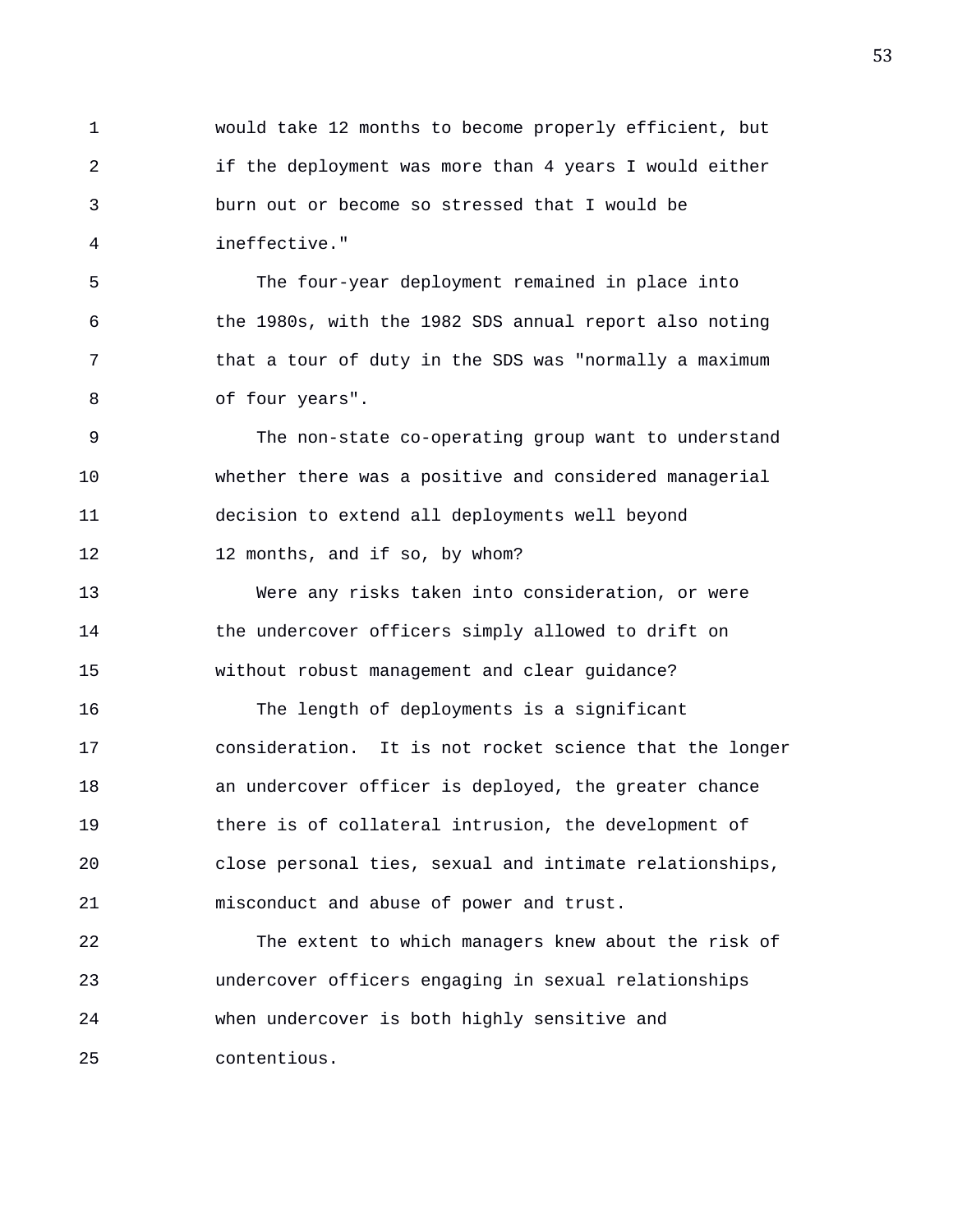1 would take 12 months to become properly efficient, but 2 if the deployment was more than 4 years I would either 3 burn out or become so stressed that I would be 4 ineffective."

5 The four-year deployment remained in place into 6 the 1980s, with the 1982 SDS annual report also noting 7 that a tour of duty in the SDS was "normally a maximum 8 of four years".

9 The non-state co-operating group want to understand 10 whether there was a positive and considered managerial 11 decision to extend all deployments well beyond 12 12 months, and if so, by whom?

13 Were any risks taken into consideration, or were 14 the undercover officers simply allowed to drift on 15 without robust management and clear guidance?

16 The length of deployments is a significant 17 consideration. It is not rocket science that the longer 18 an undercover officer is deployed, the greater chance 19 there is of collateral intrusion, the development of 20 close personal ties, sexual and intimate relationships, 21 misconduct and abuse of power and trust.

22 The extent to which managers knew about the risk of 23 undercover officers engaging in sexual relationships 24 when undercover is both highly sensitive and 25 contentious.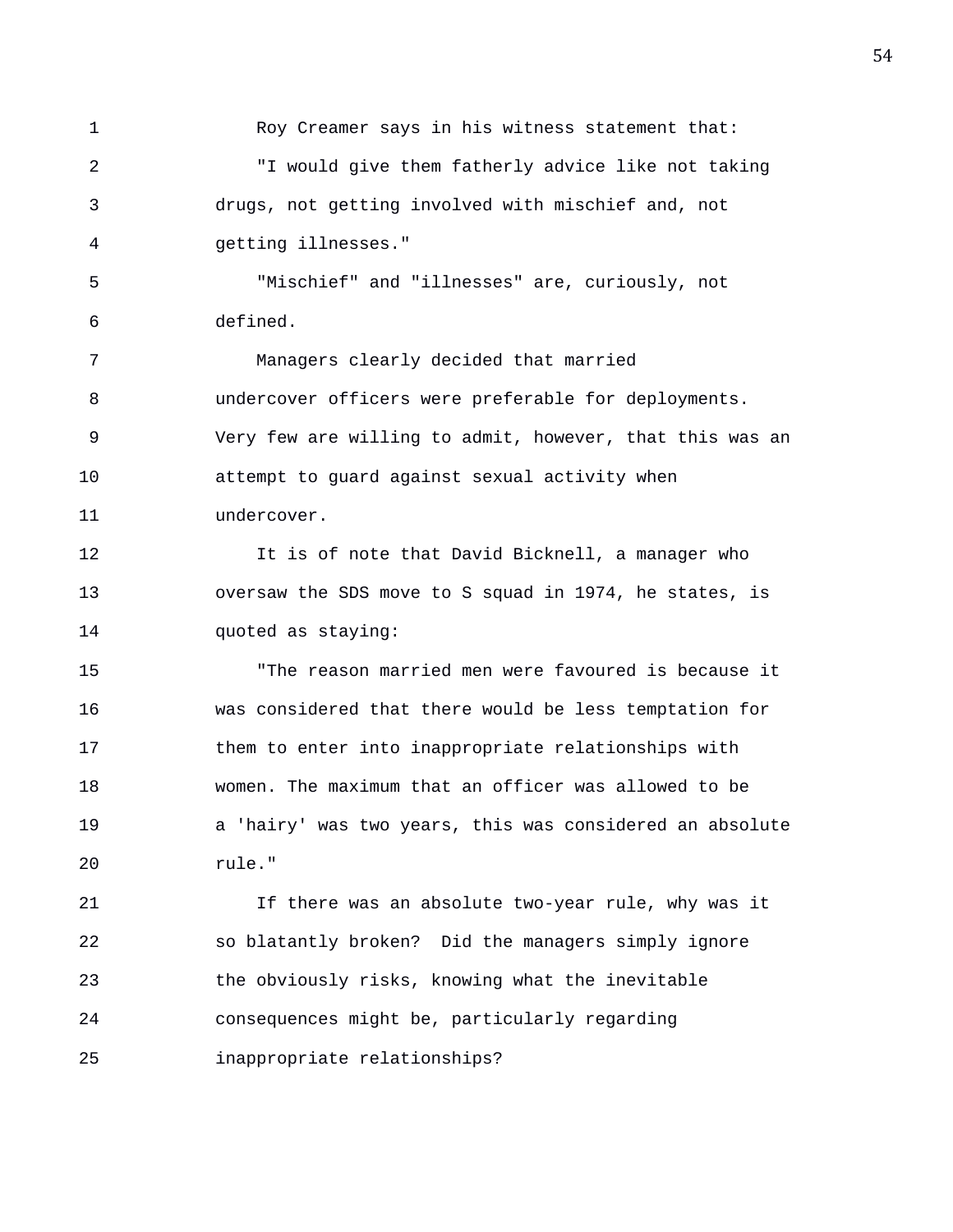1 Roy Creamer says in his witness statement that: 2 "I would give them fatherly advice like not taking 3 drugs, not getting involved with mischief and, not 4 getting illnesses." 5 "Mischief" and "illnesses" are, curiously, not 6 defined. 7 Managers clearly decided that married 8 undercover officers were preferable for deployments. 9 Very few are willing to admit, however, that this was an 10 attempt to guard against sexual activity when 11 undercover. 12 It is of note that David Bicknell, a manager who 13 oversaw the SDS move to S squad in 1974, he states, is 14 quoted as staying: 15 "The reason married men were favoured is because it 16 was considered that there would be less temptation for 17 them to enter into inappropriate relationships with 18 women. The maximum that an officer was allowed to be 19 a 'hairy' was two years, this was considered an absolute 20 rule."

21 If there was an absolute two-year rule, why was it 22 so blatantly broken? Did the managers simply ignore 23 the obviously risks, knowing what the inevitable 24 consequences might be, particularly regarding 25 inappropriate relationships?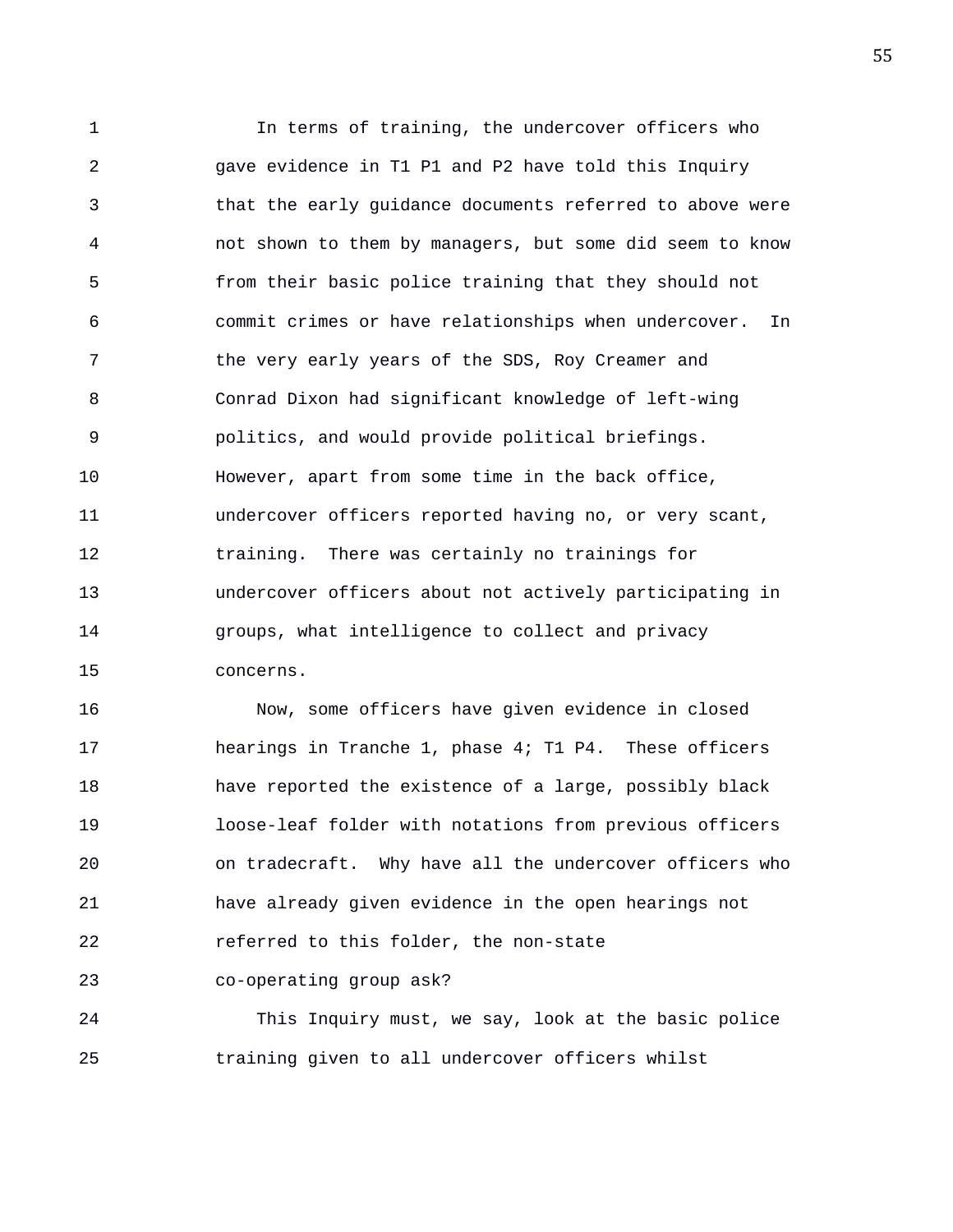1 In terms of training, the undercover officers who 2 gave evidence in T1 P1 and P2 have told this Inquiry 3 that the early guidance documents referred to above were 4 not shown to them by managers, but some did seem to know 5 from their basic police training that they should not 6 commit crimes or have relationships when undercover. In 7 the very early years of the SDS, Roy Creamer and 8 Conrad Dixon had significant knowledge of left-wing 9 politics, and would provide political briefings. 10 However, apart from some time in the back office, 11 undercover officers reported having no, or very scant, 12 training. There was certainly no trainings for 13 undercover officers about not actively participating in 14 groups, what intelligence to collect and privacy 15 concerns.

16 Now, some officers have given evidence in closed 17 hearings in Tranche 1, phase 4; T1 P4. These officers 18 have reported the existence of a large, possibly black 19 loose-leaf folder with notations from previous officers 20 on tradecraft. Why have all the undercover officers who 21 have already given evidence in the open hearings not 22 referred to this folder, the non-state 23 co-operating group ask?

24 This Inquiry must, we say, look at the basic police 25 training given to all undercover officers whilst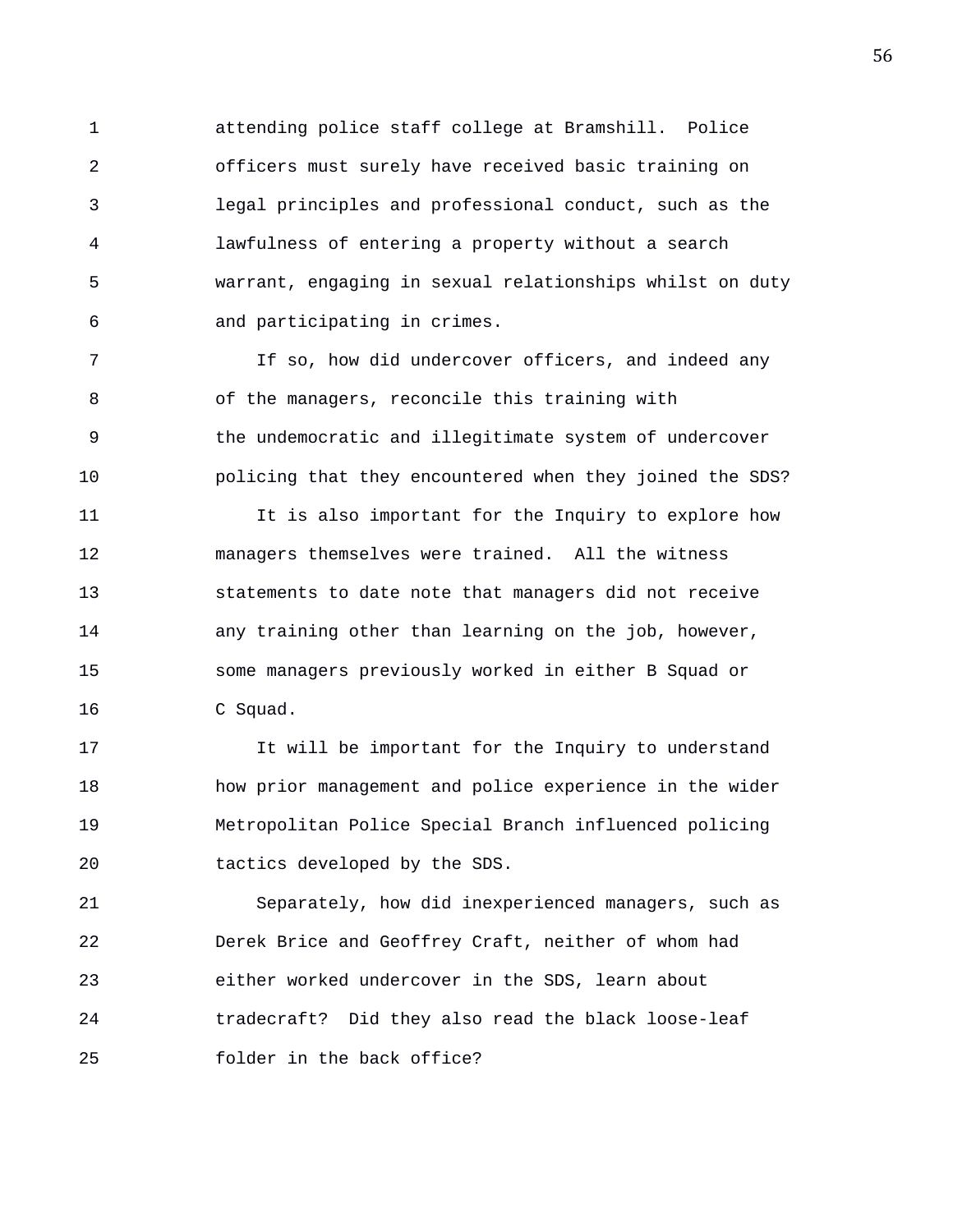1 attending police staff college at Bramshill. Police 2 officers must surely have received basic training on 3 legal principles and professional conduct, such as the 4 lawfulness of entering a property without a search 5 warrant, engaging in sexual relationships whilst on duty 6 and participating in crimes.

7 If so, how did undercover officers, and indeed any 8 of the managers, reconcile this training with 9 the undemocratic and illegitimate system of undercover 10 policing that they encountered when they joined the SDS?

11 It is also important for the Inquiry to explore how 12 managers themselves were trained. All the witness 13 statements to date note that managers did not receive 14 any training other than learning on the job, however, 15 some managers previously worked in either B Squad or 16 C Squad.

17 It will be important for the Inquiry to understand 18 how prior management and police experience in the wider 19 Metropolitan Police Special Branch influenced policing 20 tactics developed by the SDS.

21 Separately, how did inexperienced managers, such as 22 Derek Brice and Geoffrey Craft, neither of whom had 23 either worked undercover in the SDS, learn about 24 tradecraft? Did they also read the black loose-leaf 25 folder in the back office?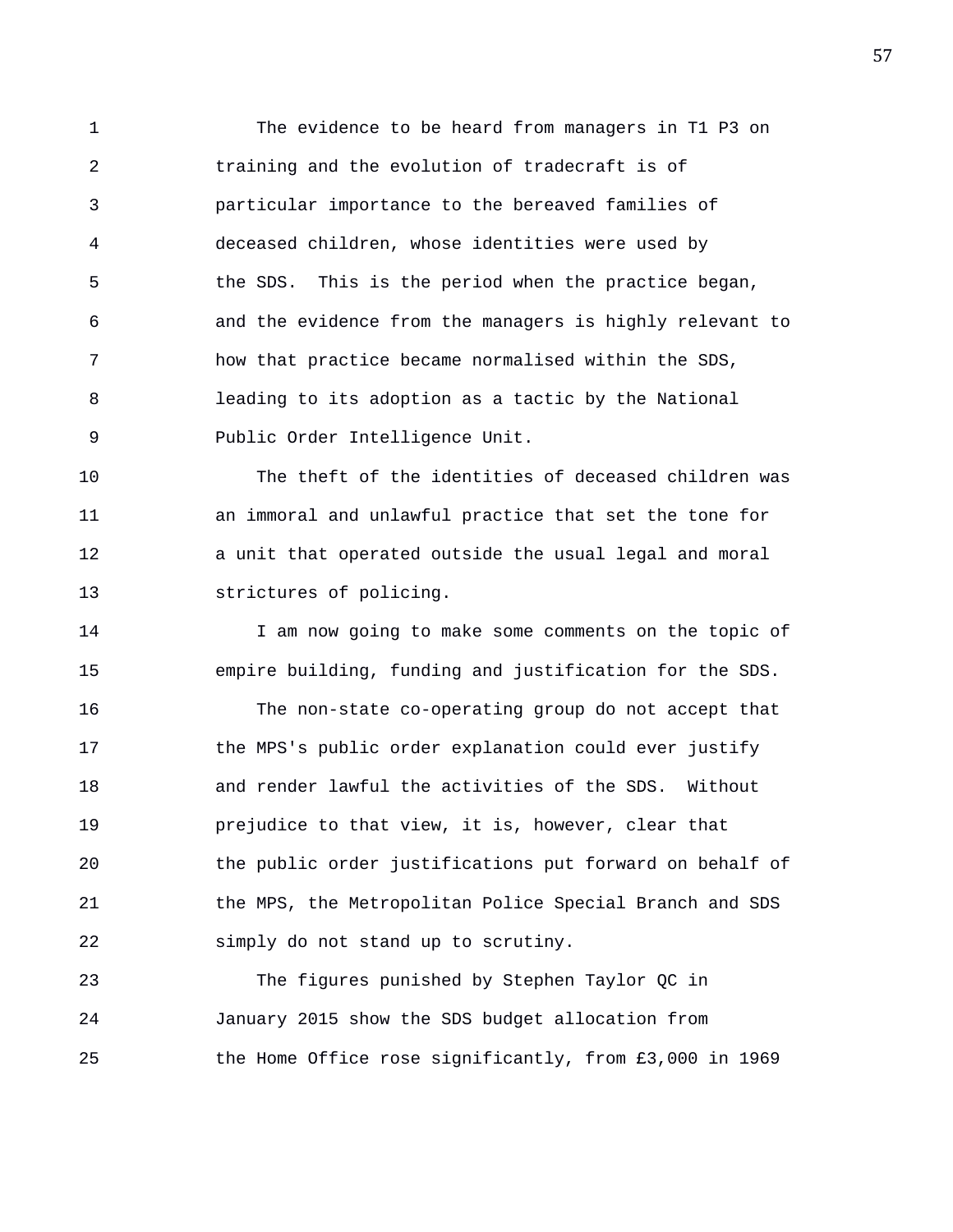1 The evidence to be heard from managers in T1 P3 on 2 training and the evolution of tradecraft is of 3 particular importance to the bereaved families of 4 deceased children, whose identities were used by 5 the SDS. This is the period when the practice began, 6 and the evidence from the managers is highly relevant to 7 how that practice became normalised within the SDS, 8 leading to its adoption as a tactic by the National 9 Public Order Intelligence Unit.

10 The theft of the identities of deceased children was 11 an immoral and unlawful practice that set the tone for 12 a unit that operated outside the usual legal and moral 13 strictures of policing.

14 I am now going to make some comments on the topic of 15 empire building, funding and justification for the SDS.

16 The non-state co-operating group do not accept that 17 the MPS's public order explanation could ever justify 18 and render lawful the activities of the SDS. Without 19 prejudice to that view, it is, however, clear that 20 the public order justifications put forward on behalf of 21 the MPS, the Metropolitan Police Special Branch and SDS 22 simply do not stand up to scrutiny.

23 The figures punished by Stephen Taylor QC in 24 January 2015 show the SDS budget allocation from 25 the Home Office rose significantly, from £3,000 in 1969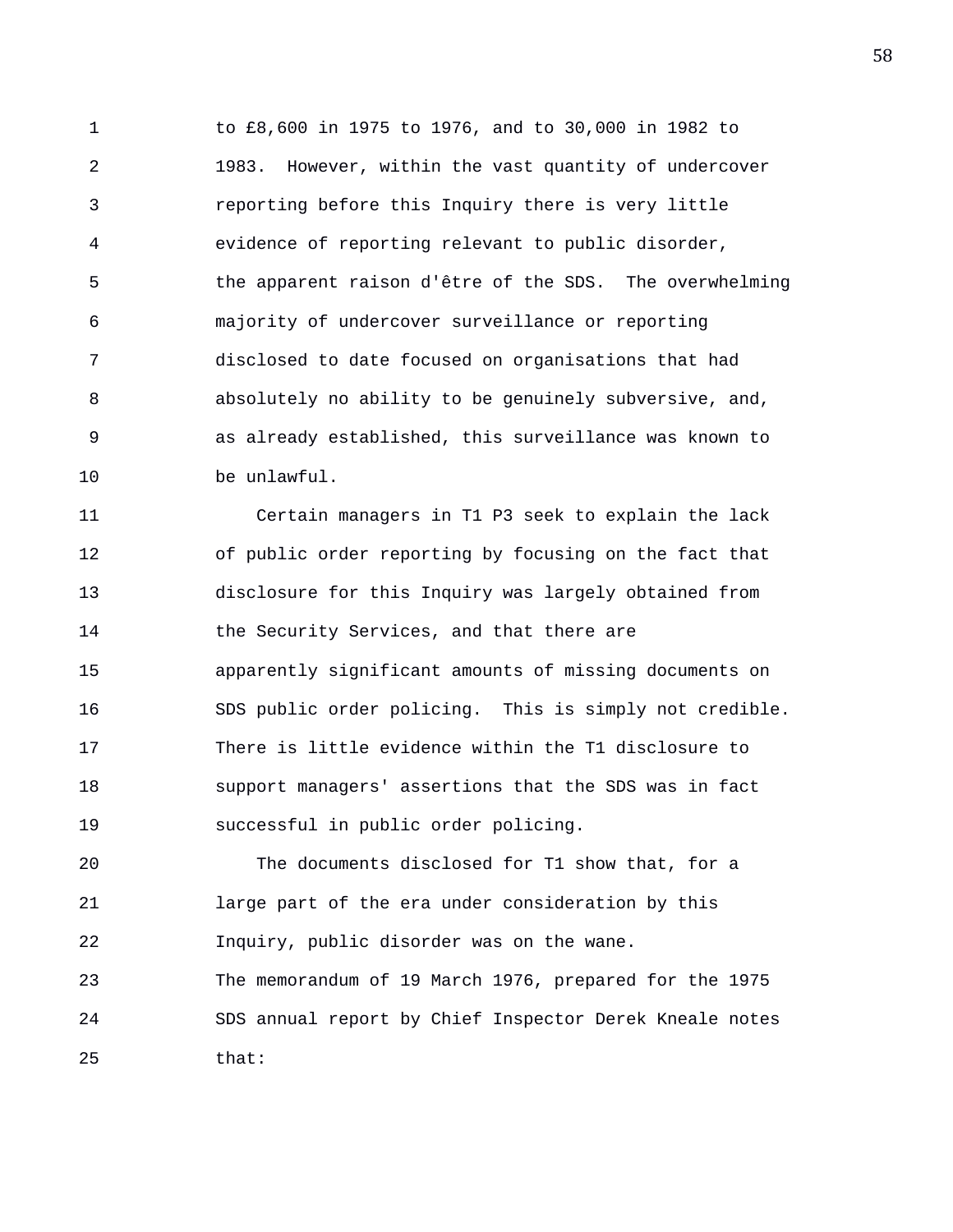1 to £8,600 in 1975 to 1976, and to 30,000 in 1982 to 2 1983. However, within the vast quantity of undercover 3 reporting before this Inquiry there is very little 4 evidence of reporting relevant to public disorder, 5 the apparent raison d'être of the SDS. The overwhelming 6 majority of undercover surveillance or reporting 7 disclosed to date focused on organisations that had 8 absolutely no ability to be genuinely subversive, and, 9 as already established, this surveillance was known to 10 be unlawful.

11 Certain managers in T1 P3 seek to explain the lack 12 of public order reporting by focusing on the fact that 13 disclosure for this Inquiry was largely obtained from 14 the Security Services, and that there are 15 apparently significant amounts of missing documents on 16 SDS public order policing. This is simply not credible. 17 There is little evidence within the T1 disclosure to 18 support managers' assertions that the SDS was in fact 19 successful in public order policing.

20 The documents disclosed for T1 show that, for a 21 large part of the era under consideration by this 22 Inquiry, public disorder was on the wane. 23 The memorandum of 19 March 1976, prepared for the 1975 24 SDS annual report by Chief Inspector Derek Kneale notes 25 that: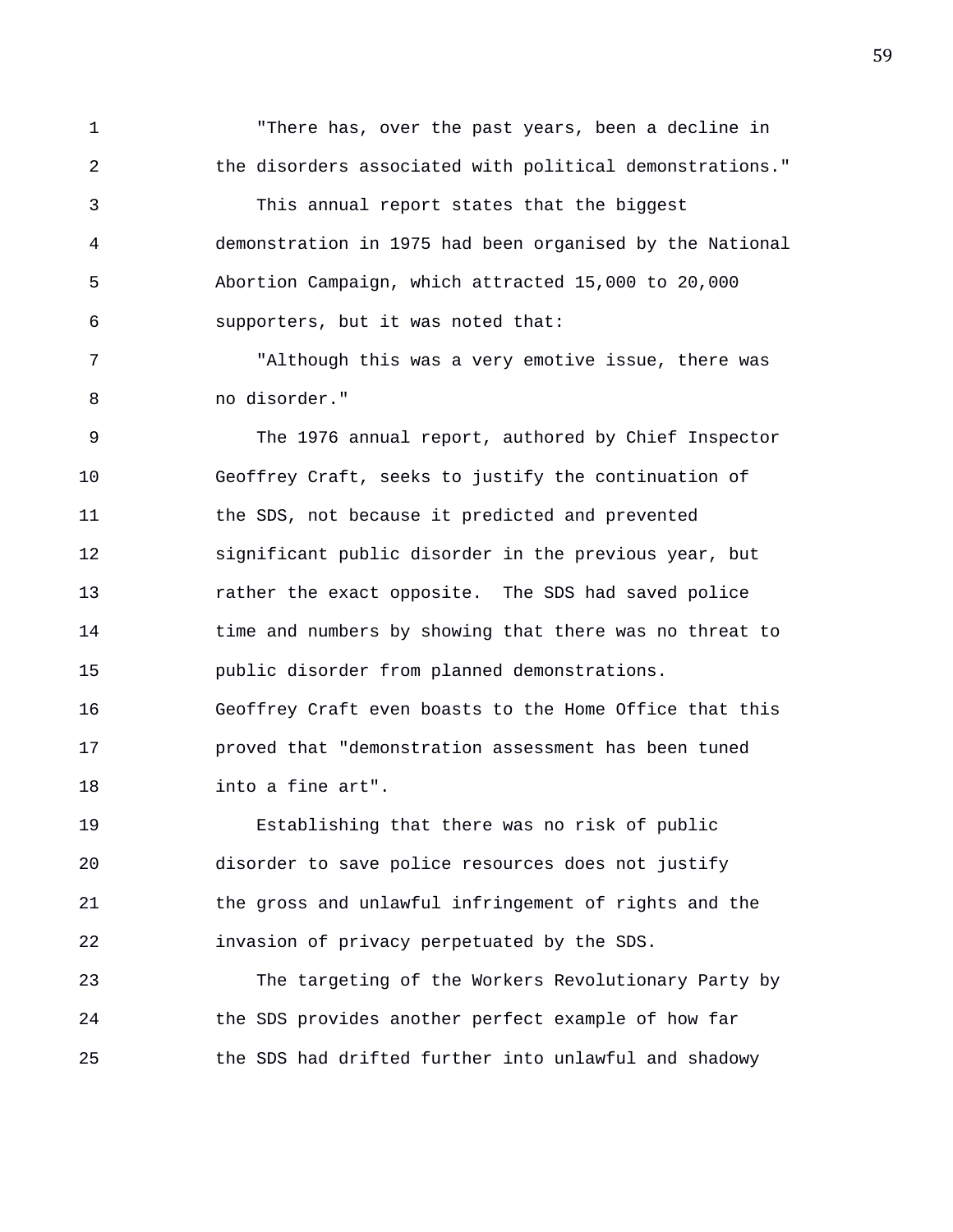1 "There has, over the past years, been a decline in 2 the disorders associated with political demonstrations." 3 This annual report states that the biggest 4 demonstration in 1975 had been organised by the National 5 Abortion Campaign, which attracted 15,000 to 20,000 6 supporters, but it was noted that:

7 "Although this was a very emotive issue, there was 8 no disorder."

9 The 1976 annual report, authored by Chief Inspector 10 Geoffrey Craft, seeks to justify the continuation of 11 the SDS, not because it predicted and prevented 12 significant public disorder in the previous year, but 13 rather the exact opposite. The SDS had saved police 14 time and numbers by showing that there was no threat to 15 public disorder from planned demonstrations. 16 Geoffrey Craft even boasts to the Home Office that this 17 proved that "demonstration assessment has been tuned 18 into a fine art".

19 Establishing that there was no risk of public 20 disorder to save police resources does not justify 21 the gross and unlawful infringement of rights and the 22 invasion of privacy perpetuated by the SDS.

23 The targeting of the Workers Revolutionary Party by 24 the SDS provides another perfect example of how far 25 the SDS had drifted further into unlawful and shadowy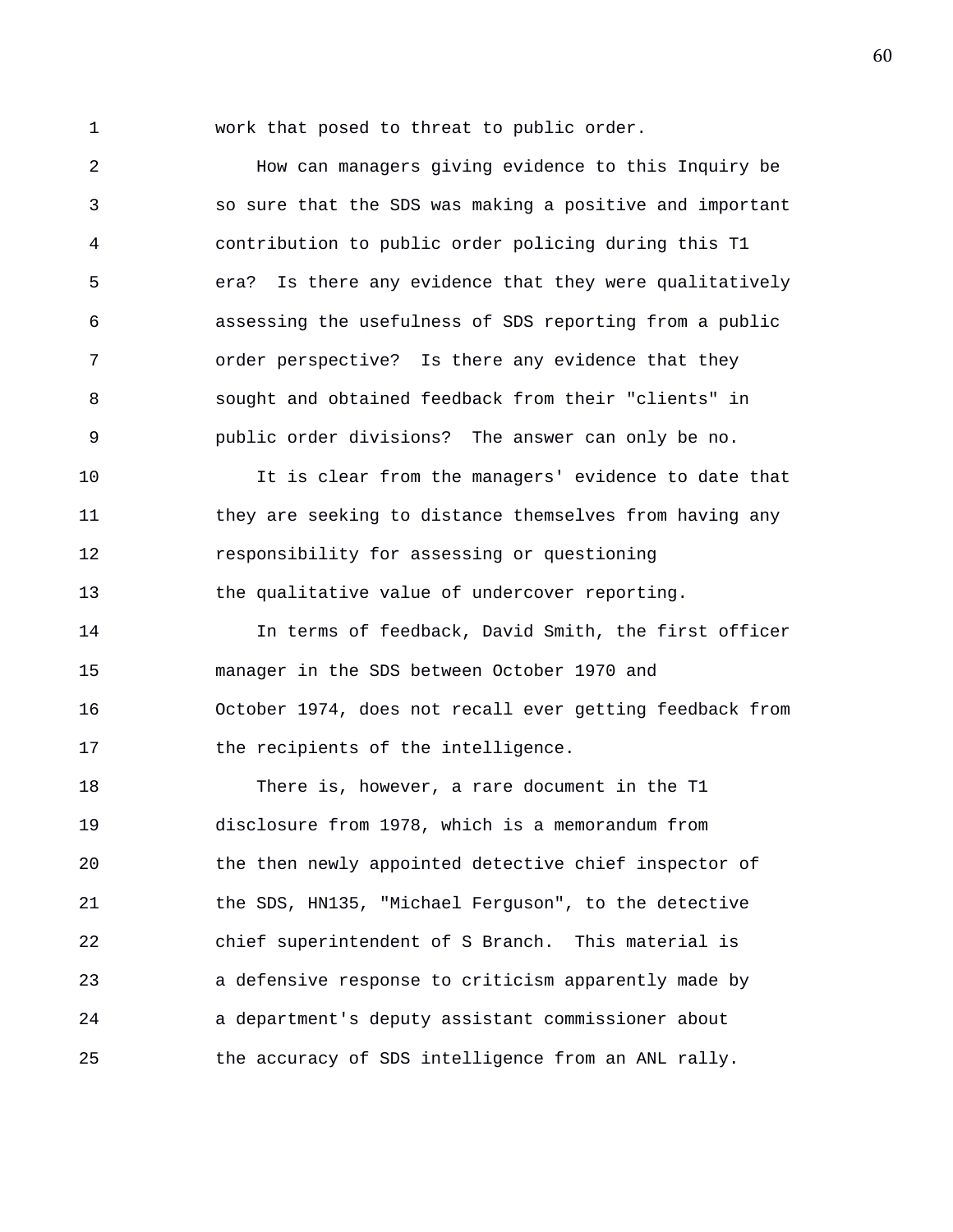1 work that posed to threat to public order.

2 How can managers giving evidence to this Inquiry be 3 so sure that the SDS was making a positive and important 4 contribution to public order policing during this T1 5 era? Is there any evidence that they were qualitatively 6 assessing the usefulness of SDS reporting from a public 7 order perspective? Is there any evidence that they 8 sought and obtained feedback from their "clients" in 9 public order divisions? The answer can only be no.

10 It is clear from the managers' evidence to date that 11 they are seeking to distance themselves from having any 12 responsibility for assessing or questioning 13 the qualitative value of undercover reporting.

14 In terms of feedback, David Smith, the first officer 15 manager in the SDS between October 1970 and 16 October 1974, does not recall ever getting feedback from 17 the recipients of the intelligence.

18 There is, however, a rare document in the T1 19 disclosure from 1978, which is a memorandum from 20 the then newly appointed detective chief inspector of 21 the SDS, HN135, "Michael Ferguson", to the detective 22 chief superintendent of S Branch. This material is 23 a defensive response to criticism apparently made by 24 a department's deputy assistant commissioner about 25 the accuracy of SDS intelligence from an ANL rally.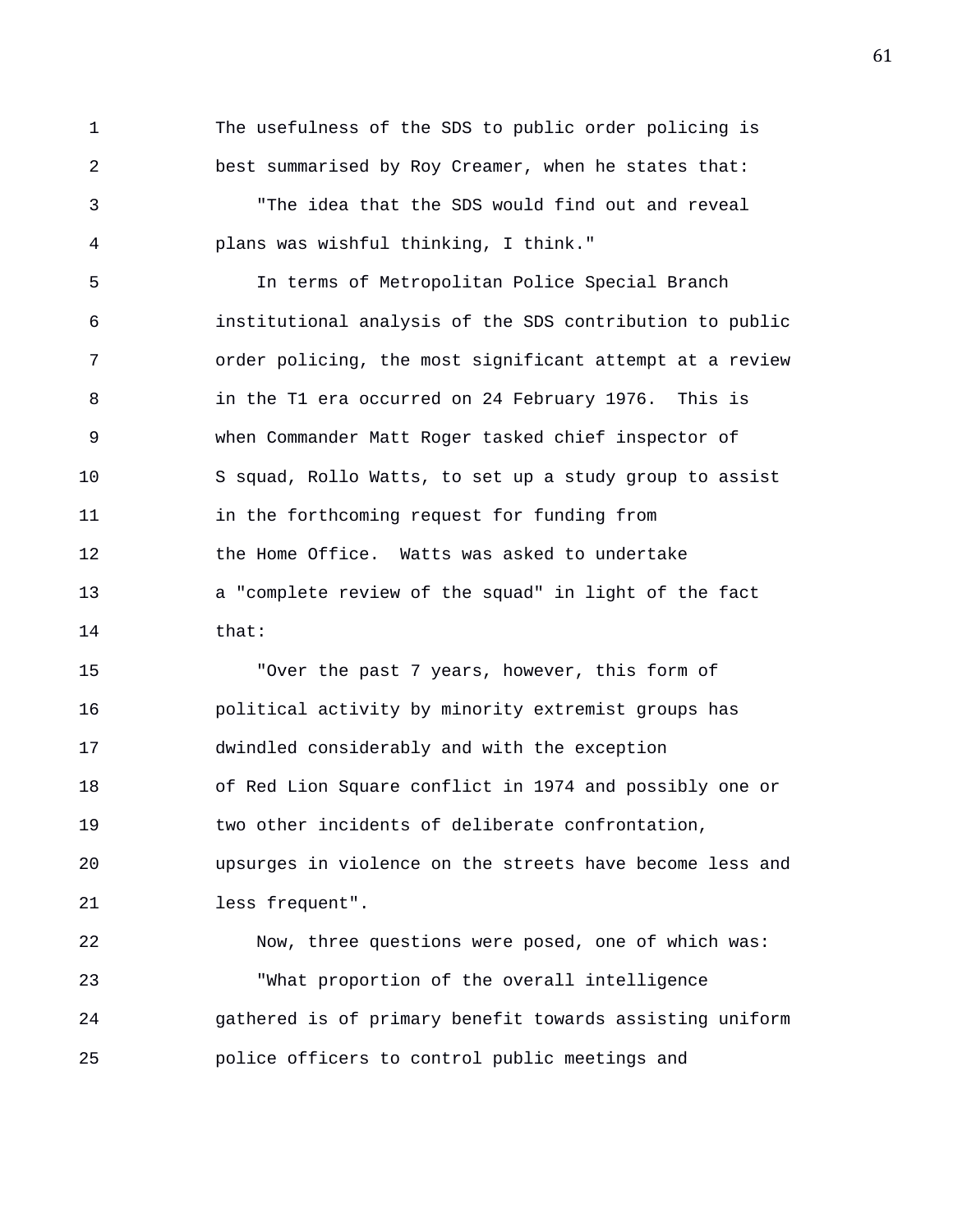1 The usefulness of the SDS to public order policing is 2 best summarised by Roy Creamer, when he states that:

3 "The idea that the SDS would find out and reveal 4 plans was wishful thinking, I think."

5 In terms of Metropolitan Police Special Branch 6 institutional analysis of the SDS contribution to public 7 order policing, the most significant attempt at a review 8 in the T1 era occurred on 24 February 1976. This is 9 when Commander Matt Roger tasked chief inspector of 10 S squad, Rollo Watts, to set up a study group to assist 11 in the forthcoming request for funding from 12 the Home Office. Watts was asked to undertake 13 a "complete review of the squad" in light of the fact 14 that:

15 "Over the past 7 years, however, this form of 16 political activity by minority extremist groups has 17 dwindled considerably and with the exception 18 of Red Lion Square conflict in 1974 and possibly one or 19 two other incidents of deliberate confrontation, 20 upsurges in violence on the streets have become less and 21 less frequent". 22 Now, three questions were posed, one of which was:

23 "What proportion of the overall intelligence 24 gathered is of primary benefit towards assisting uniform 25 police officers to control public meetings and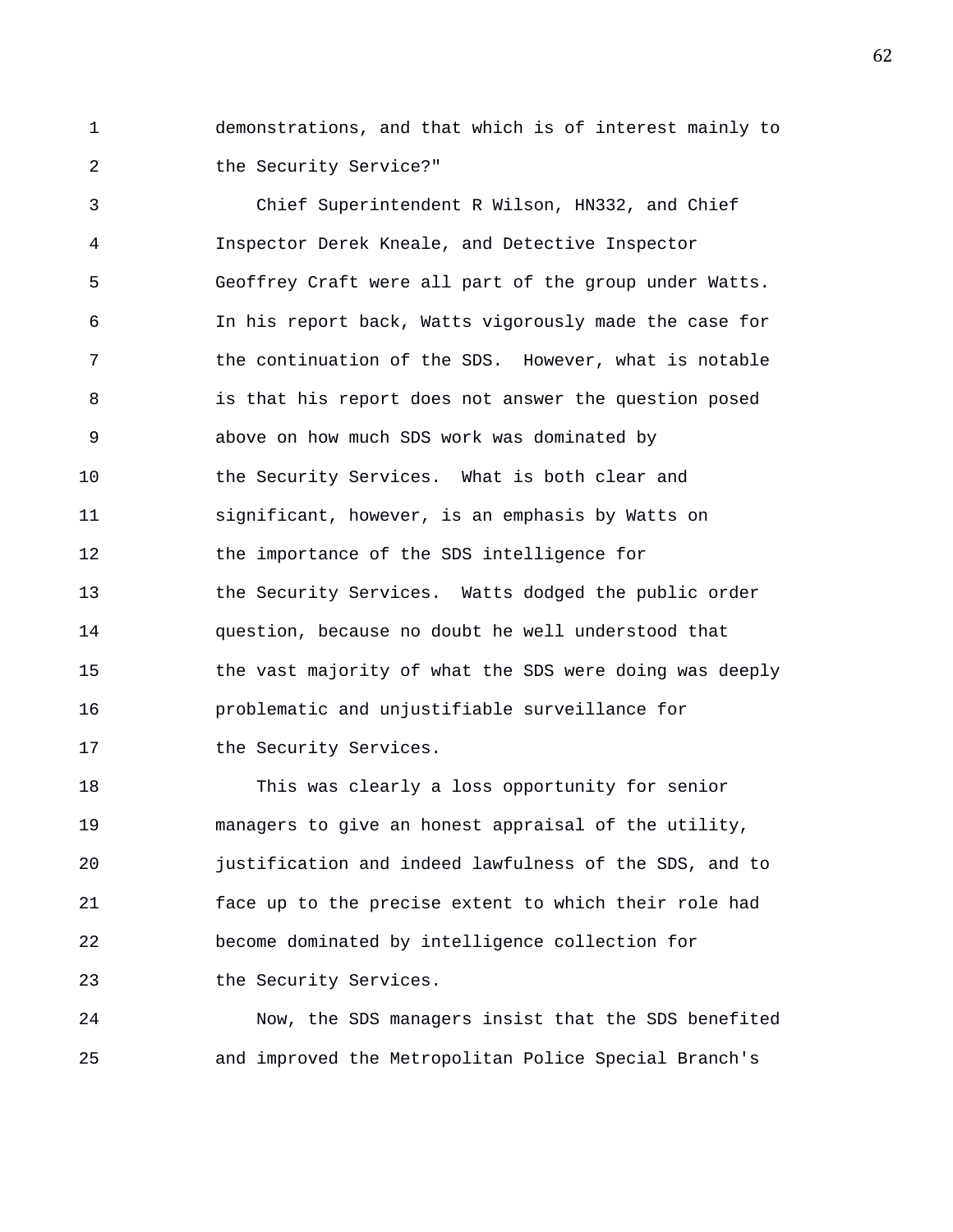1 demonstrations, and that which is of interest mainly to 2 the Security Service?"

3 Chief Superintendent R Wilson, HN332, and Chief 4 Inspector Derek Kneale, and Detective Inspector 5 Geoffrey Craft were all part of the group under Watts. 6 In his report back, Watts vigorously made the case for 7 the continuation of the SDS. However, what is notable 8 is that his report does not answer the question posed 9 above on how much SDS work was dominated by 10 the Security Services. What is both clear and 11 significant, however, is an emphasis by Watts on 12 the importance of the SDS intelligence for 13 the Security Services. Watts dodged the public order 14 question, because no doubt he well understood that 15 the vast majority of what the SDS were doing was deeply 16 problematic and unjustifiable surveillance for 17 the Security Services.

18 This was clearly a loss opportunity for senior 19 managers to give an honest appraisal of the utility, 20 justification and indeed lawfulness of the SDS, and to 21 face up to the precise extent to which their role had 22 become dominated by intelligence collection for 23 the Security Services.

24 Now, the SDS managers insist that the SDS benefited 25 and improved the Metropolitan Police Special Branch's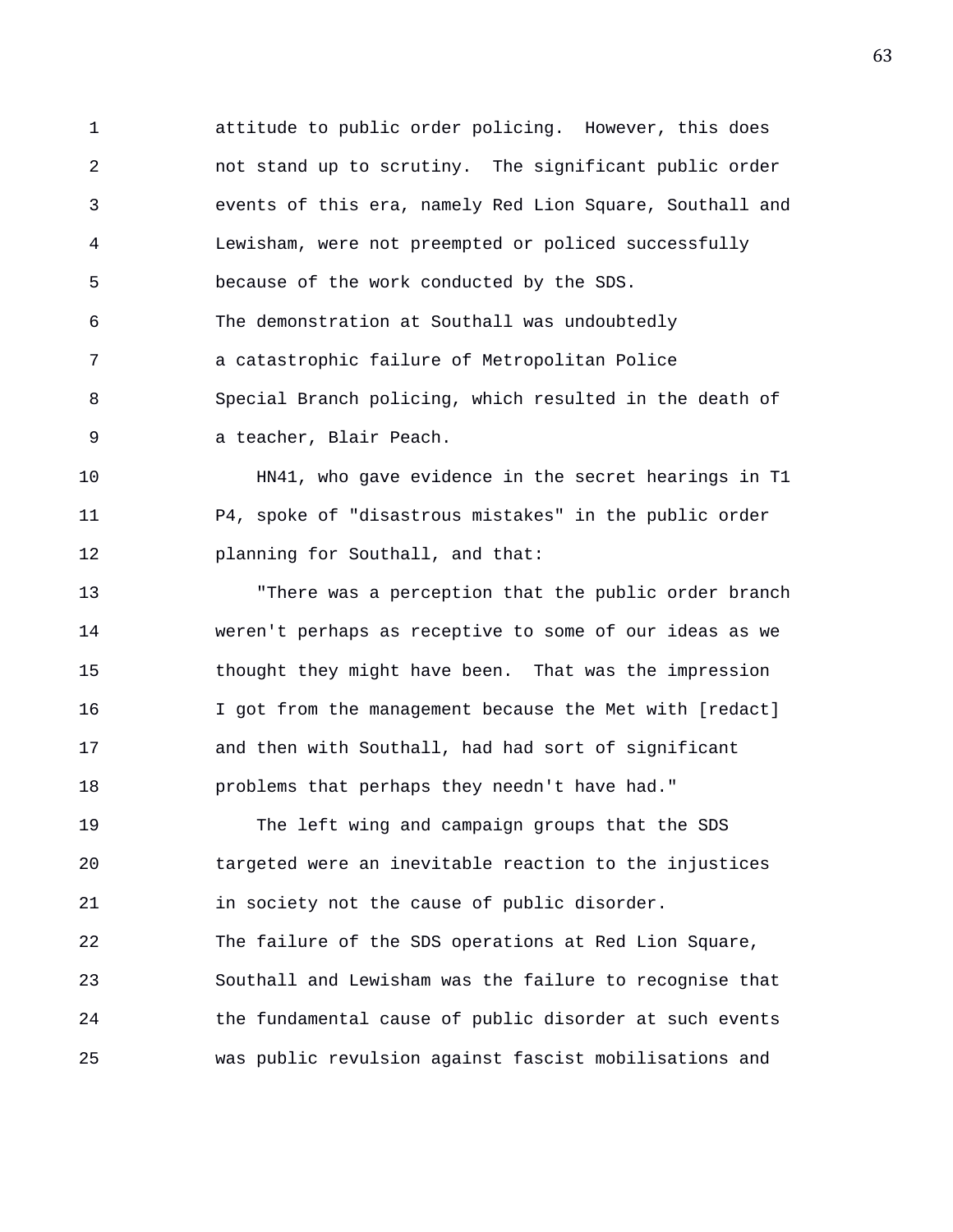1 attitude to public order policing. However, this does 2 not stand up to scrutiny. The significant public order 3 events of this era, namely Red Lion Square, Southall and 4 Lewisham, were not preempted or policed successfully 5 because of the work conducted by the SDS. 6 The demonstration at Southall was undoubtedly 7 a catastrophic failure of Metropolitan Police 8 Special Branch policing, which resulted in the death of 9 a teacher, Blair Peach.

10 HN41, who gave evidence in the secret hearings in T1 11 P4, spoke of "disastrous mistakes" in the public order 12 **planning for Southall, and that:** 

13 "There was a perception that the public order branch 14 weren't perhaps as receptive to some of our ideas as we 15 thought they might have been. That was the impression 16 I got from the management because the Met with [redact] 17 and then with Southall, had had sort of significant 18 problems that perhaps they needn't have had."

19 The left wing and campaign groups that the SDS 20 targeted were an inevitable reaction to the injustices 21 in society not the cause of public disorder. 22 The failure of the SDS operations at Red Lion Square, 23 Southall and Lewisham was the failure to recognise that 24 the fundamental cause of public disorder at such events 25 was public revulsion against fascist mobilisations and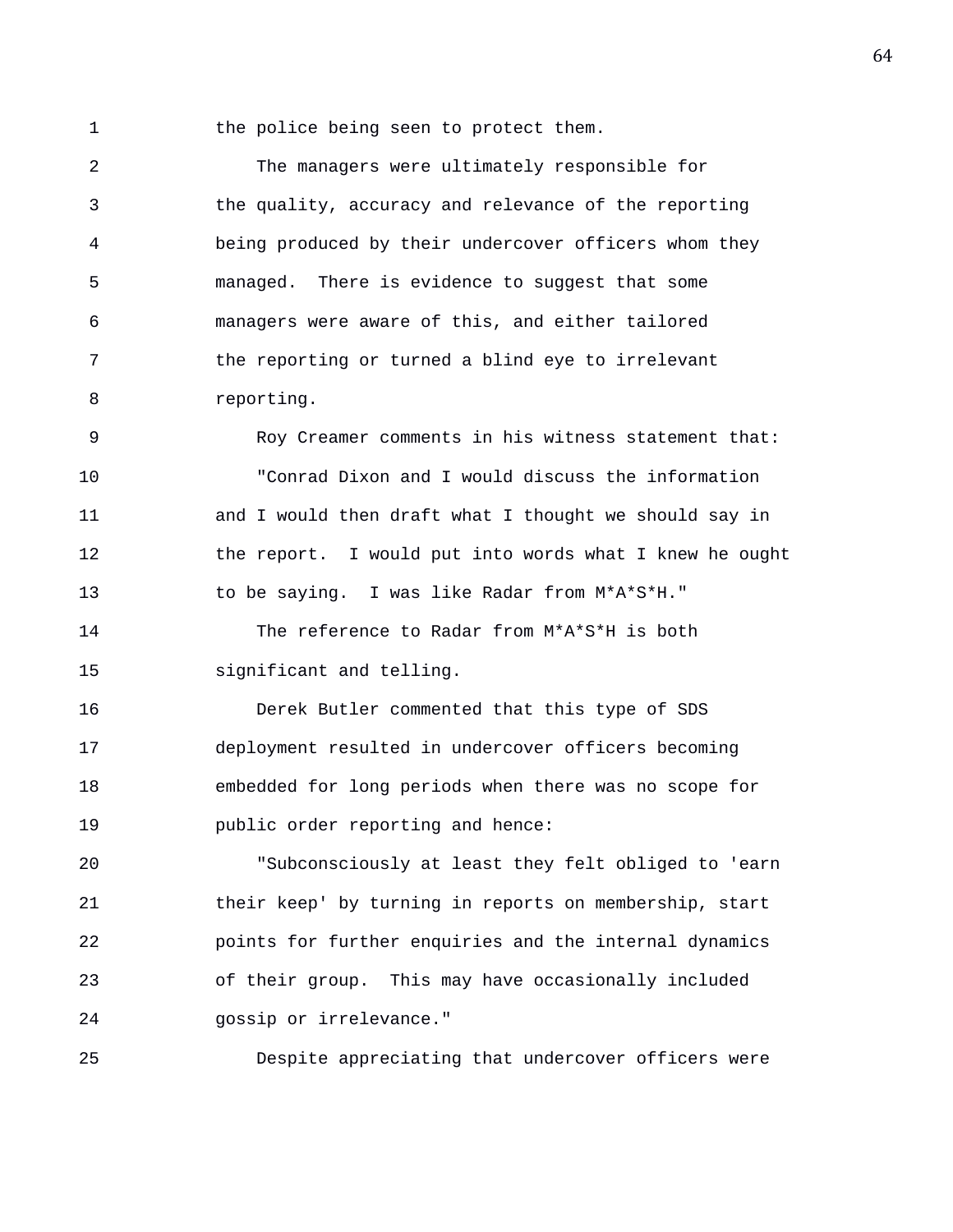1 the police being seen to protect them.

2 The managers were ultimately responsible for 3 the quality, accuracy and relevance of the reporting 4 being produced by their undercover officers whom they 5 managed. There is evidence to suggest that some 6 managers were aware of this, and either tailored 7 the reporting or turned a blind eye to irrelevant 8 reporting.

9 Roy Creamer comments in his witness statement that: 10 "Conrad Dixon and I would discuss the information 11 and I would then draft what I thought we should say in 12 the report. I would put into words what I knew he ought 13 to be saying. I was like Radar from M\*A\*S\*H."

14 The reference to Radar from M\*A\*S\*H is both 15 significant and telling.

16 Derek Butler commented that this type of SDS 17 deployment resulted in undercover officers becoming 18 embedded for long periods when there was no scope for 19 public order reporting and hence:

20 "Subconsciously at least they felt obliged to 'earn 21 their keep' by turning in reports on membership, start 22 points for further enquiries and the internal dynamics 23 of their group. This may have occasionally included 24 gossip or irrelevance."

25 Despite appreciating that undercover officers were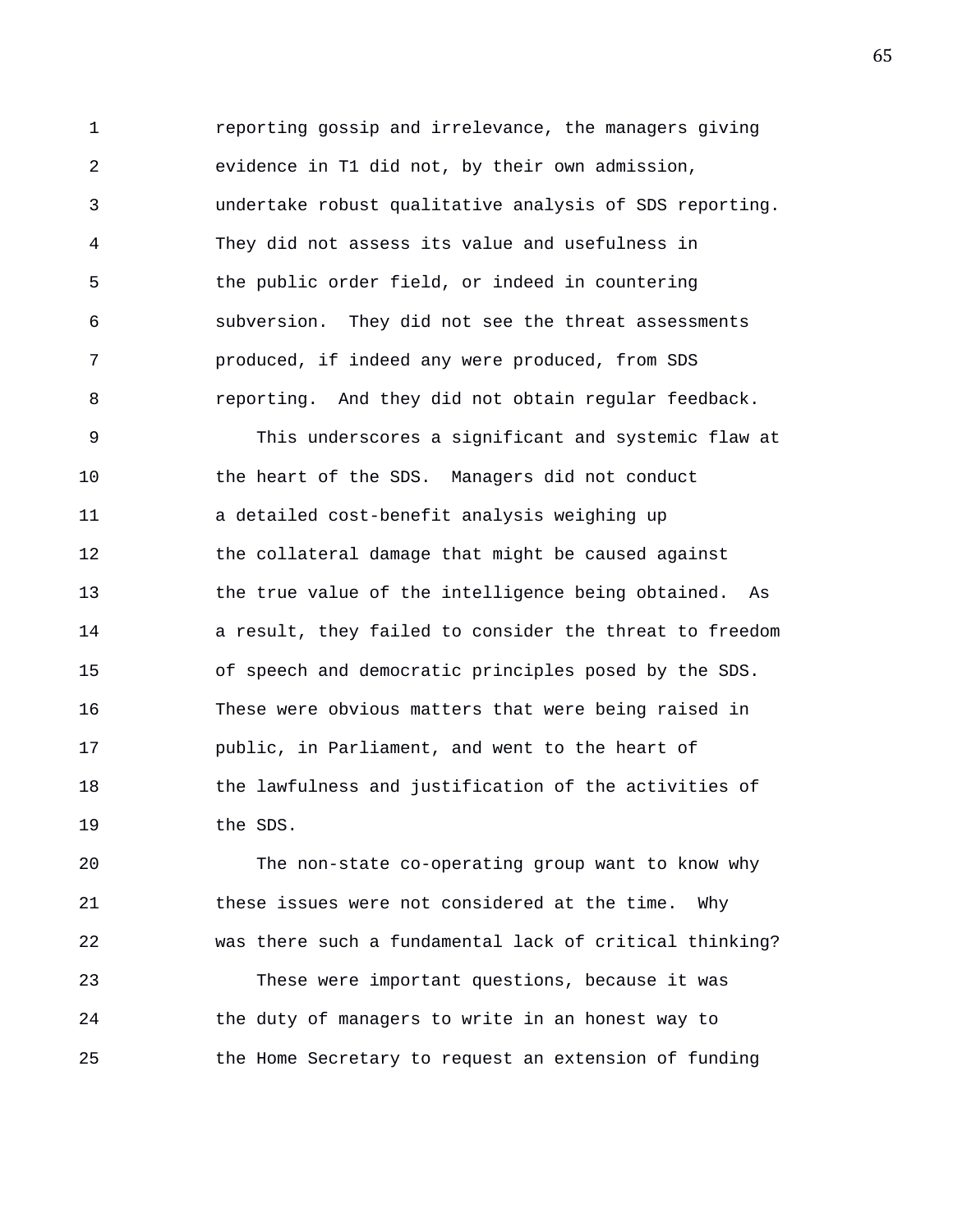1 reporting gossip and irrelevance, the managers giving 2 evidence in T1 did not, by their own admission, 3 undertake robust qualitative analysis of SDS reporting. 4 They did not assess its value and usefulness in 5 the public order field, or indeed in countering 6 subversion. They did not see the threat assessments 7 produced, if indeed any were produced, from SDS 8 reporting. And they did not obtain regular feedback.

9 This underscores a significant and systemic flaw at 10 the heart of the SDS. Managers did not conduct 11 a detailed cost-benefit analysis weighing up 12 the collateral damage that might be caused against 13 the true value of the intelligence being obtained. As 14 a result, they failed to consider the threat to freedom 15 of speech and democratic principles posed by the SDS. 16 These were obvious matters that were being raised in 17 public, in Parliament, and went to the heart of 18 the lawfulness and justification of the activities of 19 the SDS.

20 The non-state co-operating group want to know why 21 these issues were not considered at the time. Why 22 was there such a fundamental lack of critical thinking? 23 These were important questions, because it was 24 the duty of managers to write in an honest way to 25 the Home Secretary to request an extension of funding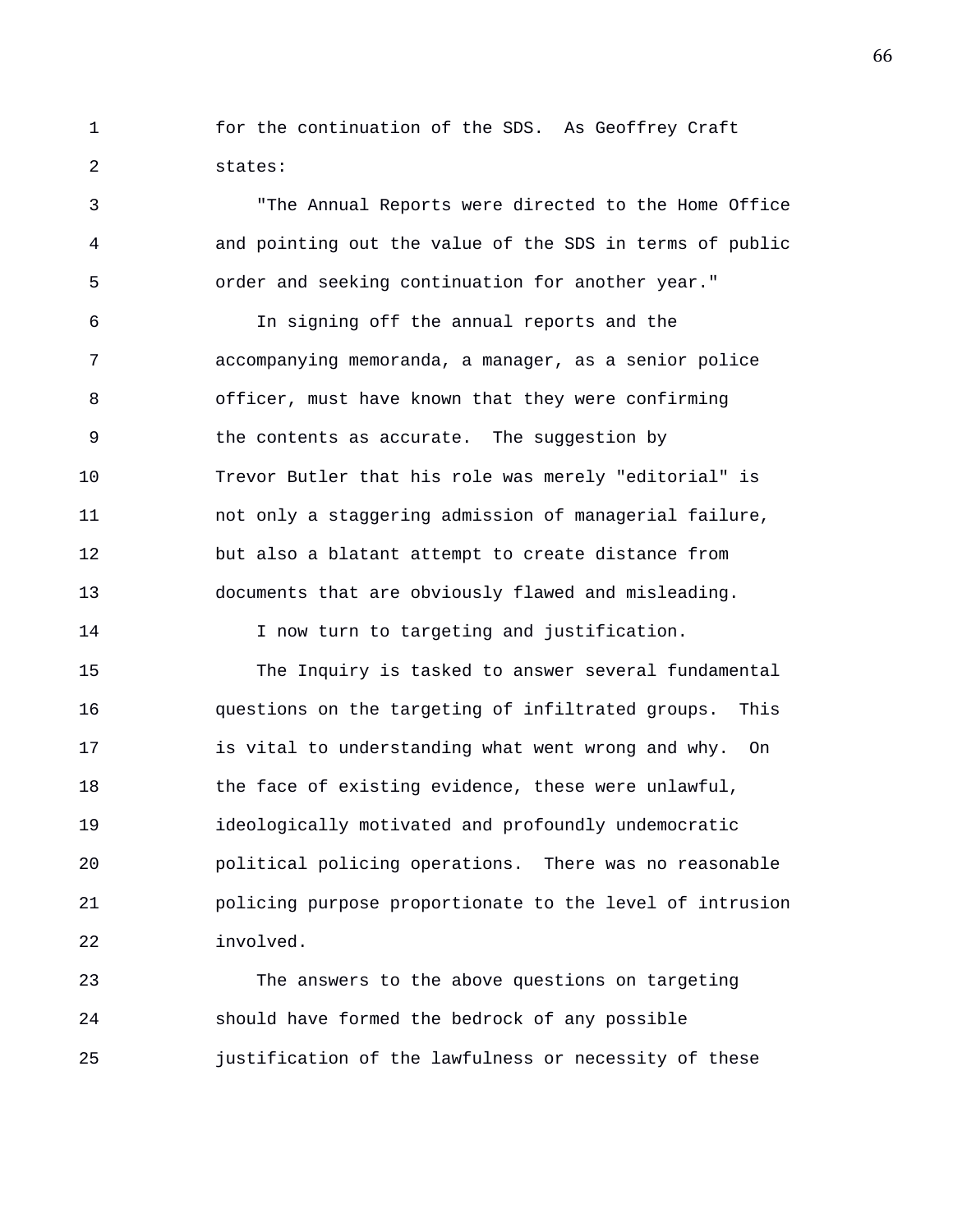1 for the continuation of the SDS. As Geoffrey Craft 2 states:

3 "The Annual Reports were directed to the Home Office 4 and pointing out the value of the SDS in terms of public 5 order and seeking continuation for another year."

6 In signing off the annual reports and the 7 accompanying memoranda, a manager, as a senior police 8 officer, must have known that they were confirming 9 the contents as accurate. The suggestion by 10 Trevor Butler that his role was merely "editorial" is 11 not only a staggering admission of managerial failure, 12 but also a blatant attempt to create distance from 13 documents that are obviously flawed and misleading.

14 I now turn to targeting and justification.

15 The Inquiry is tasked to answer several fundamental 16 questions on the targeting of infiltrated groups. This 17 is vital to understanding what went wrong and why. On 18 the face of existing evidence, these were unlawful, 19 ideologically motivated and profoundly undemocratic 20 political policing operations. There was no reasonable 21 policing purpose proportionate to the level of intrusion 22 involved.

23 The answers to the above questions on targeting 24 should have formed the bedrock of any possible 25 justification of the lawfulness or necessity of these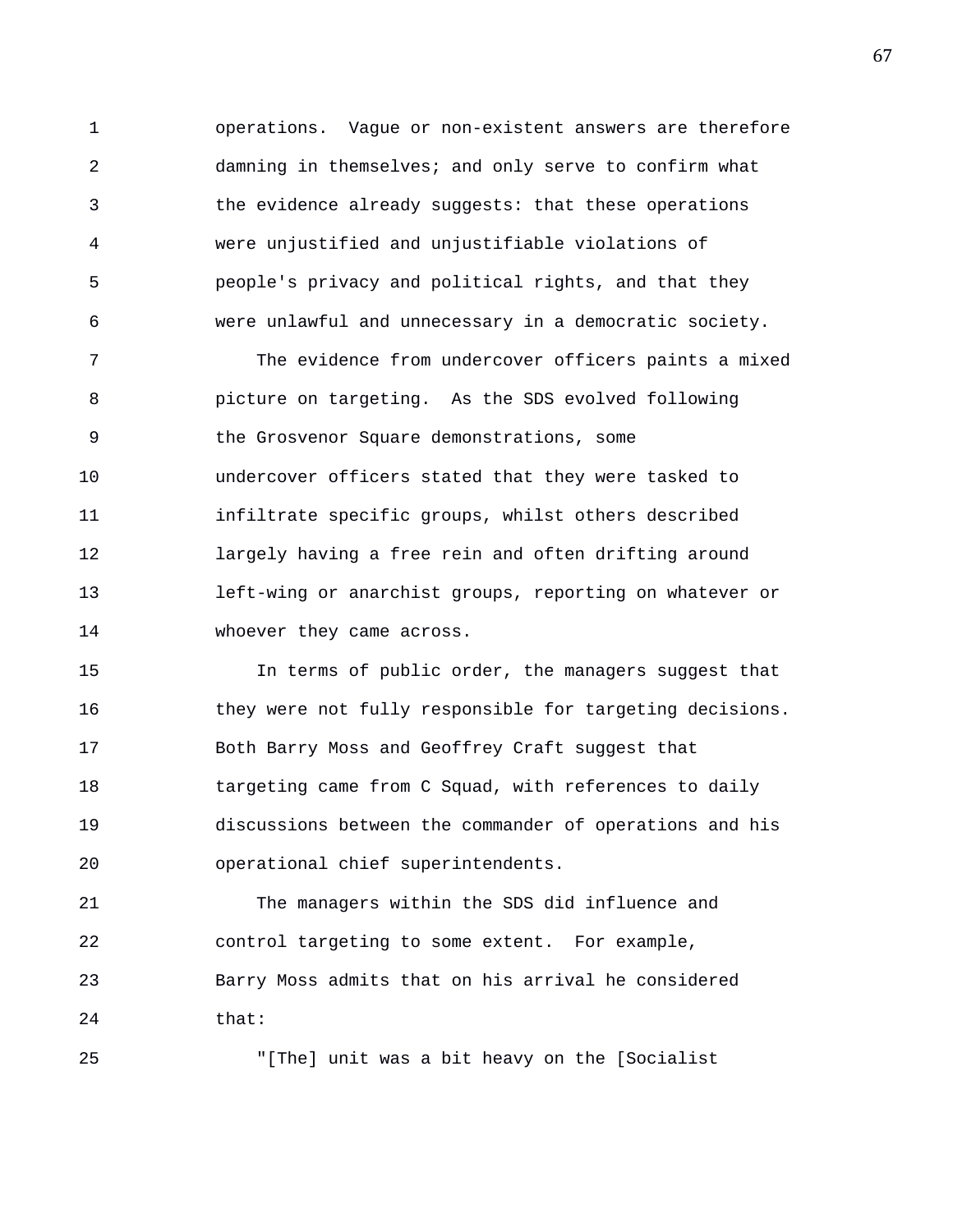1 operations. Vague or non-existent answers are therefore 2 damning in themselves; and only serve to confirm what 3 the evidence already suggests: that these operations 4 were unjustified and unjustifiable violations of 5 people's privacy and political rights, and that they 6 were unlawful and unnecessary in a democratic society.

7 The evidence from undercover officers paints a mixed 8 picture on targeting. As the SDS evolved following 9 the Grosvenor Square demonstrations, some 10 undercover officers stated that they were tasked to 11 infiltrate specific groups, whilst others described 12 largely having a free rein and often drifting around 13 left-wing or anarchist groups, reporting on whatever or 14 whoever they came across.

15 In terms of public order, the managers suggest that 16 they were not fully responsible for targeting decisions. 17 Both Barry Moss and Geoffrey Craft suggest that 18 targeting came from C Squad, with references to daily 19 discussions between the commander of operations and his 20 operational chief superintendents.

21 The managers within the SDS did influence and 22 control targeting to some extent. For example, 23 Barry Moss admits that on his arrival he considered 24 that:

25 "[The] unit was a bit heavy on the [Socialist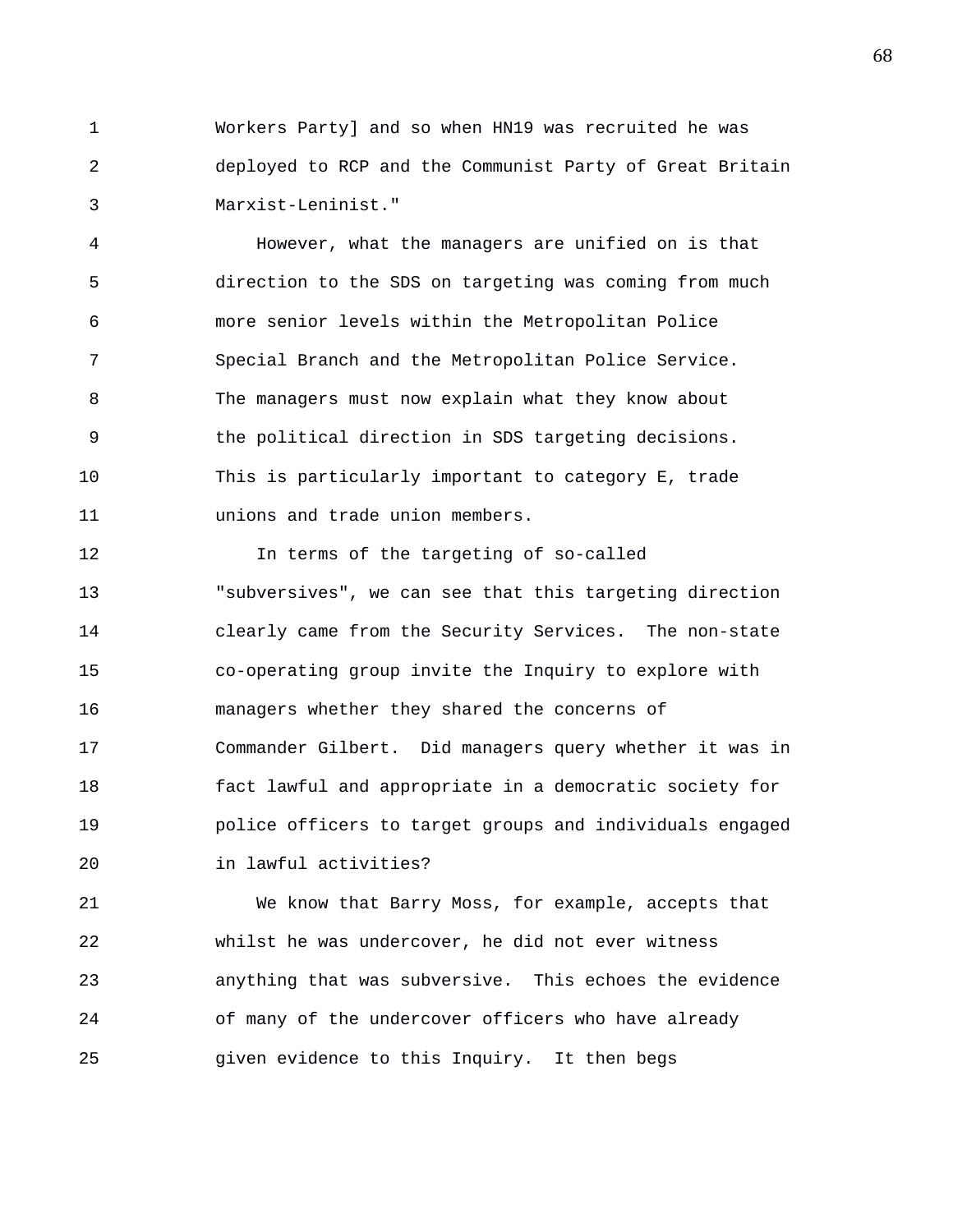1 Workers Party] and so when HN19 was recruited he was 2 deployed to RCP and the Communist Party of Great Britain 3 Marxist-Leninist."

4 However, what the managers are unified on is that 5 direction to the SDS on targeting was coming from much 6 more senior levels within the Metropolitan Police 7 Special Branch and the Metropolitan Police Service. 8 The managers must now explain what they know about 9 the political direction in SDS targeting decisions. 10 This is particularly important to category E, trade 11 unions and trade union members.

12 In terms of the targeting of so-called 13 "subversives", we can see that this targeting direction 14 clearly came from the Security Services. The non-state 15 co-operating group invite the Inquiry to explore with 16 managers whether they shared the concerns of 17 Commander Gilbert. Did managers query whether it was in 18 fact lawful and appropriate in a democratic society for 19 police officers to target groups and individuals engaged 20 in lawful activities?

21 We know that Barry Moss, for example, accepts that 22 whilst he was undercover, he did not ever witness 23 anything that was subversive. This echoes the evidence 24 of many of the undercover officers who have already 25 given evidence to this Inquiry. It then begs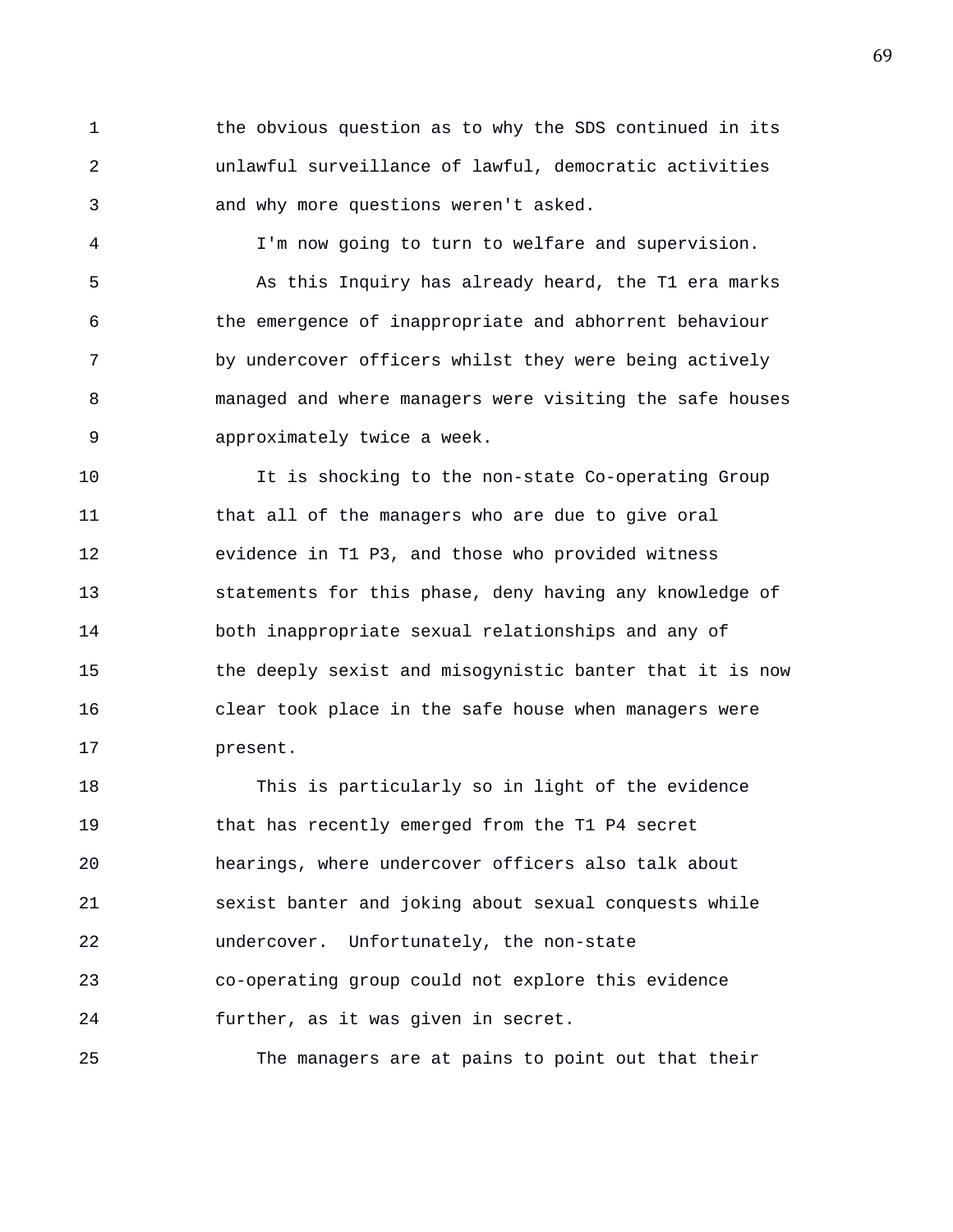1 the obvious question as to why the SDS continued in its 2 unlawful surveillance of lawful, democratic activities 3 and why more questions weren't asked.

4 I'm now going to turn to welfare and supervision. 5 As this Inquiry has already heard, the T1 era marks 6 the emergence of inappropriate and abhorrent behaviour 7 by undercover officers whilst they were being actively 8 managed and where managers were visiting the safe houses 9 approximately twice a week.

10 It is shocking to the non-state Co-operating Group 11 that all of the managers who are due to give oral 12 evidence in T1 P3, and those who provided witness 13 statements for this phase, deny having any knowledge of 14 both inappropriate sexual relationships and any of 15 the deeply sexist and misogynistic banter that it is now 16 clear took place in the safe house when managers were 17 present.

18 This is particularly so in light of the evidence 19 that has recently emerged from the T1 P4 secret 20 hearings, where undercover officers also talk about 21 sexist banter and joking about sexual conquests while 22 undercover. Unfortunately, the non-state 23 co-operating group could not explore this evidence 24 further, as it was given in secret.

25 The managers are at pains to point out that their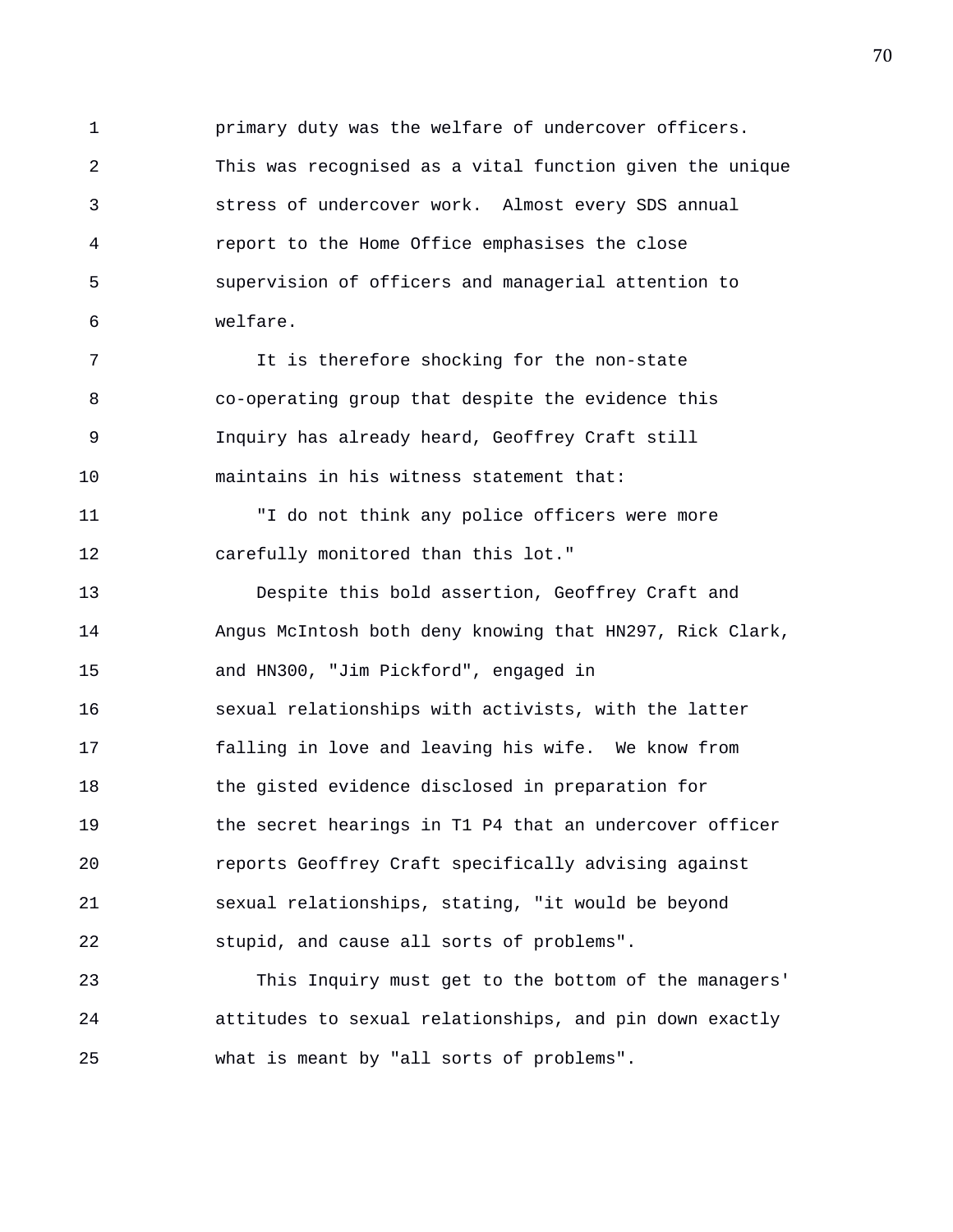1 primary duty was the welfare of undercover officers. 2 This was recognised as a vital function given the unique 3 stress of undercover work. Almost every SDS annual 4 report to the Home Office emphasises the close 5 supervision of officers and managerial attention to 6 welfare.

7 It is therefore shocking for the non-state 8 co-operating group that despite the evidence this 9 Inquiry has already heard, Geoffrey Craft still 10 maintains in his witness statement that:

11 "I do not think any police officers were more 12 carefully monitored than this lot."

13 Despite this bold assertion, Geoffrey Craft and 14 Angus McIntosh both deny knowing that HN297, Rick Clark, 15 and HN300, "Jim Pickford", engaged in 16 sexual relationships with activists, with the latter 17 falling in love and leaving his wife. We know from 18 the gisted evidence disclosed in preparation for 19 the secret hearings in T1 P4 that an undercover officer 20 reports Geoffrey Craft specifically advising against 21 sexual relationships, stating, "it would be beyond 22 stupid, and cause all sorts of problems".

23 This Inquiry must get to the bottom of the managers' 24 attitudes to sexual relationships, and pin down exactly 25 what is meant by "all sorts of problems".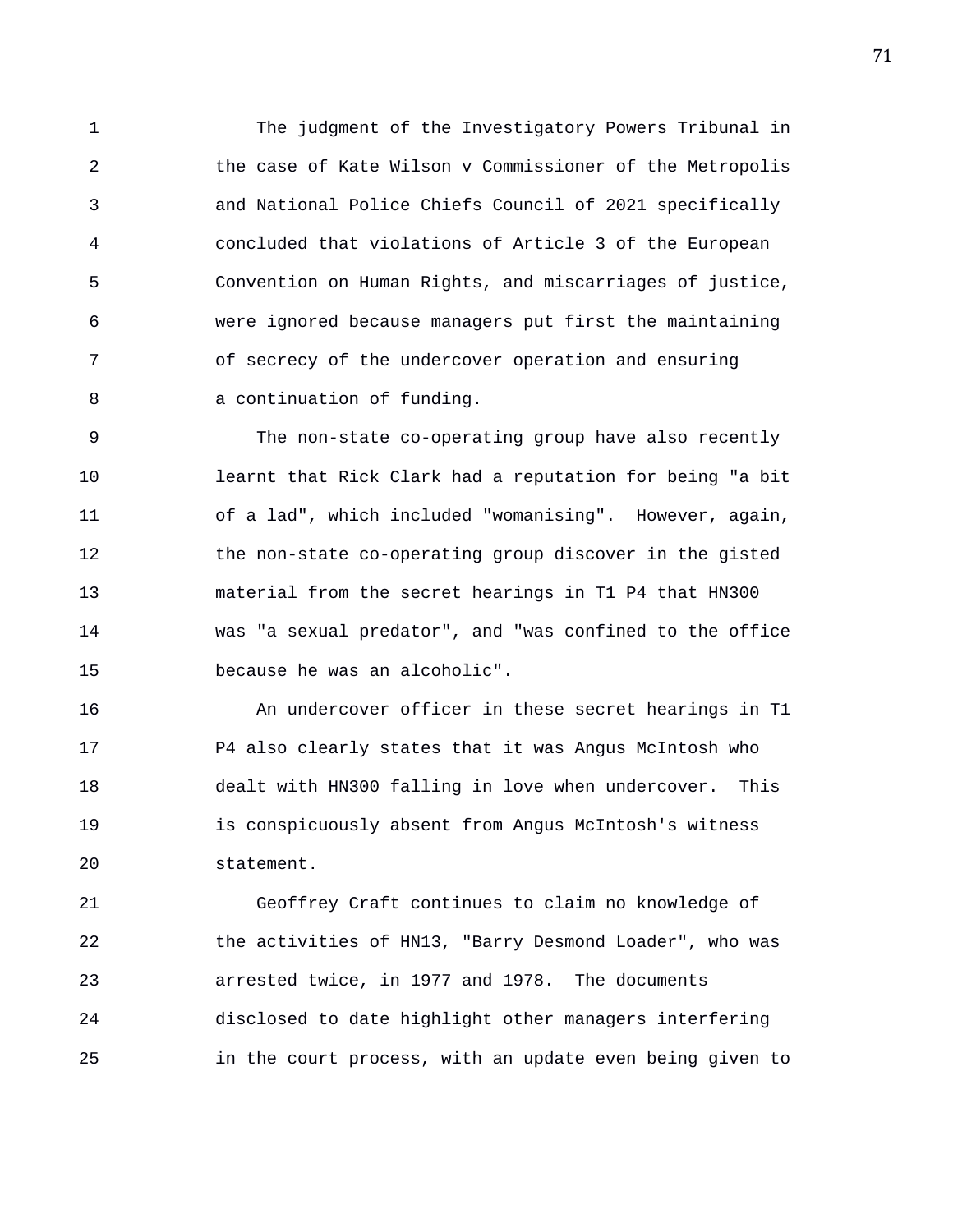1 The judgment of the Investigatory Powers Tribunal in 2 the case of Kate Wilson v Commissioner of the Metropolis 3 and National Police Chiefs Council of 2021 specifically 4 concluded that violations of Article 3 of the European 5 Convention on Human Rights, and miscarriages of justice, 6 were ignored because managers put first the maintaining 7 of secrecy of the undercover operation and ensuring 8 a continuation of funding.

9 The non-state co-operating group have also recently 10 learnt that Rick Clark had a reputation for being "a bit 11 of a lad", which included "womanising". However, again, 12 the non-state co-operating group discover in the gisted 13 material from the secret hearings in T1 P4 that HN300 14 was "a sexual predator", and "was confined to the office 15 because he was an alcoholic".

16 An undercover officer in these secret hearings in T1 17 P4 also clearly states that it was Angus McIntosh who 18 dealt with HN300 falling in love when undercover. This 19 is conspicuously absent from Angus McIntosh's witness 20 statement.

21 Geoffrey Craft continues to claim no knowledge of 22 the activities of HN13, "Barry Desmond Loader", who was 23 arrested twice, in 1977 and 1978. The documents 24 disclosed to date highlight other managers interfering 25 in the court process, with an update even being given to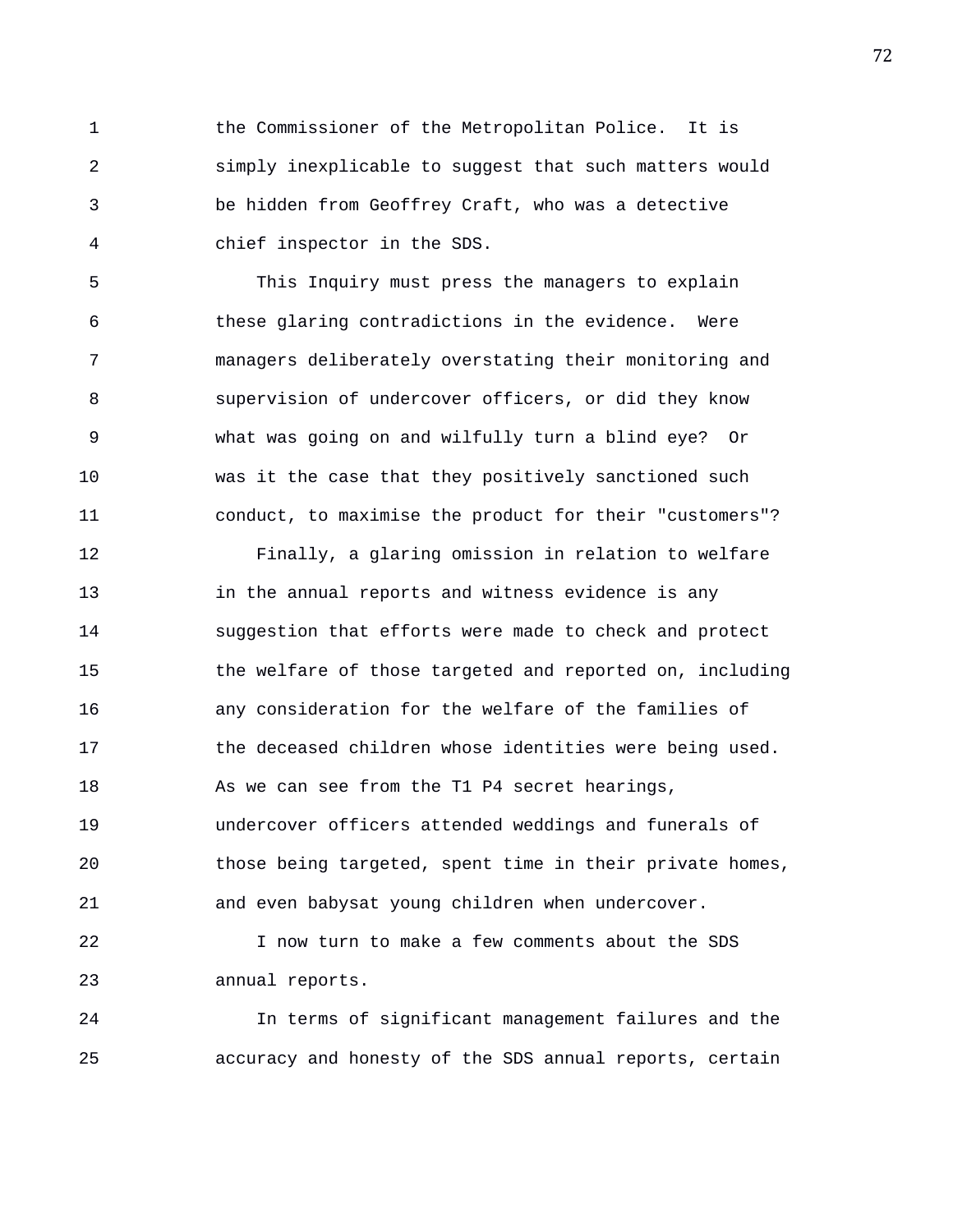1 the Commissioner of the Metropolitan Police. It is 2 simply inexplicable to suggest that such matters would 3 be hidden from Geoffrey Craft, who was a detective 4 chief inspector in the SDS.

5 This Inquiry must press the managers to explain 6 these glaring contradictions in the evidence. Were 7 managers deliberately overstating their monitoring and 8 supervision of undercover officers, or did they know 9 what was going on and wilfully turn a blind eye? Or 10 was it the case that they positively sanctioned such 11 conduct, to maximise the product for their "customers"?

12 Finally, a glaring omission in relation to welfare 13 in the annual reports and witness evidence is any 14 suggestion that efforts were made to check and protect 15 the welfare of those targeted and reported on, including 16 any consideration for the welfare of the families of 17 the deceased children whose identities were being used. 18 As we can see from the T1 P4 secret hearings, 19 undercover officers attended weddings and funerals of 20 those being targeted, spent time in their private homes, 21 and even babysat young children when undercover.

22 I now turn to make a few comments about the SDS 23 annual reports.

24 In terms of significant management failures and the 25 accuracy and honesty of the SDS annual reports, certain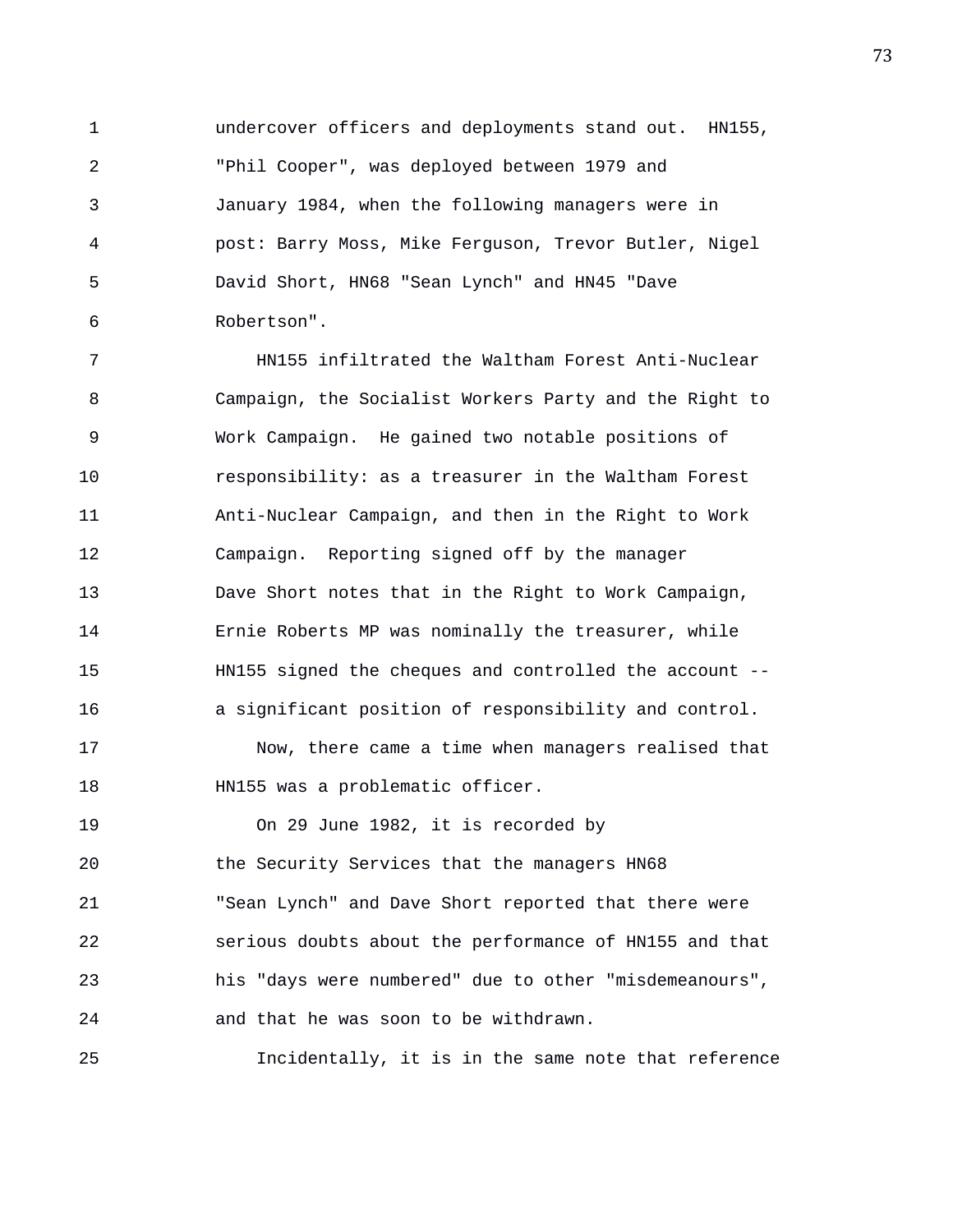1 undercover officers and deployments stand out. HN155, 2 "Phil Cooper", was deployed between 1979 and 3 January 1984, when the following managers were in 4 post: Barry Moss, Mike Ferguson, Trevor Butler, Nigel 5 David Short, HN68 "Sean Lynch" and HN45 "Dave 6 Robertson".

7 HN155 infiltrated the Waltham Forest Anti-Nuclear 8 Campaign, the Socialist Workers Party and the Right to 9 Work Campaign. He gained two notable positions of 10 responsibility: as a treasurer in the Waltham Forest 11 Anti-Nuclear Campaign, and then in the Right to Work 12 Campaign. Reporting signed off by the manager 13 Dave Short notes that in the Right to Work Campaign, 14 Ernie Roberts MP was nominally the treasurer, while 15 HN155 signed the cheques and controlled the account -- 16 a significant position of responsibility and control.

17 Now, there came a time when managers realised that 18 HN155 was a problematic officer.

19 On 29 June 1982, it is recorded by 20 the Security Services that the managers HN68 21 "Sean Lynch" and Dave Short reported that there were 22 serious doubts about the performance of HN155 and that 23 his "days were numbered" due to other "misdemeanours", 24 and that he was soon to be withdrawn.

25 Incidentally, it is in the same note that reference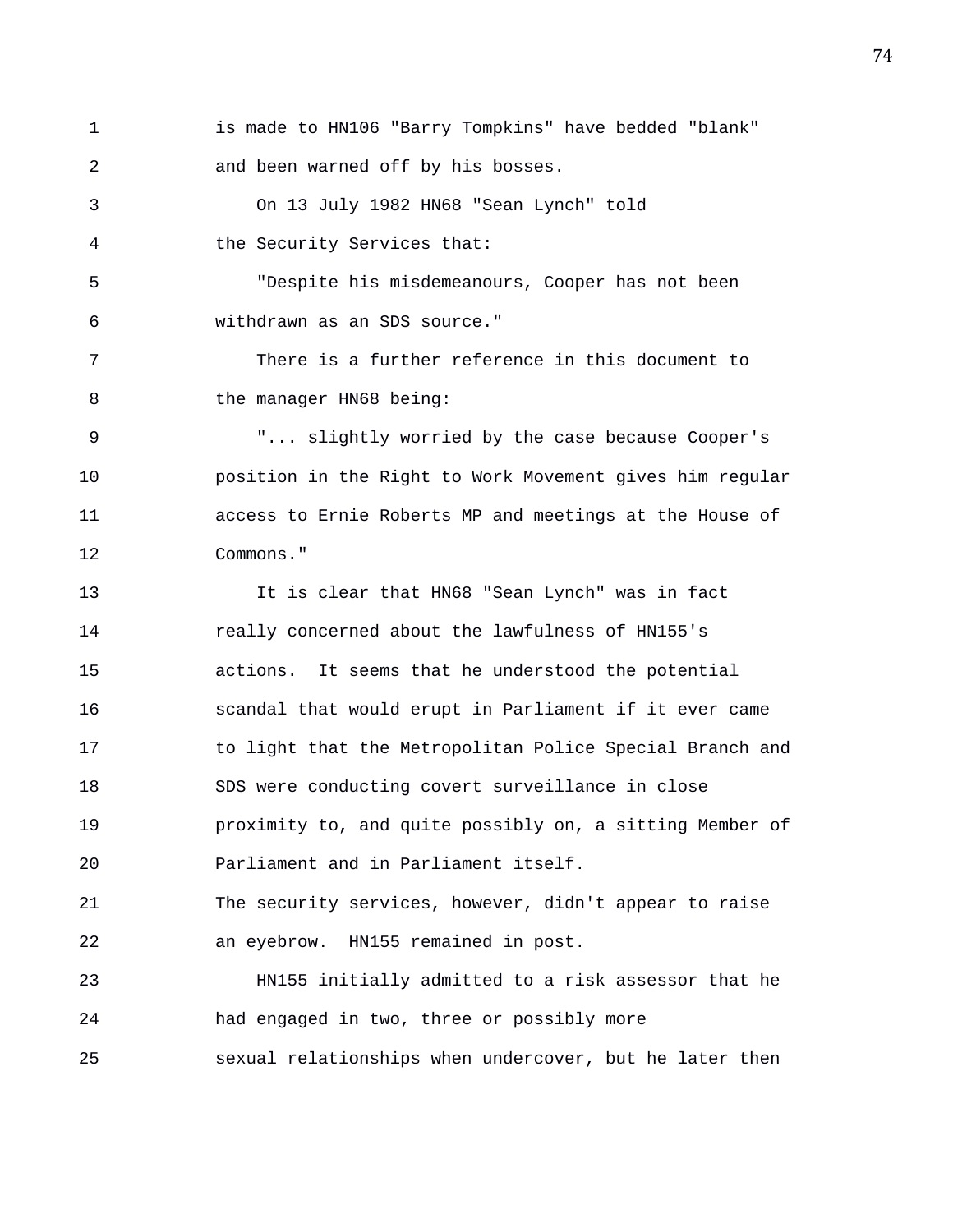1 is made to HN106 "Barry Tompkins" have bedded "blank" 2 and been warned off by his bosses.

3 On 13 July 1982 HN68 "Sean Lynch" told 4 the Security Services that:

5 "Despite his misdemeanours, Cooper has not been 6 withdrawn as an SDS source."

7 There is a further reference in this document to 8 the manager HN68 being:

9 "... slightly worried by the case because Cooper's 10 position in the Right to Work Movement gives him regular 11 access to Ernie Roberts MP and meetings at the House of 12 Commons."

13 It is clear that HN68 "Sean Lynch" was in fact 14 really concerned about the lawfulness of HN155's 15 actions. It seems that he understood the potential 16 scandal that would erupt in Parliament if it ever came 17 to light that the Metropolitan Police Special Branch and 18 SDS were conducting covert surveillance in close 19 proximity to, and quite possibly on, a sitting Member of 20 Parliament and in Parliament itself. 21 The security services, however, didn't appear to raise

22 an eyebrow. HN155 remained in post.

23 HN155 initially admitted to a risk assessor that he 24 had engaged in two, three or possibly more 25 sexual relationships when undercover, but he later then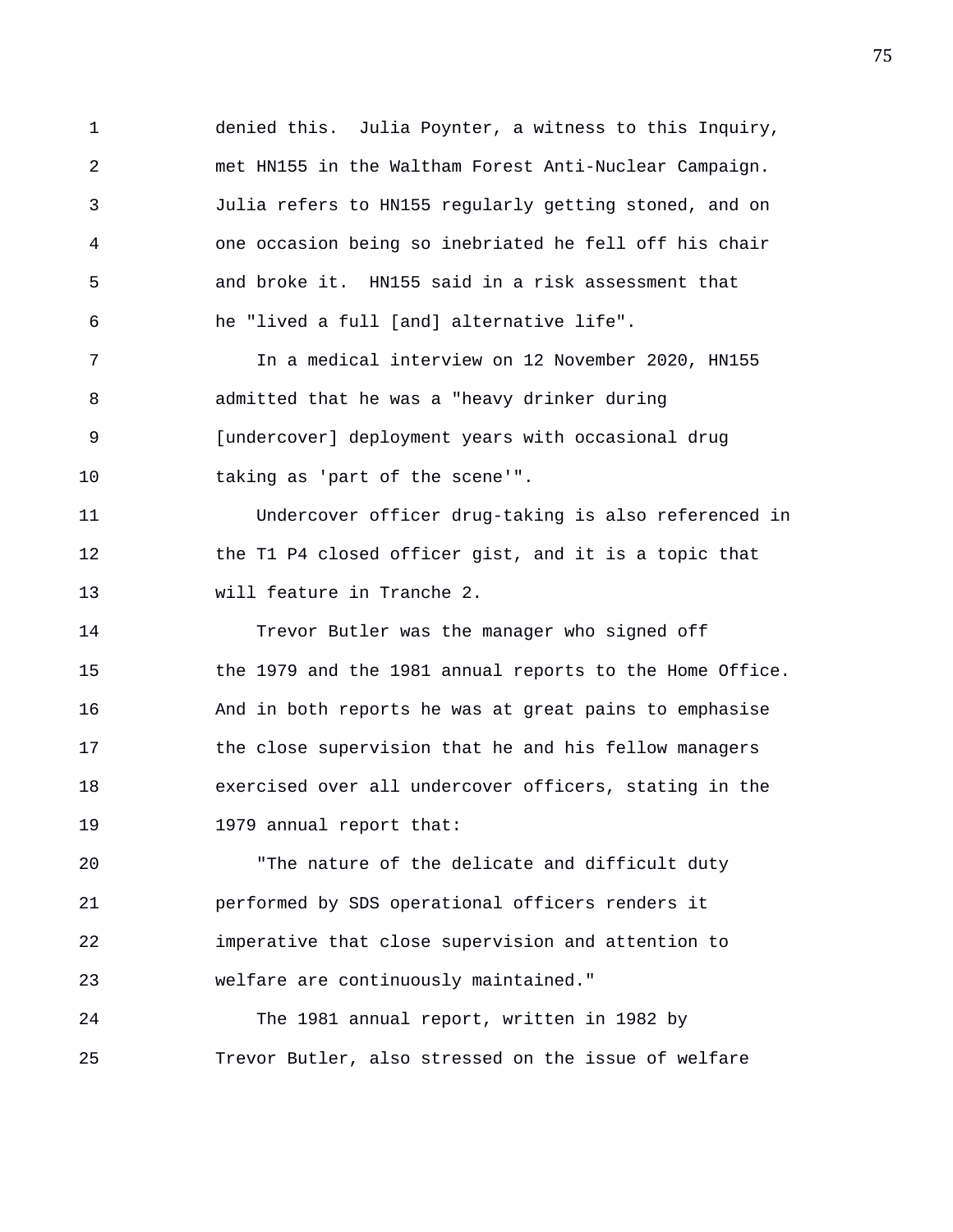1 denied this. Julia Poynter, a witness to this Inquiry, 2 met HN155 in the Waltham Forest Anti-Nuclear Campaign. 3 Julia refers to HN155 regularly getting stoned, and on 4 one occasion being so inebriated he fell off his chair 5 and broke it. HN155 said in a risk assessment that 6 he "lived a full [and] alternative life".

7 In a medical interview on 12 November 2020, HN155 8 admitted that he was a "heavy drinker during 9 [undercover] deployment years with occasional drug 10 taking as 'part of the scene'".

11 Undercover officer drug-taking is also referenced in 12 the T1 P4 closed officer gist, and it is a topic that 13 will feature in Tranche 2.

14 Trevor Butler was the manager who signed off 15 the 1979 and the 1981 annual reports to the Home Office. 16 And in both reports he was at great pains to emphasise 17 the close supervision that he and his fellow managers 18 exercised over all undercover officers, stating in the 19 1979 annual report that:

20 "The nature of the delicate and difficult duty 21 performed by SDS operational officers renders it 22 imperative that close supervision and attention to 23 welfare are continuously maintained."

24 The 1981 annual report, written in 1982 by 25 Trevor Butler, also stressed on the issue of welfare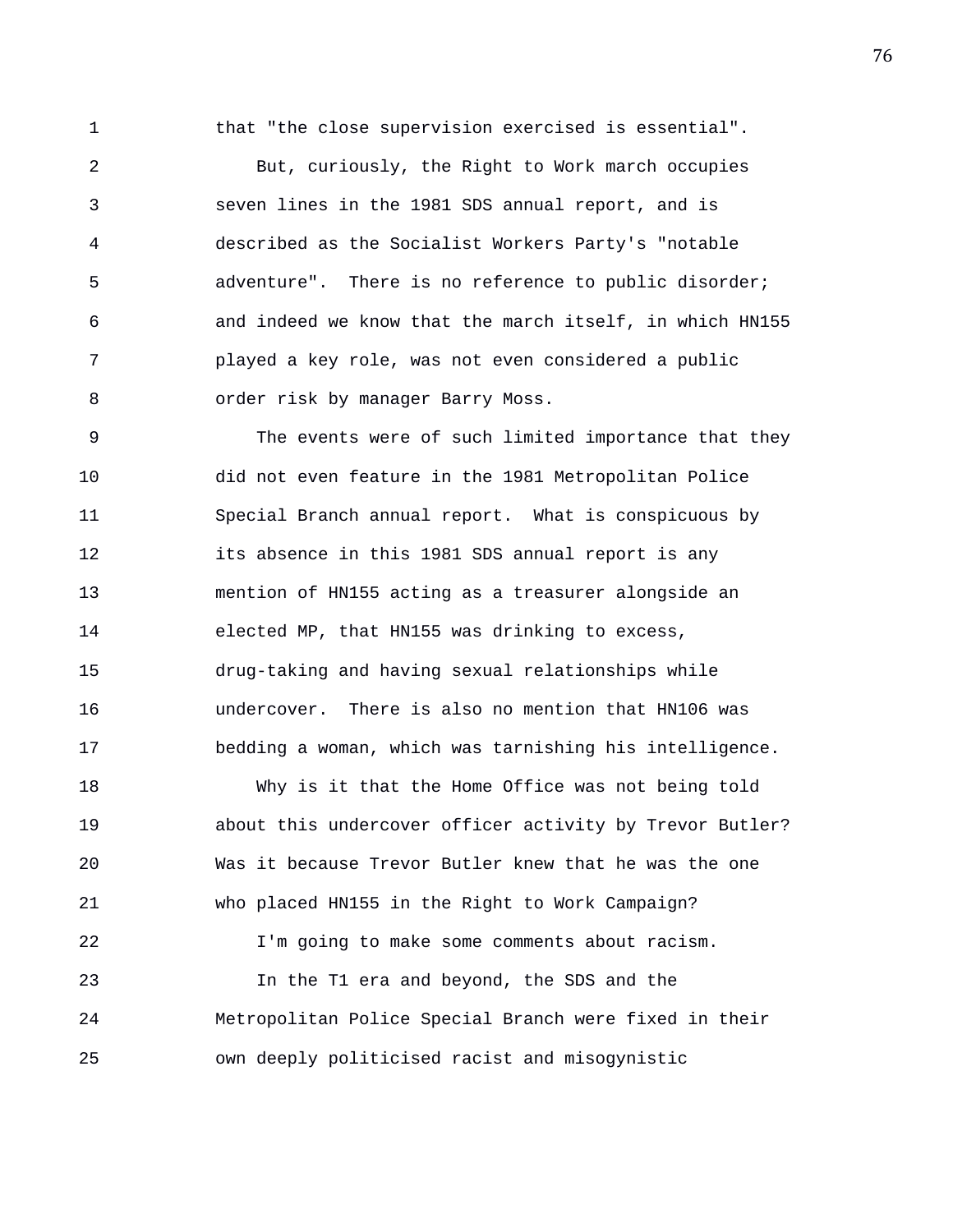1 that "the close supervision exercised is essential".

2 But, curiously, the Right to Work march occupies 3 seven lines in the 1981 SDS annual report, and is 4 described as the Socialist Workers Party's "notable 5 adventure". There is no reference to public disorder; 6 and indeed we know that the march itself, in which HN155 7 played a key role, was not even considered a public 8 order risk by manager Barry Moss.

9 The events were of such limited importance that they 10 did not even feature in the 1981 Metropolitan Police 11 Special Branch annual report. What is conspicuous by 12 its absence in this 1981 SDS annual report is any 13 mention of HN155 acting as a treasurer alongside an 14 elected MP, that HN155 was drinking to excess, 15 drug-taking and having sexual relationships while 16 undercover. There is also no mention that HN106 was 17 bedding a woman, which was tarnishing his intelligence.

18 Why is it that the Home Office was not being told 19 about this undercover officer activity by Trevor Butler? 20 Was it because Trevor Butler knew that he was the one 21 who placed HN155 in the Right to Work Campaign? 22 I'm going to make some comments about racism. 23 In the T1 era and beyond, the SDS and the 24 Metropolitan Police Special Branch were fixed in their 25 own deeply politicised racist and misogynistic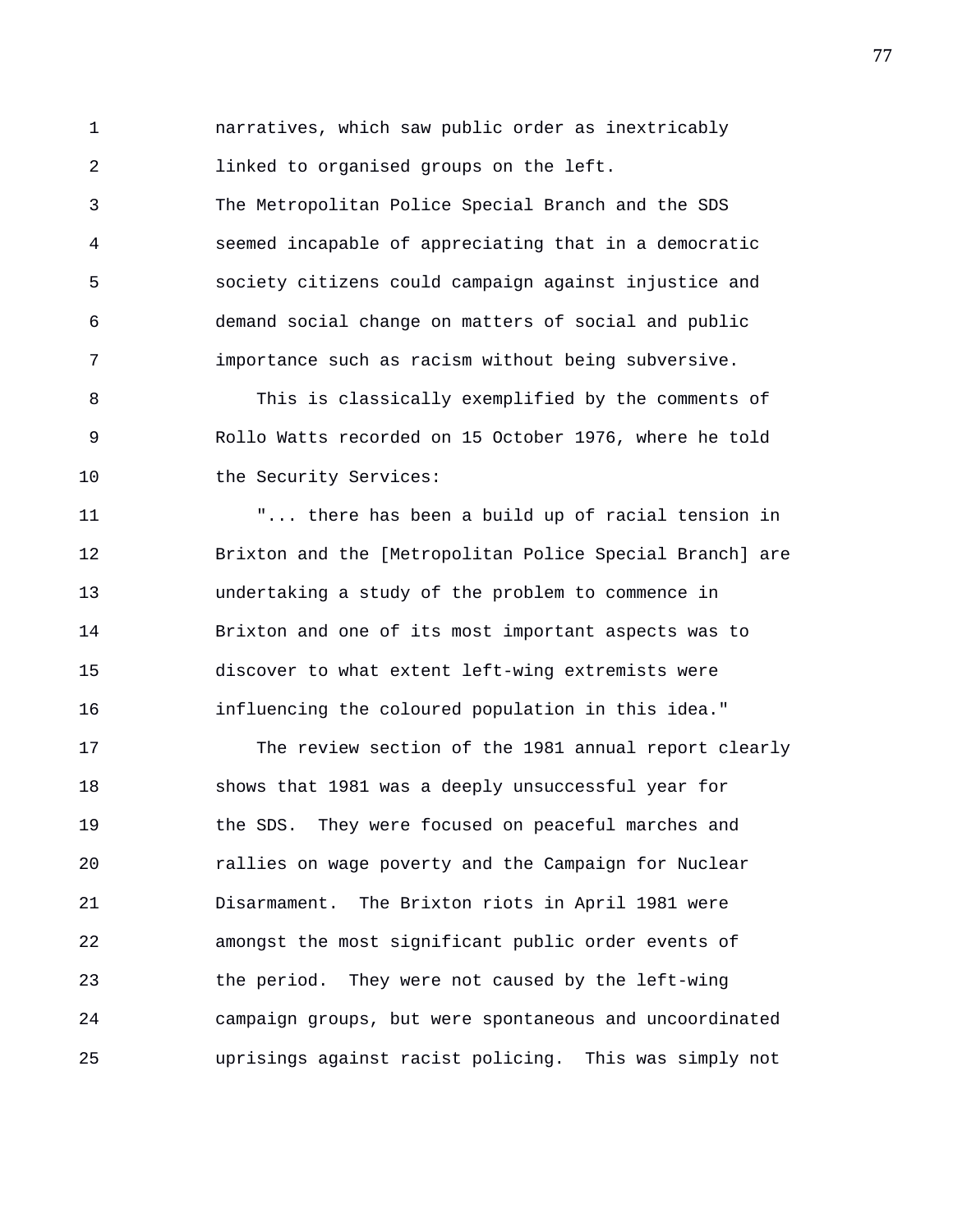1 narratives, which saw public order as inextricably 2 linked to organised groups on the left.

3 The Metropolitan Police Special Branch and the SDS 4 seemed incapable of appreciating that in a democratic 5 society citizens could campaign against injustice and 6 demand social change on matters of social and public 7 importance such as racism without being subversive.

8 This is classically exemplified by the comments of 9 Rollo Watts recorded on 15 October 1976, where he told 10 the Security Services:

11 "... there has been a build up of racial tension in 12 Brixton and the [Metropolitan Police Special Branch] are 13 undertaking a study of the problem to commence in 14 Brixton and one of its most important aspects was to 15 discover to what extent left-wing extremists were 16 influencing the coloured population in this idea."

17 The review section of the 1981 annual report clearly 18 shows that 1981 was a deeply unsuccessful year for 19 the SDS. They were focused on peaceful marches and 20 rallies on wage poverty and the Campaign for Nuclear 21 Disarmament. The Brixton riots in April 1981 were 22 amongst the most significant public order events of 23 the period. They were not caused by the left-wing 24 campaign groups, but were spontaneous and uncoordinated 25 uprisings against racist policing. This was simply not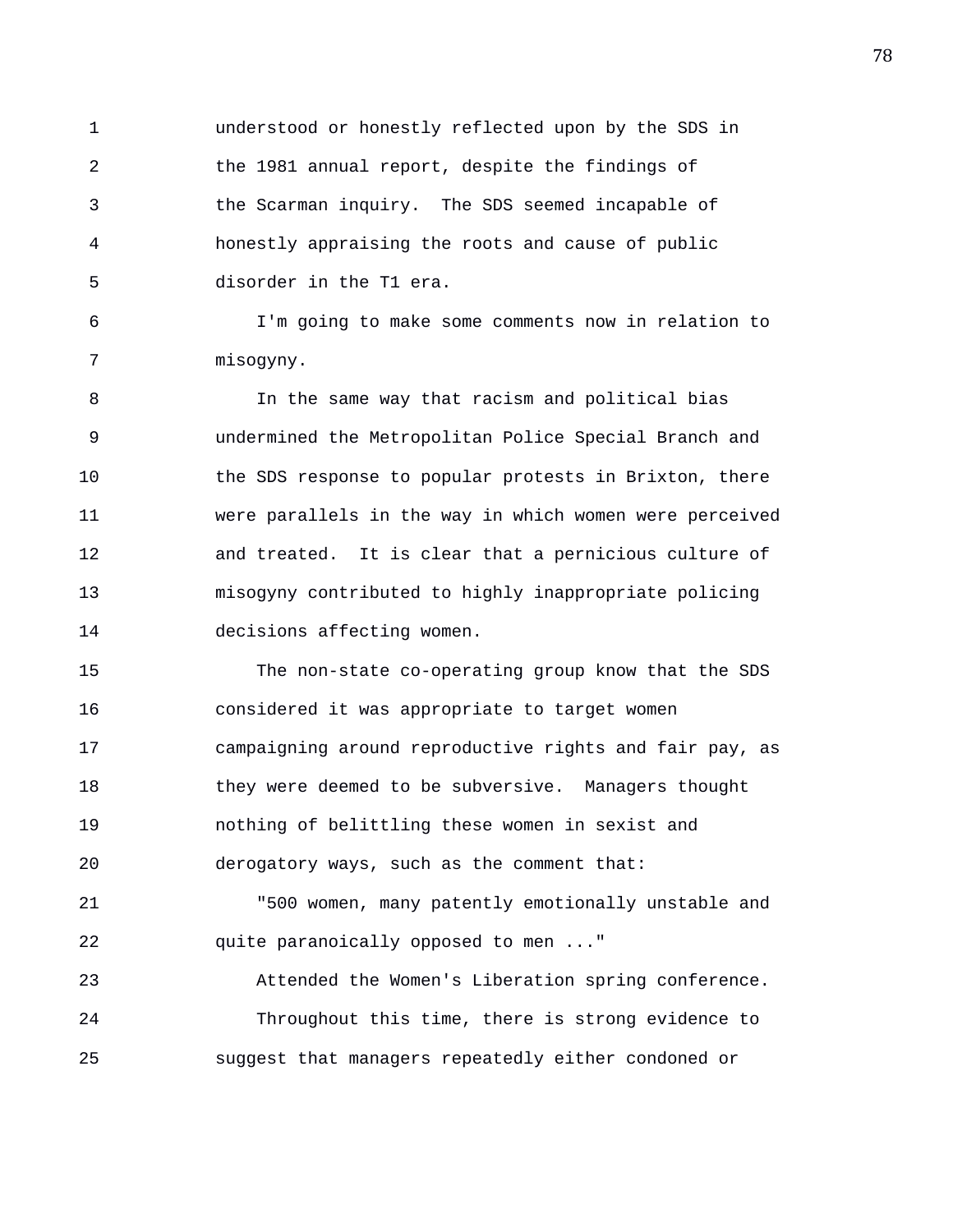1 understood or honestly reflected upon by the SDS in 2 the 1981 annual report, despite the findings of 3 the Scarman inquiry. The SDS seemed incapable of 4 honestly appraising the roots and cause of public 5 disorder in the T1 era.

6 I'm going to make some comments now in relation to 7 misogyny.

8 In the same way that racism and political bias 9 undermined the Metropolitan Police Special Branch and 10 the SDS response to popular protests in Brixton, there 11 were parallels in the way in which women were perceived 12 and treated. It is clear that a pernicious culture of 13 misogyny contributed to highly inappropriate policing 14 decisions affecting women.

15 The non-state co-operating group know that the SDS 16 considered it was appropriate to target women 17 campaigning around reproductive rights and fair pay, as 18 they were deemed to be subversive. Managers thought 19 nothing of belittling these women in sexist and 20 derogatory ways, such as the comment that:

21 "500 women, many patently emotionally unstable and 22 quite paranoically opposed to men ..."

23 Attended the Women's Liberation spring conference. 24 Throughout this time, there is strong evidence to 25 suggest that managers repeatedly either condoned or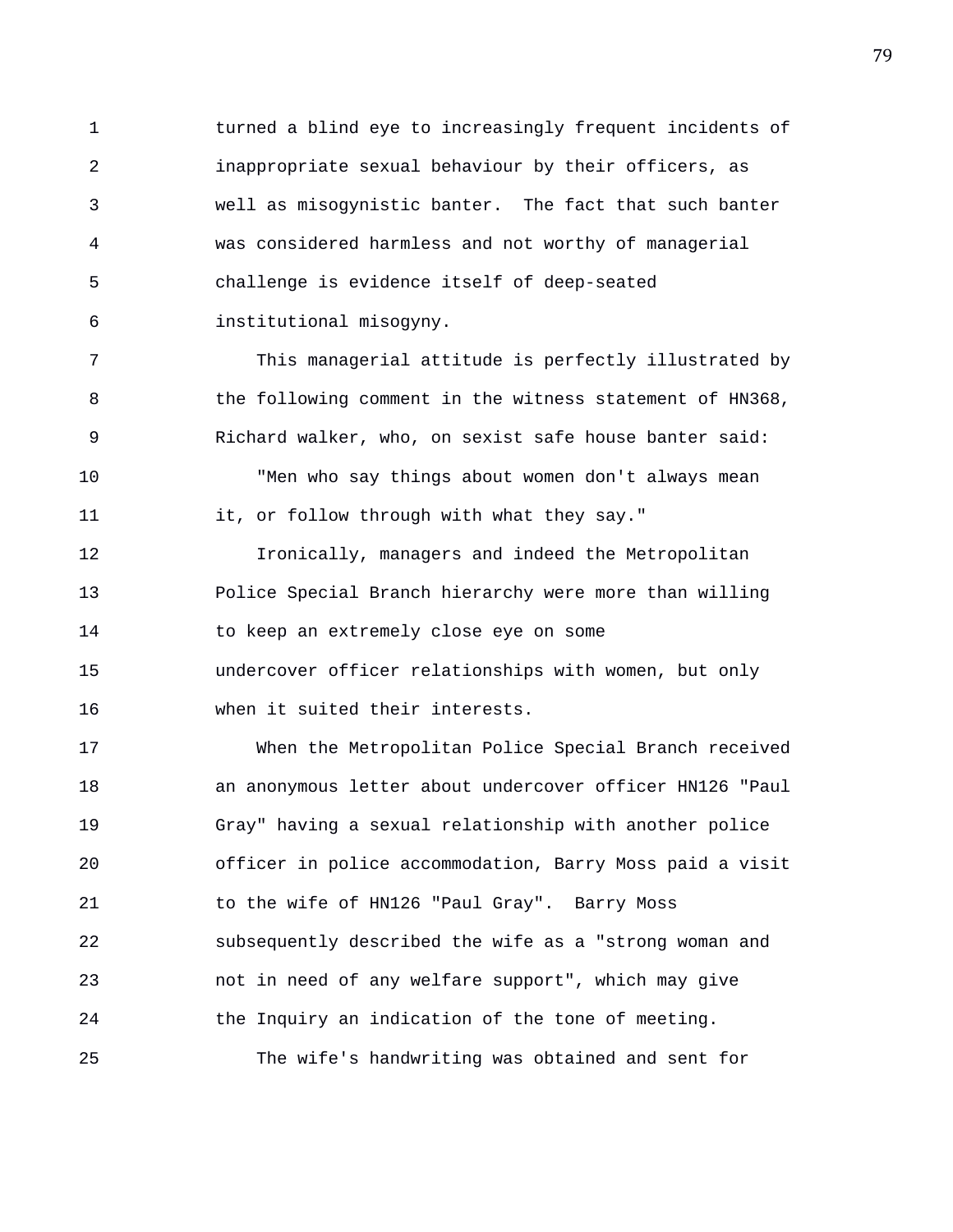1 turned a blind eye to increasingly frequent incidents of 2 inappropriate sexual behaviour by their officers, as 3 well as misogynistic banter. The fact that such banter 4 was considered harmless and not worthy of managerial 5 challenge is evidence itself of deep-seated 6 institutional misogyny.

7 This managerial attitude is perfectly illustrated by 8 the following comment in the witness statement of HN368, 9 Richard walker, who, on sexist safe house banter said: 10 "Men who say things about women don't always mean 11 it, or follow through with what they say."

12 Ironically, managers and indeed the Metropolitan 13 Police Special Branch hierarchy were more than willing 14 to keep an extremely close eye on some 15 undercover officer relationships with women, but only 16 when it suited their interests.

17 When the Metropolitan Police Special Branch received 18 an anonymous letter about undercover officer HN126 "Paul 19 Gray" having a sexual relationship with another police 20 officer in police accommodation, Barry Moss paid a visit 21 to the wife of HN126 "Paul Gray". Barry Moss 22 subsequently described the wife as a "strong woman and 23 not in need of any welfare support", which may give 24 the Inquiry an indication of the tone of meeting. 25 The wife's handwriting was obtained and sent for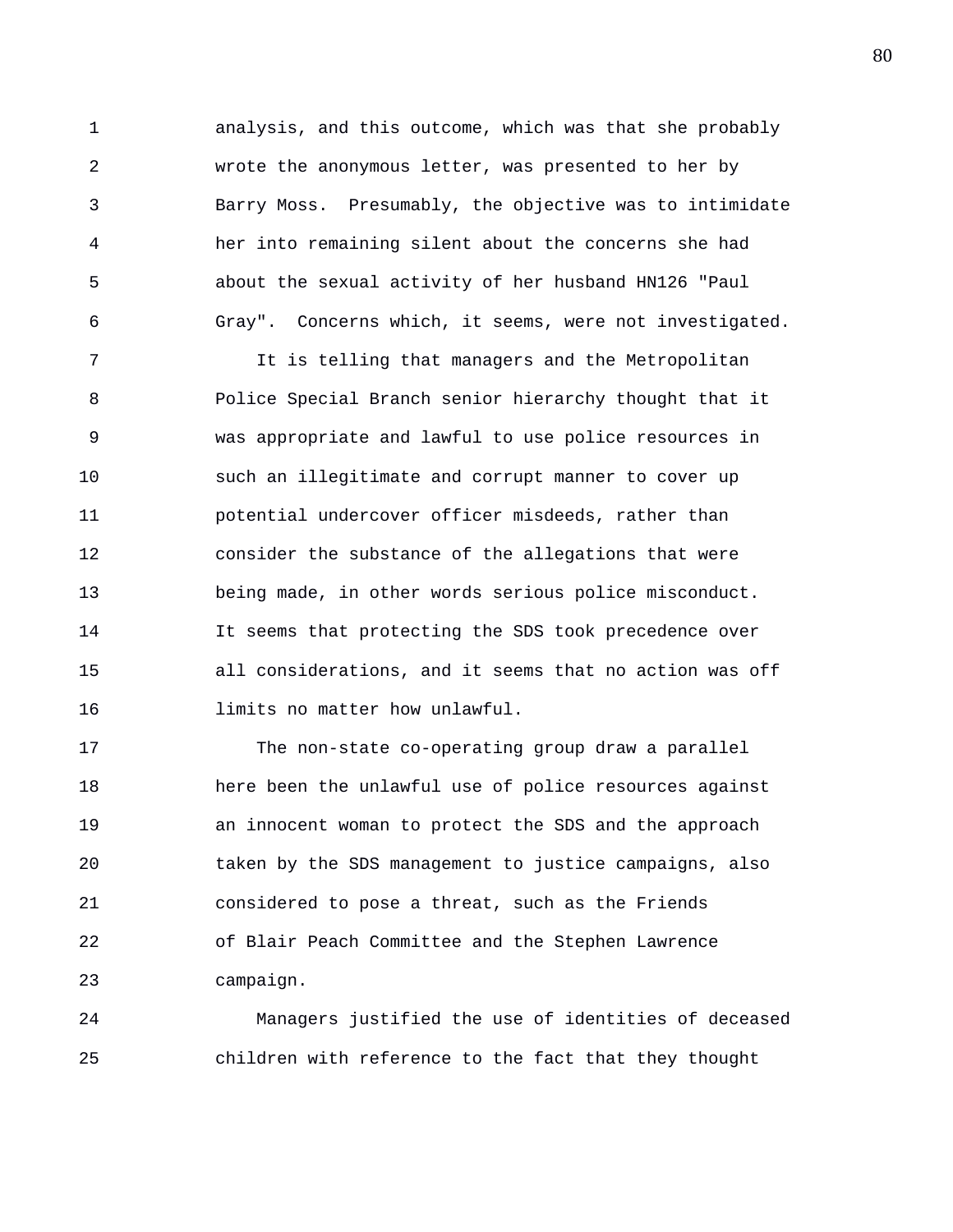1 analysis, and this outcome, which was that she probably 2 wrote the anonymous letter, was presented to her by 3 Barry Moss. Presumably, the objective was to intimidate 4 her into remaining silent about the concerns she had 5 about the sexual activity of her husband HN126 "Paul 6 Gray". Concerns which, it seems, were not investigated.

7 It is telling that managers and the Metropolitan 8 Police Special Branch senior hierarchy thought that it 9 was appropriate and lawful to use police resources in 10 such an illegitimate and corrupt manner to cover up 11 potential undercover officer misdeeds, rather than 12 consider the substance of the allegations that were 13 being made, in other words serious police misconduct. 14 It seems that protecting the SDS took precedence over 15 all considerations, and it seems that no action was off 16 limits no matter how unlawful.

17 The non-state co-operating group draw a parallel 18 here been the unlawful use of police resources against 19 an innocent woman to protect the SDS and the approach 20 taken by the SDS management to justice campaigns, also 21 considered to pose a threat, such as the Friends 22 of Blair Peach Committee and the Stephen Lawrence 23 campaign.

24 Managers justified the use of identities of deceased 25 children with reference to the fact that they thought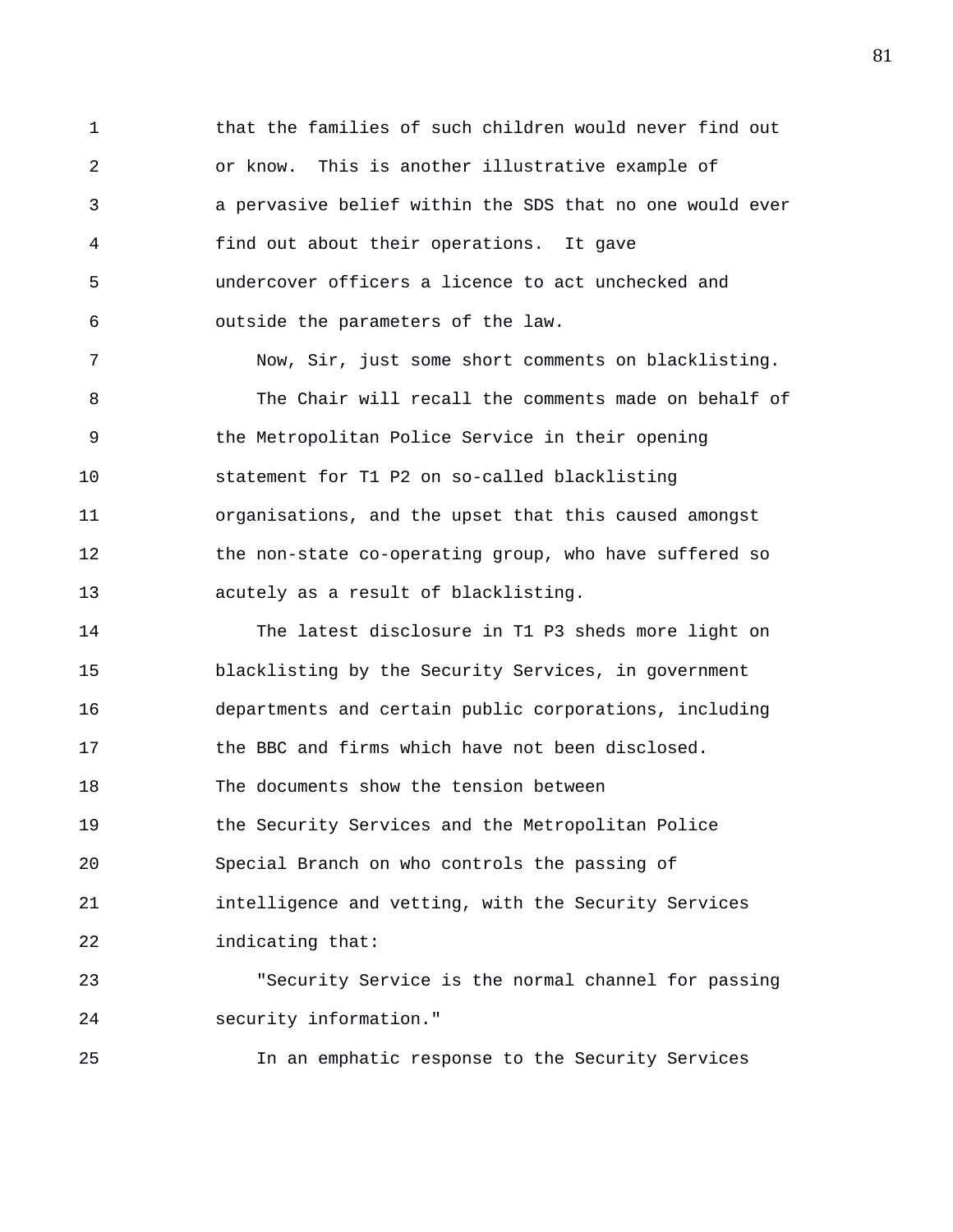1 that the families of such children would never find out 2 or know. This is another illustrative example of 3 a pervasive belief within the SDS that no one would ever 4 find out about their operations. It gave 5 undercover officers a licence to act unchecked and 6 outside the parameters of the law. 7 Now, Sir, just some short comments on blacklisting. 8 The Chair will recall the comments made on behalf of 9 the Metropolitan Police Service in their opening 10 statement for T1 P2 on so-called blacklisting 11 organisations, and the upset that this caused amongst 12 the non-state co-operating group, who have suffered so 13 acutely as a result of blacklisting.

14 The latest disclosure in T1 P3 sheds more light on 15 blacklisting by the Security Services, in government 16 departments and certain public corporations, including 17 the BBC and firms which have not been disclosed. 18 The documents show the tension between 19 the Security Services and the Metropolitan Police 20 Special Branch on who controls the passing of 21 intelligence and vetting, with the Security Services 22 indicating that:

23 "Security Service is the normal channel for passing 24 security information."

25 In an emphatic response to the Security Services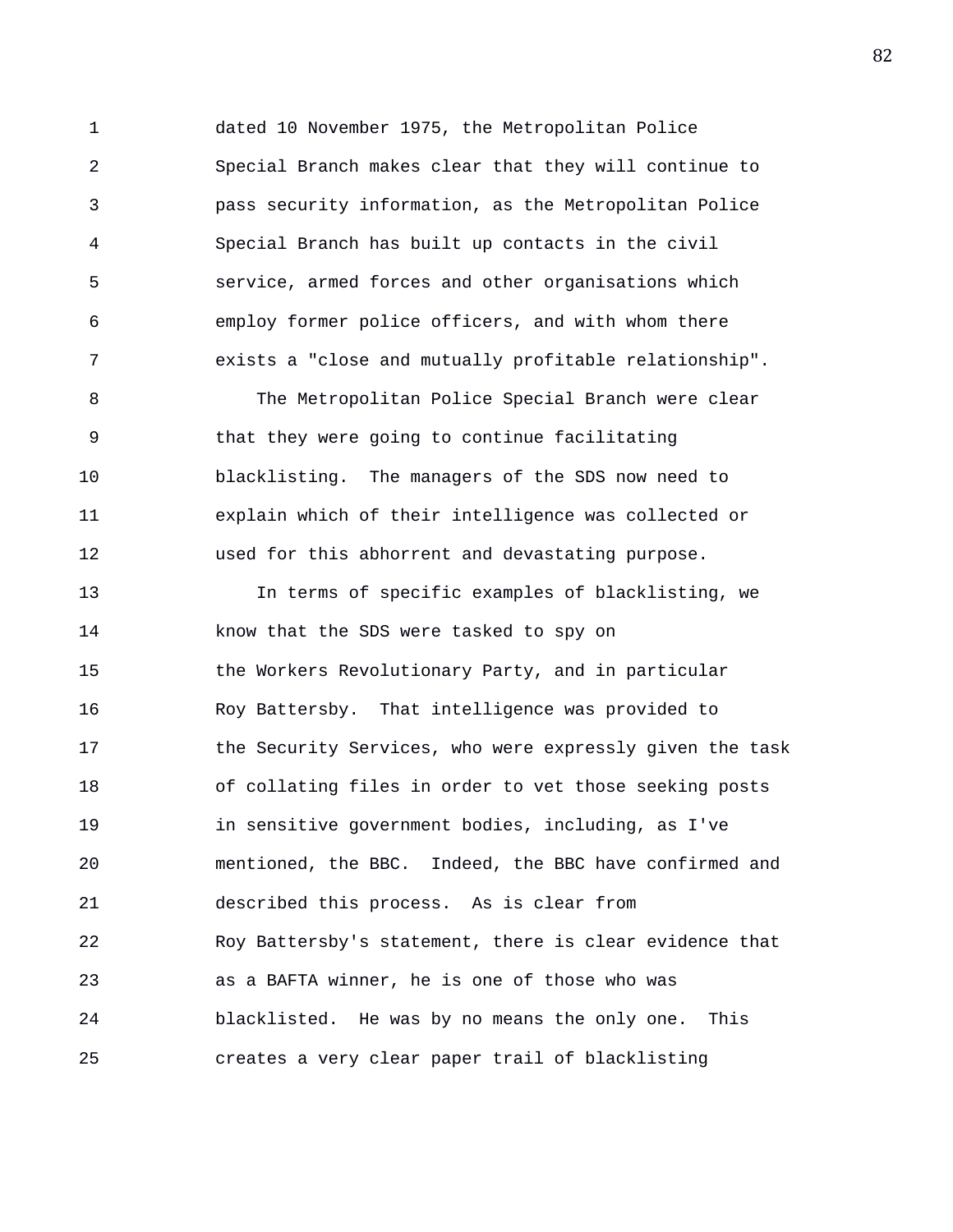1 dated 10 November 1975, the Metropolitan Police 2 Special Branch makes clear that they will continue to 3 pass security information, as the Metropolitan Police 4 Special Branch has built up contacts in the civil 5 service, armed forces and other organisations which 6 employ former police officers, and with whom there 7 exists a "close and mutually profitable relationship".

8 The Metropolitan Police Special Branch were clear 9 that they were going to continue facilitating 10 blacklisting. The managers of the SDS now need to 11 explain which of their intelligence was collected or 12 used for this abhorrent and devastating purpose.

13 In terms of specific examples of blacklisting, we 14 know that the SDS were tasked to spy on 15 the Workers Revolutionary Party, and in particular 16 Roy Battersby. That intelligence was provided to 17 the Security Services, who were expressly given the task 18 of collating files in order to vet those seeking posts 19 in sensitive government bodies, including, as I've 20 mentioned, the BBC. Indeed, the BBC have confirmed and 21 described this process. As is clear from 22 Roy Battersby's statement, there is clear evidence that 23 as a BAFTA winner, he is one of those who was 24 blacklisted. He was by no means the only one. This 25 creates a very clear paper trail of blacklisting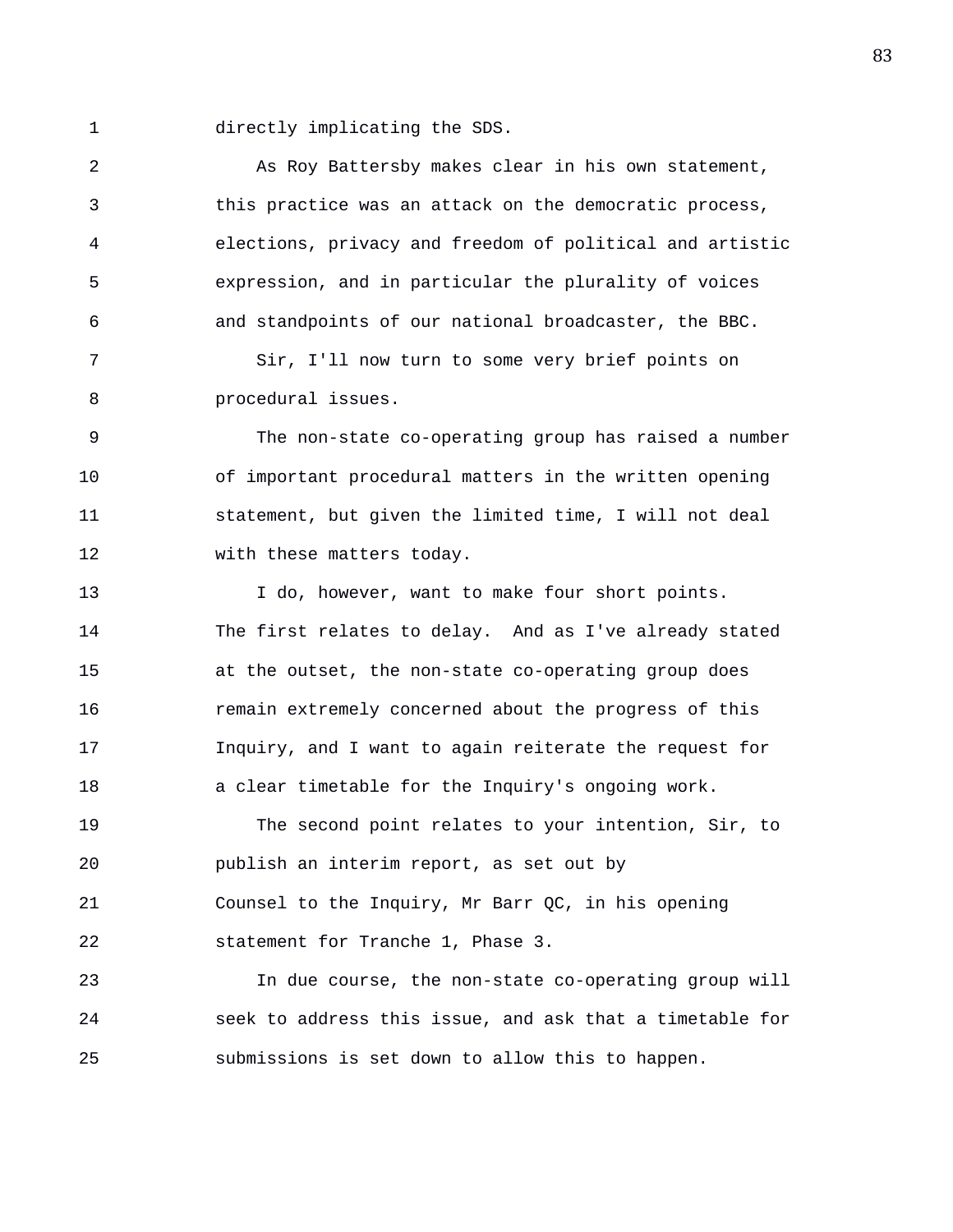1 directly implicating the SDS.

2 As Roy Battersby makes clear in his own statement, 3 this practice was an attack on the democratic process, 4 elections, privacy and freedom of political and artistic 5 expression, and in particular the plurality of voices 6 and standpoints of our national broadcaster, the BBC. 7 Sir, I'll now turn to some very brief points on

8 procedural issues.

9 The non-state co-operating group has raised a number 10 of important procedural matters in the written opening 11 statement, but given the limited time, I will not deal 12 with these matters today.

13 I do, however, want to make four short points. 14 The first relates to delay. And as I've already stated 15 at the outset, the non-state co-operating group does 16 remain extremely concerned about the progress of this 17 Inquiry, and I want to again reiterate the request for 18 a clear timetable for the Inquiry's ongoing work.

19 The second point relates to your intention, Sir, to 20 publish an interim report, as set out by 21 Counsel to the Inquiry, Mr Barr QC, in his opening 22 statement for Tranche 1, Phase 3.

23 In due course, the non-state co-operating group will 24 seek to address this issue, and ask that a timetable for 25 submissions is set down to allow this to happen.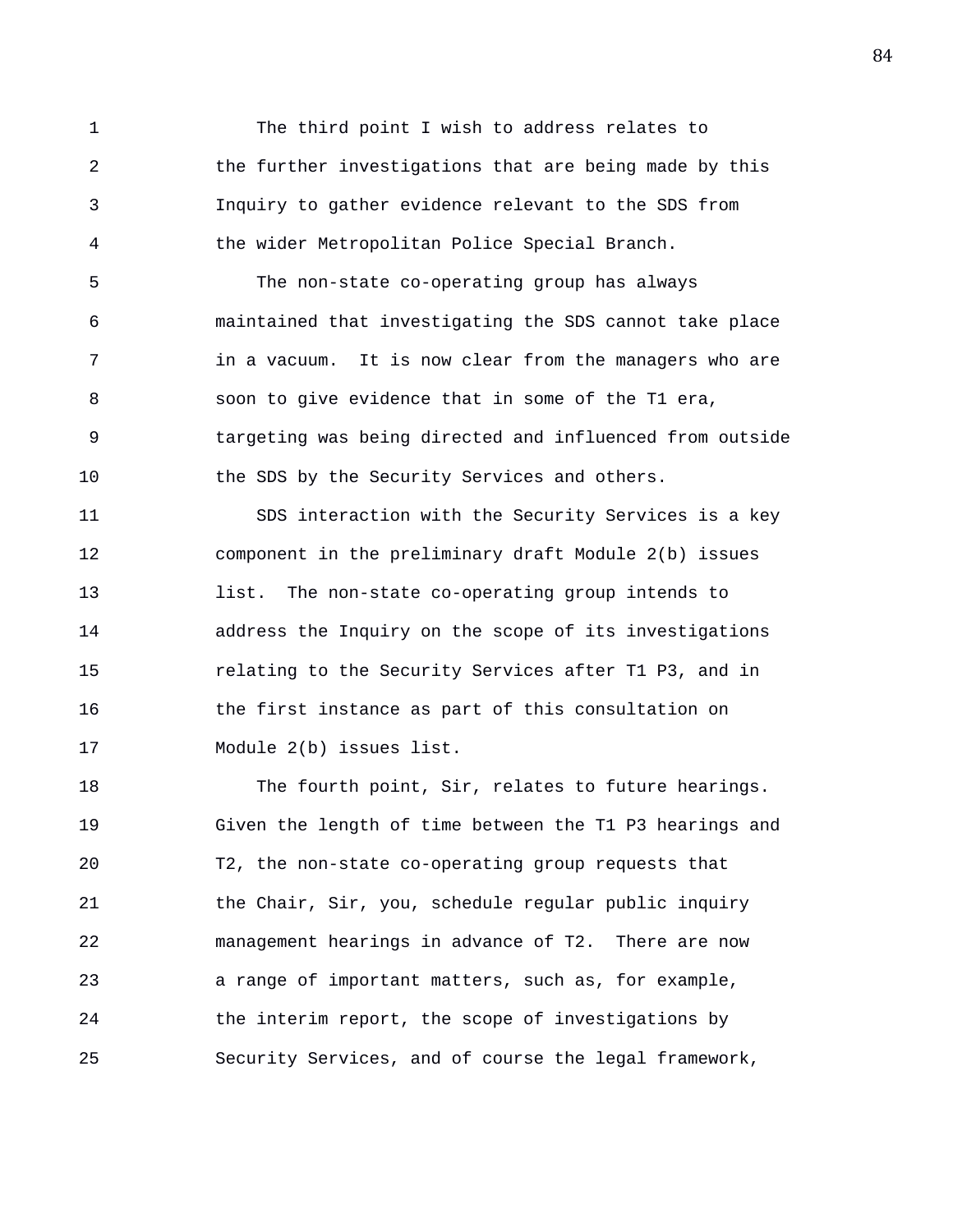1 The third point I wish to address relates to 2 the further investigations that are being made by this 3 Inquiry to gather evidence relevant to the SDS from 4 the wider Metropolitan Police Special Branch.

5 The non-state co-operating group has always 6 maintained that investigating the SDS cannot take place 7 in a vacuum. It is now clear from the managers who are 8 soon to give evidence that in some of the T1 era, 9 targeting was being directed and influenced from outside 10 the SDS by the Security Services and others.

11 SDS interaction with the Security Services is a key 12 component in the preliminary draft Module 2(b) issues 13 list. The non-state co-operating group intends to 14 address the Inquiry on the scope of its investigations 15 relating to the Security Services after T1 P3, and in 16 the first instance as part of this consultation on 17 Module 2(b) issues list.

18 The fourth point, Sir, relates to future hearings. 19 Given the length of time between the T1 P3 hearings and 20 T2, the non-state co-operating group requests that 21 the Chair, Sir, you, schedule regular public inquiry 22 management hearings in advance of T2. There are now 23 a range of important matters, such as, for example, 24 the interim report, the scope of investigations by 25 Security Services, and of course the legal framework,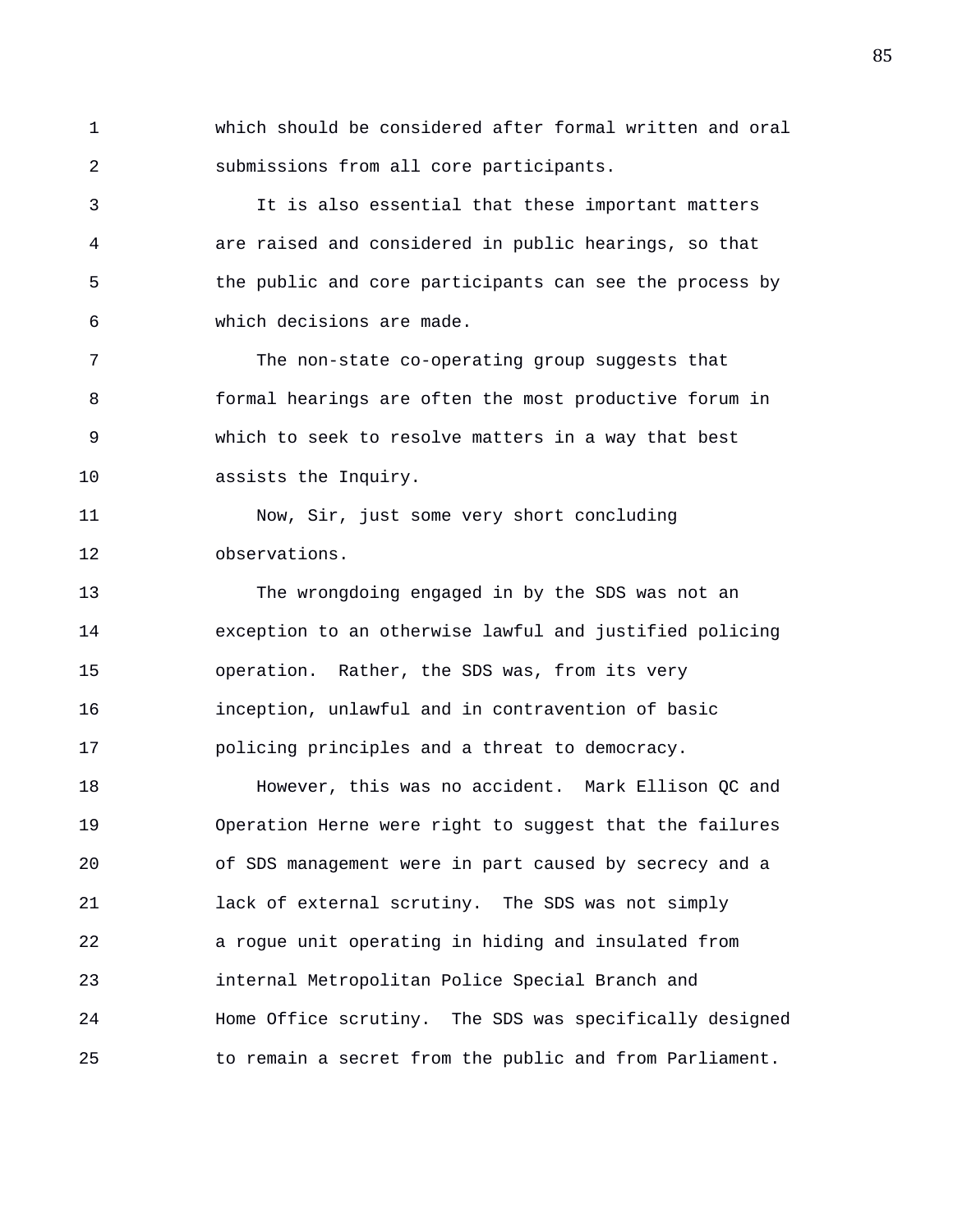1 which should be considered after formal written and oral 2 submissions from all core participants.

3 It is also essential that these important matters 4 are raised and considered in public hearings, so that 5 the public and core participants can see the process by 6 which decisions are made.

7 The non-state co-operating group suggests that 8 formal hearings are often the most productive forum in 9 which to seek to resolve matters in a way that best 10 assists the Inquiry.

11 Now, Sir, just some very short concluding 12 observations.

13 The wrongdoing engaged in by the SDS was not an 14 exception to an otherwise lawful and justified policing 15 operation. Rather, the SDS was, from its very 16 inception, unlawful and in contravention of basic 17 policing principles and a threat to democracy.

18 However, this was no accident. Mark Ellison QC and 19 Operation Herne were right to suggest that the failures 20 of SDS management were in part caused by secrecy and a 21 lack of external scrutiny. The SDS was not simply 22 a rogue unit operating in hiding and insulated from 23 internal Metropolitan Police Special Branch and 24 Home Office scrutiny. The SDS was specifically designed 25 to remain a secret from the public and from Parliament.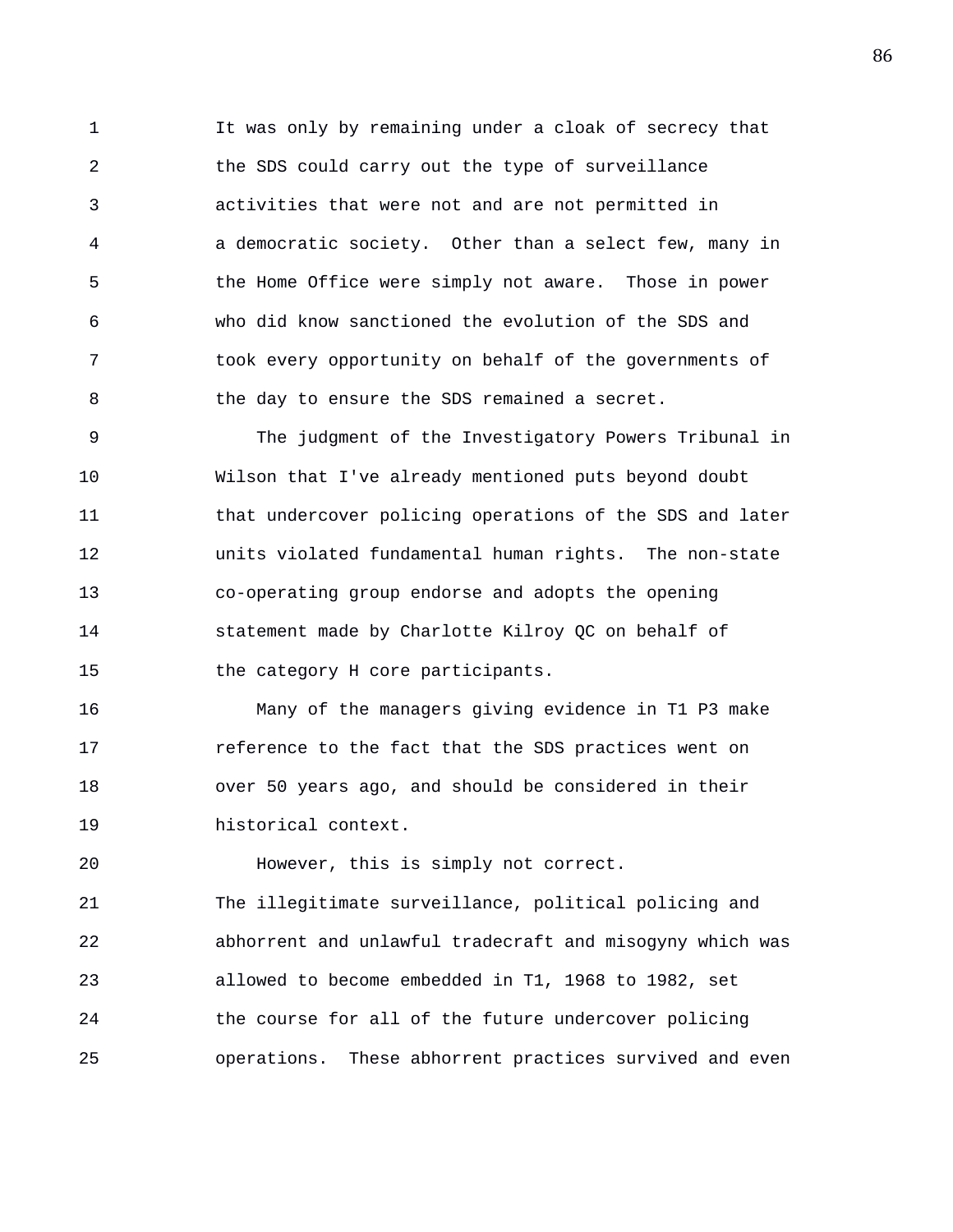1 It was only by remaining under a cloak of secrecy that 2 the SDS could carry out the type of surveillance 3 activities that were not and are not permitted in 4 a democratic society. Other than a select few, many in 5 the Home Office were simply not aware. Those in power 6 who did know sanctioned the evolution of the SDS and 7 took every opportunity on behalf of the governments of 8 the day to ensure the SDS remained a secret.

9 The judgment of the Investigatory Powers Tribunal in 10 Wilson that I've already mentioned puts beyond doubt 11 that undercover policing operations of the SDS and later 12 units violated fundamental human rights. The non-state 13 co-operating group endorse and adopts the opening 14 statement made by Charlotte Kilroy QC on behalf of 15 the category H core participants.

16 Many of the managers giving evidence in T1 P3 make 17 reference to the fact that the SDS practices went on 18 over 50 years ago, and should be considered in their 19 historical context.

20 However, this is simply not correct. 21 The illegitimate surveillance, political policing and 22 abhorrent and unlawful tradecraft and misogyny which was 23 allowed to become embedded in T1, 1968 to 1982, set 24 the course for all of the future undercover policing 25 operations. These abhorrent practices survived and even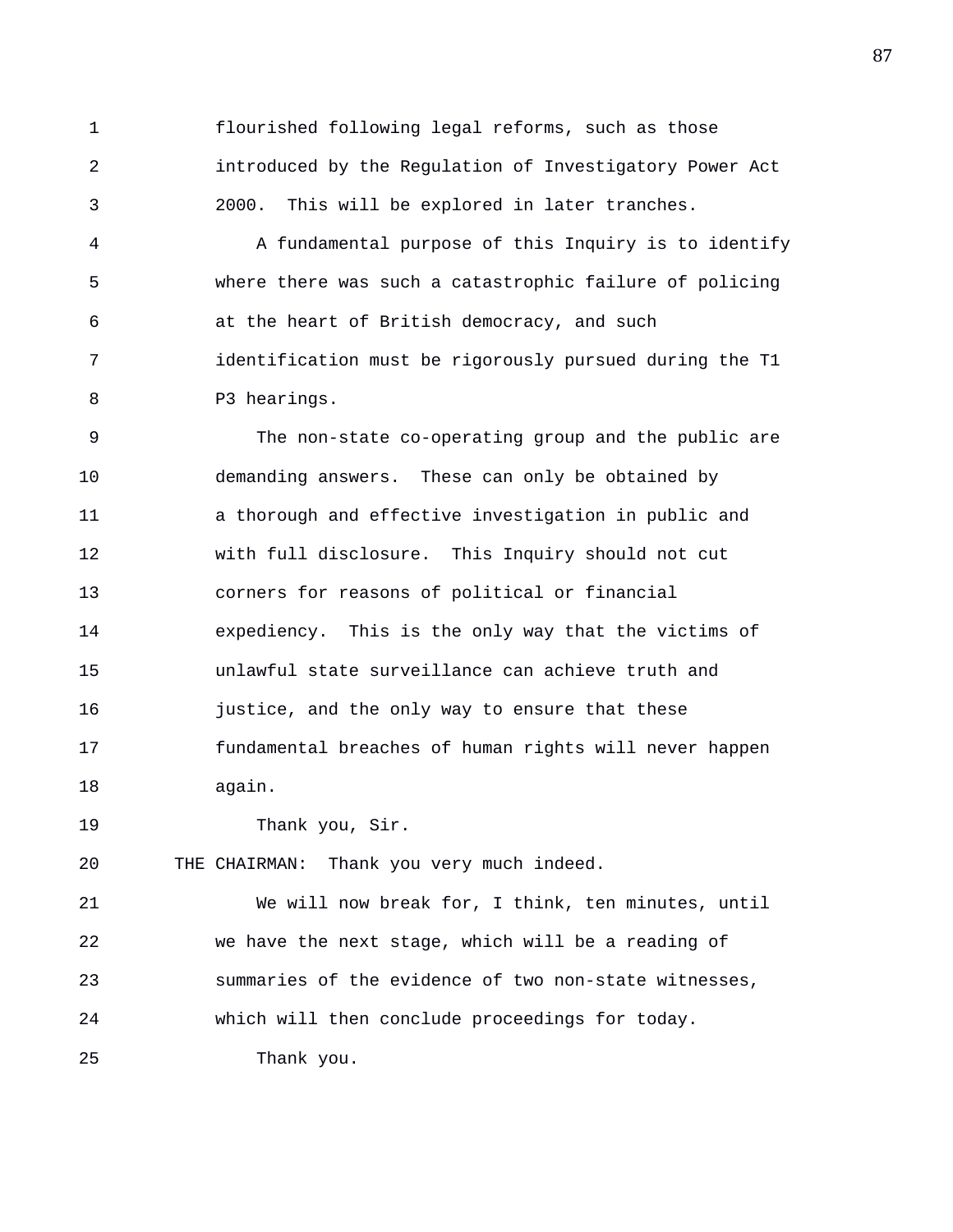1 flourished following legal reforms, such as those 2 introduced by the Regulation of Investigatory Power Act 3 2000. This will be explored in later tranches.

4 A fundamental purpose of this Inquiry is to identify 5 where there was such a catastrophic failure of policing 6 at the heart of British democracy, and such 7 identification must be rigorously pursued during the T1 8 P3 hearings.

9 The non-state co-operating group and the public are 10 demanding answers. These can only be obtained by 11 a thorough and effective investigation in public and 12 with full disclosure. This Inquiry should not cut 13 corners for reasons of political or financial 14 expediency. This is the only way that the victims of 15 unlawful state surveillance can achieve truth and 16 justice, and the only way to ensure that these 17 fundamental breaches of human rights will never happen 18 again.

19 Thank you, Sir.

20 THE CHAIRMAN: Thank you very much indeed.

21 We will now break for, I think, ten minutes, until 22 we have the next stage, which will be a reading of 23 summaries of the evidence of two non-state witnesses, 24 which will then conclude proceedings for today. 25 Thank you.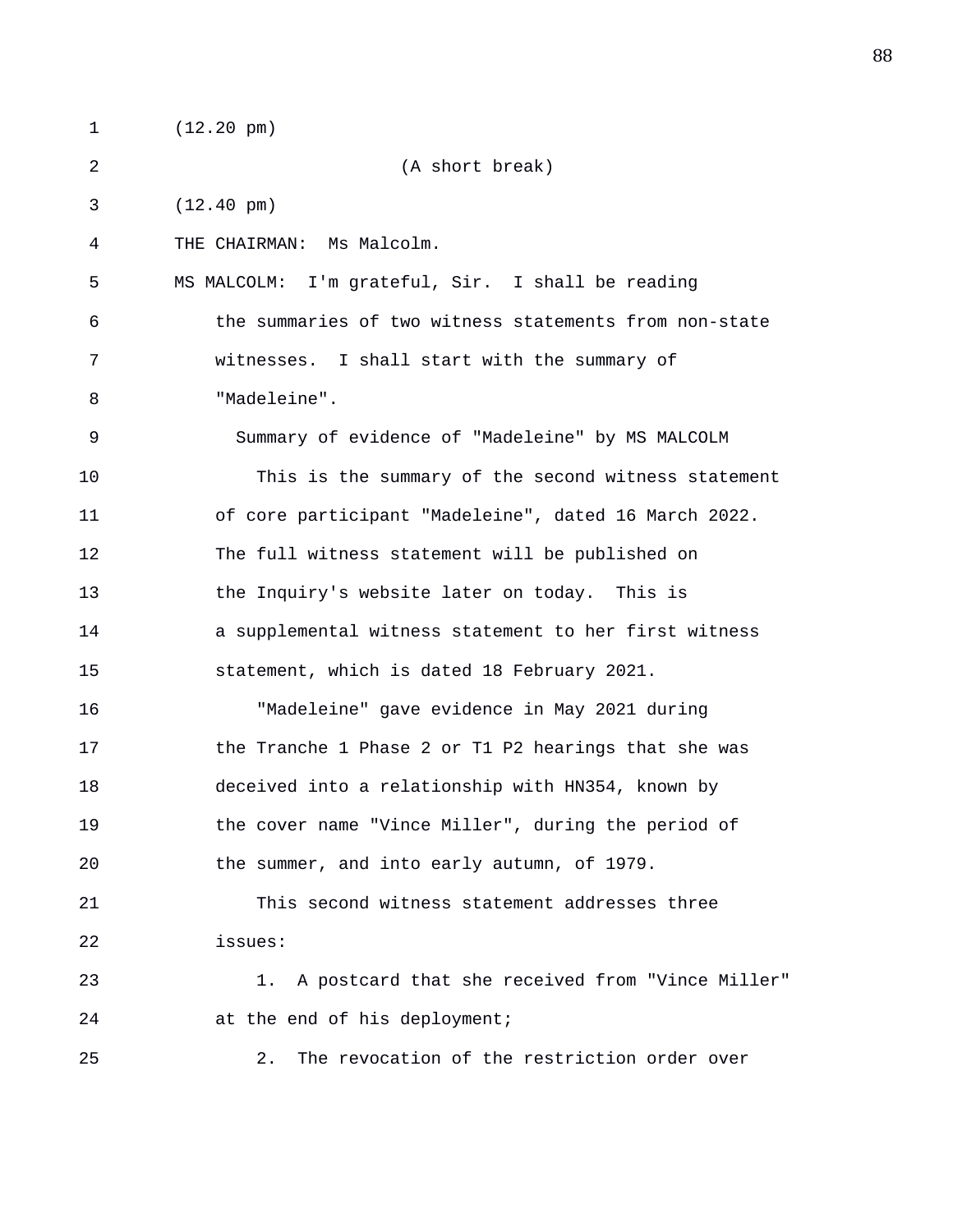1 (12.20 pm)

2 (A short break)

3 (12.40 pm)

4 THE CHAIRMAN: Ms Malcolm.

5 MS MALCOLM: I'm grateful, Sir. I shall be reading 6 the summaries of two witness statements from non-state 7 witnesses. I shall start with the summary of 8 "Madeleine".

9 Summary of evidence of "Madeleine" by MS MALCOLM 10 This is the summary of the second witness statement 11 of core participant "Madeleine", dated 16 March 2022. 12 The full witness statement will be published on 13 the Inquiry's website later on today. This is 14 a supplemental witness statement to her first witness 15 statement, which is dated 18 February 2021.

16 "Madeleine" gave evidence in May 2021 during 17 the Tranche 1 Phase 2 or T1 P2 hearings that she was 18 deceived into a relationship with HN354, known by 19 the cover name "Vince Miller", during the period of 20 the summer, and into early autumn, of 1979.

21 This second witness statement addresses three 22 issues:

23 1. A postcard that she received from "Vince Miller" 24 at the end of his deployment;

25 2. The revocation of the restriction order over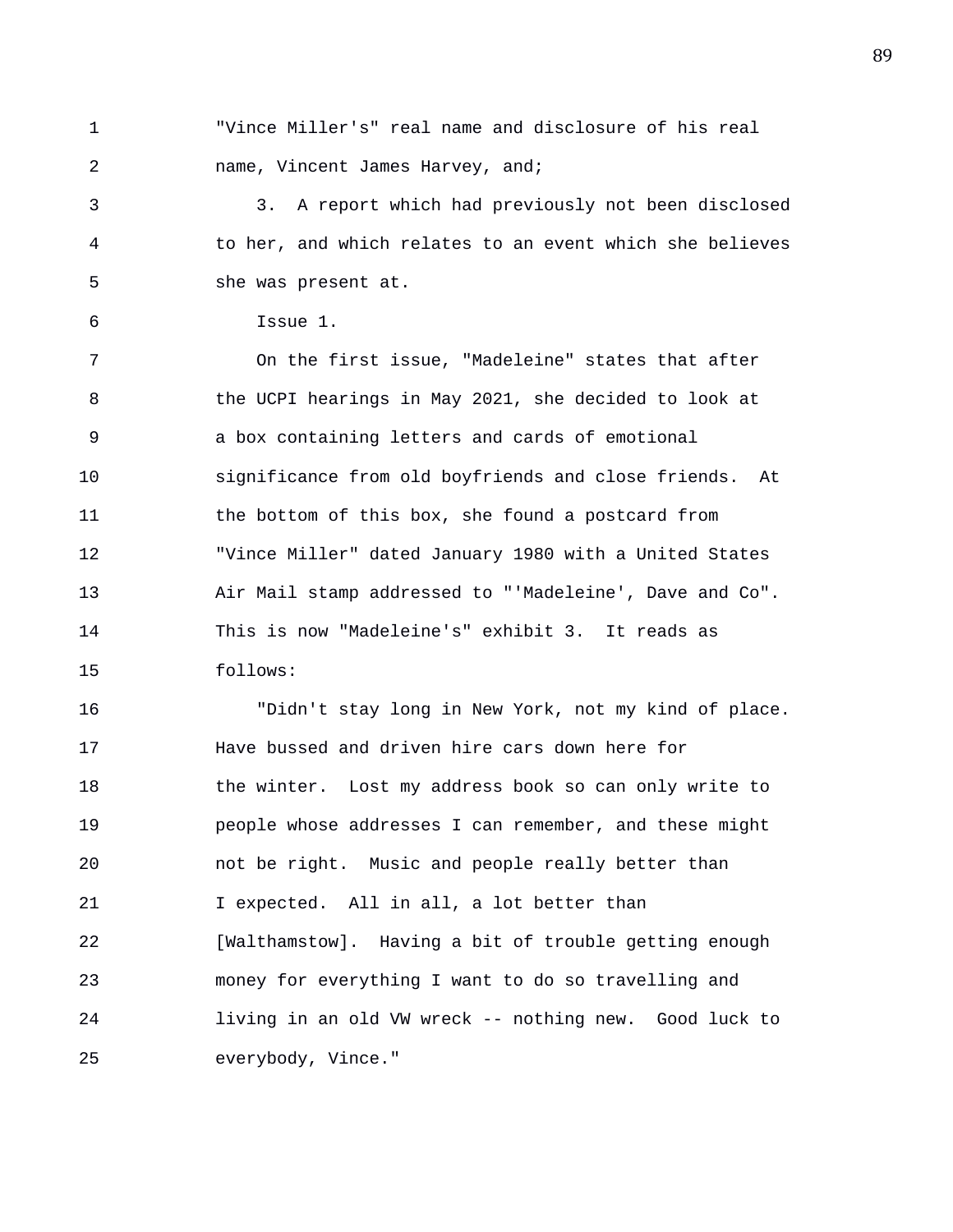1 "Vince Miller's" real name and disclosure of his real 2 name, Vincent James Harvey, and;

3 3. A report which had previously not been disclosed 4 to her, and which relates to an event which she believes 5 she was present at.

```
6 Issue 1.
```
7 On the first issue, "Madeleine" states that after 8 the UCPI hearings in May 2021, she decided to look at 9 a box containing letters and cards of emotional 10 significance from old boyfriends and close friends. At 11 the bottom of this box, she found a postcard from 12 "Vince Miller" dated January 1980 with a United States 13 Air Mail stamp addressed to "'Madeleine', Dave and Co". 14 This is now "Madeleine's" exhibit 3. It reads as 15 follows:

16 "Didn't stay long in New York, not my kind of place. 17 Have bussed and driven hire cars down here for 18 the winter. Lost my address book so can only write to 19 people whose addresses I can remember, and these might 20 not be right. Music and people really better than 21 I expected. All in all, a lot better than 22 [Walthamstow]. Having a bit of trouble getting enough 23 money for everything I want to do so travelling and 24 living in an old VW wreck -- nothing new. Good luck to 25 everybody, Vince."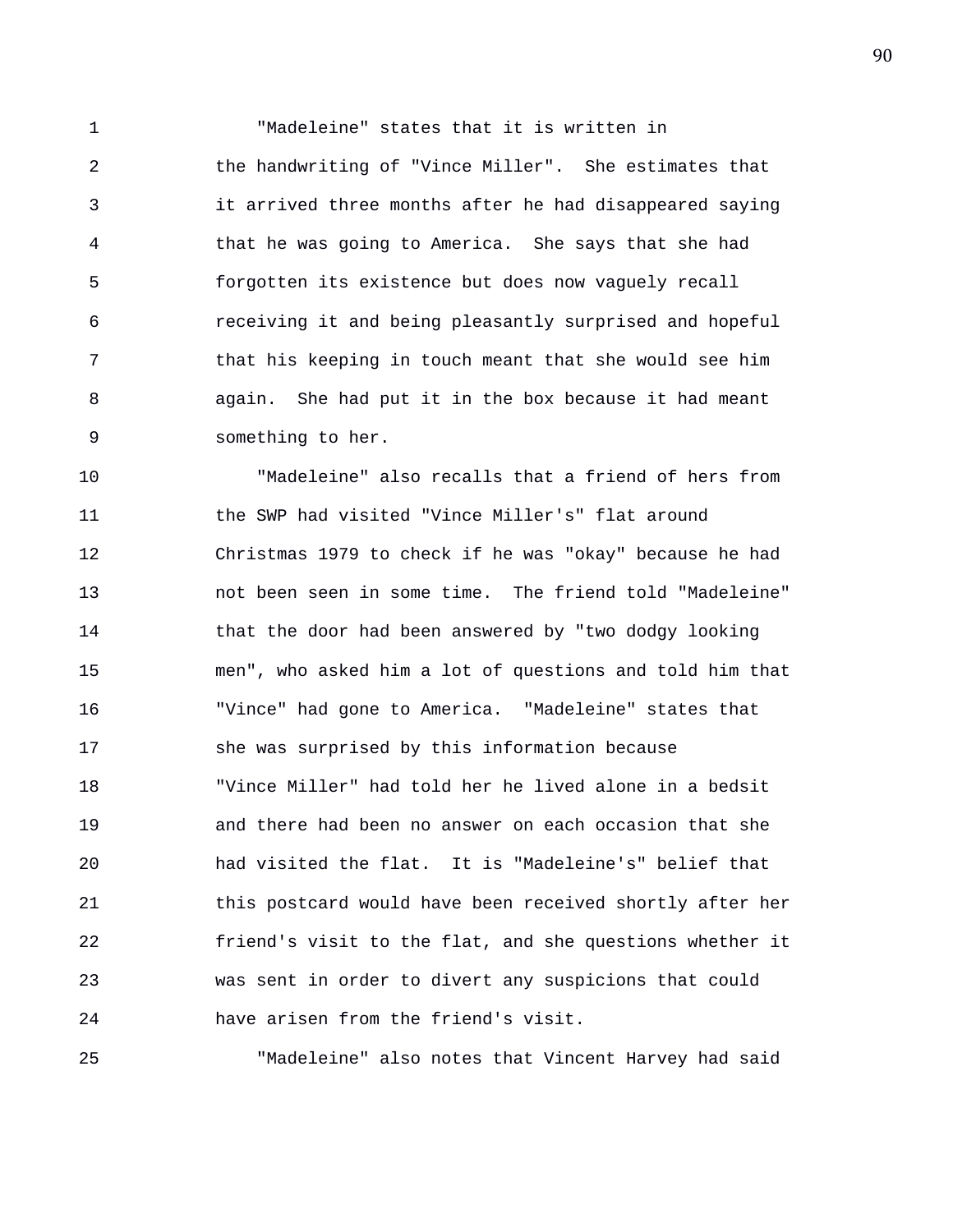1 "Madeleine" states that it is written in 2 the handwriting of "Vince Miller". She estimates that 3 it arrived three months after he had disappeared saying 4 that he was going to America. She says that she had 5 forgotten its existence but does now vaguely recall 6 receiving it and being pleasantly surprised and hopeful 7 that his keeping in touch meant that she would see him 8 again. She had put it in the box because it had meant 9 something to her.

10 "Madeleine" also recalls that a friend of hers from 11 the SWP had visited "Vince Miller's" flat around 12 Christmas 1979 to check if he was "okay" because he had 13 not been seen in some time. The friend told "Madeleine" 14 that the door had been answered by "two dodgy looking 15 men", who asked him a lot of questions and told him that 16 "Vince" had gone to America. "Madeleine" states that 17 she was surprised by this information because 18 "Vince Miller" had told her he lived alone in a bedsit 19 and there had been no answer on each occasion that she 20 had visited the flat. It is "Madeleine's" belief that 21 this postcard would have been received shortly after her 22 friend's visit to the flat, and she questions whether it 23 was sent in order to divert any suspicions that could 24 have arisen from the friend's visit.

25 "Madeleine" also notes that Vincent Harvey had said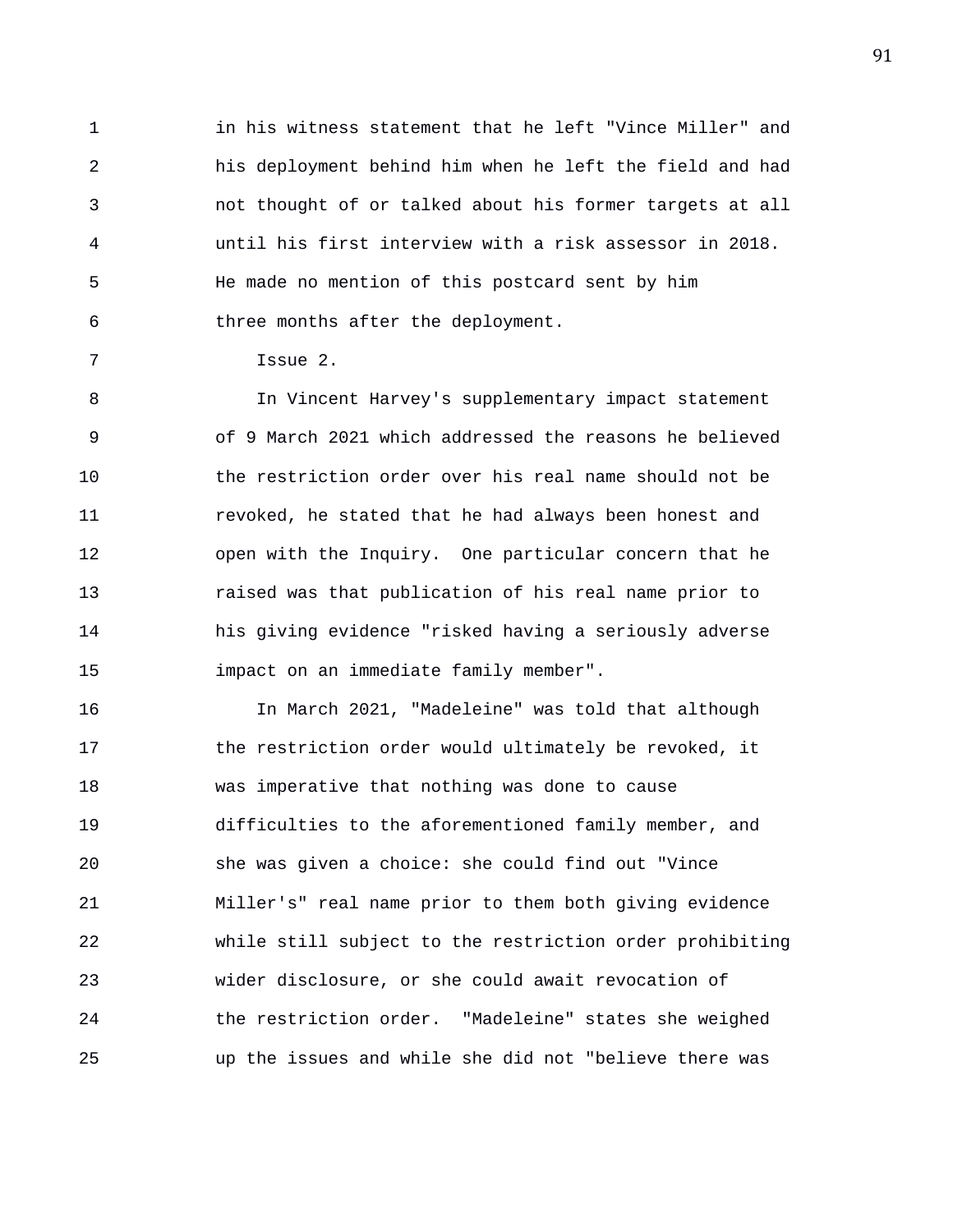1 in his witness statement that he left "Vince Miller" and 2 his deployment behind him when he left the field and had 3 not thought of or talked about his former targets at all 4 until his first interview with a risk assessor in 2018. 5 He made no mention of this postcard sent by him 6 three months after the deployment.

7 Issue 2.

8 In Vincent Harvey's supplementary impact statement 9 of 9 March 2021 which addressed the reasons he believed 10 the restriction order over his real name should not be 11 revoked, he stated that he had always been honest and 12 open with the Inquiry. One particular concern that he 13 raised was that publication of his real name prior to 14 his giving evidence "risked having a seriously adverse 15 impact on an immediate family member".

16 In March 2021, "Madeleine" was told that although 17 the restriction order would ultimately be revoked, it 18 was imperative that nothing was done to cause 19 difficulties to the aforementioned family member, and 20 she was given a choice: she could find out "Vince 21 Miller's" real name prior to them both giving evidence 22 while still subject to the restriction order prohibiting 23 wider disclosure, or she could await revocation of 24 the restriction order. "Madeleine" states she weighed 25 up the issues and while she did not "believe there was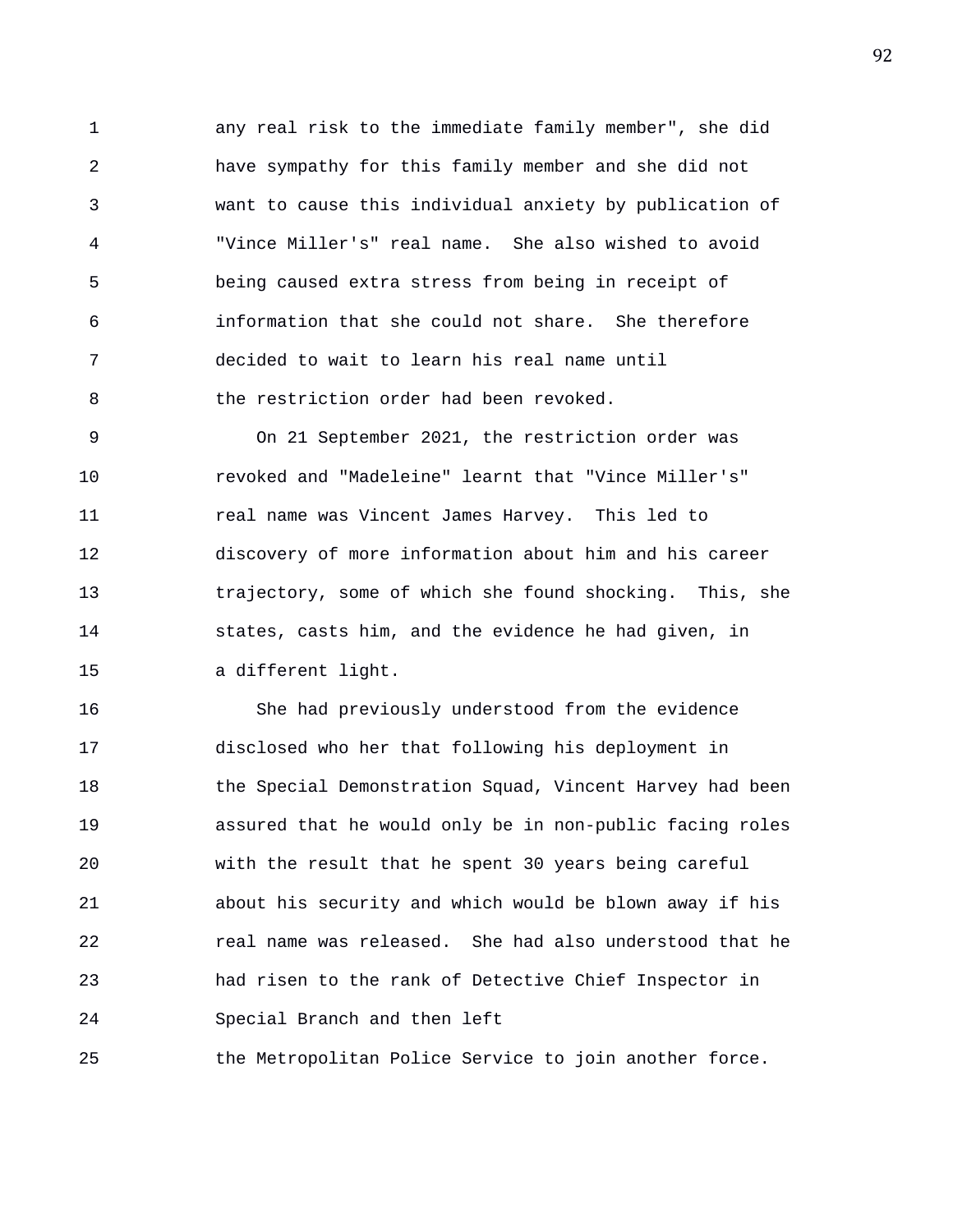1 any real risk to the immediate family member", she did 2 have sympathy for this family member and she did not 3 want to cause this individual anxiety by publication of 4 "Vince Miller's" real name. She also wished to avoid 5 being caused extra stress from being in receipt of 6 information that she could not share. She therefore 7 decided to wait to learn his real name until 8 the restriction order had been revoked.

9 On 21 September 2021, the restriction order was 10 revoked and "Madeleine" learnt that "Vince Miller's" 11 real name was Vincent James Harvey. This led to 12 discovery of more information about him and his career 13 trajectory, some of which she found shocking. This, she 14 states, casts him, and the evidence he had given, in 15 a different light.

16 She had previously understood from the evidence 17 disclosed who her that following his deployment in 18 the Special Demonstration Squad, Vincent Harvey had been 19 assured that he would only be in non-public facing roles 20 with the result that he spent 30 years being careful 21 about his security and which would be blown away if his 22 real name was released. She had also understood that he 23 had risen to the rank of Detective Chief Inspector in 24 Special Branch and then left

25 the Metropolitan Police Service to join another force.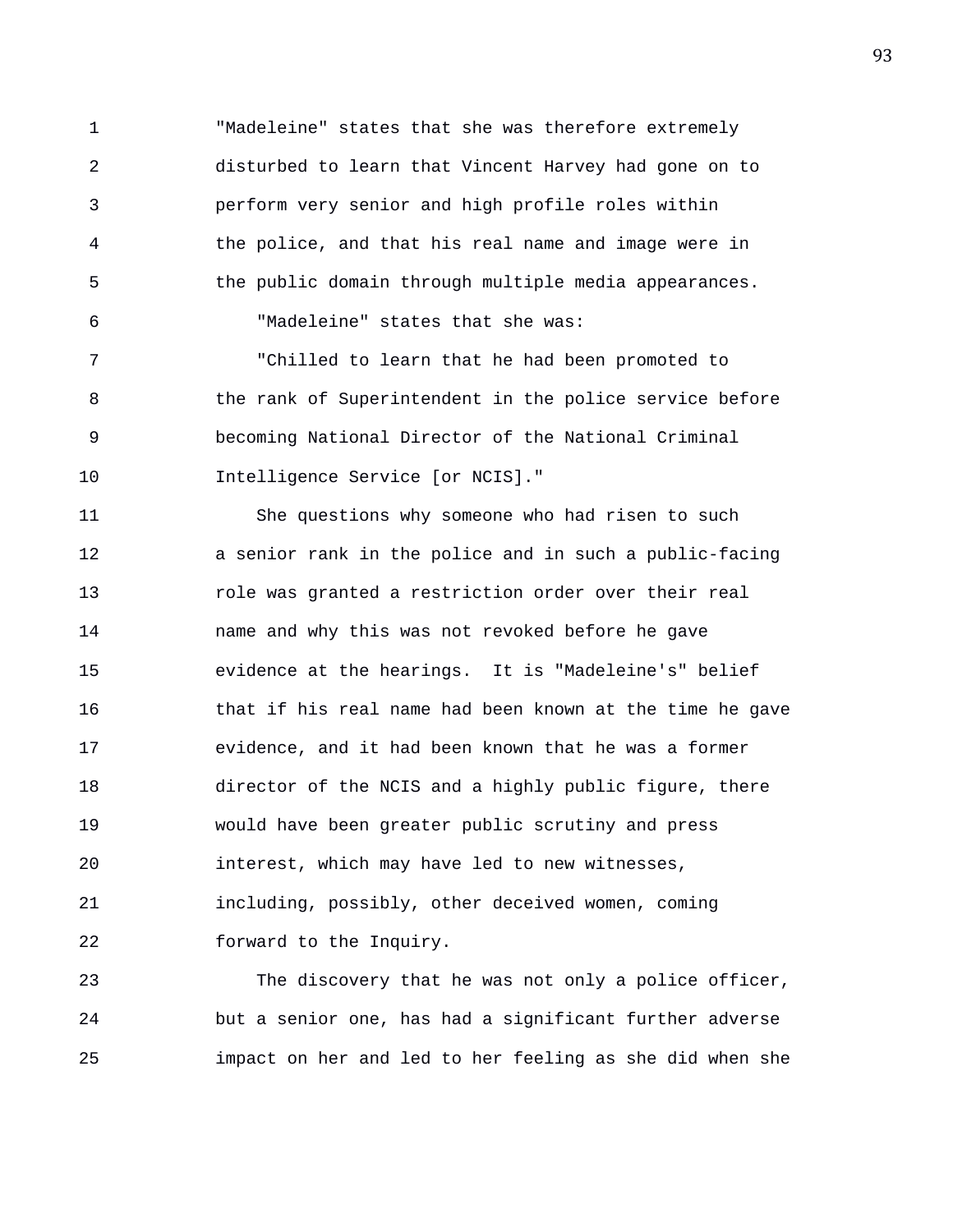1 "Madeleine" states that she was therefore extremely 2 disturbed to learn that Vincent Harvey had gone on to 3 perform very senior and high profile roles within 4 the police, and that his real name and image were in 5 the public domain through multiple media appearances. 6 "Madeleine" states that she was:

7 "Chilled to learn that he had been promoted to 8 the rank of Superintendent in the police service before 9 becoming National Director of the National Criminal 10 Intelligence Service [or NCIS]."

11 She questions why someone who had risen to such 12 a senior rank in the police and in such a public-facing 13 role was granted a restriction order over their real 14 name and why this was not revoked before he gave 15 evidence at the hearings. It is "Madeleine's" belief 16 that if his real name had been known at the time he gave 17 evidence, and it had been known that he was a former 18 director of the NCIS and a highly public figure, there 19 would have been greater public scrutiny and press 20 interest, which may have led to new witnesses, 21 including, possibly, other deceived women, coming 22 forward to the Inquiry.

23 The discovery that he was not only a police officer, 24 but a senior one, has had a significant further adverse 25 impact on her and led to her feeling as she did when she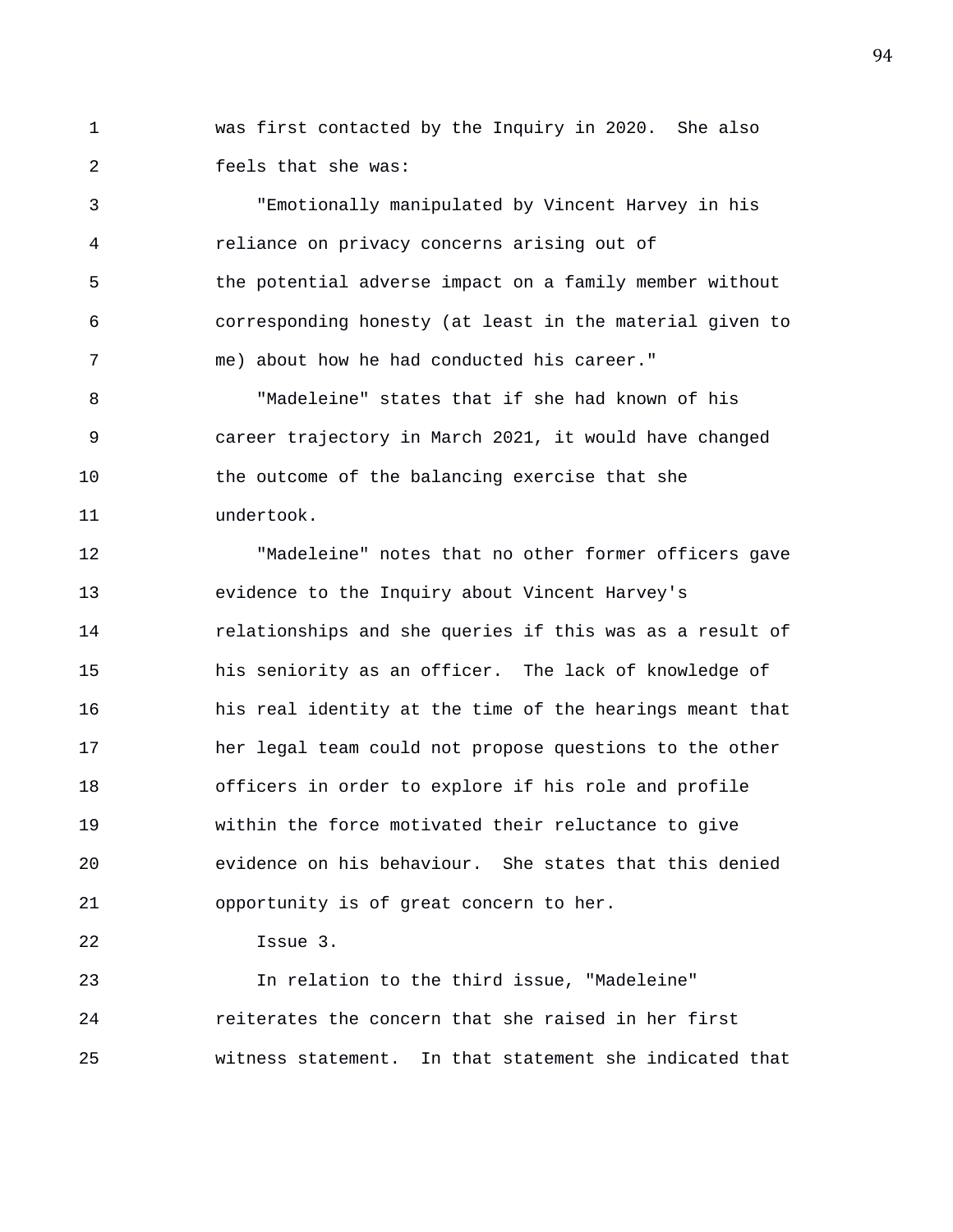1 was first contacted by the Inquiry in 2020. She also 2 feels that she was:

3 "Emotionally manipulated by Vincent Harvey in his 4 reliance on privacy concerns arising out of 5 the potential adverse impact on a family member without 6 corresponding honesty (at least in the material given to 7 me) about how he had conducted his career."

8 "Madeleine" states that if she had known of his 9 career trajectory in March 2021, it would have changed 10 the outcome of the balancing exercise that she 11 undertook.

12 "Madeleine" notes that no other former officers gave 13 evidence to the Inquiry about Vincent Harvey's 14 relationships and she queries if this was as a result of 15 his seniority as an officer. The lack of knowledge of 16 his real identity at the time of the hearings meant that 17 her legal team could not propose questions to the other 18 officers in order to explore if his role and profile 19 within the force motivated their reluctance to give 20 evidence on his behaviour. She states that this denied 21 opportunity is of great concern to her.

22 Issue 3.

23 In relation to the third issue, "Madeleine" 24 reiterates the concern that she raised in her first 25 witness statement. In that statement she indicated that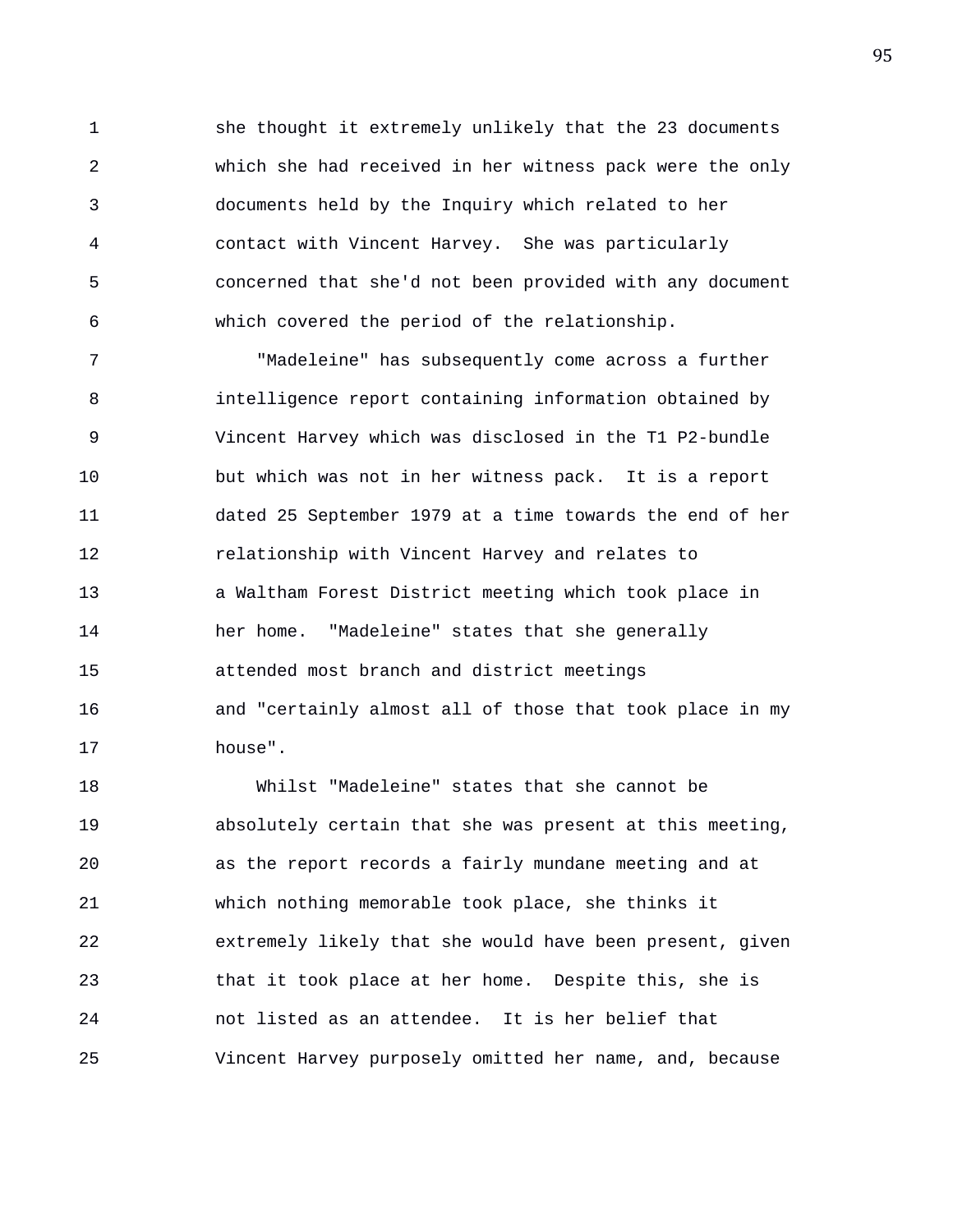1 she thought it extremely unlikely that the 23 documents 2 which she had received in her witness pack were the only 3 documents held by the Inquiry which related to her 4 contact with Vincent Harvey. She was particularly 5 concerned that she'd not been provided with any document 6 which covered the period of the relationship.

7 "Madeleine" has subsequently come across a further 8 intelligence report containing information obtained by 9 Vincent Harvey which was disclosed in the T1 P2-bundle 10 but which was not in her witness pack. It is a report 11 dated 25 September 1979 at a time towards the end of her 12 relationship with Vincent Harvey and relates to 13 a Waltham Forest District meeting which took place in 14 her home. "Madeleine" states that she generally 15 attended most branch and district meetings 16 and "certainly almost all of those that took place in my 17 house".

18 Whilst "Madeleine" states that she cannot be 19 absolutely certain that she was present at this meeting, 20 as the report records a fairly mundane meeting and at 21 which nothing memorable took place, she thinks it 22 extremely likely that she would have been present, given 23 that it took place at her home. Despite this, she is 24 not listed as an attendee. It is her belief that 25 Vincent Harvey purposely omitted her name, and, because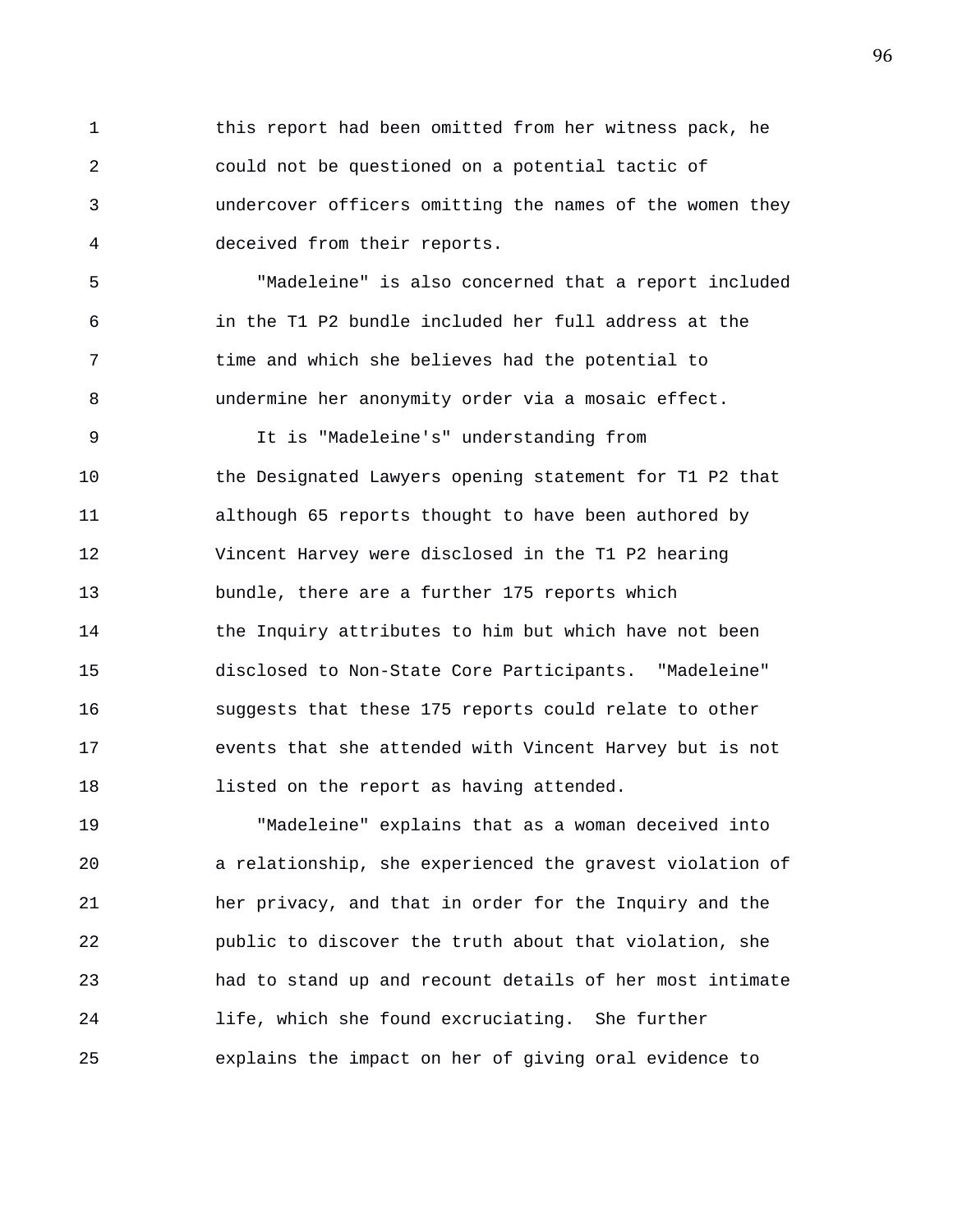1 this report had been omitted from her witness pack, he 2 could not be questioned on a potential tactic of 3 undercover officers omitting the names of the women they 4 deceived from their reports.

5 "Madeleine" is also concerned that a report included 6 in the T1 P2 bundle included her full address at the 7 time and which she believes had the potential to 8 undermine her anonymity order via a mosaic effect.

9 It is "Madeleine's" understanding from 10 the Designated Lawyers opening statement for T1 P2 that 11 although 65 reports thought to have been authored by 12 Vincent Harvey were disclosed in the T1 P2 hearing 13 bundle, there are a further 175 reports which 14 the Inquiry attributes to him but which have not been 15 disclosed to Non-State Core Participants. "Madeleine" 16 suggests that these 175 reports could relate to other 17 events that she attended with Vincent Harvey but is not 18 **listed on the report as having attended.** 

19 "Madeleine" explains that as a woman deceived into 20 a relationship, she experienced the gravest violation of 21 her privacy, and that in order for the Inquiry and the 22 public to discover the truth about that violation, she 23 had to stand up and recount details of her most intimate 24 life, which she found excruciating. She further 25 explains the impact on her of giving oral evidence to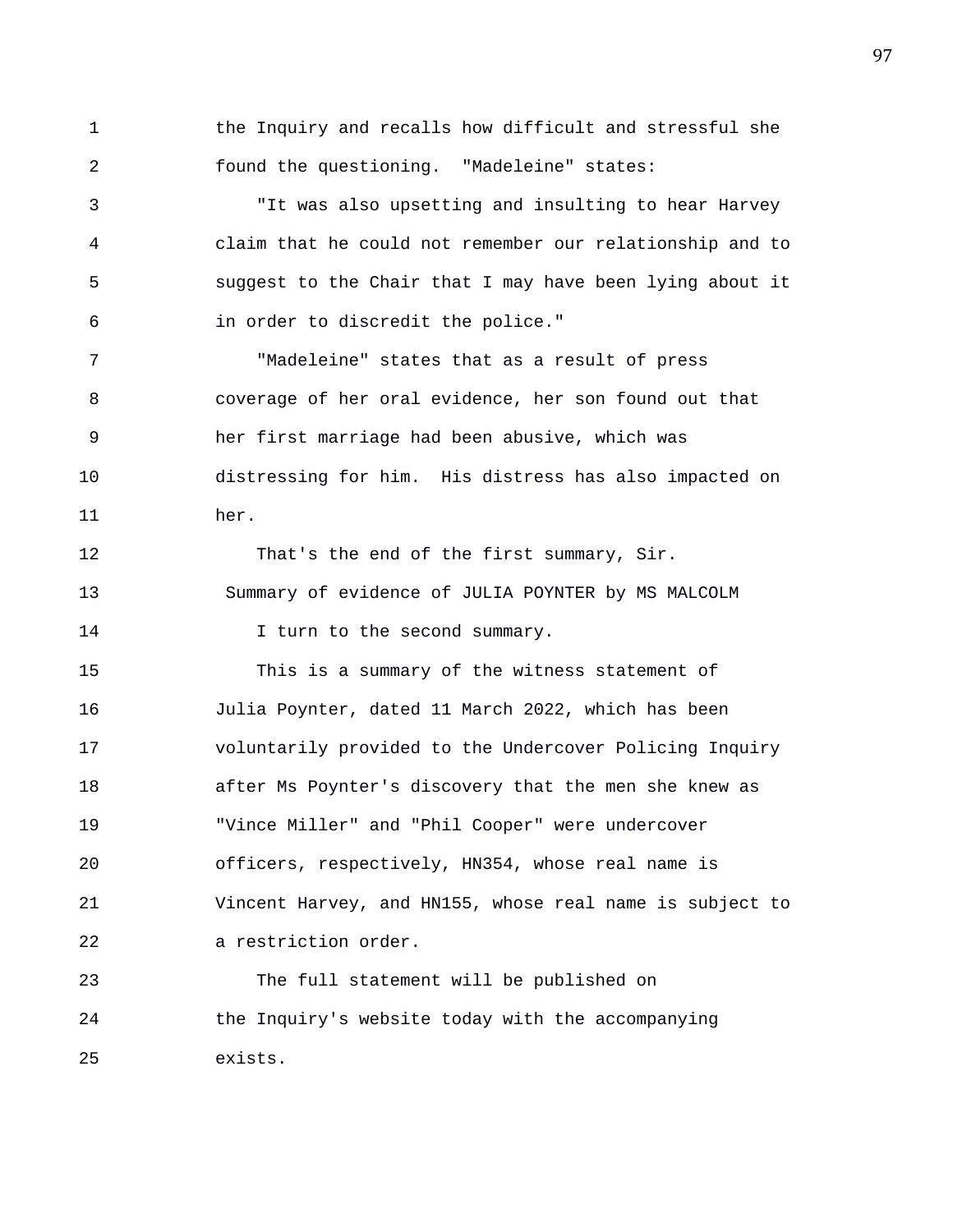1 the Inquiry and recalls how difficult and stressful she 2 found the questioning. "Madeleine" states:

3 "It was also upsetting and insulting to hear Harvey 4 claim that he could not remember our relationship and to 5 suggest to the Chair that I may have been lying about it 6 in order to discredit the police."

7 "Madeleine" states that as a result of press 8 coverage of her oral evidence, her son found out that 9 her first marriage had been abusive, which was 10 distressing for him. His distress has also impacted on 11 her.

12 That's the end of the first summary, Sir. 13 Summary of evidence of JULIA POYNTER by MS MALCOLM 14 I turn to the second summary.

15 This is a summary of the witness statement of 16 Julia Poynter, dated 11 March 2022, which has been 17 voluntarily provided to the Undercover Policing Inquiry 18 after Ms Poynter's discovery that the men she knew as 19 "Vince Miller" and "Phil Cooper" were undercover 20 officers, respectively, HN354, whose real name is 21 Vincent Harvey, and HN155, whose real name is subject to 22 a restriction order.

23 The full statement will be published on 24 the Inquiry's website today with the accompanying 25 exists.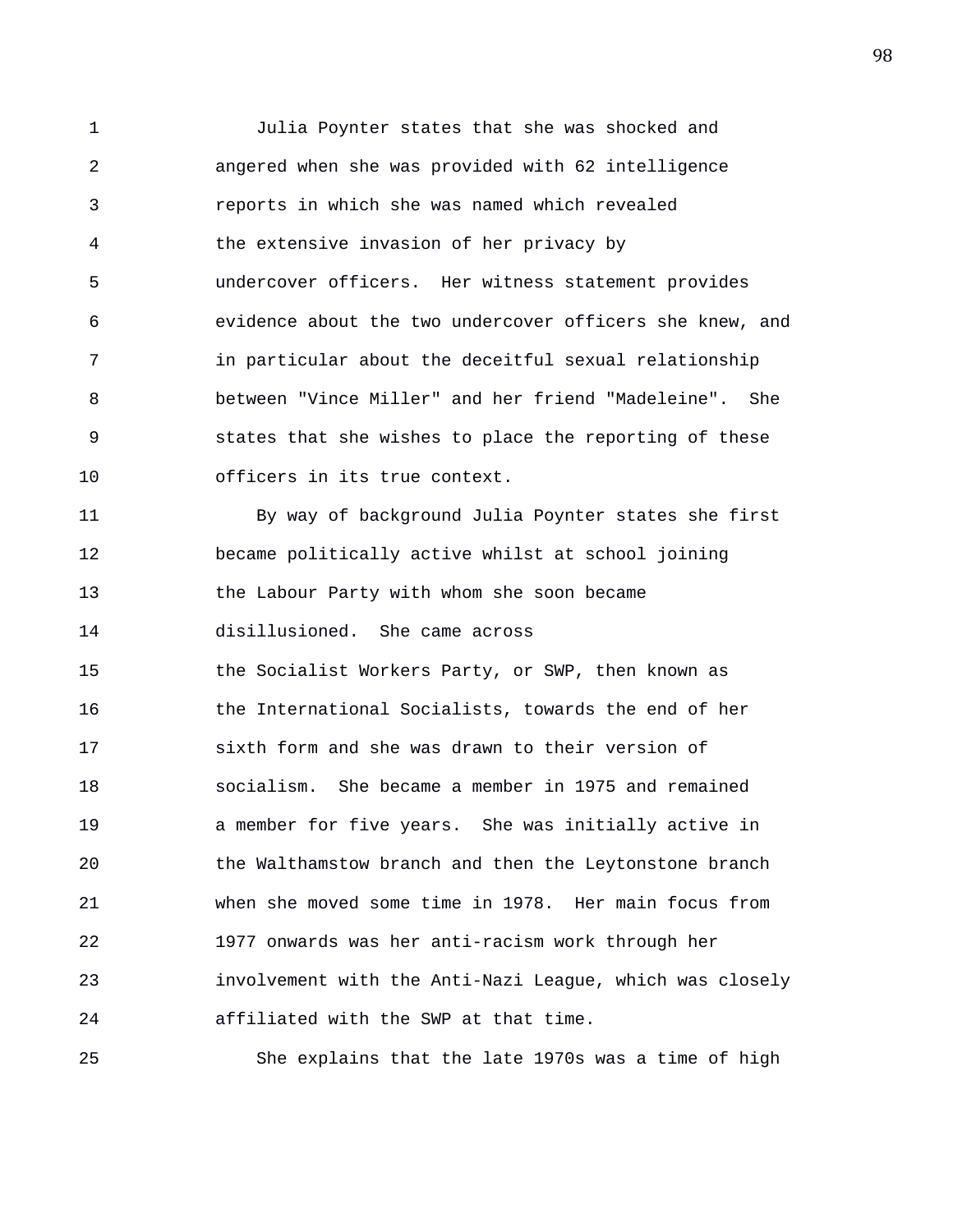1 Julia Poynter states that she was shocked and 2 angered when she was provided with 62 intelligence 3 reports in which she was named which revealed 4 the extensive invasion of her privacy by 5 undercover officers. Her witness statement provides 6 evidence about the two undercover officers she knew, and 7 in particular about the deceitful sexual relationship 8 between "Vince Miller" and her friend "Madeleine". She 9 states that she wishes to place the reporting of these 10 officers in its true context. 11 By way of background Julia Poynter states she first

12 became politically active whilst at school joining 13 the Labour Party with whom she soon became 14 disillusioned. She came across 15 the Socialist Workers Party, or SWP, then known as 16 the International Socialists, towards the end of her 17 sixth form and she was drawn to their version of 18 socialism. She became a member in 1975 and remained 19 a member for five years. She was initially active in 20 the Walthamstow branch and then the Leytonstone branch 21 when she moved some time in 1978. Her main focus from 22 1977 onwards was her anti-racism work through her 23 involvement with the Anti-Nazi League, which was closely 24 affiliated with the SWP at that time.

25 She explains that the late 1970s was a time of high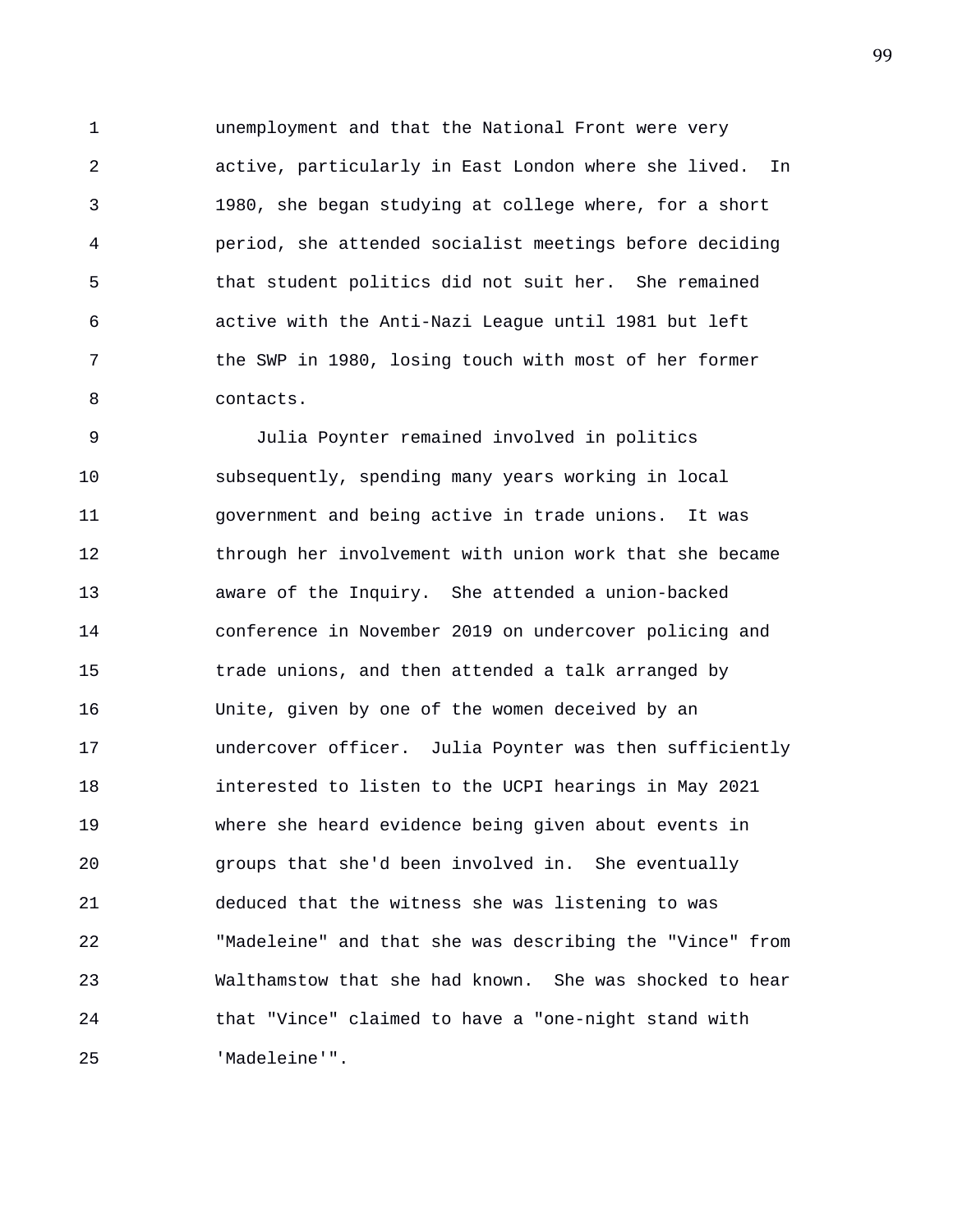1 unemployment and that the National Front were very 2 active, particularly in East London where she lived. In 3 1980, she began studying at college where, for a short 4 period, she attended socialist meetings before deciding 5 that student politics did not suit her. She remained 6 active with the Anti-Nazi League until 1981 but left 7 the SWP in 1980, losing touch with most of her former 8 contacts.

9 Julia Poynter remained involved in politics 10 subsequently, spending many years working in local 11 government and being active in trade unions. It was 12 through her involvement with union work that she became 13 aware of the Inquiry. She attended a union-backed 14 conference in November 2019 on undercover policing and 15 trade unions, and then attended a talk arranged by 16 Unite, given by one of the women deceived by an 17 undercover officer. Julia Poynter was then sufficiently 18 interested to listen to the UCPI hearings in May 2021 19 where she heard evidence being given about events in 20 groups that she'd been involved in. She eventually 21 deduced that the witness she was listening to was 22 "Madeleine" and that she was describing the "Vince" from 23 Walthamstow that she had known. She was shocked to hear 24 that "Vince" claimed to have a "one-night stand with 25 'Madeleine'".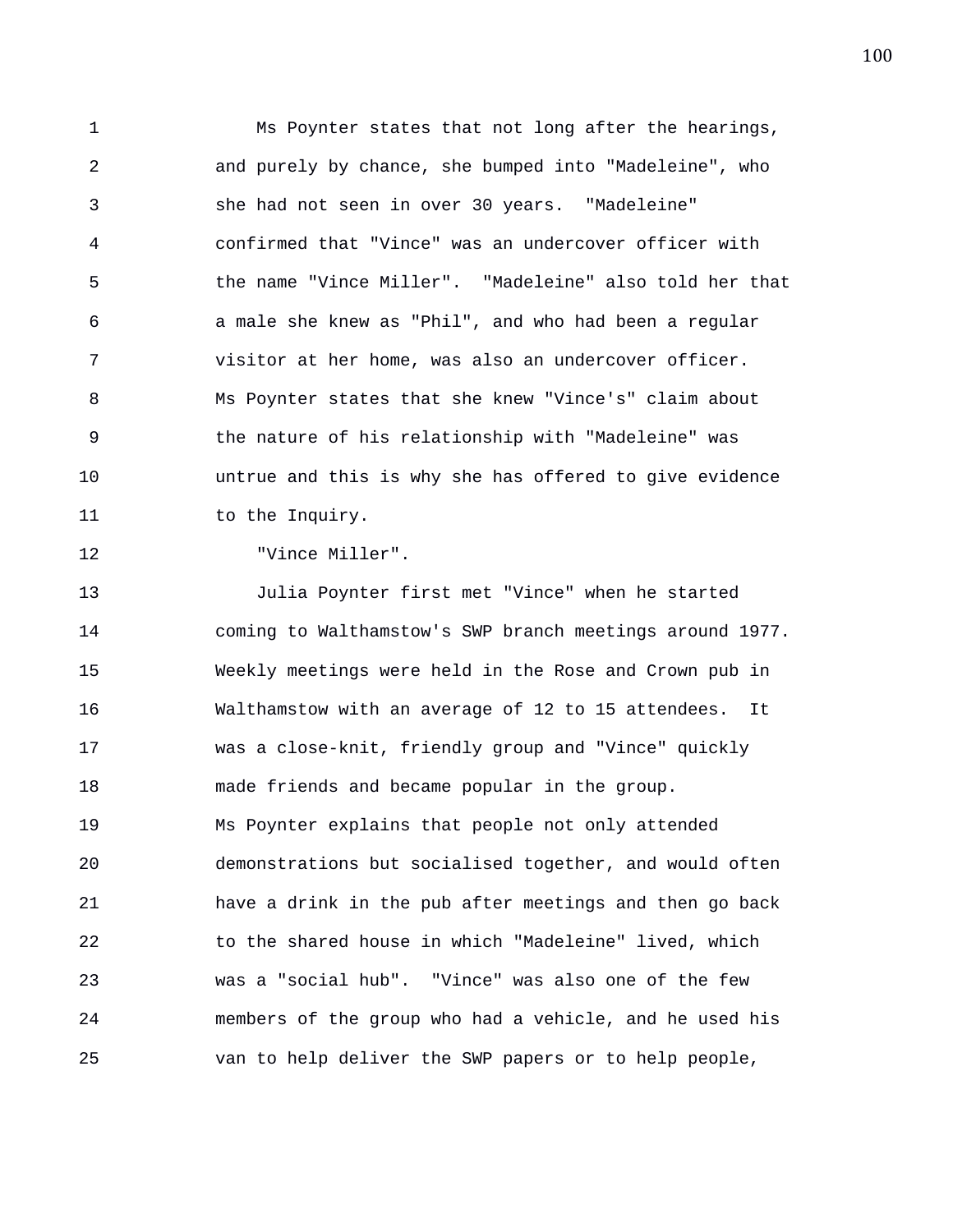1 Ms Poynter states that not long after the hearings, 2 and purely by chance, she bumped into "Madeleine", who 3 she had not seen in over 30 years. "Madeleine" 4 confirmed that "Vince" was an undercover officer with 5 the name "Vince Miller". "Madeleine" also told her that 6 a male she knew as "Phil", and who had been a regular 7 visitor at her home, was also an undercover officer. 8 Ms Poynter states that she knew "Vince's" claim about 9 the nature of his relationship with "Madeleine" was 10 untrue and this is why she has offered to give evidence 11 to the Inquiry.

12 "Vince Miller".

13 Julia Poynter first met "Vince" when he started 14 coming to Walthamstow's SWP branch meetings around 1977. 15 Weekly meetings were held in the Rose and Crown pub in 16 Walthamstow with an average of 12 to 15 attendees. It 17 was a close-knit, friendly group and "Vince" quickly 18 made friends and became popular in the group. 19 Ms Poynter explains that people not only attended 20 demonstrations but socialised together, and would often 21 have a drink in the pub after meetings and then go back 22 to the shared house in which "Madeleine" lived, which 23 was a "social hub". "Vince" was also one of the few 24 members of the group who had a vehicle, and he used his 25 van to help deliver the SWP papers or to help people,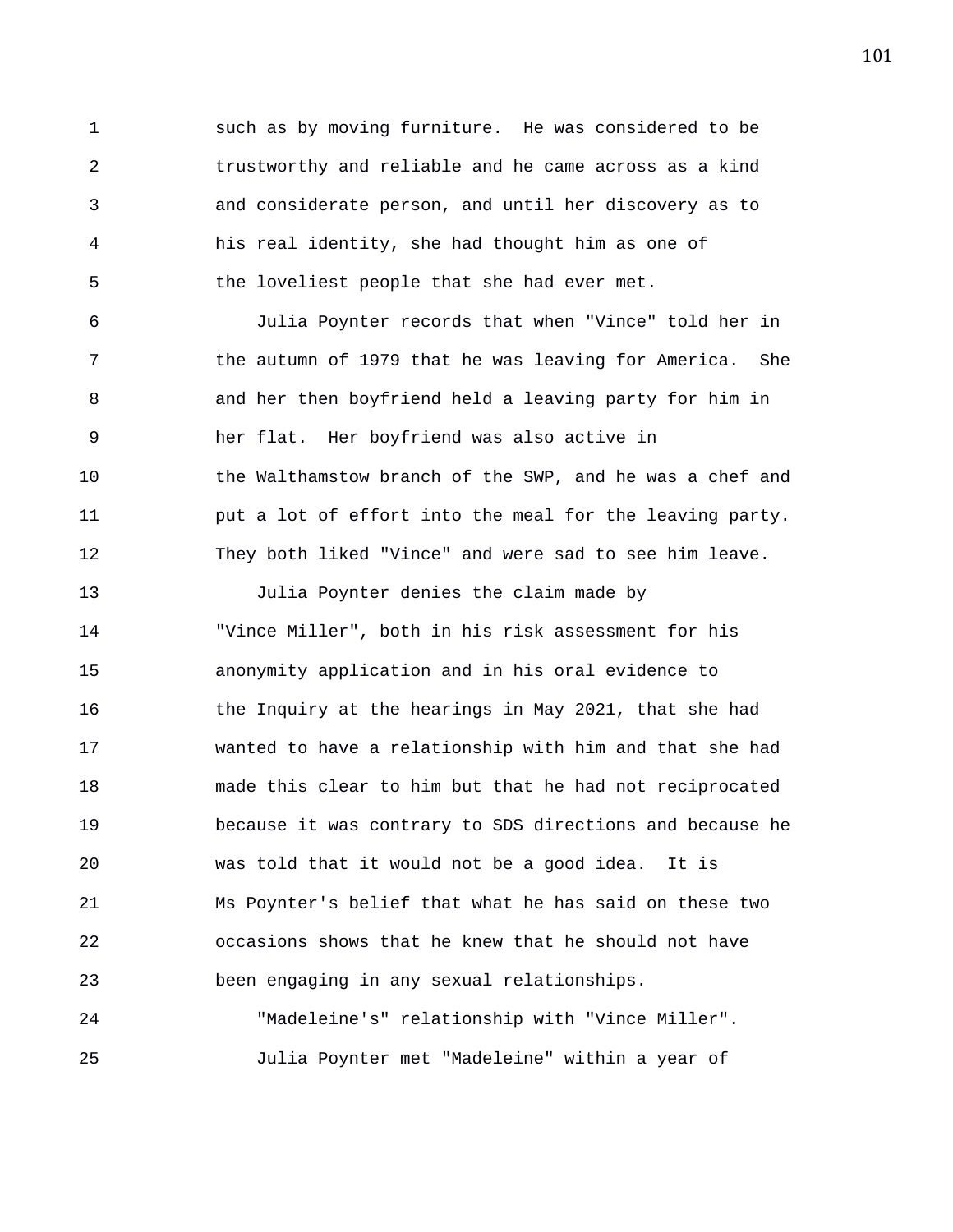1 such as by moving furniture. He was considered to be 2 trustworthy and reliable and he came across as a kind 3 and considerate person, and until her discovery as to 4 his real identity, she had thought him as one of 5 the loveliest people that she had ever met.

6 Julia Poynter records that when "Vince" told her in 7 the autumn of 1979 that he was leaving for America. She 8 and her then boyfriend held a leaving party for him in 9 her flat. Her boyfriend was also active in 10 the Walthamstow branch of the SWP, and he was a chef and 11 put a lot of effort into the meal for the leaving party. 12 They both liked "Vince" and were sad to see him leave.

13 Julia Poynter denies the claim made by 14 "Vince Miller", both in his risk assessment for his 15 anonymity application and in his oral evidence to 16 the Inquiry at the hearings in May 2021, that she had 17 wanted to have a relationship with him and that she had 18 made this clear to him but that he had not reciprocated 19 because it was contrary to SDS directions and because he 20 was told that it would not be a good idea. It is 21 Ms Poynter's belief that what he has said on these two 22 occasions shows that he knew that he should not have 23 been engaging in any sexual relationships.

24 "Madeleine's" relationship with "Vince Miller". 25 Julia Poynter met "Madeleine" within a year of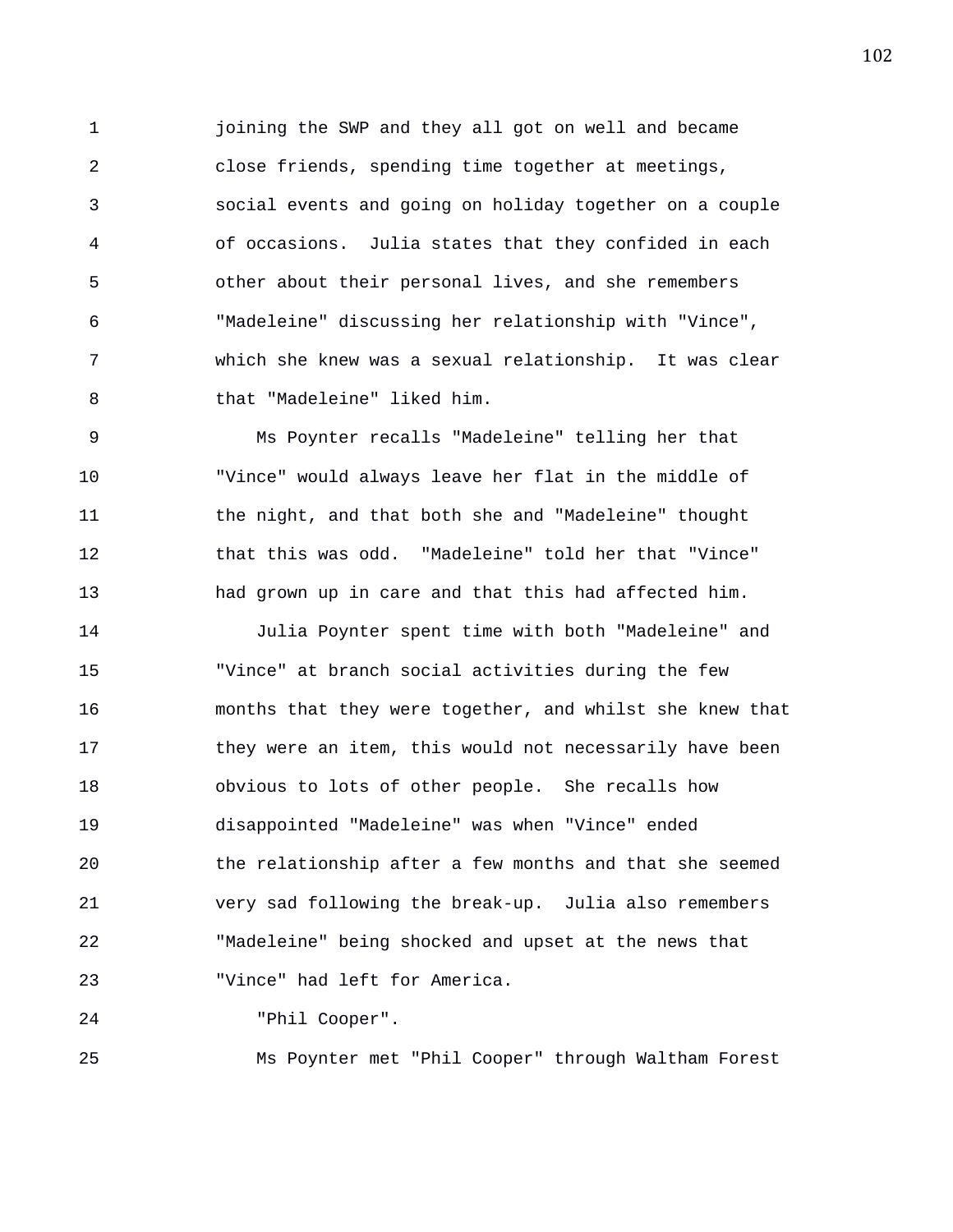1 joining the SWP and they all got on well and became 2 close friends, spending time together at meetings, 3 social events and going on holiday together on a couple 4 of occasions. Julia states that they confided in each 5 other about their personal lives, and she remembers 6 "Madeleine" discussing her relationship with "Vince", 7 which she knew was a sexual relationship. It was clear 8 that "Madeleine" liked him.

9 Ms Poynter recalls "Madeleine" telling her that 10 "Vince" would always leave her flat in the middle of 11 the night, and that both she and "Madeleine" thought 12 that this was odd. "Madeleine" told her that "Vince" 13 had grown up in care and that this had affected him.

14 Julia Poynter spent time with both "Madeleine" and 15 "Vince" at branch social activities during the few 16 months that they were together, and whilst she knew that 17 they were an item, this would not necessarily have been 18 obvious to lots of other people. She recalls how 19 disappointed "Madeleine" was when "Vince" ended 20 the relationship after a few months and that she seemed 21 very sad following the break-up. Julia also remembers 22 "Madeleine" being shocked and upset at the news that 23 "Vince" had left for America.

24 "Phil Cooper".

25 Ms Poynter met "Phil Cooper" through Waltham Forest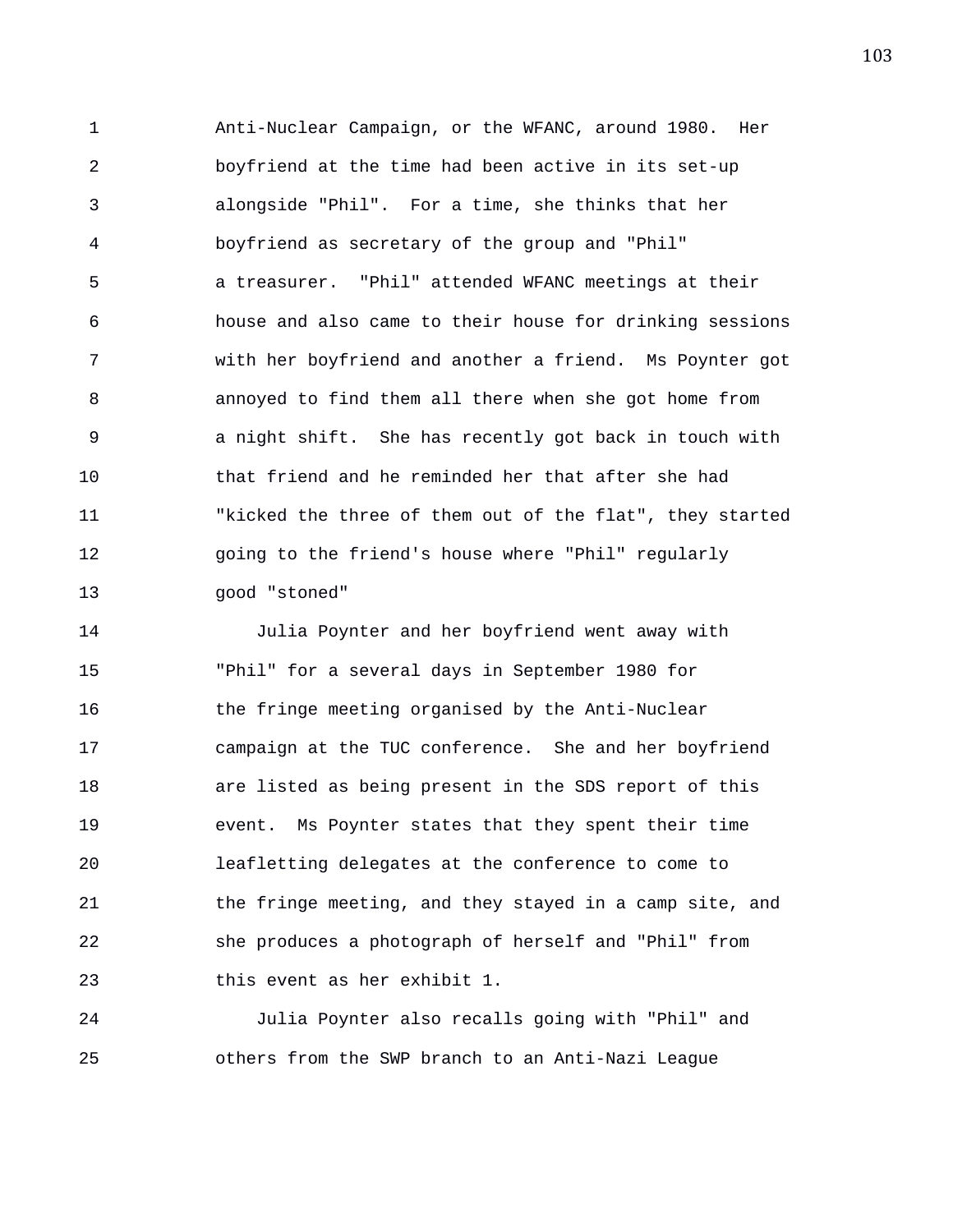1 Anti-Nuclear Campaign, or the WFANC, around 1980. Her 2 boyfriend at the time had been active in its set-up 3 alongside "Phil". For a time, she thinks that her 4 boyfriend as secretary of the group and "Phil" 5 a treasurer. "Phil" attended WFANC meetings at their 6 house and also came to their house for drinking sessions 7 with her boyfriend and another a friend. Ms Poynter got 8 annoyed to find them all there when she got home from 9 a night shift. She has recently got back in touch with 10 that friend and he reminded her that after she had 11 "kicked the three of them out of the flat", they started 12 going to the friend's house where "Phil" regularly 13 good "stoned"

14 Julia Poynter and her boyfriend went away with 15 "Phil" for a several days in September 1980 for 16 the fringe meeting organised by the Anti-Nuclear 17 campaign at the TUC conference. She and her boyfriend 18 are listed as being present in the SDS report of this 19 event. Ms Poynter states that they spent their time 20 leafletting delegates at the conference to come to 21 the fringe meeting, and they stayed in a camp site, and 22 she produces a photograph of herself and "Phil" from 23 this event as her exhibit 1.

24 Julia Poynter also recalls going with "Phil" and 25 others from the SWP branch to an Anti-Nazi League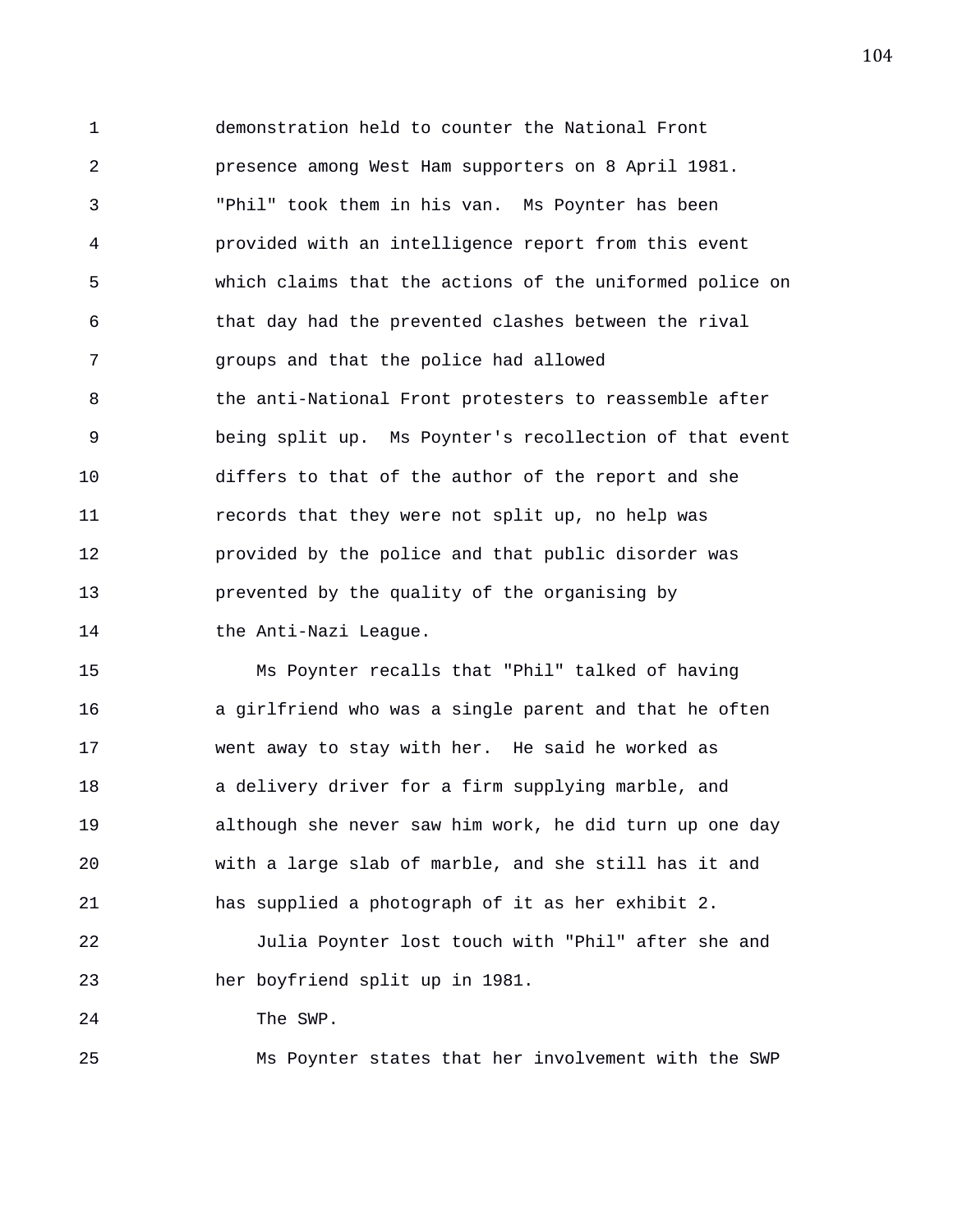1 demonstration held to counter the National Front 2 presence among West Ham supporters on 8 April 1981. 3 "Phil" took them in his van. Ms Poynter has been 4 provided with an intelligence report from this event 5 which claims that the actions of the uniformed police on 6 that day had the prevented clashes between the rival 7 groups and that the police had allowed 8 the anti-National Front protesters to reassemble after 9 being split up. Ms Poynter's recollection of that event 10 differs to that of the author of the report and she 11 records that they were not split up, no help was 12 provided by the police and that public disorder was 13 prevented by the quality of the organising by 14 the Anti-Nazi League.

15 Ms Poynter recalls that "Phil" talked of having 16 a girlfriend who was a single parent and that he often 17 went away to stay with her. He said he worked as 18 a delivery driver for a firm supplying marble, and 19 although she never saw him work, he did turn up one day 20 with a large slab of marble, and she still has it and 21 has supplied a photograph of it as her exhibit 2. 22 Julia Poynter lost touch with "Phil" after she and 23 her boyfriend split up in 1981. 24 The SWP.

25 Ms Poynter states that her involvement with the SWP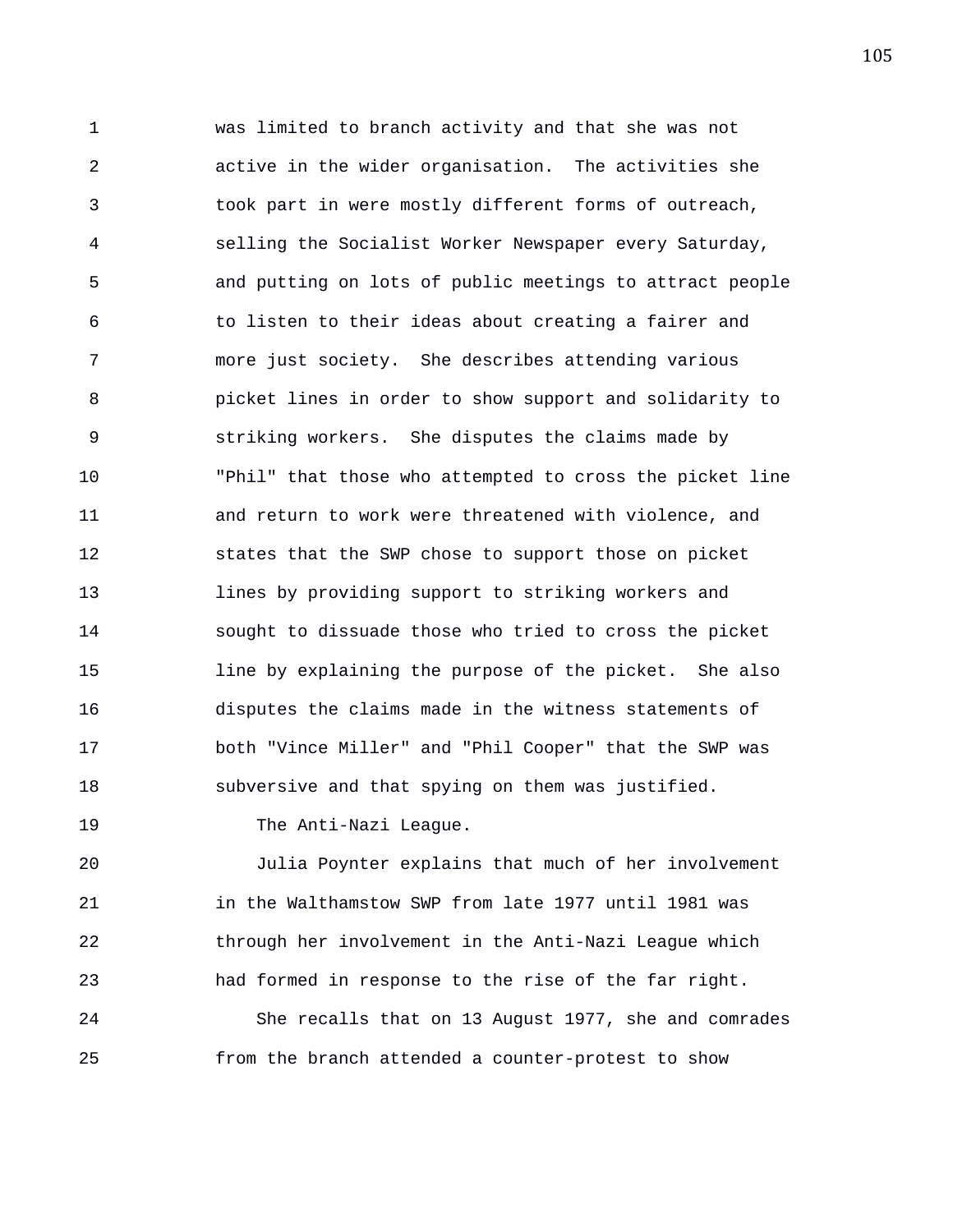1 was limited to branch activity and that she was not 2 active in the wider organisation. The activities she 3 took part in were mostly different forms of outreach, 4 selling the Socialist Worker Newspaper every Saturday, 5 and putting on lots of public meetings to attract people 6 to listen to their ideas about creating a fairer and 7 more just society. She describes attending various 8 picket lines in order to show support and solidarity to 9 striking workers. She disputes the claims made by 10 "Phil" that those who attempted to cross the picket line 11 and return to work were threatened with violence, and 12 states that the SWP chose to support those on picket 13 lines by providing support to striking workers and 14 sought to dissuade those who tried to cross the picket 15 line by explaining the purpose of the picket. She also 16 disputes the claims made in the witness statements of 17 both "Vince Miller" and "Phil Cooper" that the SWP was 18 subversive and that spying on them was justified.

19 The Anti-Nazi League.

20 Julia Poynter explains that much of her involvement 21 in the Walthamstow SWP from late 1977 until 1981 was 22 through her involvement in the Anti-Nazi League which 23 had formed in response to the rise of the far right. 24 She recalls that on 13 August 1977, she and comrades 25 from the branch attended a counter-protest to show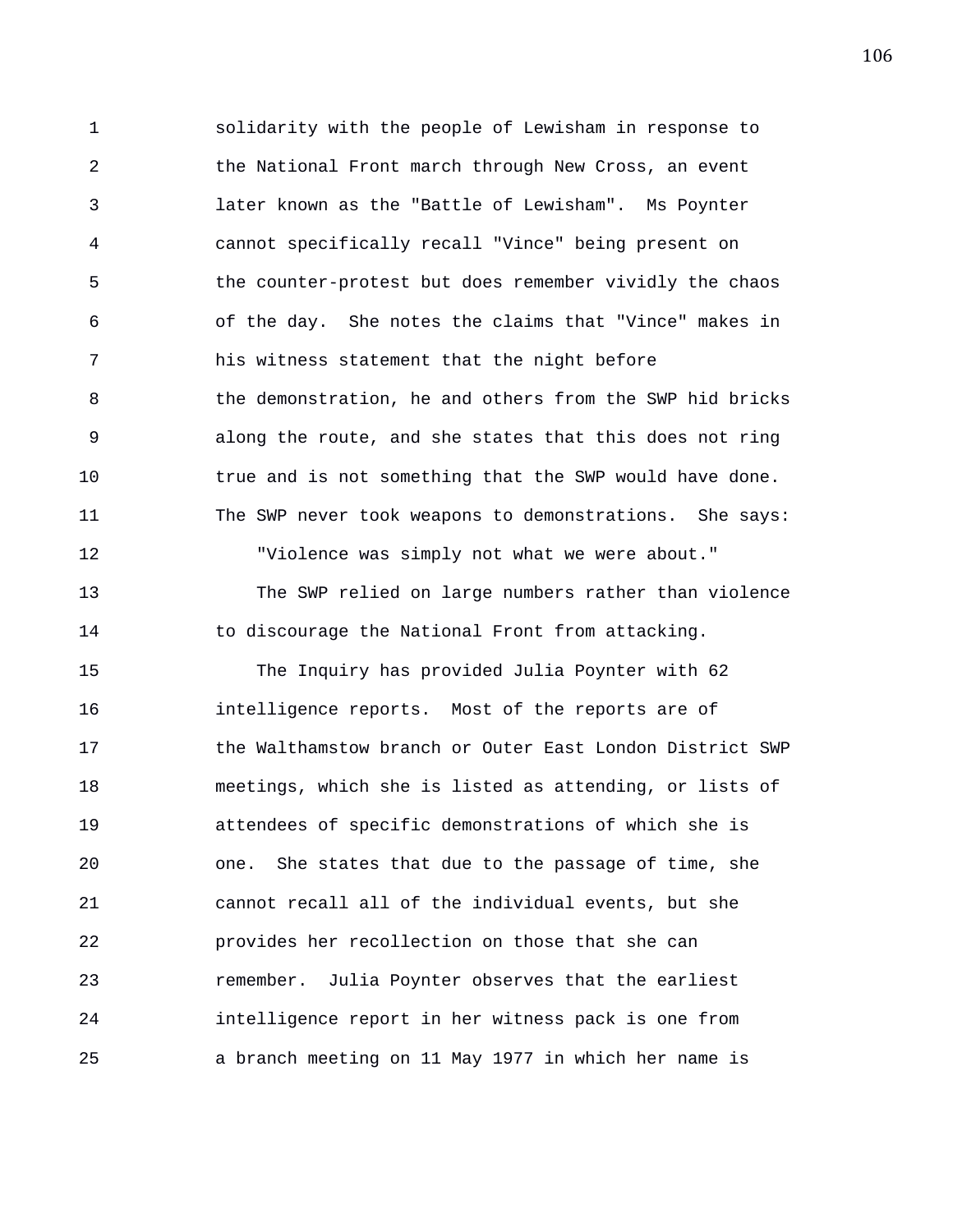1 solidarity with the people of Lewisham in response to 2 the National Front march through New Cross, an event 3 later known as the "Battle of Lewisham". Ms Poynter 4 cannot specifically recall "Vince" being present on 5 the counter-protest but does remember vividly the chaos 6 of the day. She notes the claims that "Vince" makes in 7 his witness statement that the night before 8 the demonstration, he and others from the SWP hid bricks 9 along the route, and she states that this does not ring 10 true and is not something that the SWP would have done. 11 The SWP never took weapons to demonstrations. She says: 12 "Violence was simply not what we were about." 13 The SWP relied on large numbers rather than violence 14 to discourage the National Front from attacking. 15 The Inquiry has provided Julia Poynter with 62 16 intelligence reports. Most of the reports are of 17 the Walthamstow branch or Outer East London District SWP 18 meetings, which she is listed as attending, or lists of 19 attendees of specific demonstrations of which she is 20 one. She states that due to the passage of time, she 21 cannot recall all of the individual events, but she 22 provides her recollection on those that she can 23 remember. Julia Poynter observes that the earliest 24 intelligence report in her witness pack is one from 25 a branch meeting on 11 May 1977 in which her name is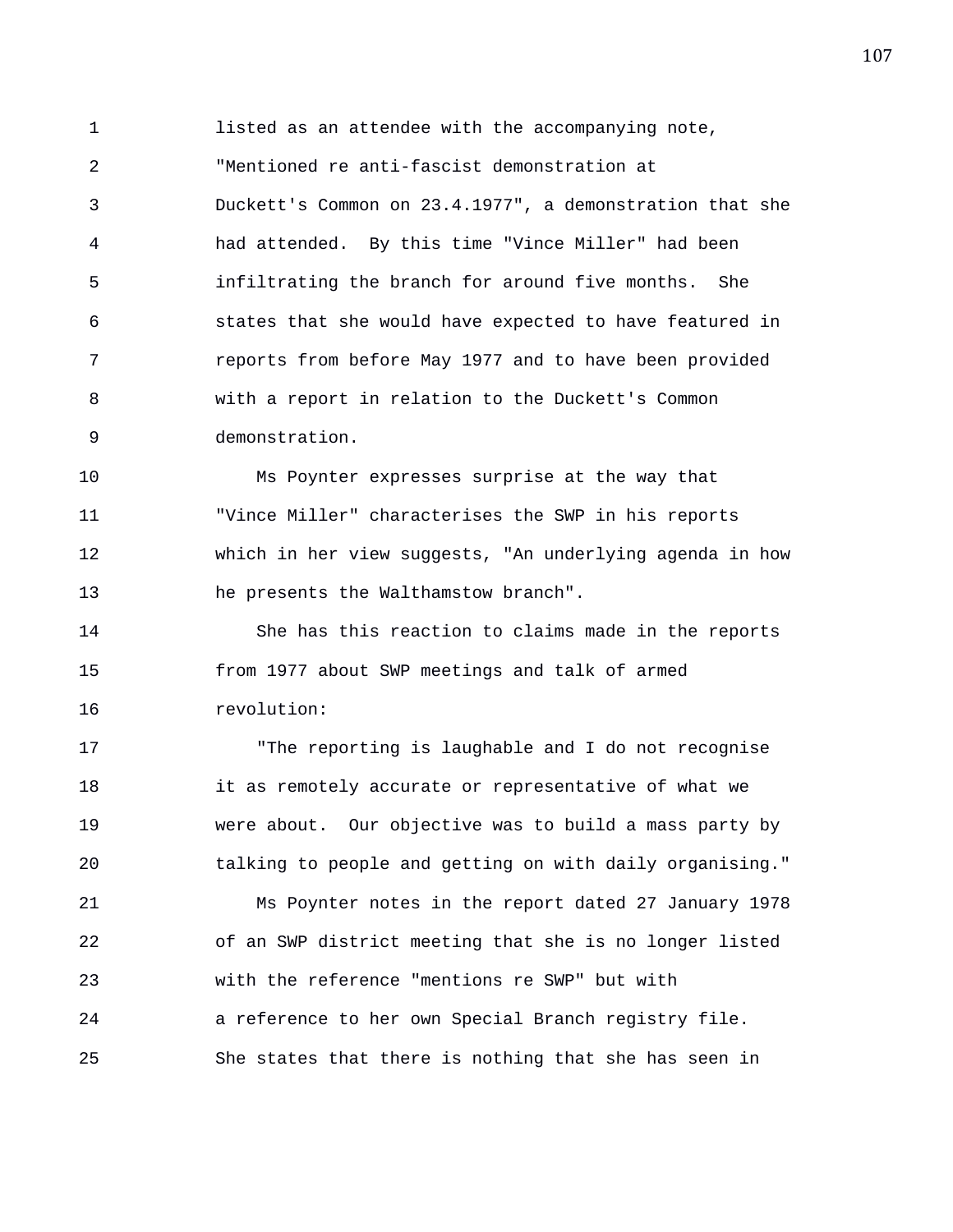1 listed as an attendee with the accompanying note, 2 "Mentioned re anti-fascist demonstration at 3 Duckett's Common on 23.4.1977", a demonstration that she 4 had attended. By this time "Vince Miller" had been 5 infiltrating the branch for around five months. She 6 states that she would have expected to have featured in 7 reports from before May 1977 and to have been provided 8 with a report in relation to the Duckett's Common 9 demonstration.

10 Ms Poynter expresses surprise at the way that 11 "Vince Miller" characterises the SWP in his reports 12 which in her view suggests, "An underlying agenda in how 13 he presents the Walthamstow branch".

14 She has this reaction to claims made in the reports 15 from 1977 about SWP meetings and talk of armed 16 revolution:

17 "The reporting is laughable and I do not recognise 18 it as remotely accurate or representative of what we 19 were about. Our objective was to build a mass party by 20 talking to people and getting on with daily organising." 21 Ms Poynter notes in the report dated 27 January 1978 22 of an SWP district meeting that she is no longer listed 23 with the reference "mentions re SWP" but with 24 a reference to her own Special Branch registry file. 25 She states that there is nothing that she has seen in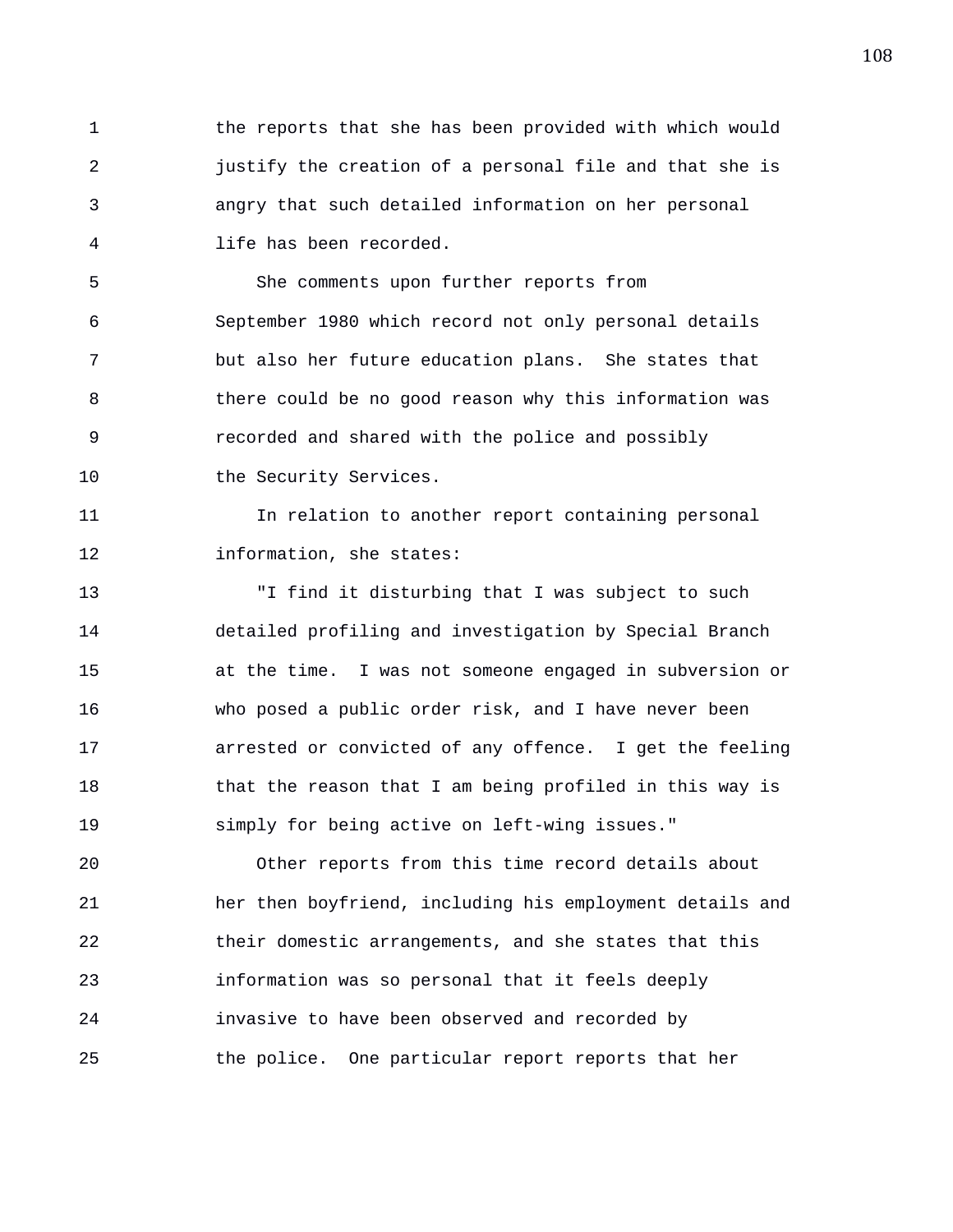1 the reports that she has been provided with which would 2 justify the creation of a personal file and that she is 3 angry that such detailed information on her personal 4 life has been recorded.

5 She comments upon further reports from 6 September 1980 which record not only personal details 7 but also her future education plans. She states that 8 there could be no good reason why this information was 9 recorded and shared with the police and possibly 10 the Security Services.

11 In relation to another report containing personal 12 information, she states:

13 "I find it disturbing that I was subject to such 14 detailed profiling and investigation by Special Branch 15 at the time. I was not someone engaged in subversion or 16 who posed a public order risk, and I have never been 17 arrested or convicted of any offence. I get the feeling 18 that the reason that I am being profiled in this way is 19 simply for being active on left-wing issues."

20 Other reports from this time record details about 21 her then boyfriend, including his employment details and 22 their domestic arrangements, and she states that this 23 information was so personal that it feels deeply 24 invasive to have been observed and recorded by 25 the police. One particular report reports that her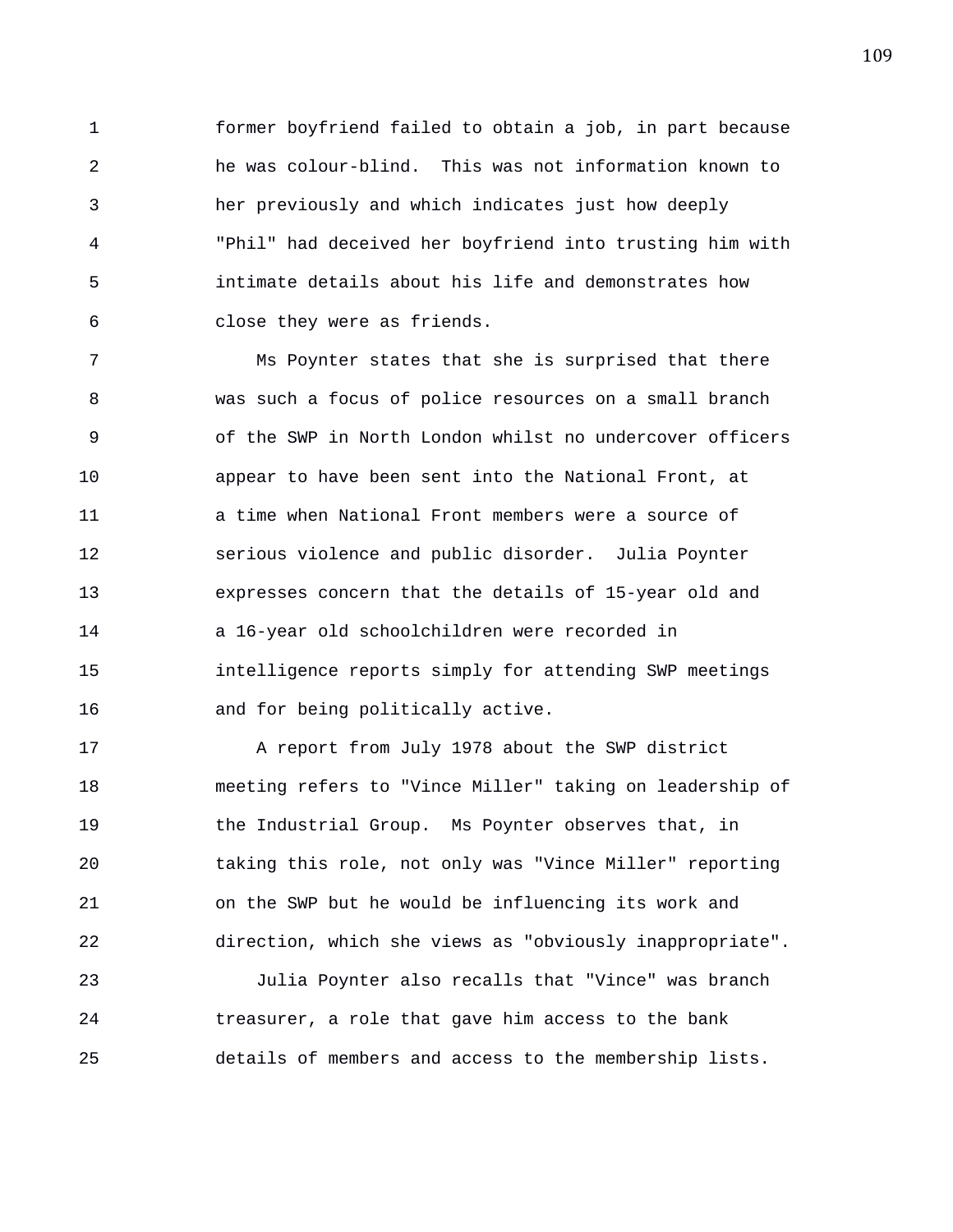1 former boyfriend failed to obtain a job, in part because 2 he was colour-blind. This was not information known to 3 her previously and which indicates just how deeply 4 "Phil" had deceived her boyfriend into trusting him with 5 intimate details about his life and demonstrates how 6 close they were as friends.

7 Ms Poynter states that she is surprised that there 8 was such a focus of police resources on a small branch 9 of the SWP in North London whilst no undercover officers 10 appear to have been sent into the National Front, at 11 a time when National Front members were a source of 12 serious violence and public disorder. Julia Poynter 13 expresses concern that the details of 15-year old and 14 a 16-year old schoolchildren were recorded in 15 intelligence reports simply for attending SWP meetings 16 and for being politically active.

17 A report from July 1978 about the SWP district 18 meeting refers to "Vince Miller" taking on leadership of 19 the Industrial Group. Ms Poynter observes that, in 20 taking this role, not only was "Vince Miller" reporting 21 on the SWP but he would be influencing its work and 22 direction, which she views as "obviously inappropriate".

23 Julia Poynter also recalls that "Vince" was branch 24 treasurer, a role that gave him access to the bank 25 details of members and access to the membership lists.

109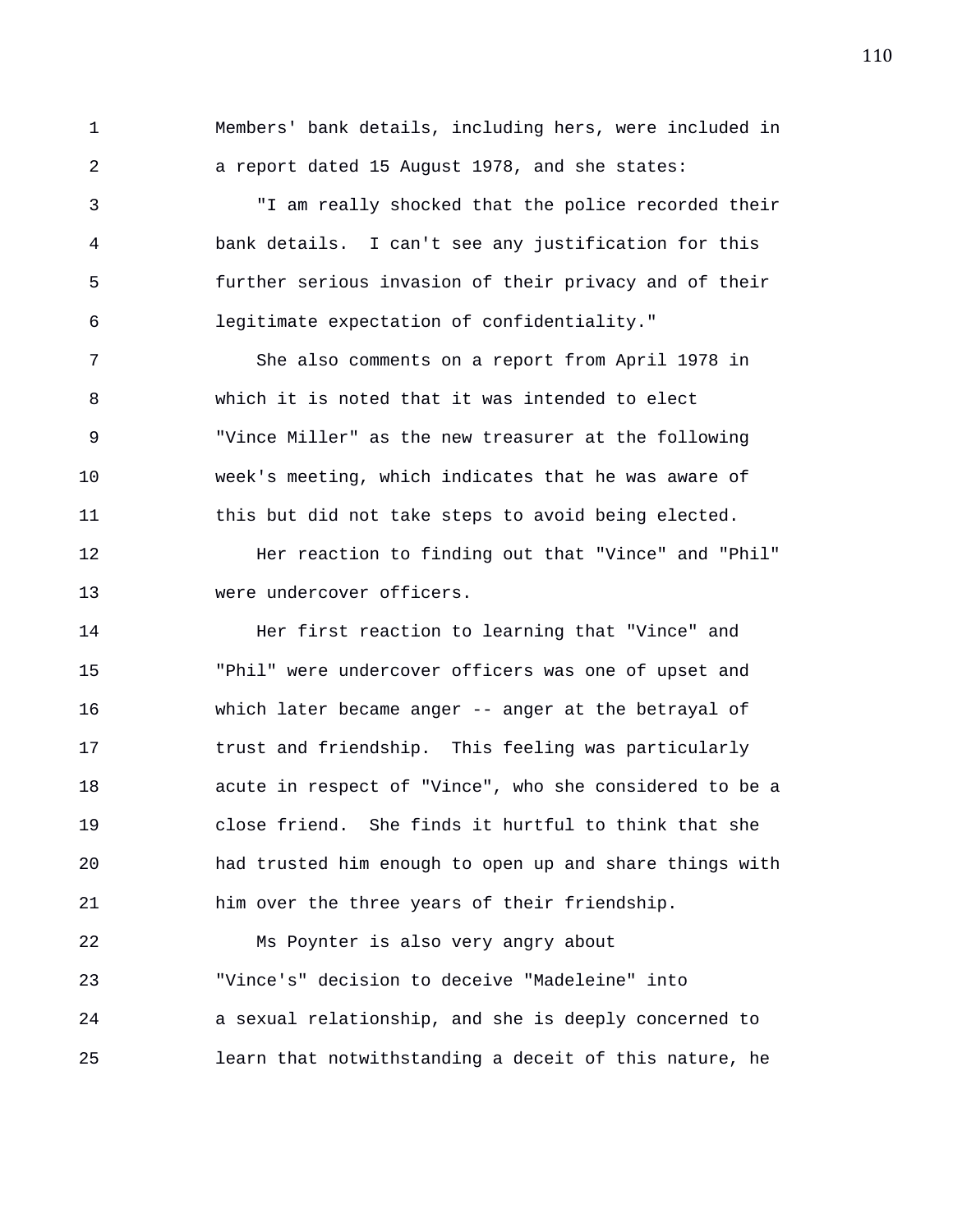1 Members' bank details, including hers, were included in 2 a report dated 15 August 1978, and she states:

3 "I am really shocked that the police recorded their 4 bank details. I can't see any justification for this 5 further serious invasion of their privacy and of their 6 legitimate expectation of confidentiality."

7 She also comments on a report from April 1978 in 8 which it is noted that it was intended to elect 9 "Vince Miller" as the new treasurer at the following 10 week's meeting, which indicates that he was aware of 11 this but did not take steps to avoid being elected.

12 Her reaction to finding out that "Vince" and "Phil" 13 were undercover officers.

14 Her first reaction to learning that "Vince" and 15 "Phil" were undercover officers was one of upset and 16 which later became anger -- anger at the betrayal of 17 trust and friendship. This feeling was particularly 18 acute in respect of "Vince", who she considered to be a 19 close friend. She finds it hurtful to think that she 20 had trusted him enough to open up and share things with 21 him over the three years of their friendship.

22 Ms Poynter is also very angry about 23 "Vince's" decision to deceive "Madeleine" into 24 a sexual relationship, and she is deeply concerned to 25 learn that notwithstanding a deceit of this nature, he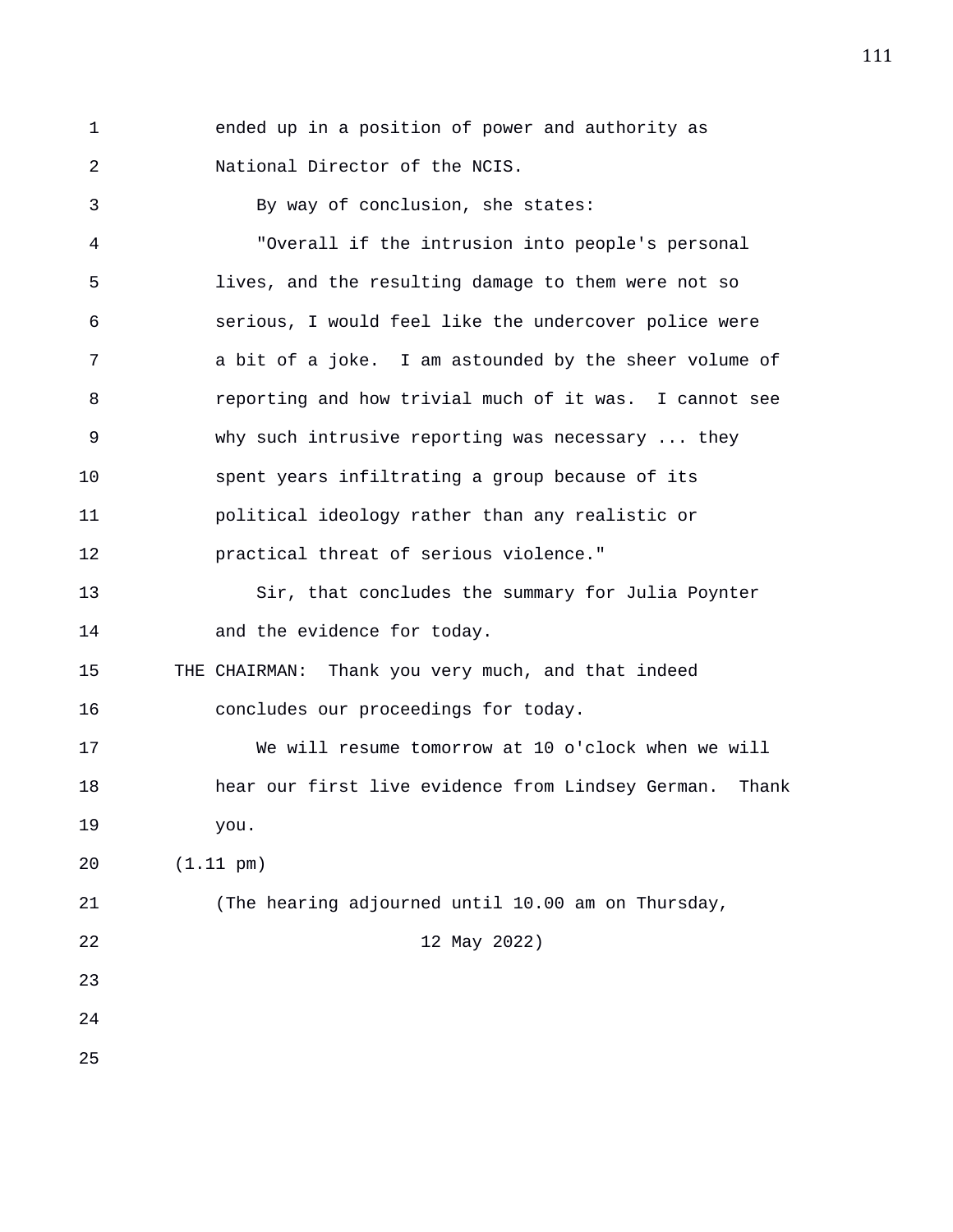1 ended up in a position of power and authority as 2 National Director of the NCIS.

3 By way of conclusion, she states: 4 "Overall if the intrusion into people's personal 5 lives, and the resulting damage to them were not so 6 serious, I would feel like the undercover police were 7 a bit of a joke. I am astounded by the sheer volume of 8 reporting and how trivial much of it was. I cannot see 9 why such intrusive reporting was necessary ... they 10 spent years infiltrating a group because of its 11 political ideology rather than any realistic or 12 practical threat of serious violence." 13 Sir, that concludes the summary for Julia Poynter 14 and the evidence for today. 15 THE CHAIRMAN: Thank you very much, and that indeed 16 concludes our proceedings for today. 17 We will resume tomorrow at 10 o'clock when we will 18 hear our first live evidence from Lindsey German. Thank 19 you. 20 (1.11 pm) 21 (The hearing adjourned until 10.00 am on Thursday, 22 12 May 2022) 23 24 25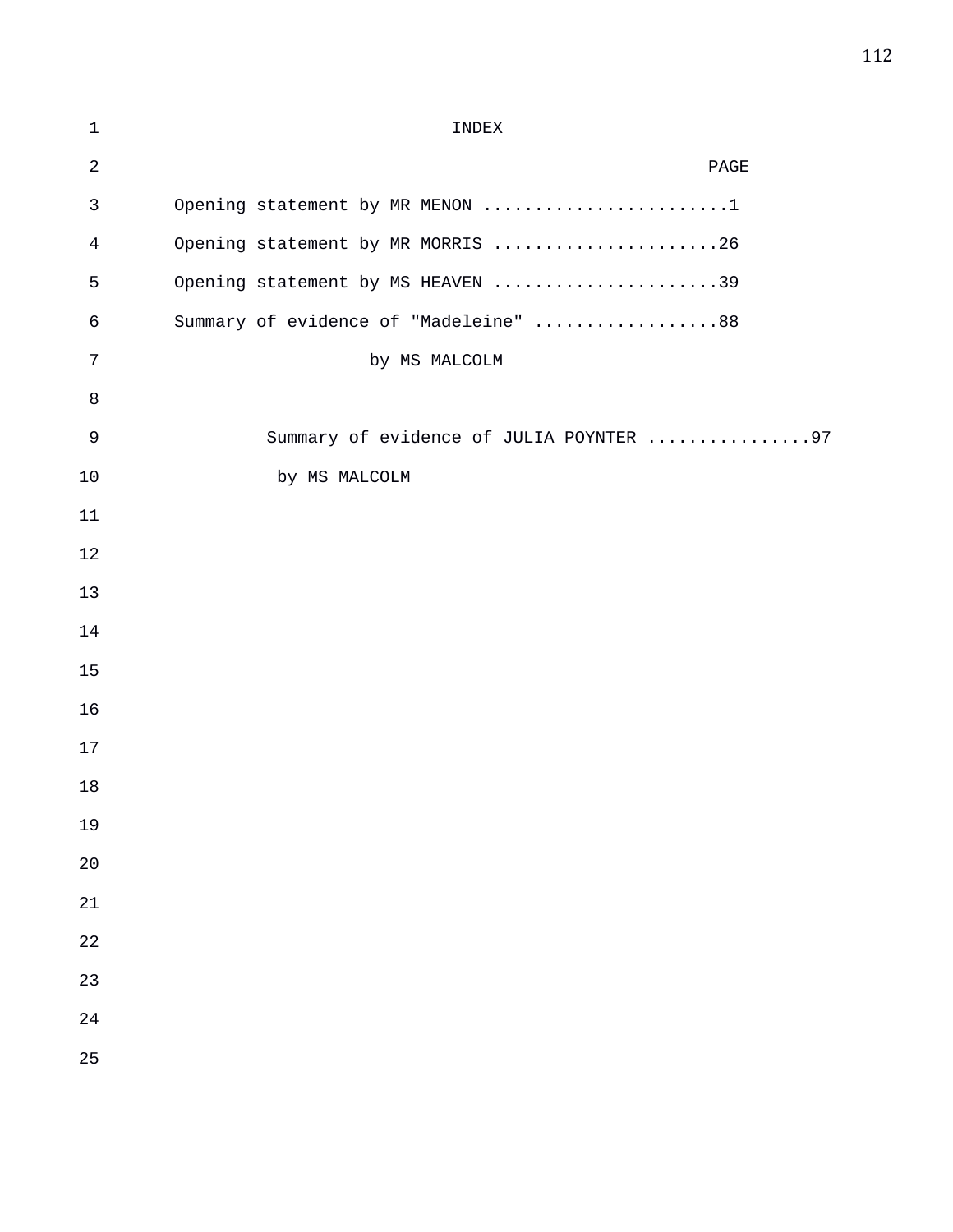| $\mathbf{1}$ | INDEX                                   |
|--------------|-----------------------------------------|
| $\sqrt{2}$   | $\mathop{\mathtt{PAGE}}$                |
| 3            | Opening statement by MR MENON 1         |
| 4            | Opening statement by MR MORRIS 26       |
| 5            | Opening statement by MS HEAVEN 39       |
| 6            | Summary of evidence of "Madeleine" 88   |
| 7            | by MS MALCOLM                           |
| 8            |                                         |
| $\mathsf 9$  | Summary of evidence of JULIA POYNTER 97 |
| 10           | by MS MALCOLM                           |
| 11           |                                         |
| 12           |                                         |
| 13           |                                         |
| 14           |                                         |
| 15           |                                         |
| 16           |                                         |
| 17           |                                         |
| 18           |                                         |
| 19           |                                         |
| 20           |                                         |
| 21           |                                         |
| 22           |                                         |
| 23           |                                         |
| 24           |                                         |
| 25           |                                         |